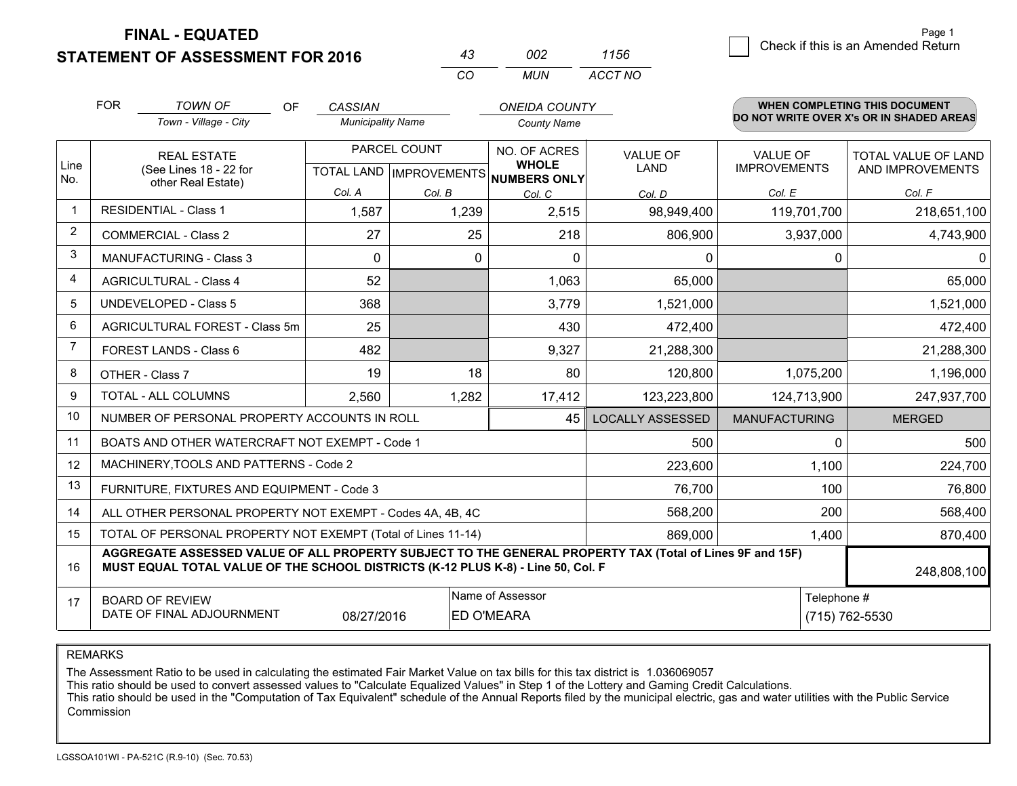**FINAL - EQUATED**

**STATEMENT OF ASSESSMENT FOR 2016** 

| 43  | nn2 | 1156    |
|-----|-----|---------|
| CO. | MUN | ACCT NO |

|                | <b>FOR</b>                                                                                                                                                                                   | <b>TOWN OF</b><br><b>OF</b>                               | <b>CASSIAN</b>           |              | <b>ONEIDA COUNTY</b>                                     |                         |                      | WHEN COMPLETING THIS DOCUMENT<br>DO NOT WRITE OVER X's OR IN SHADED AREAS |
|----------------|----------------------------------------------------------------------------------------------------------------------------------------------------------------------------------------------|-----------------------------------------------------------|--------------------------|--------------|----------------------------------------------------------|-------------------------|----------------------|---------------------------------------------------------------------------|
|                |                                                                                                                                                                                              | Town - Village - City                                     | <b>Municipality Name</b> |              | <b>County Name</b>                                       |                         |                      |                                                                           |
|                |                                                                                                                                                                                              | <b>REAL ESTATE</b>                                        |                          | PARCEL COUNT | NO. OF ACRES                                             | <b>VALUE OF</b>         | <b>VALUE OF</b>      | TOTAL VALUE OF LAND                                                       |
| Line<br>No.    | (See Lines 18 - 22 for                                                                                                                                                                       | other Real Estate)                                        |                          |              | <b>WHOLE</b><br>TOTAL LAND   IMPROVEMENTS   NUMBERS ONLY | <b>LAND</b>             | <b>IMPROVEMENTS</b>  | AND IMPROVEMENTS                                                          |
|                |                                                                                                                                                                                              |                                                           | Col. A                   | Col. B       | Col. C                                                   | Col. D                  | Col. E               | Col. F                                                                    |
|                |                                                                                                                                                                                              | <b>RESIDENTIAL - Class 1</b>                              | 1,587                    | 1,239        | 2,515                                                    | 98,949,400              | 119,701,700          | 218,651,100                                                               |
| $\overline{2}$ |                                                                                                                                                                                              | <b>COMMERCIAL - Class 2</b>                               | 27                       | 25           | 218                                                      | 806,900                 | 3,937,000            | 4,743,900                                                                 |
| 3              |                                                                                                                                                                                              | <b>MANUFACTURING - Class 3</b>                            | $\Omega$                 | $\Omega$     | $\Omega$                                                 | 0                       | $\Omega$             | 0                                                                         |
| 4              |                                                                                                                                                                                              | <b>AGRICULTURAL - Class 4</b>                             | 52                       |              | 1,063                                                    | 65,000                  |                      | 65,000                                                                    |
| 5              |                                                                                                                                                                                              | <b>UNDEVELOPED - Class 5</b>                              | 368                      |              | 3,779                                                    | 1,521,000               |                      | 1,521,000                                                                 |
| 6              |                                                                                                                                                                                              | AGRICULTURAL FOREST - Class 5m                            | 25                       |              | 430                                                      | 472,400                 |                      | 472,400                                                                   |
| 7              |                                                                                                                                                                                              | FOREST LANDS - Class 6                                    | 482                      |              | 9,327                                                    | 21,288,300              |                      | 21,288,300                                                                |
| 8              |                                                                                                                                                                                              | OTHER - Class 7                                           | 19                       | 18           | 80                                                       | 120,800                 | 1,075,200            | 1,196,000                                                                 |
| 9              |                                                                                                                                                                                              | TOTAL - ALL COLUMNS                                       | 2,560                    | 1,282        | 17,412                                                   | 123,223,800             | 124,713,900          | 247,937,700                                                               |
| 10             |                                                                                                                                                                                              | NUMBER OF PERSONAL PROPERTY ACCOUNTS IN ROLL              |                          |              | 45                                                       | <b>LOCALLY ASSESSED</b> | <b>MANUFACTURING</b> | <b>MERGED</b>                                                             |
| 11             |                                                                                                                                                                                              | BOATS AND OTHER WATERCRAFT NOT EXEMPT - Code 1            |                          |              |                                                          | 500                     | $\Omega$             | 500                                                                       |
| 12             |                                                                                                                                                                                              | MACHINERY, TOOLS AND PATTERNS - Code 2                    |                          |              |                                                          | 223,600                 | 1,100                | 224,700                                                                   |
| 13             |                                                                                                                                                                                              | FURNITURE, FIXTURES AND EQUIPMENT - Code 3                |                          |              |                                                          | 76,700                  | 100                  | 76,800                                                                    |
| 14             |                                                                                                                                                                                              | ALL OTHER PERSONAL PROPERTY NOT EXEMPT - Codes 4A, 4B, 4C |                          |              |                                                          | 568,200                 | 200                  | 568,400                                                                   |
| 15             | TOTAL OF PERSONAL PROPERTY NOT EXEMPT (Total of Lines 11-14)                                                                                                                                 |                                                           |                          |              |                                                          |                         | 1,400                | 870,400                                                                   |
| 16             | AGGREGATE ASSESSED VALUE OF ALL PROPERTY SUBJECT TO THE GENERAL PROPERTY TAX (Total of Lines 9F and 15F)<br>MUST EQUAL TOTAL VALUE OF THE SCHOOL DISTRICTS (K-12 PLUS K-8) - Line 50, Col. F |                                                           |                          |              |                                                          |                         | 248,808,100          |                                                                           |
| 17             |                                                                                                                                                                                              | <b>BOARD OF REVIEW</b>                                    |                          |              | Name of Assessor                                         |                         | Telephone #          |                                                                           |
|                | DATE OF FINAL ADJOURNMENT<br><b>ED O'MEARA</b><br>08/27/2016                                                                                                                                 |                                                           |                          |              |                                                          | (715) 762-5530          |                      |                                                                           |

REMARKS

The Assessment Ratio to be used in calculating the estimated Fair Market Value on tax bills for this tax district is 1.036069057<br>This ratio should be used to convert assessed values to "Calculate Equalized Values" in Step Commission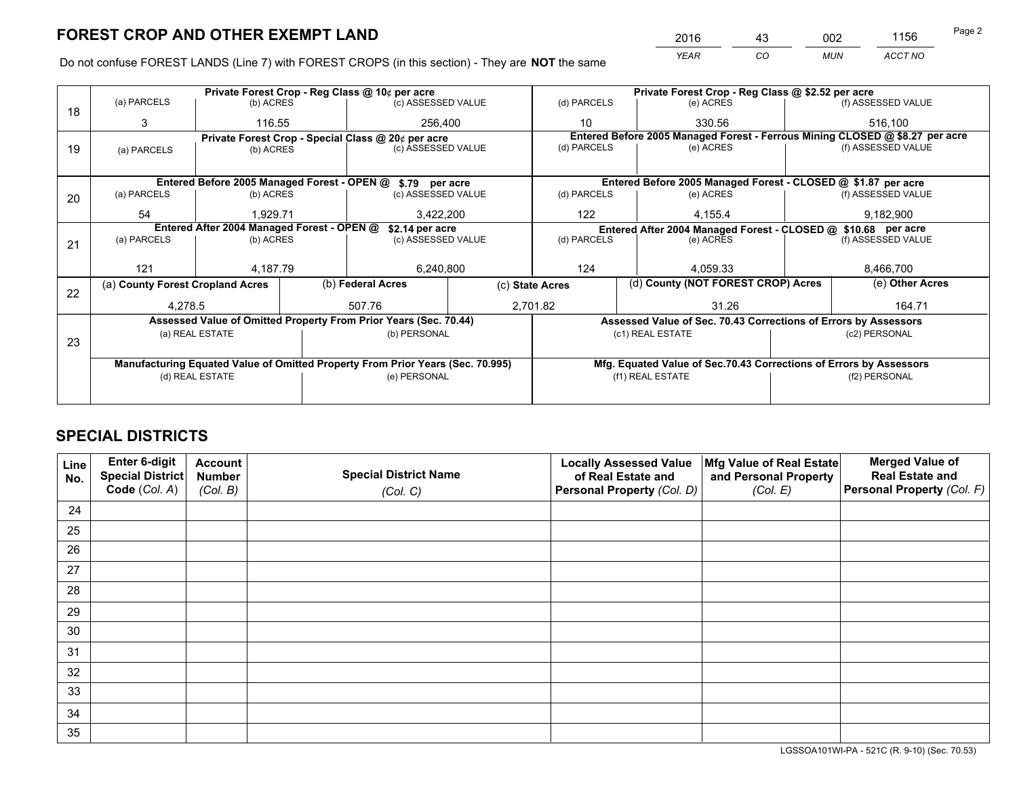*YEAR CO MUN ACCT NO* <sup>2016</sup> <sup>43</sup> <sup>002</sup> <sup>1156</sup>

Do not confuse FOREST LANDS (Line 7) with FOREST CROPS (in this section) - They are **NOT** the same

|    |                                                                                |                                            |              | Private Forest Crop - Reg Class @ 10¢ per acre                   |  | Private Forest Crop - Reg Class @ \$2.52 per acre                                                               |                                                                    |               |                    |  |
|----|--------------------------------------------------------------------------------|--------------------------------------------|--------------|------------------------------------------------------------------|--|-----------------------------------------------------------------------------------------------------------------|--------------------------------------------------------------------|---------------|--------------------|--|
| 18 | (a) PARCELS                                                                    | (b) ACRES                                  |              | (c) ASSESSED VALUE                                               |  | (d) PARCELS                                                                                                     | (e) ACRES                                                          |               | (f) ASSESSED VALUE |  |
|    | 3                                                                              | 116.55                                     |              | 256,400                                                          |  | 10                                                                                                              | 330.56                                                             |               | 516,100            |  |
|    |                                                                                |                                            |              | Private Forest Crop - Special Class @ 20¢ per acre               |  | Entered Before 2005 Managed Forest - Ferrous Mining CLOSED @ \$8.27 per acre                                    |                                                                    |               |                    |  |
| 19 | (a) PARCELS                                                                    | (b) ACRES                                  |              | (c) ASSESSED VALUE                                               |  | (d) PARCELS                                                                                                     | (e) ACRES                                                          |               | (f) ASSESSED VALUE |  |
|    |                                                                                |                                            |              |                                                                  |  |                                                                                                                 |                                                                    |               |                    |  |
|    |                                                                                |                                            |              | Entered Before 2005 Managed Forest - OPEN @ \$.79 per acre       |  |                                                                                                                 | Entered Before 2005 Managed Forest - CLOSED @ \$1.87 per acre      |               |                    |  |
| 20 | (a) PARCELS                                                                    | (b) ACRES                                  |              | (c) ASSESSED VALUE                                               |  | (d) PARCELS                                                                                                     | (e) ACRES                                                          |               | (f) ASSESSED VALUE |  |
|    | 54                                                                             | 1.929.71                                   |              |                                                                  |  | 122                                                                                                             | 4.155.4                                                            |               | 9,182,900          |  |
|    |                                                                                | Entered After 2004 Managed Forest - OPEN @ |              | 3,422,200                                                        |  |                                                                                                                 |                                                                    |               |                    |  |
|    | (a) PARCELS                                                                    | (b) ACRES                                  |              | \$2.14 per acre<br>(c) ASSESSED VALUE                            |  | Entered After 2004 Managed Forest - CLOSED @ \$10.68 per acre<br>(d) PARCELS<br>(f) ASSESSED VALUE<br>(e) ACRES |                                                                    |               |                    |  |
| 21 |                                                                                |                                            |              |                                                                  |  |                                                                                                                 |                                                                    |               |                    |  |
|    |                                                                                |                                            |              |                                                                  |  |                                                                                                                 |                                                                    |               |                    |  |
|    | 121                                                                            | 4.187.79                                   |              | 6,240,800                                                        |  | 124                                                                                                             | 4.059.33                                                           |               | 8,466,700          |  |
| 22 | (a) County Forest Cropland Acres                                               |                                            |              | (b) Federal Acres                                                |  | (d) County (NOT FOREST CROP) Acres<br>(c) State Acres                                                           |                                                                    |               | (e) Other Acres    |  |
|    | 4,278.5                                                                        |                                            |              | 507.76                                                           |  | 31.26<br>2,701.82                                                                                               |                                                                    |               | 164.71             |  |
|    |                                                                                |                                            |              | Assessed Value of Omitted Property From Prior Years (Sec. 70.44) |  |                                                                                                                 | Assessed Value of Sec. 70.43 Corrections of Errors by Assessors    |               |                    |  |
|    |                                                                                | (a) REAL ESTATE                            |              | (b) PERSONAL                                                     |  |                                                                                                                 | (c1) REAL ESTATE                                                   |               | (c2) PERSONAL      |  |
| 23 |                                                                                |                                            |              |                                                                  |  |                                                                                                                 |                                                                    |               |                    |  |
|    | Manufacturing Equated Value of Omitted Property From Prior Years (Sec. 70.995) |                                            |              |                                                                  |  |                                                                                                                 | Mfg. Equated Value of Sec.70.43 Corrections of Errors by Assessors |               |                    |  |
|    | (d) REAL ESTATE                                                                |                                            | (e) PERSONAL |                                                                  |  | (f1) REAL ESTATE                                                                                                |                                                                    | (f2) PERSONAL |                    |  |
|    |                                                                                |                                            |              |                                                                  |  |                                                                                                                 |                                                                    |               |                    |  |

## **SPECIAL DISTRICTS**

| Line<br>No. | Enter 6-digit<br>Special District<br>Code (Col. A) | <b>Account</b><br><b>Number</b><br>(Col. B) | <b>Special District Name</b><br>(Col. C) | <b>Locally Assessed Value</b><br>of Real Estate and<br>Personal Property (Col. D) | Mfg Value of Real Estate<br>and Personal Property<br>(Col. E) | <b>Merged Value of</b><br><b>Real Estate and</b><br>Personal Property (Col. F) |
|-------------|----------------------------------------------------|---------------------------------------------|------------------------------------------|-----------------------------------------------------------------------------------|---------------------------------------------------------------|--------------------------------------------------------------------------------|
| 24          |                                                    |                                             |                                          |                                                                                   |                                                               |                                                                                |
| 25          |                                                    |                                             |                                          |                                                                                   |                                                               |                                                                                |
| 26          |                                                    |                                             |                                          |                                                                                   |                                                               |                                                                                |
| 27          |                                                    |                                             |                                          |                                                                                   |                                                               |                                                                                |
| 28          |                                                    |                                             |                                          |                                                                                   |                                                               |                                                                                |
| 29          |                                                    |                                             |                                          |                                                                                   |                                                               |                                                                                |
| 30          |                                                    |                                             |                                          |                                                                                   |                                                               |                                                                                |
| 31          |                                                    |                                             |                                          |                                                                                   |                                                               |                                                                                |
| 32          |                                                    |                                             |                                          |                                                                                   |                                                               |                                                                                |
| 33          |                                                    |                                             |                                          |                                                                                   |                                                               |                                                                                |
| 34          |                                                    |                                             |                                          |                                                                                   |                                                               |                                                                                |
| 35          |                                                    |                                             |                                          |                                                                                   |                                                               |                                                                                |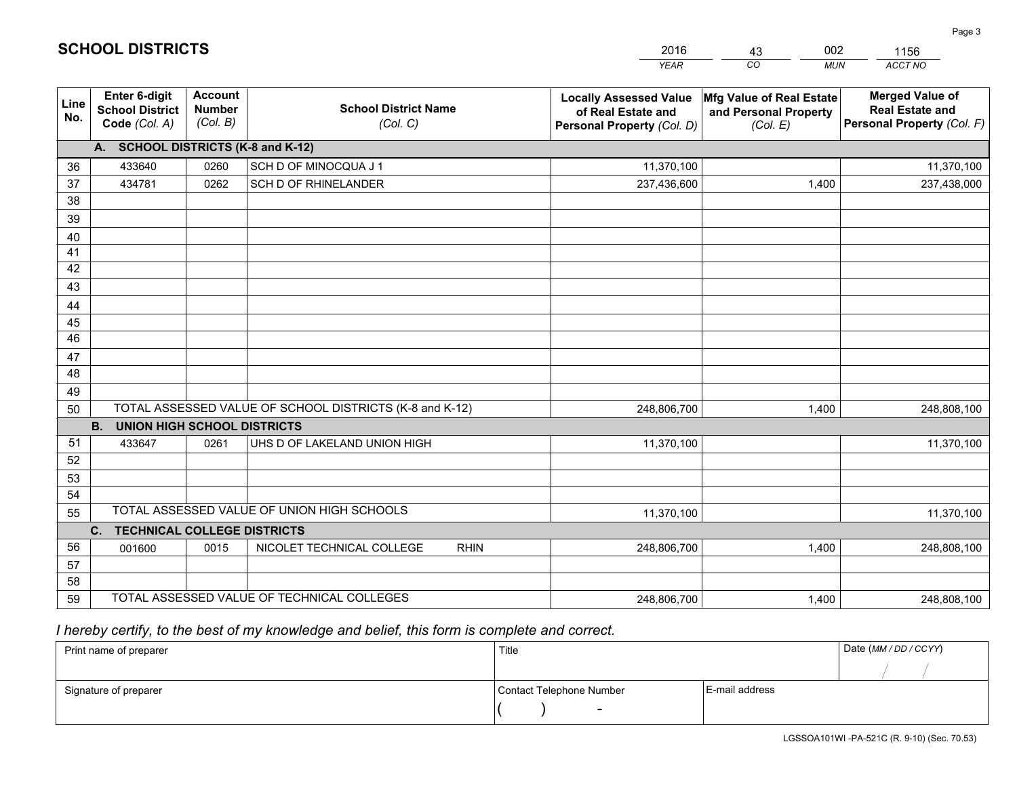|                 |                                                                 |                                             |                                                         | <b>YEAR</b>                                                                       | CO<br><b>MUN</b>                                              | ACCT NO                                                                        |
|-----------------|-----------------------------------------------------------------|---------------------------------------------|---------------------------------------------------------|-----------------------------------------------------------------------------------|---------------------------------------------------------------|--------------------------------------------------------------------------------|
| Line<br>No.     | <b>Enter 6-digit</b><br><b>School District</b><br>Code (Col. A) | <b>Account</b><br><b>Number</b><br>(Col. B) | <b>School District Name</b><br>(Col. C)                 | <b>Locally Assessed Value</b><br>of Real Estate and<br>Personal Property (Col. D) | Mfg Value of Real Estate<br>and Personal Property<br>(Col. E) | <b>Merged Value of</b><br><b>Real Estate and</b><br>Personal Property (Col. F) |
|                 | A. SCHOOL DISTRICTS (K-8 and K-12)                              |                                             |                                                         |                                                                                   |                                                               |                                                                                |
| 36              | 433640                                                          | 0260                                        | SCH D OF MINOCQUA J 1                                   | 11,370,100                                                                        |                                                               | 11,370,100                                                                     |
| 37              | 434781                                                          | 0262                                        | SCH D OF RHINELANDER                                    | 237,436,600                                                                       | 1,400                                                         | 237,438,000                                                                    |
| 38              |                                                                 |                                             |                                                         |                                                                                   |                                                               |                                                                                |
| 39              |                                                                 |                                             |                                                         |                                                                                   |                                                               |                                                                                |
| 40              |                                                                 |                                             |                                                         |                                                                                   |                                                               |                                                                                |
| 41              |                                                                 |                                             |                                                         |                                                                                   |                                                               |                                                                                |
| 42              |                                                                 |                                             |                                                         |                                                                                   |                                                               |                                                                                |
| 43              |                                                                 |                                             |                                                         |                                                                                   |                                                               |                                                                                |
| 44<br>45        |                                                                 |                                             |                                                         |                                                                                   |                                                               |                                                                                |
| $\overline{46}$ |                                                                 |                                             |                                                         |                                                                                   |                                                               |                                                                                |
| 47              |                                                                 |                                             |                                                         |                                                                                   |                                                               |                                                                                |
| 48              |                                                                 |                                             |                                                         |                                                                                   |                                                               |                                                                                |
| 49              |                                                                 |                                             |                                                         |                                                                                   |                                                               |                                                                                |
| 50              |                                                                 |                                             | TOTAL ASSESSED VALUE OF SCHOOL DISTRICTS (K-8 and K-12) | 248,806,700                                                                       | 1,400                                                         | 248,808,100                                                                    |
|                 | <b>B.</b><br><b>UNION HIGH SCHOOL DISTRICTS</b>                 |                                             |                                                         |                                                                                   |                                                               |                                                                                |
| 51              | 433647                                                          | 0261                                        | UHS D OF LAKELAND UNION HIGH                            | 11,370,100                                                                        |                                                               | 11,370,100                                                                     |
| 52              |                                                                 |                                             |                                                         |                                                                                   |                                                               |                                                                                |
| 53              |                                                                 |                                             |                                                         |                                                                                   |                                                               |                                                                                |
| 54              |                                                                 |                                             |                                                         |                                                                                   |                                                               |                                                                                |
| 55              |                                                                 |                                             | TOTAL ASSESSED VALUE OF UNION HIGH SCHOOLS              | 11,370,100                                                                        |                                                               | 11,370,100                                                                     |
|                 | C.<br><b>TECHNICAL COLLEGE DISTRICTS</b>                        |                                             |                                                         |                                                                                   |                                                               |                                                                                |
| 56              | 001600                                                          | 0015                                        | NICOLET TECHNICAL COLLEGE<br><b>RHIN</b>                | 248,806,700                                                                       | 1,400                                                         | 248,808,100                                                                    |
| 57              |                                                                 |                                             |                                                         |                                                                                   |                                                               |                                                                                |
| 58              |                                                                 |                                             | TOTAL ASSESSED VALUE OF TECHNICAL COLLEGES              |                                                                                   |                                                               |                                                                                |
| 59              |                                                                 |                                             |                                                         | 248,806,700                                                                       | 1,400                                                         | 248,808,100                                                                    |

43

002

 *I hereby certify, to the best of my knowledge and belief, this form is complete and correct.*

**SCHOOL DISTRICTS**

| Print name of preparer | Title                    |                | Date (MM / DD / CCYY) |
|------------------------|--------------------------|----------------|-----------------------|
|                        |                          |                |                       |
| Signature of preparer  | Contact Telephone Number | E-mail address |                       |
|                        | $\sim$                   |                |                       |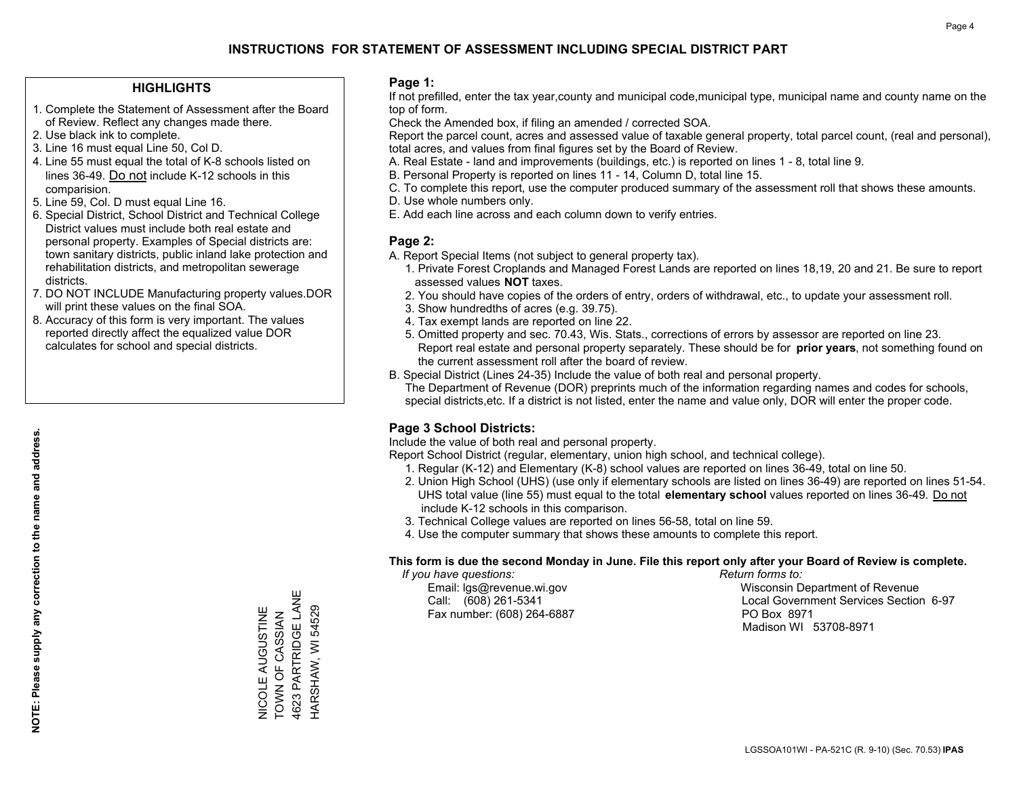#### **HIGHLIGHTS**

- 1. Complete the Statement of Assessment after the Board of Review. Reflect any changes made there.
- 2. Use black ink to complete.

**NOTE: Please supply any correction to the name and address.**

NOTE: Please supply any correction to the name and address.

- 3. Line 16 must equal Line 50, Col D.
- 4. Line 55 must equal the total of K-8 schools listed on lines 36-49. Do not include K-12 schools in this comparision.
- 5. Line 59, Col. D must equal Line 16.
- 6. Special District, School District and Technical College District values must include both real estate and personal property. Examples of Special districts are: town sanitary districts, public inland lake protection and rehabilitation districts, and metropolitan sewerage districts.
- 7. DO NOT INCLUDE Manufacturing property values.DOR will print these values on the final SOA.
- 8. Accuracy of this form is very important. The values reported directly affect the equalized value DOR calculates for school and special districts.

#### **Page 1:**

 If not prefilled, enter the tax year,county and municipal code,municipal type, municipal name and county name on the top of form.

Check the Amended box, if filing an amended / corrected SOA.

 Report the parcel count, acres and assessed value of taxable general property, total parcel count, (real and personal), total acres, and values from final figures set by the Board of Review.

- A. Real Estate land and improvements (buildings, etc.) is reported on lines 1 8, total line 9.
- B. Personal Property is reported on lines 11 14, Column D, total line 15.
- C. To complete this report, use the computer produced summary of the assessment roll that shows these amounts.
- D. Use whole numbers only.
- E. Add each line across and each column down to verify entries.

### **Page 2:**

- A. Report Special Items (not subject to general property tax).
- 1. Private Forest Croplands and Managed Forest Lands are reported on lines 18,19, 20 and 21. Be sure to report assessed values **NOT** taxes.
- 2. You should have copies of the orders of entry, orders of withdrawal, etc., to update your assessment roll.
	- 3. Show hundredths of acres (e.g. 39.75).
- 4. Tax exempt lands are reported on line 22.
- 5. Omitted property and sec. 70.43, Wis. Stats., corrections of errors by assessor are reported on line 23. Report real estate and personal property separately. These should be for **prior years**, not something found on the current assessment roll after the board of review.
- B. Special District (Lines 24-35) Include the value of both real and personal property.
- The Department of Revenue (DOR) preprints much of the information regarding names and codes for schools, special districts,etc. If a district is not listed, enter the name and value only, DOR will enter the proper code.

## **Page 3 School Districts:**

Include the value of both real and personal property.

Report School District (regular, elementary, union high school, and technical college).

- 1. Regular (K-12) and Elementary (K-8) school values are reported on lines 36-49, total on line 50.
- 2. Union High School (UHS) (use only if elementary schools are listed on lines 36-49) are reported on lines 51-54. UHS total value (line 55) must equal to the total **elementary school** values reported on lines 36-49. Do notinclude K-12 schools in this comparison.
- 3. Technical College values are reported on lines 56-58, total on line 59.
- 4. Use the computer summary that shows these amounts to complete this report.

#### **This form is due the second Monday in June. File this report only after your Board of Review is complete.**

 *If you have questions: Return forms to:*

Fax number: (608) 264-6887 PO Box 8971

 Email: lgs@revenue.wi.gov Wisconsin Department of Revenue Call: (608) 261-5341 Local Government Services Section 6-97Madison WI 53708-8971

NICOLE AUGUSTINE TOWN OF CASSIAN 4623 PARTRIDGE LANE HARSHAW, WI 54529

**VICOLE AUGUSTINE<br>TOWN OF CASSIAN** 

4623 PARTRIDGE LANE HARSHAW, WI 54529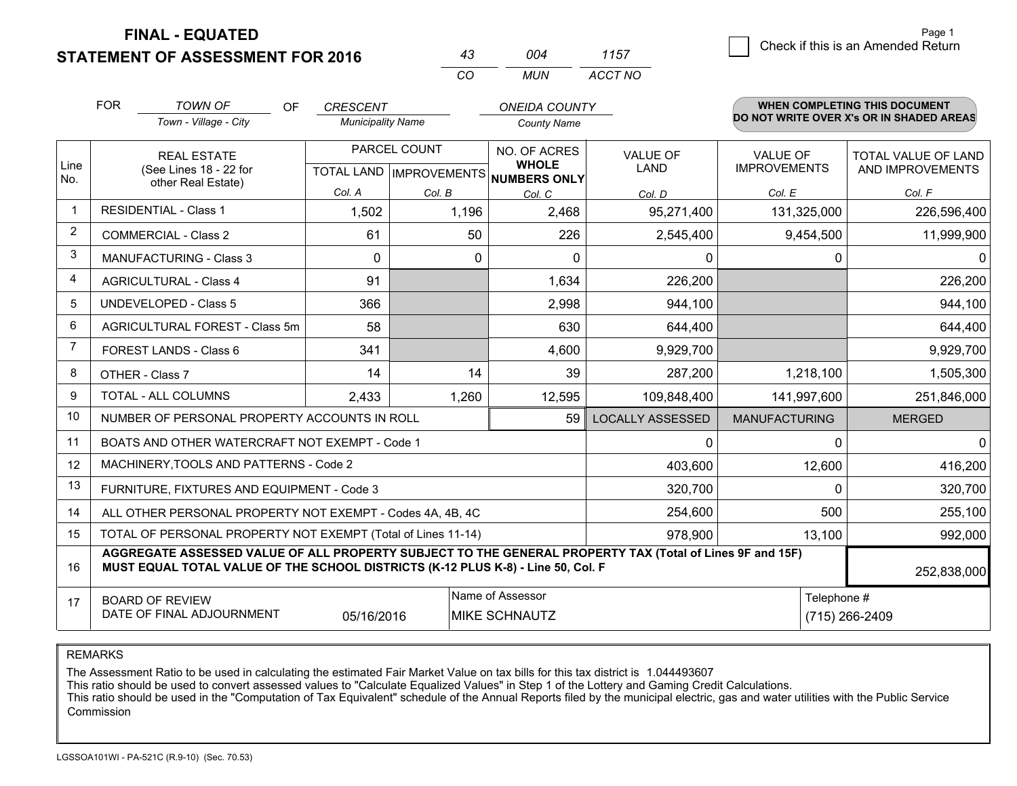**FINAL - EQUATED**

**STATEMENT OF ASSESSMENT FOR 2016** 

| 43 | በበ4   | 1157    |
|----|-------|---------|
| cо | MI IN | ACCT NO |

|                | <b>FOR</b>                                                                                                                                                                                   | <b>TOWN OF</b><br><b>OF</b>                               |                          |              |                                      | <b>CRESCENT</b><br><b>ONEIDA COUNTY</b> |                      | WHEN COMPLETING THIS DOCUMENT<br>DO NOT WRITE OVER X's OR IN SHADED AREAS |  |
|----------------|----------------------------------------------------------------------------------------------------------------------------------------------------------------------------------------------|-----------------------------------------------------------|--------------------------|--------------|--------------------------------------|-----------------------------------------|----------------------|---------------------------------------------------------------------------|--|
|                |                                                                                                                                                                                              | Town - Village - City                                     | <b>Municipality Name</b> |              | <b>County Name</b>                   |                                         |                      |                                                                           |  |
| Line           |                                                                                                                                                                                              | <b>REAL ESTATE</b>                                        |                          | PARCEL COUNT | NO. OF ACRES<br><b>WHOLE</b>         | <b>VALUE OF</b>                         | <b>VALUE OF</b>      | TOTAL VALUE OF LAND                                                       |  |
| No.            |                                                                                                                                                                                              | (See Lines 18 - 22 for<br>other Real Estate)              |                          |              | TOTAL LAND IMPROVEMENTS NUMBERS ONLY | <b>LAND</b>                             | <b>IMPROVEMENTS</b>  | AND IMPROVEMENTS                                                          |  |
|                |                                                                                                                                                                                              |                                                           | Col. A                   | Col. B       | Col. C                               | Col. D                                  | Col. E               | Col. F                                                                    |  |
| $\mathbf{1}$   |                                                                                                                                                                                              | <b>RESIDENTIAL - Class 1</b>                              | 1,502                    | 1,196        | 2,468                                | 95,271,400                              | 131,325,000          | 226,596,400                                                               |  |
| $\overline{2}$ |                                                                                                                                                                                              | <b>COMMERCIAL - Class 2</b>                               | 61                       | 50           | 226                                  | 2,545,400                               | 9,454,500            | 11,999,900                                                                |  |
| 3              |                                                                                                                                                                                              | <b>MANUFACTURING - Class 3</b>                            | $\Omega$                 | 0            | 0                                    | 0                                       | 0                    | $\mathbf{0}$                                                              |  |
| $\overline{4}$ |                                                                                                                                                                                              | <b>AGRICULTURAL - Class 4</b>                             | 91                       |              | 1,634                                | 226,200                                 |                      | 226,200                                                                   |  |
| 5              |                                                                                                                                                                                              | <b>UNDEVELOPED - Class 5</b>                              | 366                      |              | 2,998                                | 944,100                                 |                      | 944,100                                                                   |  |
| 6              |                                                                                                                                                                                              | AGRICULTURAL FOREST - Class 5m                            | 58                       |              | 630                                  | 644,400                                 |                      | 644,400                                                                   |  |
| $\overline{7}$ |                                                                                                                                                                                              | FOREST LANDS - Class 6                                    | 341                      |              | 4,600                                | 9,929,700                               |                      | 9,929,700                                                                 |  |
| 8              |                                                                                                                                                                                              | OTHER - Class 7                                           | 14                       | 14           | 39                                   | 287,200                                 | 1,218,100            | 1,505,300                                                                 |  |
| 9              |                                                                                                                                                                                              | TOTAL - ALL COLUMNS                                       | 2,433                    | 1,260        | 12,595                               | 109,848,400                             | 141,997,600          | 251,846,000                                                               |  |
| 10             |                                                                                                                                                                                              | NUMBER OF PERSONAL PROPERTY ACCOUNTS IN ROLL              |                          |              | 59                                   | <b>LOCALLY ASSESSED</b>                 | <b>MANUFACTURING</b> | <b>MERGED</b>                                                             |  |
| 11             |                                                                                                                                                                                              | BOATS AND OTHER WATERCRAFT NOT EXEMPT - Code 1            |                          |              |                                      | 0                                       | 0                    | $\mathbf{0}$                                                              |  |
| 12             |                                                                                                                                                                                              | MACHINERY, TOOLS AND PATTERNS - Code 2                    |                          |              |                                      | 403,600                                 | 12,600               | 416,200                                                                   |  |
| 13             |                                                                                                                                                                                              | FURNITURE, FIXTURES AND EQUIPMENT - Code 3                |                          |              |                                      | 320,700                                 | $\Omega$             | 320,700                                                                   |  |
| 14             |                                                                                                                                                                                              | ALL OTHER PERSONAL PROPERTY NOT EXEMPT - Codes 4A, 4B, 4C |                          |              |                                      | 254,600                                 | 500                  | 255,100                                                                   |  |
| 15             | TOTAL OF PERSONAL PROPERTY NOT EXEMPT (Total of Lines 11-14)<br>978,900                                                                                                                      |                                                           |                          |              |                                      |                                         | 13,100               | 992,000                                                                   |  |
| 16             | AGGREGATE ASSESSED VALUE OF ALL PROPERTY SUBJECT TO THE GENERAL PROPERTY TAX (Total of Lines 9F and 15F)<br>MUST EQUAL TOTAL VALUE OF THE SCHOOL DISTRICTS (K-12 PLUS K-8) - Line 50, Col. F |                                                           |                          |              |                                      |                                         | 252,838,000          |                                                                           |  |
| 17             | Name of Assessor<br><b>BOARD OF REVIEW</b><br>DATE OF FINAL ADJOURNMENT<br>05/16/2016<br><b>MIKE SCHNAUTZ</b>                                                                                |                                                           |                          |              |                                      |                                         | Telephone #          | (715) 266-2409                                                            |  |
|                |                                                                                                                                                                                              |                                                           |                          |              |                                      |                                         |                      |                                                                           |  |

REMARKS

The Assessment Ratio to be used in calculating the estimated Fair Market Value on tax bills for this tax district is 1.044493607

This ratio should be used to convert assessed values to "Calculate Equalized Values" in Step 1 of the Lottery and Gaming Credit Calculations.<br>This ratio should be used in the "Computation of Tax Equivalent" schedule of the Commission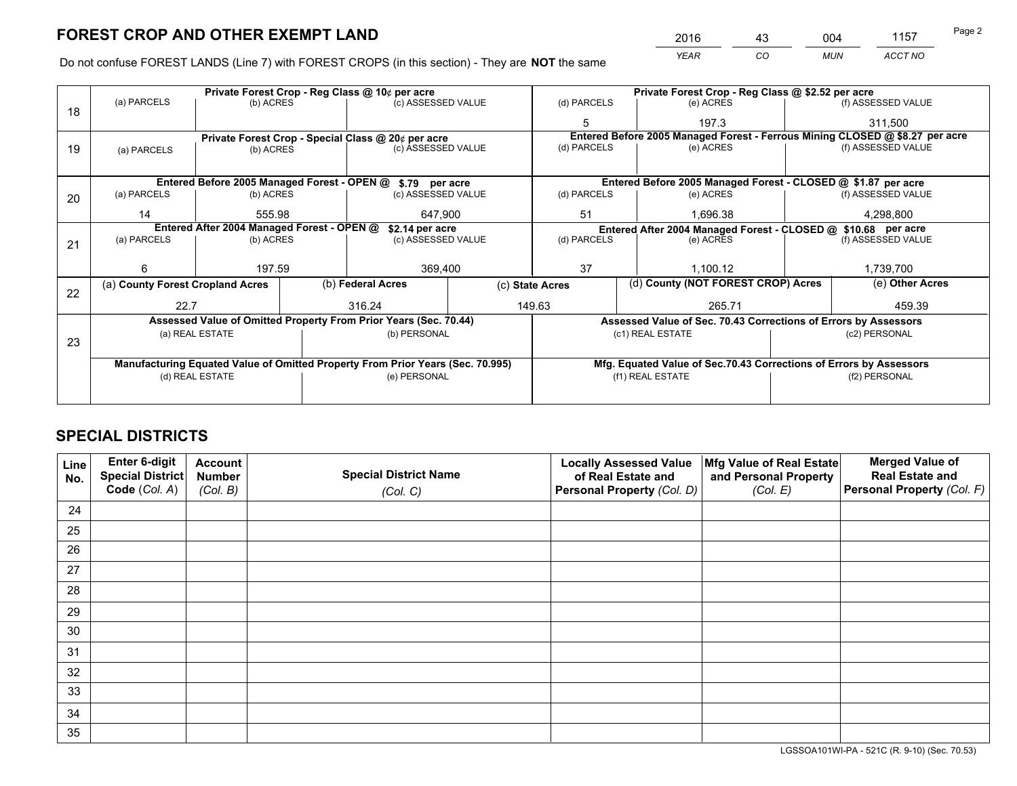*YEAR CO MUN ACCT NO* 2016 <u>43</u> 004 1157

Do not confuse FOREST LANDS (Line 7) with FOREST CROPS (in this section) - They are **NOT** the same

|    |                                                                                |                   |  | Private Forest Crop - Reg Class @ 10¢ per acre                   |                | Private Forest Crop - Reg Class @ \$2.52 per acre                            |                                                                    |                 |                    |  |
|----|--------------------------------------------------------------------------------|-------------------|--|------------------------------------------------------------------|----------------|------------------------------------------------------------------------------|--------------------------------------------------------------------|-----------------|--------------------|--|
| 18 | (a) PARCELS                                                                    | (b) ACRES         |  | (c) ASSESSED VALUE                                               |                | (d) PARCELS                                                                  | (e) ACRES                                                          |                 | (f) ASSESSED VALUE |  |
|    |                                                                                |                   |  |                                                                  |                | 5                                                                            | 197.3                                                              |                 | 311.500            |  |
|    |                                                                                |                   |  | Private Forest Crop - Special Class @ 20¢ per acre               |                | Entered Before 2005 Managed Forest - Ferrous Mining CLOSED @ \$8.27 per acre |                                                                    |                 |                    |  |
| 19 | (a) PARCELS                                                                    | (b) ACRES         |  | (c) ASSESSED VALUE                                               |                | (d) PARCELS                                                                  | (e) ACRES                                                          |                 | (f) ASSESSED VALUE |  |
|    |                                                                                |                   |  |                                                                  |                |                                                                              |                                                                    |                 |                    |  |
|    |                                                                                |                   |  | Entered Before 2005 Managed Forest - OPEN @ \$.79 per acre       |                |                                                                              | Entered Before 2005 Managed Forest - CLOSED @ \$1.87 per acre      |                 |                    |  |
| 20 | (a) PARCELS                                                                    | (b) ACRES         |  | (c) ASSESSED VALUE                                               |                | (d) PARCELS                                                                  | (e) ACRES                                                          |                 | (f) ASSESSED VALUE |  |
|    | 14                                                                             | 555.98<br>647.900 |  |                                                                  | 51<br>1.696.38 |                                                                              |                                                                    | 4,298,800       |                    |  |
|    | Entered After 2004 Managed Forest - OPEN @<br>\$2.14 per acre                  |                   |  |                                                                  |                | Entered After 2004 Managed Forest - CLOSED @ \$10.68 per acre                |                                                                    |                 |                    |  |
| 21 | (a) PARCELS                                                                    | (b) ACRES         |  | (c) ASSESSED VALUE                                               |                | (d) PARCELS                                                                  | (e) ACRES                                                          |                 |                    |  |
|    |                                                                                |                   |  |                                                                  |                |                                                                              |                                                                    |                 |                    |  |
|    | 6                                                                              | 197.59            |  | 369,400                                                          |                | 37                                                                           | 1,100.12                                                           |                 |                    |  |
| 22 | (a) County Forest Cropland Acres                                               |                   |  | (b) Federal Acres                                                |                | (d) County (NOT FOREST CROP) Acres<br>(c) State Acres                        |                                                                    | (e) Other Acres |                    |  |
|    | 22.7                                                                           |                   |  | 316.24                                                           |                | 149.63                                                                       | 265.71                                                             |                 | 459.39             |  |
|    |                                                                                |                   |  | Assessed Value of Omitted Property From Prior Years (Sec. 70.44) |                |                                                                              | Assessed Value of Sec. 70.43 Corrections of Errors by Assessors    |                 |                    |  |
|    |                                                                                | (a) REAL ESTATE   |  | (b) PERSONAL                                                     |                |                                                                              | (c1) REAL ESTATE                                                   |                 | (c2) PERSONAL      |  |
| 23 |                                                                                |                   |  |                                                                  |                |                                                                              |                                                                    |                 |                    |  |
|    | Manufacturing Equated Value of Omitted Property From Prior Years (Sec. 70.995) |                   |  |                                                                  |                |                                                                              | Mfg. Equated Value of Sec.70.43 Corrections of Errors by Assessors |                 |                    |  |
|    |                                                                                | (d) REAL ESTATE   |  | (e) PERSONAL                                                     |                | (f1) REAL ESTATE                                                             |                                                                    |                 | (f2) PERSONAL      |  |
|    |                                                                                |                   |  |                                                                  |                |                                                                              |                                                                    |                 |                    |  |

## **SPECIAL DISTRICTS**

| Line<br>No. | Enter 6-digit<br><b>Special District</b> | <b>Account</b><br><b>Number</b> | <b>Special District Name</b> | <b>Locally Assessed Value</b><br>of Real Estate and | Mfg Value of Real Estate<br>and Personal Property | <b>Merged Value of</b><br><b>Real Estate and</b> |
|-------------|------------------------------------------|---------------------------------|------------------------------|-----------------------------------------------------|---------------------------------------------------|--------------------------------------------------|
|             | Code (Col. A)                            | (Col. B)                        | (Col. C)                     | Personal Property (Col. D)                          | (Col. E)                                          | Personal Property (Col. F)                       |
| 24          |                                          |                                 |                              |                                                     |                                                   |                                                  |
| 25          |                                          |                                 |                              |                                                     |                                                   |                                                  |
| 26          |                                          |                                 |                              |                                                     |                                                   |                                                  |
| 27          |                                          |                                 |                              |                                                     |                                                   |                                                  |
| 28          |                                          |                                 |                              |                                                     |                                                   |                                                  |
| 29          |                                          |                                 |                              |                                                     |                                                   |                                                  |
| 30          |                                          |                                 |                              |                                                     |                                                   |                                                  |
| 31          |                                          |                                 |                              |                                                     |                                                   |                                                  |
| 32          |                                          |                                 |                              |                                                     |                                                   |                                                  |
| 33          |                                          |                                 |                              |                                                     |                                                   |                                                  |
| 34          |                                          |                                 |                              |                                                     |                                                   |                                                  |
| 35          |                                          |                                 |                              |                                                     |                                                   |                                                  |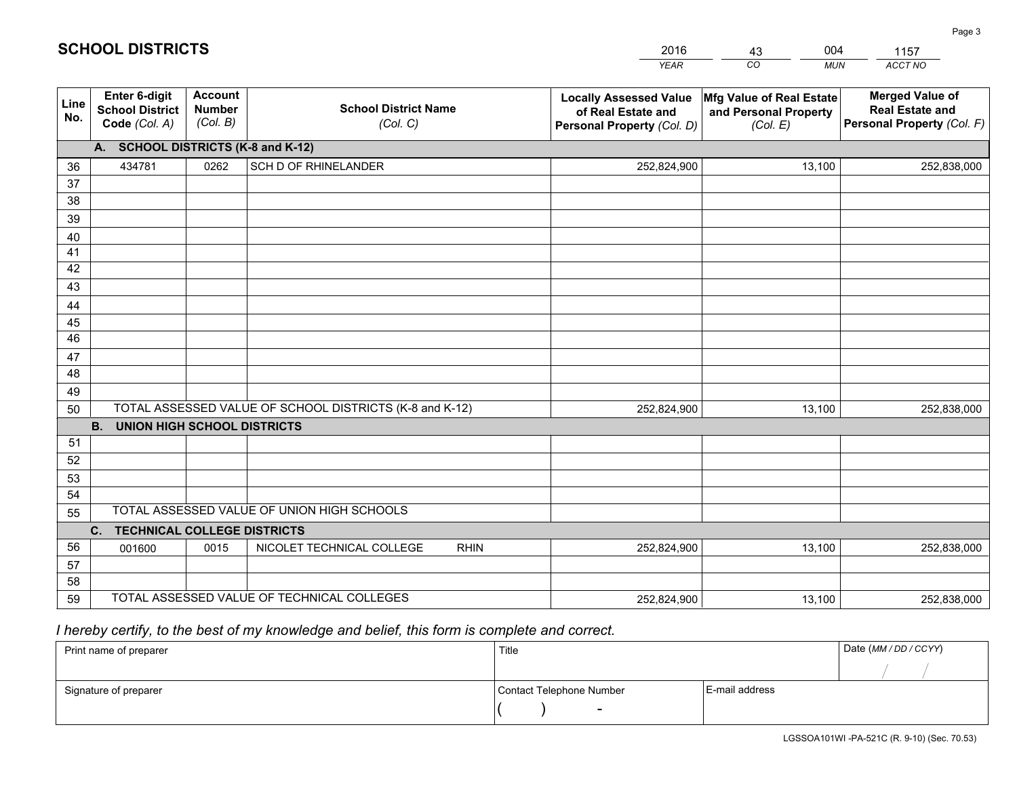|             |                                                                 |                                             |                                                         | <b>YEAR</b>                                                                       | CO<br><b>MUN</b>                                              | ACCT NO                                                                        |
|-------------|-----------------------------------------------------------------|---------------------------------------------|---------------------------------------------------------|-----------------------------------------------------------------------------------|---------------------------------------------------------------|--------------------------------------------------------------------------------|
| Line<br>No. | <b>Enter 6-digit</b><br><b>School District</b><br>Code (Col. A) | <b>Account</b><br><b>Number</b><br>(Col. B) | <b>School District Name</b><br>(Col. C)                 | <b>Locally Assessed Value</b><br>of Real Estate and<br>Personal Property (Col. D) | Mfg Value of Real Estate<br>and Personal Property<br>(Col. E) | <b>Merged Value of</b><br><b>Real Estate and</b><br>Personal Property (Col. F) |
|             | A. SCHOOL DISTRICTS (K-8 and K-12)                              |                                             |                                                         |                                                                                   |                                                               |                                                                                |
| 36          | 434781                                                          | 0262                                        | SCH D OF RHINELANDER                                    | 252,824,900                                                                       | 13,100                                                        | 252,838,000                                                                    |
| 37          |                                                                 |                                             |                                                         |                                                                                   |                                                               |                                                                                |
| 38          |                                                                 |                                             |                                                         |                                                                                   |                                                               |                                                                                |
| 39          |                                                                 |                                             |                                                         |                                                                                   |                                                               |                                                                                |
| 40          |                                                                 |                                             |                                                         |                                                                                   |                                                               |                                                                                |
| 41<br>42    |                                                                 |                                             |                                                         |                                                                                   |                                                               |                                                                                |
| 43          |                                                                 |                                             |                                                         |                                                                                   |                                                               |                                                                                |
|             |                                                                 |                                             |                                                         |                                                                                   |                                                               |                                                                                |
| 44<br>45    |                                                                 |                                             |                                                         |                                                                                   |                                                               |                                                                                |
| 46          |                                                                 |                                             |                                                         |                                                                                   |                                                               |                                                                                |
| 47          |                                                                 |                                             |                                                         |                                                                                   |                                                               |                                                                                |
| 48          |                                                                 |                                             |                                                         |                                                                                   |                                                               |                                                                                |
| 49          |                                                                 |                                             |                                                         |                                                                                   |                                                               |                                                                                |
| 50          |                                                                 |                                             | TOTAL ASSESSED VALUE OF SCHOOL DISTRICTS (K-8 and K-12) | 252,824,900                                                                       | 13,100                                                        | 252,838,000                                                                    |
|             | <b>B. UNION HIGH SCHOOL DISTRICTS</b>                           |                                             |                                                         |                                                                                   |                                                               |                                                                                |
| 51          |                                                                 |                                             |                                                         |                                                                                   |                                                               |                                                                                |
| 52          |                                                                 |                                             |                                                         |                                                                                   |                                                               |                                                                                |
| 53          |                                                                 |                                             |                                                         |                                                                                   |                                                               |                                                                                |
| 54          |                                                                 |                                             |                                                         |                                                                                   |                                                               |                                                                                |
| 55          |                                                                 |                                             | TOTAL ASSESSED VALUE OF UNION HIGH SCHOOLS              |                                                                                   |                                                               |                                                                                |
|             | C.<br><b>TECHNICAL COLLEGE DISTRICTS</b>                        |                                             |                                                         |                                                                                   |                                                               |                                                                                |
| 56          | 001600                                                          | 0015                                        | NICOLET TECHNICAL COLLEGE<br><b>RHIN</b>                | 252,824,900                                                                       | 13,100                                                        | 252,838,000                                                                    |
| 57<br>58    |                                                                 |                                             |                                                         |                                                                                   |                                                               |                                                                                |
| 59          |                                                                 |                                             | TOTAL ASSESSED VALUE OF TECHNICAL COLLEGES              | 252,824,900                                                                       | 13,100                                                        | 252,838,000                                                                    |
|             |                                                                 |                                             |                                                         |                                                                                   |                                                               |                                                                                |

43

004

 *I hereby certify, to the best of my knowledge and belief, this form is complete and correct.*

**SCHOOL DISTRICTS**

| Print name of preparer | Title                    |                | Date (MM / DD / CCYY) |
|------------------------|--------------------------|----------------|-----------------------|
|                        |                          |                |                       |
| Signature of preparer  | Contact Telephone Number | E-mail address |                       |
|                        |                          |                |                       |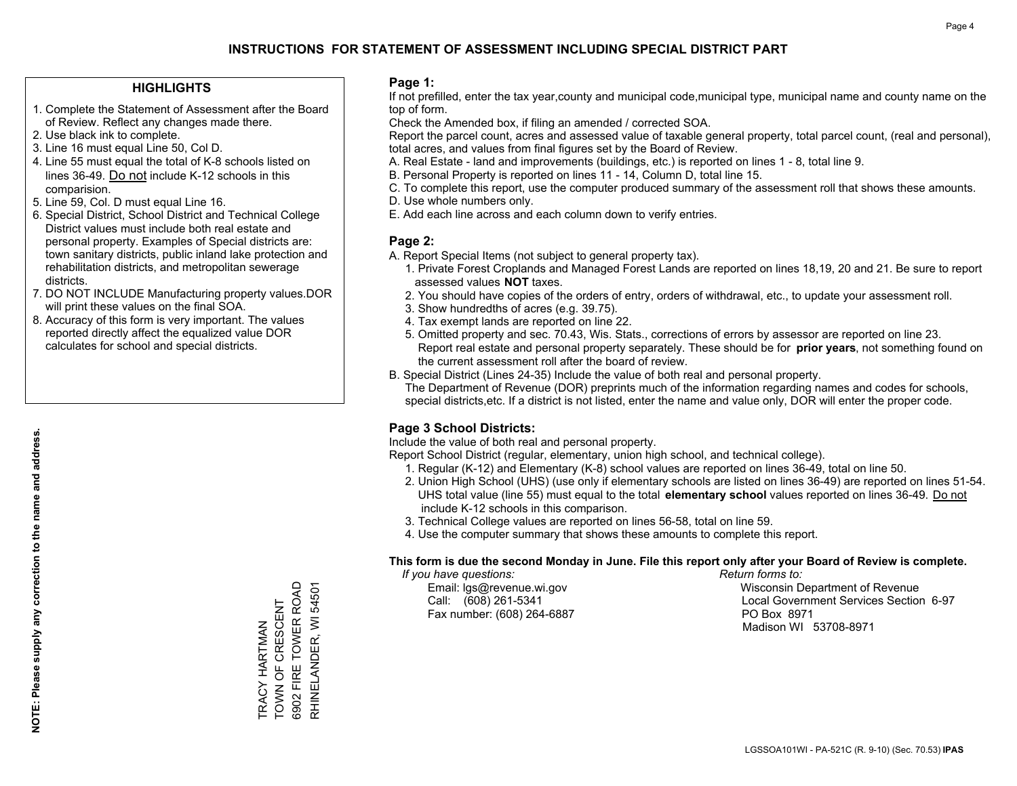#### **HIGHLIGHTS**

- 1. Complete the Statement of Assessment after the Board of Review. Reflect any changes made there.
- 2. Use black ink to complete.
- 3. Line 16 must equal Line 50, Col D.
- 4. Line 55 must equal the total of K-8 schools listed on lines 36-49. Do not include K-12 schools in this comparision.
- 5. Line 59, Col. D must equal Line 16.
- 6. Special District, School District and Technical College District values must include both real estate and personal property. Examples of Special districts are: town sanitary districts, public inland lake protection and rehabilitation districts, and metropolitan sewerage districts.
- 7. DO NOT INCLUDE Manufacturing property values.DOR will print these values on the final SOA.
- 8. Accuracy of this form is very important. The values reported directly affect the equalized value DOR calculates for school and special districts.

#### **Page 1:**

 If not prefilled, enter the tax year,county and municipal code,municipal type, municipal name and county name on the top of form.

Check the Amended box, if filing an amended / corrected SOA.

 Report the parcel count, acres and assessed value of taxable general property, total parcel count, (real and personal), total acres, and values from final figures set by the Board of Review.

- A. Real Estate land and improvements (buildings, etc.) is reported on lines 1 8, total line 9.
- B. Personal Property is reported on lines 11 14, Column D, total line 15.
- C. To complete this report, use the computer produced summary of the assessment roll that shows these amounts.
- D. Use whole numbers only.
- E. Add each line across and each column down to verify entries.

### **Page 2:**

- A. Report Special Items (not subject to general property tax).
- 1. Private Forest Croplands and Managed Forest Lands are reported on lines 18,19, 20 and 21. Be sure to report assessed values **NOT** taxes.
- 2. You should have copies of the orders of entry, orders of withdrawal, etc., to update your assessment roll.
	- 3. Show hundredths of acres (e.g. 39.75).
- 4. Tax exempt lands are reported on line 22.
- 5. Omitted property and sec. 70.43, Wis. Stats., corrections of errors by assessor are reported on line 23. Report real estate and personal property separately. These should be for **prior years**, not something found on the current assessment roll after the board of review.
- B. Special District (Lines 24-35) Include the value of both real and personal property.
- The Department of Revenue (DOR) preprints much of the information regarding names and codes for schools, special districts,etc. If a district is not listed, enter the name and value only, DOR will enter the proper code.

## **Page 3 School Districts:**

Include the value of both real and personal property.

Report School District (regular, elementary, union high school, and technical college).

- 1. Regular (K-12) and Elementary (K-8) school values are reported on lines 36-49, total on line 50.
- 2. Union High School (UHS) (use only if elementary schools are listed on lines 36-49) are reported on lines 51-54. UHS total value (line 55) must equal to the total **elementary school** values reported on lines 36-49. Do notinclude K-12 schools in this comparison.
- 3. Technical College values are reported on lines 56-58, total on line 59.
- 4. Use the computer summary that shows these amounts to complete this report.

#### **This form is due the second Monday in June. File this report only after your Board of Review is complete.**

 *If you have questions: Return forms to:*

Fax number: (608) 264-6887 PO Box 8971

 Email: lgs@revenue.wi.gov Wisconsin Department of Revenue Call: (608) 261-5341 Local Government Services Section 6-97Madison WI 53708-8971

TRACY HARTMAN<br>TOWN OF CRESCENT<br>6902 FIRE TOWER ROAD RHINELANDER, WI 54501 6902 FIRE TOWER ROAD RHINELANDER, WI 54501 TOWN OF CRESCENT TRACY HARTMAN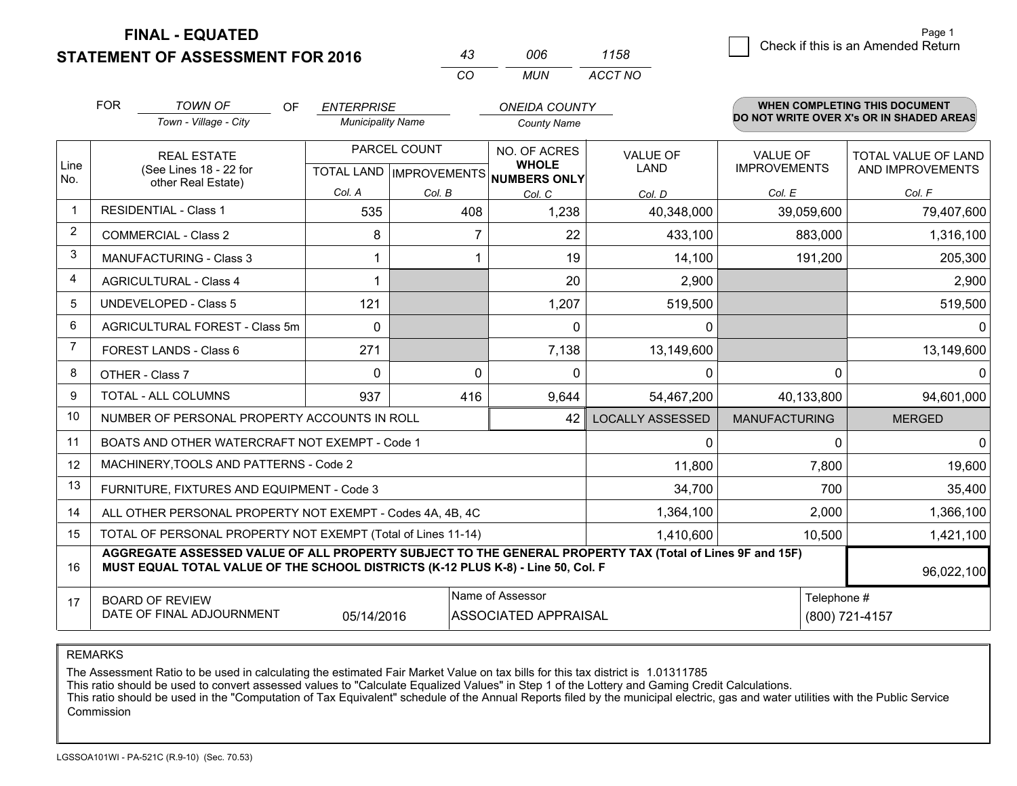**STATEMENT OF ASSESSMENT FOR 2016 FINAL - EQUATED**

|                | <b>FOR</b> | <b>TOWN OF</b><br>OF<br>Town - Village - City                                                                                                                                                | <b>ENTERPRISE</b><br><b>Municipality Name</b> |               | <b>ONEIDA COUNTY</b><br><b>County Name</b> |                         |                      | <b>WHEN COMPLETING THIS DOCUMENT</b><br>DO NOT WRITE OVER X's OR IN SHADED AREAS |  |
|----------------|------------|----------------------------------------------------------------------------------------------------------------------------------------------------------------------------------------------|-----------------------------------------------|---------------|--------------------------------------------|-------------------------|----------------------|----------------------------------------------------------------------------------|--|
| Line           |            | <b>REAL ESTATE</b>                                                                                                                                                                           |                                               | PARCEL COUNT  | NO. OF ACRES<br><b>WHOLE</b>               | <b>VALUE OF</b>         | <b>VALUE OF</b>      | <b>TOTAL VALUE OF LAND</b>                                                       |  |
| No.            |            | (See Lines 18 - 22 for<br>other Real Estate)                                                                                                                                                 | Col. A                                        |               | TOTAL LAND IMPROVEMENTS NUMBERS ONLY       | <b>LAND</b>             | <b>IMPROVEMENTS</b>  | AND IMPROVEMENTS                                                                 |  |
| $\mathbf 1$    |            | <b>RESIDENTIAL - Class 1</b>                                                                                                                                                                 | 535                                           | Col. B<br>408 | Col. C<br>1,238                            | Col. D<br>40,348,000    | Col. E<br>39,059,600 | Col. F<br>79,407,600                                                             |  |
| 2              |            | <b>COMMERCIAL - Class 2</b>                                                                                                                                                                  | 8                                             | 7             | 22                                         | 433,100                 | 883,000              | 1,316,100                                                                        |  |
| 3              |            | <b>MANUFACTURING - Class 3</b>                                                                                                                                                               |                                               |               | 19                                         | 14,100                  | 191,200              | 205,300                                                                          |  |
| 4              |            | <b>AGRICULTURAL - Class 4</b>                                                                                                                                                                |                                               |               | 20                                         | 2,900                   |                      | 2,900                                                                            |  |
| 5              |            | <b>UNDEVELOPED - Class 5</b>                                                                                                                                                                 | 121                                           |               | 1,207                                      | 519,500                 |                      | 519,500                                                                          |  |
| 6              |            | AGRICULTURAL FOREST - Class 5m                                                                                                                                                               | $\Omega$                                      |               | $\Omega$                                   | 0                       |                      | $\Omega$                                                                         |  |
| $\overline{7}$ |            | FOREST LANDS - Class 6                                                                                                                                                                       | 271                                           |               | 7,138                                      | 13,149,600              |                      | 13,149,600                                                                       |  |
| 8              |            | OTHER - Class 7                                                                                                                                                                              | $\Omega$                                      | $\Omega$      | $\Omega$                                   | 0                       | $\Omega$             | 0                                                                                |  |
| 9              |            | TOTAL - ALL COLUMNS                                                                                                                                                                          | 937                                           | 416           | 9,644                                      | 54,467,200              | 40,133,800           | 94,601,000                                                                       |  |
| 10             |            | NUMBER OF PERSONAL PROPERTY ACCOUNTS IN ROLL                                                                                                                                                 |                                               |               | 42                                         | <b>LOCALLY ASSESSED</b> | <b>MANUFACTURING</b> | <b>MERGED</b>                                                                    |  |
| 11             |            | BOATS AND OTHER WATERCRAFT NOT EXEMPT - Code 1                                                                                                                                               |                                               |               |                                            | 0                       | $\Omega$             | $\mathbf{0}$                                                                     |  |
| 12             |            | MACHINERY, TOOLS AND PATTERNS - Code 2                                                                                                                                                       |                                               |               |                                            | 11,800                  | 7,800                | 19,600                                                                           |  |
| 13             |            | FURNITURE, FIXTURES AND EQUIPMENT - Code 3                                                                                                                                                   |                                               |               |                                            | 34,700                  | 700                  | 35,400                                                                           |  |
| 14             |            | ALL OTHER PERSONAL PROPERTY NOT EXEMPT - Codes 4A, 4B, 4C                                                                                                                                    |                                               |               |                                            | 1,364,100               | 2,000                | 1,366,100                                                                        |  |
| 15             |            | TOTAL OF PERSONAL PROPERTY NOT EXEMPT (Total of Lines 11-14)                                                                                                                                 |                                               |               |                                            | 1,410,600               | 10,500               | 1,421,100                                                                        |  |
| 16             |            | AGGREGATE ASSESSED VALUE OF ALL PROPERTY SUBJECT TO THE GENERAL PROPERTY TAX (Total of Lines 9F and 15F)<br>MUST EQUAL TOTAL VALUE OF THE SCHOOL DISTRICTS (K-12 PLUS K-8) - Line 50, Col. F |                                               |               |                                            |                         |                      | 96,022,100                                                                       |  |
| 17             |            | <b>BOARD OF REVIEW</b>                                                                                                                                                                       |                                               |               | Name of Assessor                           |                         | Telephone #          |                                                                                  |  |
|                |            | DATE OF FINAL ADJOURNMENT                                                                                                                                                                    | 05/14/2016                                    |               | <b>ASSOCIATED APPRAISAL</b>                |                         | (800) 721-4157       |                                                                                  |  |

*CO*

*MUN*

*ACCT NO1158*

*<sup>43</sup> <sup>006</sup>*

REMARKS

The Assessment Ratio to be used in calculating the estimated Fair Market Value on tax bills for this tax district is 1.01311785<br>This ratio should be used to convert assessed values to "Calculate Equalized Values" in Step 1 Commission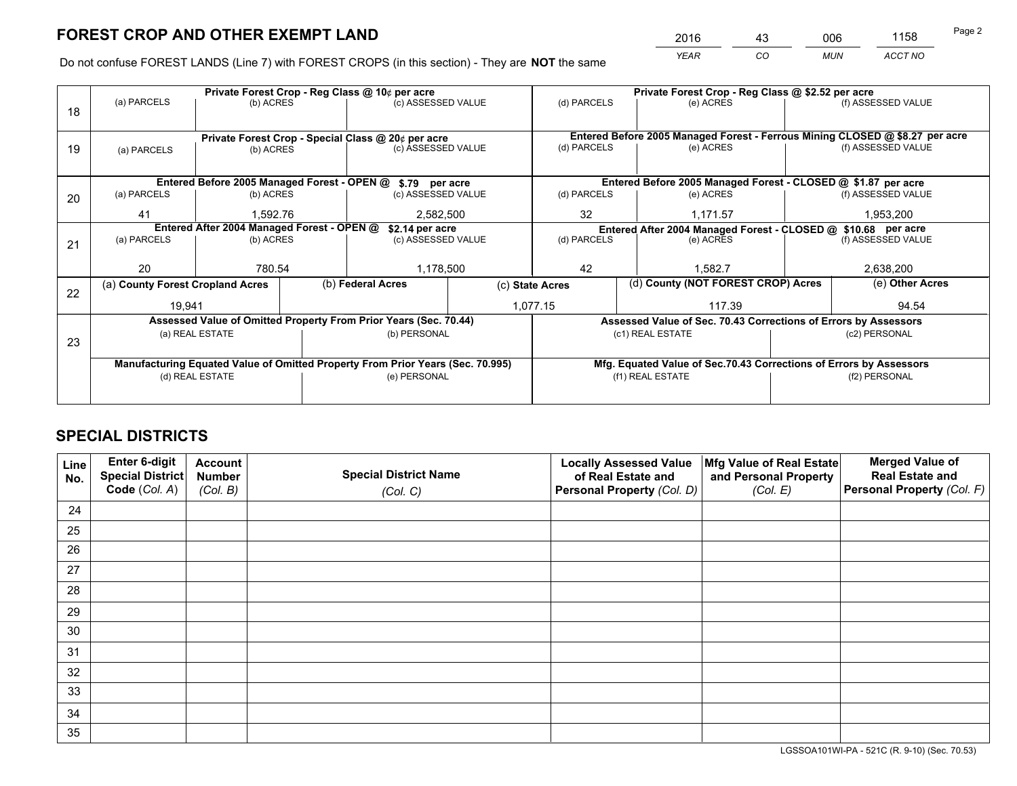*YEAR CO MUN ACCT NO* <sup>2016</sup> <sup>43</sup> <sup>006</sup> <sup>1158</sup>

Do not confuse FOREST LANDS (Line 7) with FOREST CROPS (in this section) - They are **NOT** the same

|                                                                                |                   |                                                                                  |                                                                        |                                                                     |                                                                                                                                                                                                                                                                                                                                                           | Private Forest Crop - Reg Class @ \$2.52 per acre |               |                                          |                                                                                                                                                                                                                                                                                                               |  |
|--------------------------------------------------------------------------------|-------------------|----------------------------------------------------------------------------------|------------------------------------------------------------------------|---------------------------------------------------------------------|-----------------------------------------------------------------------------------------------------------------------------------------------------------------------------------------------------------------------------------------------------------------------------------------------------------------------------------------------------------|---------------------------------------------------|---------------|------------------------------------------|---------------------------------------------------------------------------------------------------------------------------------------------------------------------------------------------------------------------------------------------------------------------------------------------------------------|--|
|                                                                                |                   |                                                                                  |                                                                        |                                                                     | (d) PARCELS                                                                                                                                                                                                                                                                                                                                               |                                                   | (e) ACRES     |                                          | (f) ASSESSED VALUE                                                                                                                                                                                                                                                                                            |  |
|                                                                                |                   |                                                                                  |                                                                        |                                                                     |                                                                                                                                                                                                                                                                                                                                                           |                                                   |               |                                          |                                                                                                                                                                                                                                                                                                               |  |
|                                                                                |                   |                                                                                  |                                                                        |                                                                     | Entered Before 2005 Managed Forest - Ferrous Mining CLOSED @ \$8.27 per acre                                                                                                                                                                                                                                                                              |                                                   |               |                                          |                                                                                                                                                                                                                                                                                                               |  |
| (a) PARCELS                                                                    |                   |                                                                                  |                                                                        |                                                                     | (d) PARCELS                                                                                                                                                                                                                                                                                                                                               |                                                   | (e) ACRES     |                                          | (f) ASSESSED VALUE                                                                                                                                                                                                                                                                                            |  |
|                                                                                |                   |                                                                                  |                                                                        |                                                                     |                                                                                                                                                                                                                                                                                                                                                           |                                                   |               |                                          |                                                                                                                                                                                                                                                                                                               |  |
|                                                                                |                   |                                                                                  |                                                                        |                                                                     |                                                                                                                                                                                                                                                                                                                                                           |                                                   |               |                                          |                                                                                                                                                                                                                                                                                                               |  |
| (a) PARCELS                                                                    |                   |                                                                                  |                                                                        |                                                                     | (d) PARCELS                                                                                                                                                                                                                                                                                                                                               |                                                   | (e) ACRES     |                                          | (f) ASSESSED VALUE                                                                                                                                                                                                                                                                                            |  |
| 41                                                                             |                   |                                                                                  |                                                                        |                                                                     | 32<br>1,171.57                                                                                                                                                                                                                                                                                                                                            |                                                   | 1,953,200     |                                          |                                                                                                                                                                                                                                                                                                               |  |
| Entered After 2004 Managed Forest - OPEN @                                     |                   |                                                                                  |                                                                        |                                                                     |                                                                                                                                                                                                                                                                                                                                                           |                                                   |               |                                          |                                                                                                                                                                                                                                                                                                               |  |
| (a) PARCELS                                                                    |                   |                                                                                  |                                                                        |                                                                     |                                                                                                                                                                                                                                                                                                                                                           |                                                   |               |                                          | (f) ASSESSED VALUE                                                                                                                                                                                                                                                                                            |  |
|                                                                                |                   |                                                                                  |                                                                        |                                                                     |                                                                                                                                                                                                                                                                                                                                                           |                                                   |               |                                          |                                                                                                                                                                                                                                                                                                               |  |
|                                                                                |                   |                                                                                  |                                                                        |                                                                     |                                                                                                                                                                                                                                                                                                                                                           |                                                   |               |                                          | 2,638,200                                                                                                                                                                                                                                                                                                     |  |
|                                                                                |                   |                                                                                  |                                                                        | (c) State Acres                                                     |                                                                                                                                                                                                                                                                                                                                                           |                                                   |               |                                          | (e) Other Acres                                                                                                                                                                                                                                                                                               |  |
|                                                                                |                   |                                                                                  |                                                                        |                                                                     | 117.39                                                                                                                                                                                                                                                                                                                                                    |                                                   |               |                                          | 94.54                                                                                                                                                                                                                                                                                                         |  |
|                                                                                |                   |                                                                                  |                                                                        |                                                                     |                                                                                                                                                                                                                                                                                                                                                           |                                                   |               |                                          |                                                                                                                                                                                                                                                                                                               |  |
|                                                                                |                   |                                                                                  |                                                                        |                                                                     |                                                                                                                                                                                                                                                                                                                                                           |                                                   |               |                                          | (c2) PERSONAL                                                                                                                                                                                                                                                                                                 |  |
|                                                                                |                   |                                                                                  |                                                                        |                                                                     |                                                                                                                                                                                                                                                                                                                                                           |                                                   |               |                                          |                                                                                                                                                                                                                                                                                                               |  |
| Manufacturing Equated Value of Omitted Property From Prior Years (Sec. 70.995) |                   |                                                                                  |                                                                        |                                                                     |                                                                                                                                                                                                                                                                                                                                                           |                                                   |               |                                          |                                                                                                                                                                                                                                                                                                               |  |
|                                                                                |                   |                                                                                  |                                                                        | (f1) REAL ESTATE                                                    |                                                                                                                                                                                                                                                                                                                                                           |                                                   | (f2) PERSONAL |                                          |                                                                                                                                                                                                                                                                                                               |  |
|                                                                                |                   |                                                                                  |                                                                        |                                                                     |                                                                                                                                                                                                                                                                                                                                                           |                                                   |               |                                          |                                                                                                                                                                                                                                                                                                               |  |
|                                                                                | (a) PARCELS<br>20 | (a) County Forest Cropland Acres<br>19,941<br>(a) REAL ESTATE<br>(d) REAL ESTATE | (b) ACRES<br>(b) ACRES<br>(b) ACRES<br>1.592.76<br>(b) ACRES<br>780.54 | Private Forest Crop - Reg Class @ 10¢ per acre<br>(b) Federal Acres | (c) ASSESSED VALUE<br>Private Forest Crop - Special Class @ 20¢ per acre<br>(c) ASSESSED VALUE<br>Entered Before 2005 Managed Forest - OPEN @ \$.79 per acre<br>(c) ASSESSED VALUE<br>2,582,500<br>\$2.14 per acre<br>(c) ASSESSED VALUE<br>1,178,500<br>Assessed Value of Omitted Property From Prior Years (Sec. 70.44)<br>(b) PERSONAL<br>(e) PERSONAL | (d) PARCELS<br>42<br>1,077.15                     |               | (e) ACRES<br>1.582.7<br>(c1) REAL ESTATE | Entered Before 2005 Managed Forest - CLOSED @ \$1.87 per acre<br>Entered After 2004 Managed Forest - CLOSED @ \$10.68 per acre<br>(d) County (NOT FOREST CROP) Acres<br>Assessed Value of Sec. 70.43 Corrections of Errors by Assessors<br>Mfg. Equated Value of Sec.70.43 Corrections of Errors by Assessors |  |

## **SPECIAL DISTRICTS**

| Line<br>No. | Enter 6-digit<br>Special District<br>Code (Col. A) | <b>Account</b><br><b>Number</b> | <b>Special District Name</b> | <b>Locally Assessed Value</b><br>of Real Estate and | Mfg Value of Real Estate<br>and Personal Property | <b>Merged Value of</b><br><b>Real Estate and</b><br>Personal Property (Col. F) |
|-------------|----------------------------------------------------|---------------------------------|------------------------------|-----------------------------------------------------|---------------------------------------------------|--------------------------------------------------------------------------------|
|             |                                                    | (Col. B)                        | (Col. C)                     | Personal Property (Col. D)                          | (Col. E)                                          |                                                                                |
| 24          |                                                    |                                 |                              |                                                     |                                                   |                                                                                |
| 25          |                                                    |                                 |                              |                                                     |                                                   |                                                                                |
| 26          |                                                    |                                 |                              |                                                     |                                                   |                                                                                |
| 27          |                                                    |                                 |                              |                                                     |                                                   |                                                                                |
| 28          |                                                    |                                 |                              |                                                     |                                                   |                                                                                |
| 29          |                                                    |                                 |                              |                                                     |                                                   |                                                                                |
| 30          |                                                    |                                 |                              |                                                     |                                                   |                                                                                |
| 31          |                                                    |                                 |                              |                                                     |                                                   |                                                                                |
| 32          |                                                    |                                 |                              |                                                     |                                                   |                                                                                |
| 33          |                                                    |                                 |                              |                                                     |                                                   |                                                                                |
| 34          |                                                    |                                 |                              |                                                     |                                                   |                                                                                |
| 35          |                                                    |                                 |                              |                                                     |                                                   |                                                                                |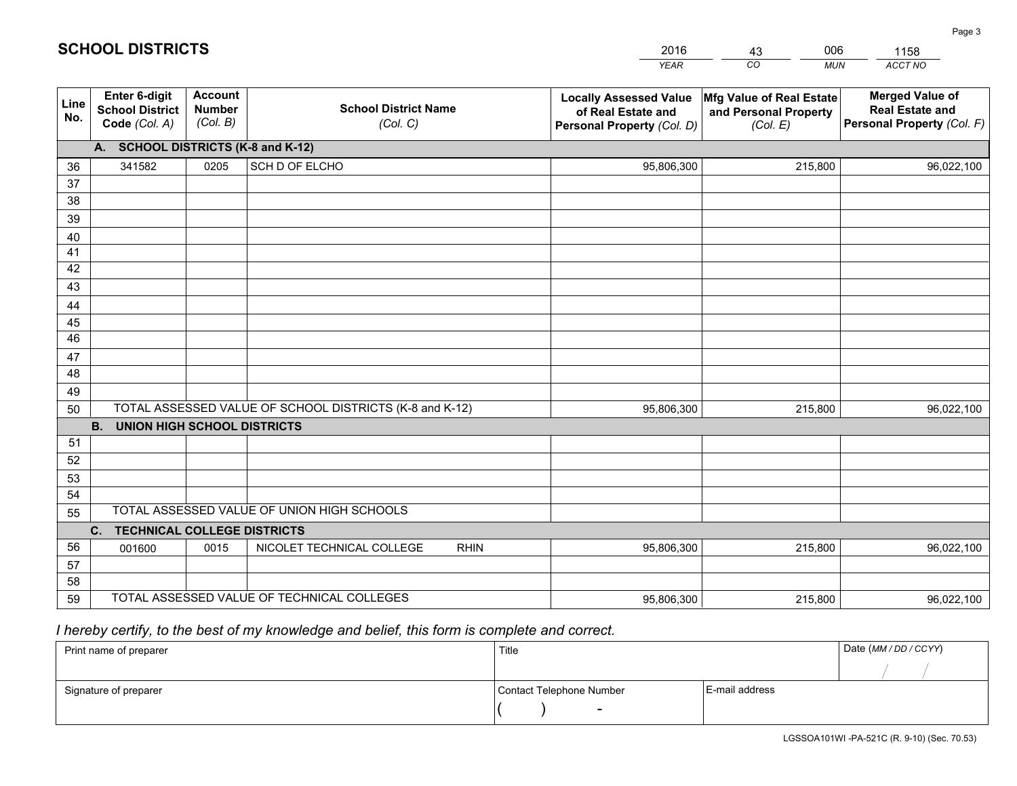|             |                                                                 |                                             |                                                         | <b>YEAR</b>                                                                       | CO<br><b>MUN</b>                                              | ACCT NO                                                                        |
|-------------|-----------------------------------------------------------------|---------------------------------------------|---------------------------------------------------------|-----------------------------------------------------------------------------------|---------------------------------------------------------------|--------------------------------------------------------------------------------|
| Line<br>No. | <b>Enter 6-digit</b><br><b>School District</b><br>Code (Col. A) | <b>Account</b><br><b>Number</b><br>(Col. B) | <b>School District Name</b><br>(Col. C)                 | <b>Locally Assessed Value</b><br>of Real Estate and<br>Personal Property (Col. D) | Mfg Value of Real Estate<br>and Personal Property<br>(Col. E) | <b>Merged Value of</b><br><b>Real Estate and</b><br>Personal Property (Col. F) |
|             | A. SCHOOL DISTRICTS (K-8 and K-12)                              |                                             |                                                         |                                                                                   |                                                               |                                                                                |
| 36          | 341582                                                          | 0205                                        | SCH D OF ELCHO                                          | 95,806,300                                                                        | 215,800                                                       | 96,022,100                                                                     |
| 37          |                                                                 |                                             |                                                         |                                                                                   |                                                               |                                                                                |
| 38          |                                                                 |                                             |                                                         |                                                                                   |                                                               |                                                                                |
| 39          |                                                                 |                                             |                                                         |                                                                                   |                                                               |                                                                                |
| 40          |                                                                 |                                             |                                                         |                                                                                   |                                                               |                                                                                |
| 41          |                                                                 |                                             |                                                         |                                                                                   |                                                               |                                                                                |
| 42          |                                                                 |                                             |                                                         |                                                                                   |                                                               |                                                                                |
| 43          |                                                                 |                                             |                                                         |                                                                                   |                                                               |                                                                                |
| 44          |                                                                 |                                             |                                                         |                                                                                   |                                                               |                                                                                |
| 45<br>46    |                                                                 |                                             |                                                         |                                                                                   |                                                               |                                                                                |
| 47          |                                                                 |                                             |                                                         |                                                                                   |                                                               |                                                                                |
| 48          |                                                                 |                                             |                                                         |                                                                                   |                                                               |                                                                                |
| 49          |                                                                 |                                             |                                                         |                                                                                   |                                                               |                                                                                |
| 50          |                                                                 |                                             | TOTAL ASSESSED VALUE OF SCHOOL DISTRICTS (K-8 and K-12) | 95,806,300                                                                        | 215,800                                                       | 96,022,100                                                                     |
|             | <b>B.</b><br><b>UNION HIGH SCHOOL DISTRICTS</b>                 |                                             |                                                         |                                                                                   |                                                               |                                                                                |
| 51          |                                                                 |                                             |                                                         |                                                                                   |                                                               |                                                                                |
| 52          |                                                                 |                                             |                                                         |                                                                                   |                                                               |                                                                                |
| 53          |                                                                 |                                             |                                                         |                                                                                   |                                                               |                                                                                |
| 54          |                                                                 |                                             |                                                         |                                                                                   |                                                               |                                                                                |
| 55          |                                                                 |                                             | TOTAL ASSESSED VALUE OF UNION HIGH SCHOOLS              |                                                                                   |                                                               |                                                                                |
|             | C.<br><b>TECHNICAL COLLEGE DISTRICTS</b>                        |                                             |                                                         |                                                                                   |                                                               |                                                                                |
| 56          | 001600                                                          | 0015                                        | NICOLET TECHNICAL COLLEGE<br><b>RHIN</b>                | 95,806,300                                                                        | 215,800                                                       | 96,022,100                                                                     |
| 57          |                                                                 |                                             |                                                         |                                                                                   |                                                               |                                                                                |
| 58          |                                                                 |                                             |                                                         |                                                                                   |                                                               |                                                                                |
| 59          |                                                                 |                                             | TOTAL ASSESSED VALUE OF TECHNICAL COLLEGES              | 95,806,300                                                                        | 215,800                                                       | 96,022,100                                                                     |

43

006

 *I hereby certify, to the best of my knowledge and belief, this form is complete and correct.*

**SCHOOL DISTRICTS**

| Print name of preparer | Title                    |                | Date (MM / DD / CCYY) |
|------------------------|--------------------------|----------------|-----------------------|
|                        |                          |                |                       |
| Signature of preparer  | Contact Telephone Number | E-mail address |                       |
|                        | $\sim$                   |                |                       |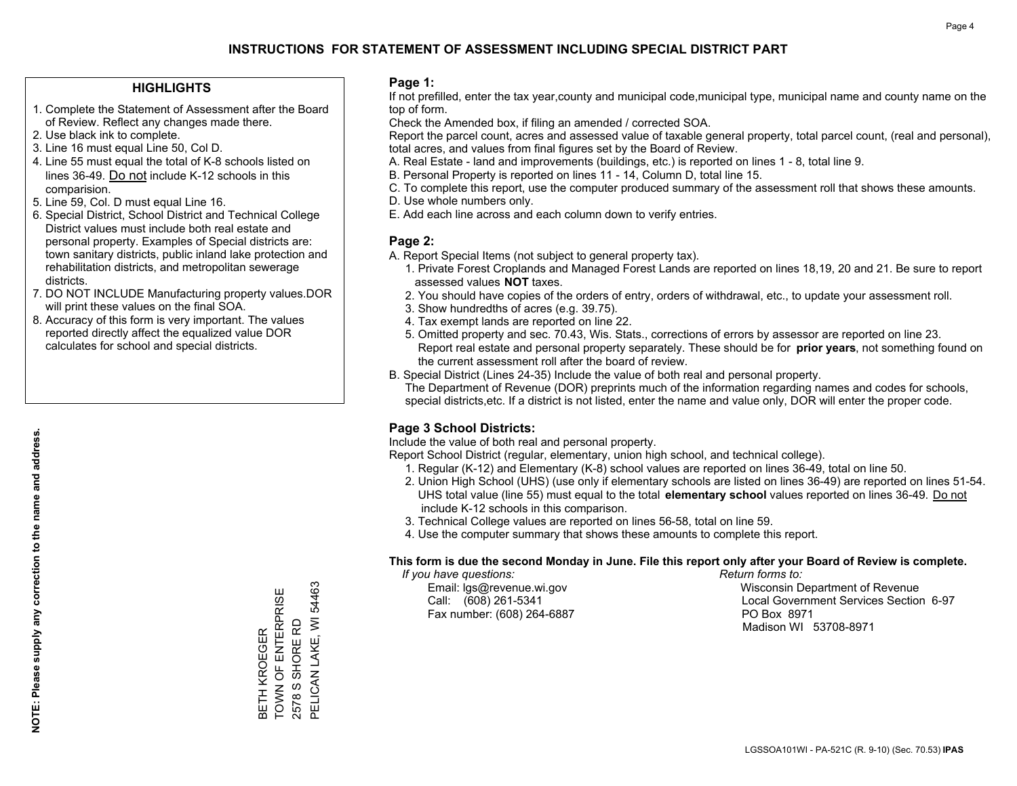#### **HIGHLIGHTS**

- 1. Complete the Statement of Assessment after the Board of Review. Reflect any changes made there.
- 2. Use black ink to complete.
- 3. Line 16 must equal Line 50, Col D.
- 4. Line 55 must equal the total of K-8 schools listed on lines 36-49. Do not include K-12 schools in this comparision.
- 5. Line 59, Col. D must equal Line 16.
- 6. Special District, School District and Technical College District values must include both real estate and personal property. Examples of Special districts are: town sanitary districts, public inland lake protection and rehabilitation districts, and metropolitan sewerage districts.
- 7. DO NOT INCLUDE Manufacturing property values.DOR will print these values on the final SOA.

BETH KROEGER

TOWN OF ENTERPRISE 2578 S SHORE RD

BETH KROEGER<br>TOWN OF ENTERPRISE<br>2578 S SHORE RD

PELICAN LAKE, WI 54463

PELICAN LAKE, WI 54463

 8. Accuracy of this form is very important. The values reported directly affect the equalized value DOR calculates for school and special districts.

#### **Page 1:**

 If not prefilled, enter the tax year,county and municipal code,municipal type, municipal name and county name on the top of form.

Check the Amended box, if filing an amended / corrected SOA.

 Report the parcel count, acres and assessed value of taxable general property, total parcel count, (real and personal), total acres, and values from final figures set by the Board of Review.

- A. Real Estate land and improvements (buildings, etc.) is reported on lines 1 8, total line 9.
- B. Personal Property is reported on lines 11 14, Column D, total line 15.
- C. To complete this report, use the computer produced summary of the assessment roll that shows these amounts.
- D. Use whole numbers only.
- E. Add each line across and each column down to verify entries.

#### **Page 2:**

- A. Report Special Items (not subject to general property tax).
- 1. Private Forest Croplands and Managed Forest Lands are reported on lines 18,19, 20 and 21. Be sure to report assessed values **NOT** taxes.
- 2. You should have copies of the orders of entry, orders of withdrawal, etc., to update your assessment roll.
	- 3. Show hundredths of acres (e.g. 39.75).
- 4. Tax exempt lands are reported on line 22.
- 5. Omitted property and sec. 70.43, Wis. Stats., corrections of errors by assessor are reported on line 23. Report real estate and personal property separately. These should be for **prior years**, not something found on the current assessment roll after the board of review.
- B. Special District (Lines 24-35) Include the value of both real and personal property.
- The Department of Revenue (DOR) preprints much of the information regarding names and codes for schools, special districts,etc. If a district is not listed, enter the name and value only, DOR will enter the proper code.

## **Page 3 School Districts:**

Include the value of both real and personal property.

Report School District (regular, elementary, union high school, and technical college).

- 1. Regular (K-12) and Elementary (K-8) school values are reported on lines 36-49, total on line 50.
- 2. Union High School (UHS) (use only if elementary schools are listed on lines 36-49) are reported on lines 51-54. UHS total value (line 55) must equal to the total **elementary school** values reported on lines 36-49. Do notinclude K-12 schools in this comparison.
- 3. Technical College values are reported on lines 56-58, total on line 59.
- 4. Use the computer summary that shows these amounts to complete this report.

#### **This form is due the second Monday in June. File this report only after your Board of Review is complete.**

 *If you have questions: Return forms to:*

Fax number: (608) 264-6887 PO Box 8971

 Email: lgs@revenue.wi.gov Wisconsin Department of Revenue Call: (608) 261-5341 Local Government Services Section 6-97Madison WI 53708-8971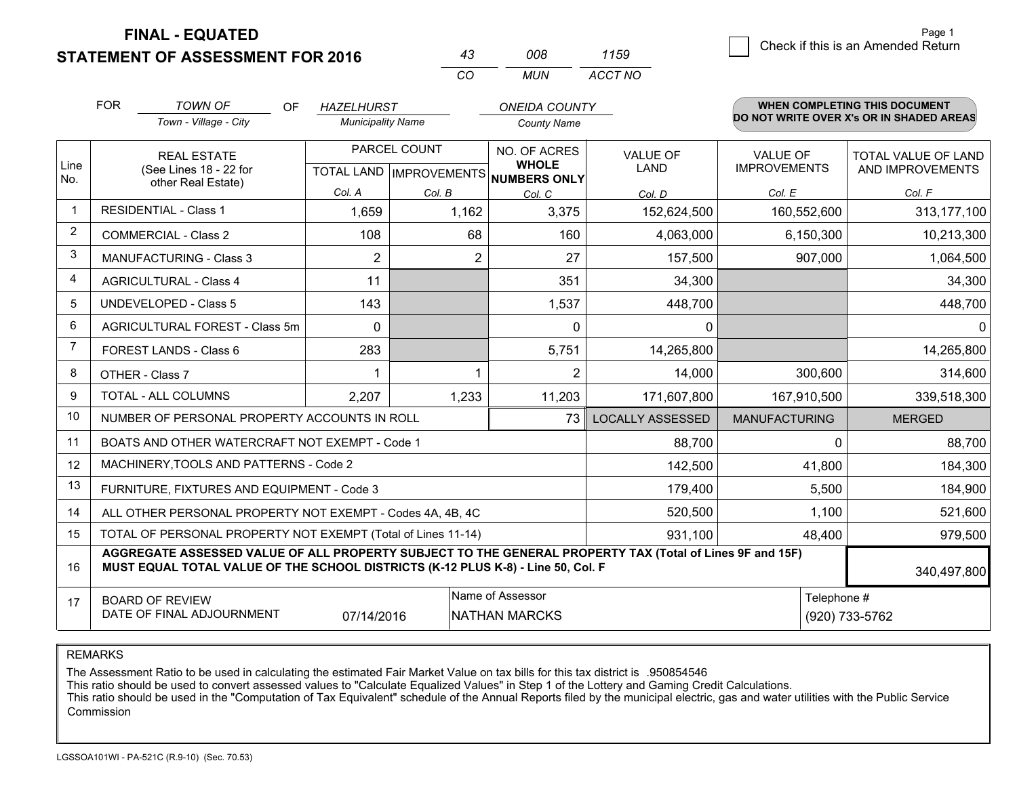**FINAL - EQUATED**

**STATEMENT OF ASSESSMENT FOR 2016** 

| 43  | 008. | 1159    |
|-----|------|---------|
| CO. | MUN  | ACCT NO |

|                | <b>FOR</b> | <b>TOWN OF</b><br>OF                                                                                                                                                                         | <b>HAZELHURST</b>        |              | <b>ONEIDA COUNTY</b>                                 |                         |                      | WHEN COMPLETING THIS DOCUMENT            |
|----------------|------------|----------------------------------------------------------------------------------------------------------------------------------------------------------------------------------------------|--------------------------|--------------|------------------------------------------------------|-------------------------|----------------------|------------------------------------------|
|                |            | Town - Village - City                                                                                                                                                                        | <b>Municipality Name</b> |              | <b>County Name</b>                                   |                         |                      | DO NOT WRITE OVER X's OR IN SHADED AREAS |
|                |            | <b>REAL ESTATE</b>                                                                                                                                                                           |                          | PARCEL COUNT | NO. OF ACRES                                         | <b>VALUE OF</b>         | <b>VALUE OF</b>      | TOTAL VALUE OF LAND                      |
| Line<br>No.    |            | (See Lines 18 - 22 for<br>other Real Estate)                                                                                                                                                 |                          |              | <b>WHOLE</b><br>TOTAL LAND IMPROVEMENTS NUMBERS ONLY | <b>LAND</b>             | <b>IMPROVEMENTS</b>  | AND IMPROVEMENTS                         |
|                |            |                                                                                                                                                                                              | Col. A                   | Col. B       | Col. C                                               | Col. D                  | Col. E               | Col. F                                   |
| -1             |            | <b>RESIDENTIAL - Class 1</b>                                                                                                                                                                 | 1,659                    | 1,162        | 3,375                                                | 152,624,500             | 160,552,600          | 313, 177, 100                            |
| 2              |            | <b>COMMERCIAL - Class 2</b>                                                                                                                                                                  | 108                      | 68           | 160                                                  | 4,063,000               | 6,150,300            | 10,213,300                               |
| 3              |            | <b>MANUFACTURING - Class 3</b>                                                                                                                                                               | $\overline{2}$           | 2            | 27                                                   | 157,500                 | 907,000              | 1,064,500                                |
| 4              |            | <b>AGRICULTURAL - Class 4</b>                                                                                                                                                                | 11                       |              | 351                                                  | 34,300                  |                      | 34,300                                   |
| 5              |            | <b>UNDEVELOPED - Class 5</b>                                                                                                                                                                 | 143                      |              | 1,537                                                | 448,700                 |                      | 448,700                                  |
| 6              |            | AGRICULTURAL FOREST - Class 5m                                                                                                                                                               | $\Omega$                 |              | $\Omega$                                             | 0                       |                      | $\mathbf{0}$                             |
| $\overline{7}$ |            | FOREST LANDS - Class 6                                                                                                                                                                       | 283                      |              | 5,751                                                | 14,265,800              |                      | 14,265,800                               |
| 8              |            | OTHER - Class 7                                                                                                                                                                              |                          | 1            | 2                                                    | 14,000                  | 300,600              | 314,600                                  |
| 9              |            | TOTAL - ALL COLUMNS                                                                                                                                                                          | 2,207                    | 1,233        | 11,203                                               | 171,607,800             | 167,910,500          | 339,518,300                              |
| 10             |            | NUMBER OF PERSONAL PROPERTY ACCOUNTS IN ROLL                                                                                                                                                 |                          |              | 73                                                   | <b>LOCALLY ASSESSED</b> | <b>MANUFACTURING</b> | <b>MERGED</b>                            |
| 11             |            | BOATS AND OTHER WATERCRAFT NOT EXEMPT - Code 1                                                                                                                                               |                          |              |                                                      | 88,700                  | $\Omega$             | 88,700                                   |
| 12             |            | MACHINERY, TOOLS AND PATTERNS - Code 2                                                                                                                                                       |                          |              |                                                      | 142,500                 | 41,800               | 184,300                                  |
| 13             |            | FURNITURE, FIXTURES AND EQUIPMENT - Code 3                                                                                                                                                   |                          |              |                                                      | 179,400                 | 5,500                | 184,900                                  |
| 14             |            | ALL OTHER PERSONAL PROPERTY NOT EXEMPT - Codes 4A, 4B, 4C                                                                                                                                    |                          |              |                                                      | 520,500                 | 1,100                | 521,600                                  |
| 15             |            | TOTAL OF PERSONAL PROPERTY NOT EXEMPT (Total of Lines 11-14)                                                                                                                                 |                          |              |                                                      | 931,100                 | 48,400               | 979,500                                  |
| 16             |            | AGGREGATE ASSESSED VALUE OF ALL PROPERTY SUBJECT TO THE GENERAL PROPERTY TAX (Total of Lines 9F and 15F)<br>MUST EQUAL TOTAL VALUE OF THE SCHOOL DISTRICTS (K-12 PLUS K-8) - Line 50, Col. F |                          |              |                                                      |                         |                      | 340,497,800                              |
| 17             |            | <b>BOARD OF REVIEW</b>                                                                                                                                                                       |                          |              | Name of Assessor                                     |                         | Telephone #          |                                          |
|                |            | DATE OF FINAL ADJOURNMENT                                                                                                                                                                    | 07/14/2016               |              | <b>NATHAN MARCKS</b>                                 |                         |                      | (920) 733-5762                           |

REMARKS

The Assessment Ratio to be used in calculating the estimated Fair Market Value on tax bills for this tax district is .950854546

This ratio should be used to convert assessed values to "Calculate Equalized Values" in Step 1 of the Lottery and Gaming Credit Calculations.<br>This ratio should be used in the "Computation of Tax Equivalent" schedule of the Commission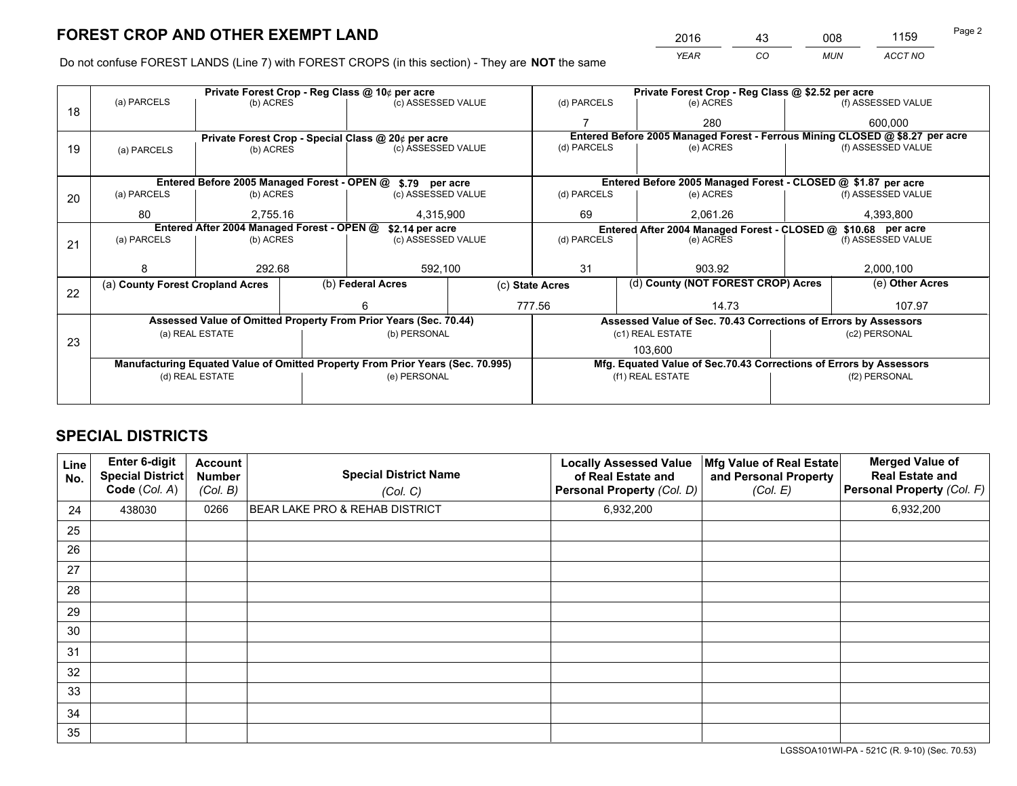*YEAR CO MUN ACCT NO* <sup>2016</sup> <sup>43</sup> <sup>008</sup> <sup>1159</sup>

Do not confuse FOREST LANDS (Line 7) with FOREST CROPS (in this section) - They are **NOT** the same

|    |                                                                                |                 | Private Forest Crop - Reg Class @ 10¢ per acre |                                                                  |        |                                                               | Private Forest Crop - Reg Class @ \$2.52 per acre |                                                                    |               |                                                                              |
|----|--------------------------------------------------------------------------------|-----------------|------------------------------------------------|------------------------------------------------------------------|--------|---------------------------------------------------------------|---------------------------------------------------|--------------------------------------------------------------------|---------------|------------------------------------------------------------------------------|
| 18 | (a) PARCELS                                                                    | (b) ACRES       |                                                | (c) ASSESSED VALUE                                               |        | (d) PARCELS                                                   |                                                   | (e) ACRES                                                          |               | (f) ASSESSED VALUE                                                           |
|    |                                                                                |                 |                                                |                                                                  |        |                                                               |                                                   | 280                                                                |               | 600.000                                                                      |
|    |                                                                                |                 |                                                | Private Forest Crop - Special Class @ 20¢ per acre               |        |                                                               |                                                   |                                                                    |               | Entered Before 2005 Managed Forest - Ferrous Mining CLOSED @ \$8.27 per acre |
| 19 | (a) PARCELS                                                                    | (b) ACRES       |                                                | (c) ASSESSED VALUE                                               |        | (d) PARCELS                                                   |                                                   | (e) ACRES                                                          |               | (f) ASSESSED VALUE                                                           |
|    |                                                                                |                 |                                                |                                                                  |        |                                                               |                                                   |                                                                    |               |                                                                              |
|    |                                                                                |                 |                                                | Entered Before 2005 Managed Forest - OPEN @ \$.79 per acre       |        | Entered Before 2005 Managed Forest - CLOSED @ \$1.87 per acre |                                                   |                                                                    |               |                                                                              |
| 20 | (a) PARCELS<br>(b) ACRES                                                       |                 |                                                | (c) ASSESSED VALUE                                               |        | (d) PARCELS                                                   |                                                   | (e) ACRES                                                          |               | (f) ASSESSED VALUE                                                           |
|    | 80                                                                             | 2,755.16        |                                                | 4,315,900                                                        |        | 69                                                            |                                                   | 2,061.26                                                           |               | 4,393,800                                                                    |
|    | Entered After 2004 Managed Forest - OPEN @<br>\$2.14 per acre                  |                 |                                                |                                                                  |        |                                                               |                                                   | Entered After 2004 Managed Forest - CLOSED @ \$10.68 per acre      |               |                                                                              |
| 21 | (a) PARCELS                                                                    | (b) ACRES       |                                                | (c) ASSESSED VALUE                                               |        | (d) PARCELS<br>(e) ACRES                                      |                                                   |                                                                    |               | (f) ASSESSED VALUE                                                           |
|    |                                                                                |                 |                                                |                                                                  |        |                                                               |                                                   |                                                                    |               |                                                                              |
|    |                                                                                | 292.68          |                                                | 592,100                                                          |        | 31                                                            |                                                   | 903.92                                                             |               | 2,000,100                                                                    |
|    | (a) County Forest Cropland Acres                                               |                 |                                                | (b) Federal Acres                                                |        | (c) State Acres                                               |                                                   | (d) County (NOT FOREST CROP) Acres                                 |               | (e) Other Acres                                                              |
| 22 |                                                                                |                 |                                                |                                                                  | 777.56 |                                                               | 14.73                                             |                                                                    | 107.97        |                                                                              |
|    |                                                                                |                 |                                                | Assessed Value of Omitted Property From Prior Years (Sec. 70.44) |        |                                                               |                                                   | Assessed Value of Sec. 70.43 Corrections of Errors by Assessors    |               |                                                                              |
|    |                                                                                | (a) REAL ESTATE |                                                | (b) PERSONAL                                                     |        |                                                               |                                                   | (c1) REAL ESTATE                                                   |               | (c2) PERSONAL                                                                |
| 23 |                                                                                |                 |                                                |                                                                  |        |                                                               |                                                   | 103,600                                                            |               |                                                                              |
|    | Manufacturing Equated Value of Omitted Property From Prior Years (Sec. 70.995) |                 |                                                |                                                                  |        |                                                               |                                                   | Mfg. Equated Value of Sec.70.43 Corrections of Errors by Assessors |               |                                                                              |
|    | (d) REAL ESTATE                                                                |                 |                                                | (e) PERSONAL                                                     |        |                                                               |                                                   | (f1) REAL ESTATE                                                   | (f2) PERSONAL |                                                                              |
|    |                                                                                |                 |                                                |                                                                  |        |                                                               |                                                   |                                                                    |               |                                                                              |

## **SPECIAL DISTRICTS**

| Line<br>No. | Enter 6-digit<br><b>Special District</b><br>Code (Col. A) | <b>Account</b><br><b>Number</b><br>(Col. B) | <b>Special District Name</b><br>(Col. C) | <b>Locally Assessed Value</b><br>of Real Estate and<br>Personal Property (Col. D) | Mfg Value of Real Estate<br>and Personal Property<br>(Col. E) | <b>Merged Value of</b><br><b>Real Estate and</b><br>Personal Property (Col. F) |
|-------------|-----------------------------------------------------------|---------------------------------------------|------------------------------------------|-----------------------------------------------------------------------------------|---------------------------------------------------------------|--------------------------------------------------------------------------------|
| 24          | 438030                                                    | 0266                                        | BEAR LAKE PRO & REHAB DISTRICT           | 6,932,200                                                                         |                                                               | 6,932,200                                                                      |
| 25          |                                                           |                                             |                                          |                                                                                   |                                                               |                                                                                |
| 26          |                                                           |                                             |                                          |                                                                                   |                                                               |                                                                                |
| 27          |                                                           |                                             |                                          |                                                                                   |                                                               |                                                                                |
| 28          |                                                           |                                             |                                          |                                                                                   |                                                               |                                                                                |
| 29          |                                                           |                                             |                                          |                                                                                   |                                                               |                                                                                |
| 30          |                                                           |                                             |                                          |                                                                                   |                                                               |                                                                                |
| 31          |                                                           |                                             |                                          |                                                                                   |                                                               |                                                                                |
| 32          |                                                           |                                             |                                          |                                                                                   |                                                               |                                                                                |
| 33          |                                                           |                                             |                                          |                                                                                   |                                                               |                                                                                |
| 34          |                                                           |                                             |                                          |                                                                                   |                                                               |                                                                                |
| 35          |                                                           |                                             |                                          |                                                                                   |                                                               |                                                                                |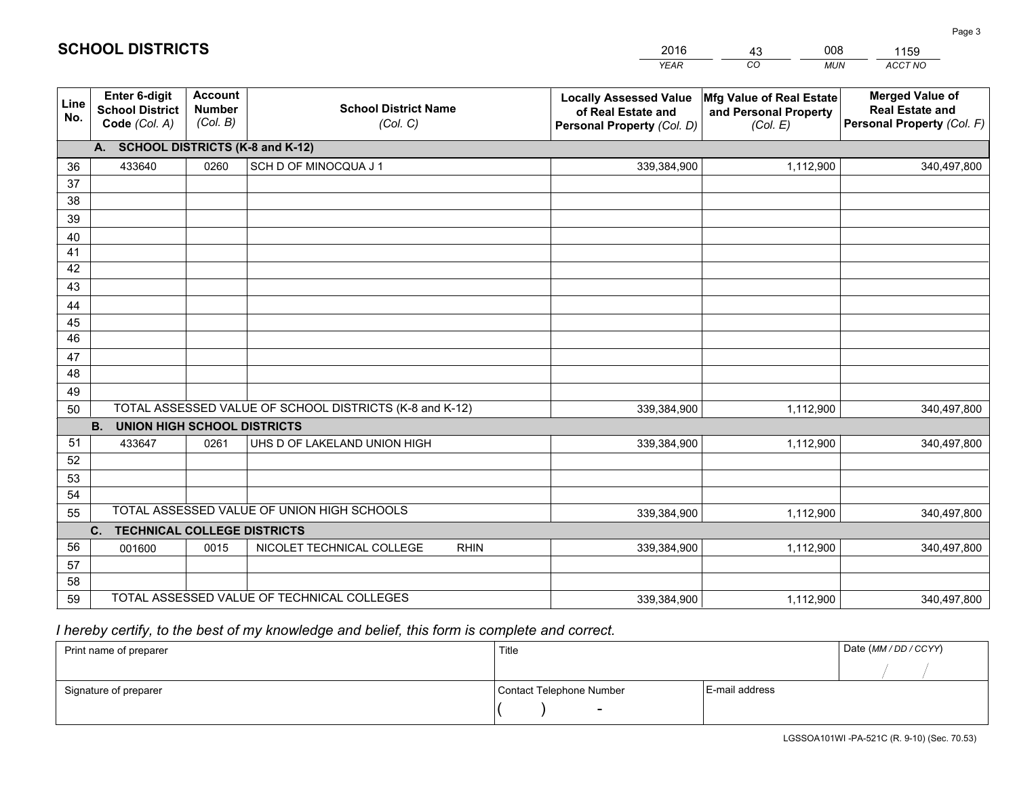|             |                                                                 |                                             |                                                         | <b>YEAR</b>                                                                       | CO<br><b>MUN</b>                                              | <b>ACCT NO</b>                                                                 |
|-------------|-----------------------------------------------------------------|---------------------------------------------|---------------------------------------------------------|-----------------------------------------------------------------------------------|---------------------------------------------------------------|--------------------------------------------------------------------------------|
| Line<br>No. | <b>Enter 6-digit</b><br><b>School District</b><br>Code (Col. A) | <b>Account</b><br><b>Number</b><br>(Col. B) | <b>School District Name</b><br>(Col. C)                 | <b>Locally Assessed Value</b><br>of Real Estate and<br>Personal Property (Col. D) | Mfg Value of Real Estate<br>and Personal Property<br>(Col. E) | <b>Merged Value of</b><br><b>Real Estate and</b><br>Personal Property (Col. F) |
|             | A. SCHOOL DISTRICTS (K-8 and K-12)                              |                                             |                                                         |                                                                                   |                                                               |                                                                                |
| 36          | 433640                                                          | 0260                                        | SCH D OF MINOCQUA J 1                                   | 339,384,900                                                                       | 1,112,900                                                     | 340,497,800                                                                    |
| 37          |                                                                 |                                             |                                                         |                                                                                   |                                                               |                                                                                |
| 38          |                                                                 |                                             |                                                         |                                                                                   |                                                               |                                                                                |
| 39          |                                                                 |                                             |                                                         |                                                                                   |                                                               |                                                                                |
| 40          |                                                                 |                                             |                                                         |                                                                                   |                                                               |                                                                                |
| 41<br>42    |                                                                 |                                             |                                                         |                                                                                   |                                                               |                                                                                |
| 43          |                                                                 |                                             |                                                         |                                                                                   |                                                               |                                                                                |
|             |                                                                 |                                             |                                                         |                                                                                   |                                                               |                                                                                |
| 44<br>45    |                                                                 |                                             |                                                         |                                                                                   |                                                               |                                                                                |
| 46          |                                                                 |                                             |                                                         |                                                                                   |                                                               |                                                                                |
| 47          |                                                                 |                                             |                                                         |                                                                                   |                                                               |                                                                                |
| 48          |                                                                 |                                             |                                                         |                                                                                   |                                                               |                                                                                |
| 49          |                                                                 |                                             |                                                         |                                                                                   |                                                               |                                                                                |
| 50          |                                                                 |                                             | TOTAL ASSESSED VALUE OF SCHOOL DISTRICTS (K-8 and K-12) | 339,384,900                                                                       | 1,112,900                                                     | 340,497,800                                                                    |
|             | <b>B.</b><br><b>UNION HIGH SCHOOL DISTRICTS</b>                 |                                             |                                                         |                                                                                   |                                                               |                                                                                |
| 51          | 433647                                                          | 0261                                        | UHS D OF LAKELAND UNION HIGH                            | 339,384,900                                                                       | 1,112,900                                                     | 340,497,800                                                                    |
| 52          |                                                                 |                                             |                                                         |                                                                                   |                                                               |                                                                                |
| 53          |                                                                 |                                             |                                                         |                                                                                   |                                                               |                                                                                |
| 54          |                                                                 |                                             |                                                         |                                                                                   |                                                               |                                                                                |
| 55          |                                                                 |                                             | TOTAL ASSESSED VALUE OF UNION HIGH SCHOOLS              | 339,384,900                                                                       | 1,112,900                                                     | 340,497,800                                                                    |
|             | C.<br><b>TECHNICAL COLLEGE DISTRICTS</b>                        |                                             |                                                         |                                                                                   |                                                               |                                                                                |
| 56          | 001600                                                          | 0015                                        | NICOLET TECHNICAL COLLEGE<br><b>RHIN</b>                | 339,384,900                                                                       | 1,112,900                                                     | 340,497,800                                                                    |
| 57          |                                                                 |                                             |                                                         |                                                                                   |                                                               |                                                                                |
| 58          |                                                                 |                                             |                                                         |                                                                                   |                                                               |                                                                                |
| 59          |                                                                 |                                             | TOTAL ASSESSED VALUE OF TECHNICAL COLLEGES              | 339,384,900                                                                       | 1,112,900                                                     | 340,497,800                                                                    |

43

008

 *I hereby certify, to the best of my knowledge and belief, this form is complete and correct.*

**SCHOOL DISTRICTS**

| Print name of preparer | Title                    |                | Date (MM / DD / CCYY) |
|------------------------|--------------------------|----------------|-----------------------|
|                        |                          |                |                       |
| Signature of preparer  | Contact Telephone Number | E-mail address |                       |
|                        | $\overline{\phantom{0}}$ |                |                       |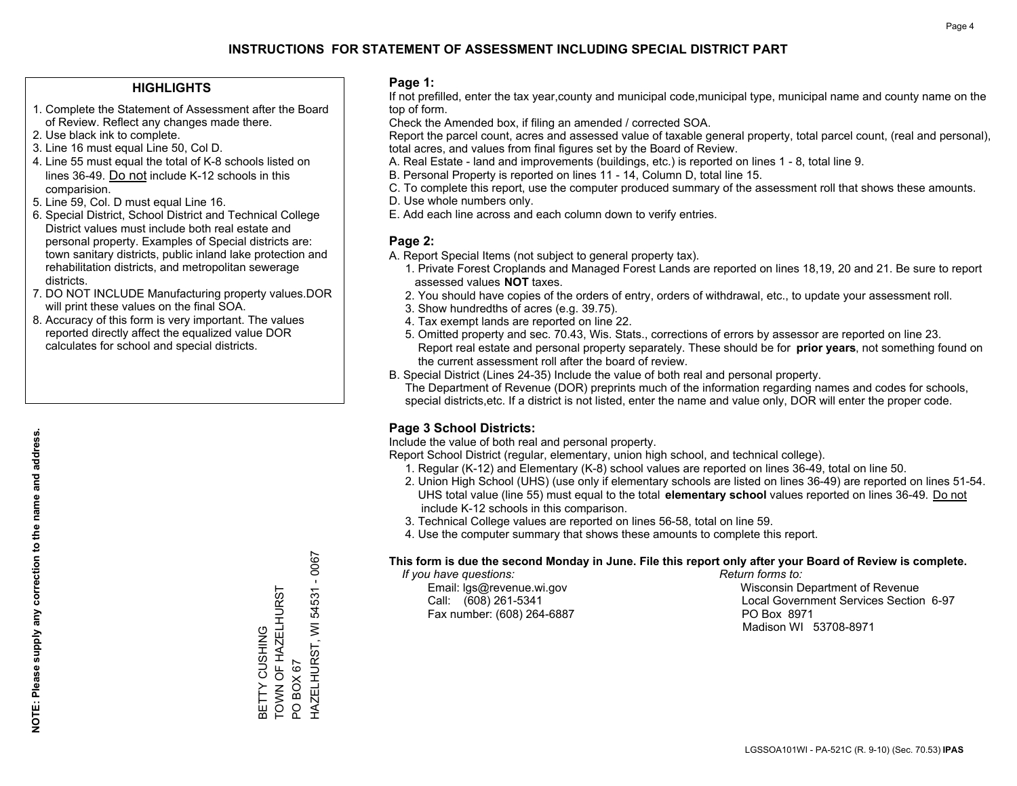#### **HIGHLIGHTS**

- 1. Complete the Statement of Assessment after the Board of Review. Reflect any changes made there.
- 2. Use black ink to complete.
- 3. Line 16 must equal Line 50, Col D.
- 4. Line 55 must equal the total of K-8 schools listed on lines 36-49. Do not include K-12 schools in this comparision.
- 5. Line 59, Col. D must equal Line 16.
- 6. Special District, School District and Technical College District values must include both real estate and personal property. Examples of Special districts are: town sanitary districts, public inland lake protection and rehabilitation districts, and metropolitan sewerage districts.
- 7. DO NOT INCLUDE Manufacturing property values.DOR will print these values on the final SOA.

BETTY CUSHING

TOWN OF HAZELHURST

BETTY CUSHING<br>TOWN OF HAZELHURST

PO BOX 67

PO BOX 67

HAZELHURST, WI 54531 - 0067

HAZELHURST, WI 54531

 $-0067$ 

 8. Accuracy of this form is very important. The values reported directly affect the equalized value DOR calculates for school and special districts.

#### **Page 1:**

 If not prefilled, enter the tax year,county and municipal code,municipal type, municipal name and county name on the top of form.

Check the Amended box, if filing an amended / corrected SOA.

 Report the parcel count, acres and assessed value of taxable general property, total parcel count, (real and personal), total acres, and values from final figures set by the Board of Review.

- A. Real Estate land and improvements (buildings, etc.) is reported on lines 1 8, total line 9.
- B. Personal Property is reported on lines 11 14, Column D, total line 15.
- C. To complete this report, use the computer produced summary of the assessment roll that shows these amounts.
- D. Use whole numbers only.
- E. Add each line across and each column down to verify entries.

#### **Page 2:**

- A. Report Special Items (not subject to general property tax).
- 1. Private Forest Croplands and Managed Forest Lands are reported on lines 18,19, 20 and 21. Be sure to report assessed values **NOT** taxes.
- 2. You should have copies of the orders of entry, orders of withdrawal, etc., to update your assessment roll.
	- 3. Show hundredths of acres (e.g. 39.75).
- 4. Tax exempt lands are reported on line 22.
- 5. Omitted property and sec. 70.43, Wis. Stats., corrections of errors by assessor are reported on line 23. Report real estate and personal property separately. These should be for **prior years**, not something found on the current assessment roll after the board of review.
- B. Special District (Lines 24-35) Include the value of both real and personal property.
- The Department of Revenue (DOR) preprints much of the information regarding names and codes for schools, special districts,etc. If a district is not listed, enter the name and value only, DOR will enter the proper code.

## **Page 3 School Districts:**

Include the value of both real and personal property.

Report School District (regular, elementary, union high school, and technical college).

- 1. Regular (K-12) and Elementary (K-8) school values are reported on lines 36-49, total on line 50.
- 2. Union High School (UHS) (use only if elementary schools are listed on lines 36-49) are reported on lines 51-54. UHS total value (line 55) must equal to the total **elementary school** values reported on lines 36-49. Do notinclude K-12 schools in this comparison.
- 3. Technical College values are reported on lines 56-58, total on line 59.
- 4. Use the computer summary that shows these amounts to complete this report.

#### **This form is due the second Monday in June. File this report only after your Board of Review is complete.**

 *If you have questions: Return forms to:*

Fax number: (608) 264-6887 PO Box 8971

 Email: lgs@revenue.wi.gov Wisconsin Department of Revenue Call: (608) 261-5341 Local Government Services Section 6-97Madison WI 53708-8971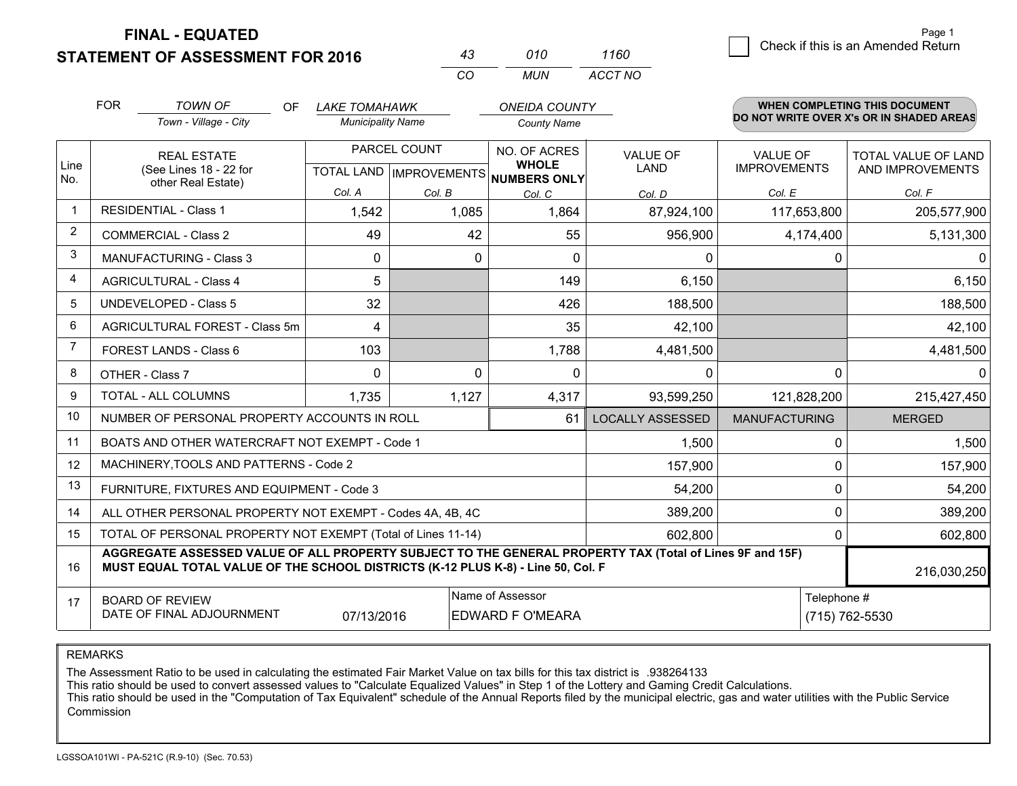**STATEMENT OF ASSESSMENT FOR 2016 FINAL - EQUATED**

|                | <b>FOR</b>                                                                                                                                        | <b>TOWN OF</b><br>OF.<br>Town - Village - City                                                                                                                                               | LAKE TOMAHAWK<br><b>Municipality Name</b> |                 | <b>ONEIDA COUNTY</b><br><b>County Name</b> |                         |                                        | WHEN COMPLETING THIS DOCUMENT<br>DO NOT WRITE OVER X's OR IN SHADED AREAS |
|----------------|---------------------------------------------------------------------------------------------------------------------------------------------------|----------------------------------------------------------------------------------------------------------------------------------------------------------------------------------------------|-------------------------------------------|-----------------|--------------------------------------------|-------------------------|----------------------------------------|---------------------------------------------------------------------------|
| Line           |                                                                                                                                                   | <b>REAL ESTATE</b><br>(See Lines 18 - 22 for                                                                                                                                                 |                                           | PARCEL COUNT    | NO. OF ACRES<br><b>WHOLE</b>               | <b>VALUE OF</b><br>LAND | <b>VALUE OF</b><br><b>IMPROVEMENTS</b> | TOTAL VALUE OF LAND<br>AND IMPROVEMENTS                                   |
| No.            |                                                                                                                                                   | other Real Estate)                                                                                                                                                                           | Col. A                                    |                 | TOTAL LAND IMPROVEMENTS NUMBERS ONLY       |                         |                                        |                                                                           |
| $\overline{1}$ |                                                                                                                                                   | <b>RESIDENTIAL - Class 1</b>                                                                                                                                                                 | 1,542                                     | Col. B<br>1,085 | Col. C<br>1,864                            | Col. D<br>87,924,100    | Col. E<br>117,653,800                  | Col. F<br>205,577,900                                                     |
| 2              |                                                                                                                                                   | <b>COMMERCIAL - Class 2</b>                                                                                                                                                                  | 49                                        | 42              | 55                                         | 956,900                 | 4,174,400                              | 5,131,300                                                                 |
| 3              |                                                                                                                                                   | <b>MANUFACTURING - Class 3</b>                                                                                                                                                               | 0                                         | 0               | $\Omega$                                   | 0                       | 0                                      |                                                                           |
| 4              |                                                                                                                                                   | <b>AGRICULTURAL - Class 4</b>                                                                                                                                                                | 5                                         |                 | 149                                        | 6,150                   |                                        | 6,150                                                                     |
| 5              |                                                                                                                                                   | UNDEVELOPED - Class 5                                                                                                                                                                        | 32                                        |                 | 426                                        | 188,500                 |                                        | 188,500                                                                   |
| 6              |                                                                                                                                                   | AGRICULTURAL FOREST - Class 5m                                                                                                                                                               | 4                                         |                 | 35                                         | 42,100                  |                                        | 42,100                                                                    |
| 7              |                                                                                                                                                   | FOREST LANDS - Class 6                                                                                                                                                                       | 103                                       |                 | 1,788                                      | 4,481,500               |                                        | 4,481,500                                                                 |
| 8              |                                                                                                                                                   | OTHER - Class 7                                                                                                                                                                              | $\Omega$                                  | 0               | $\Omega$                                   | $\Omega$                | $\Omega$                               |                                                                           |
| 9              |                                                                                                                                                   | TOTAL - ALL COLUMNS                                                                                                                                                                          | 1,735                                     | 1,127           | 4,317                                      | 93,599,250              | 121,828,200                            | 215,427,450                                                               |
| 10             |                                                                                                                                                   | NUMBER OF PERSONAL PROPERTY ACCOUNTS IN ROLL                                                                                                                                                 |                                           |                 | 61                                         | <b>LOCALLY ASSESSED</b> | <b>MANUFACTURING</b>                   | <b>MERGED</b>                                                             |
| 11             |                                                                                                                                                   | BOATS AND OTHER WATERCRAFT NOT EXEMPT - Code 1                                                                                                                                               |                                           |                 |                                            | 1,500                   | 0                                      | 1,500                                                                     |
| 12             |                                                                                                                                                   | MACHINERY, TOOLS AND PATTERNS - Code 2                                                                                                                                                       |                                           |                 |                                            | 157,900                 | $\mathbf 0$                            | 157,900                                                                   |
| 13             |                                                                                                                                                   | FURNITURE, FIXTURES AND EQUIPMENT - Code 3                                                                                                                                                   |                                           |                 |                                            | 54,200                  | 0                                      | 54,200                                                                    |
| 14             |                                                                                                                                                   | ALL OTHER PERSONAL PROPERTY NOT EXEMPT - Codes 4A, 4B, 4C                                                                                                                                    |                                           |                 |                                            | 389,200                 | $\Omega$                               | 389,200                                                                   |
| 15             |                                                                                                                                                   | TOTAL OF PERSONAL PROPERTY NOT EXEMPT (Total of Lines 11-14)                                                                                                                                 |                                           |                 |                                            | 602,800                 | $\mathbf 0$                            | 602,800                                                                   |
| 16             |                                                                                                                                                   | AGGREGATE ASSESSED VALUE OF ALL PROPERTY SUBJECT TO THE GENERAL PROPERTY TAX (Total of Lines 9F and 15F)<br>MUST EQUAL TOTAL VALUE OF THE SCHOOL DISTRICTS (K-12 PLUS K-8) - Line 50, Col. F |                                           |                 |                                            |                         |                                        | 216,030,250                                                               |
| 17             | Name of Assessor<br>Telephone #<br><b>BOARD OF REVIEW</b><br>DATE OF FINAL ADJOURNMENT<br>07/13/2016<br><b>EDWARD F O'MEARA</b><br>(715) 762-5530 |                                                                                                                                                                                              |                                           |                 |                                            |                         |                                        |                                                                           |

*CO*

*MUN*

*ACCT NO1160*

*<sup>43</sup> <sup>010</sup>*

REMARKS

The Assessment Ratio to be used in calculating the estimated Fair Market Value on tax bills for this tax district is .938264133<br>This ratio should be used to convert assessed values to "Calculate Equalized Values" in Step 1 Commission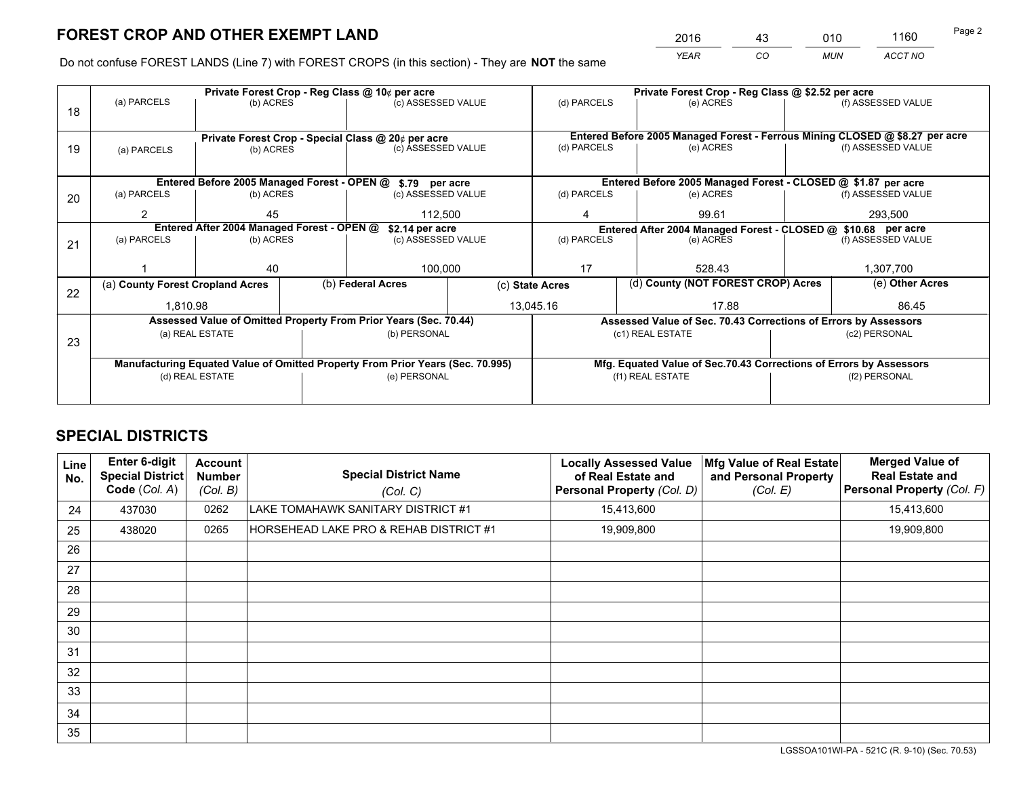*YEAR CO MUN ACCT NO* <sup>2016</sup> <sup>43</sup> <sup>010</sup> <sup>1160</sup>

Do not confuse FOREST LANDS (Line 7) with FOREST CROPS (in this section) - They are **NOT** the same

|    | Private Forest Crop - Reg Class @ 10¢ per acre                                 |                 |  |                                                                  |                 | Private Forest Crop - Reg Class @ \$2.52 per acre                                   |                                                                    |                                    |                              |  |
|----|--------------------------------------------------------------------------------|-----------------|--|------------------------------------------------------------------|-----------------|-------------------------------------------------------------------------------------|--------------------------------------------------------------------|------------------------------------|------------------------------|--|
| 18 | (a) PARCELS                                                                    | (b) ACRES       |  | (c) ASSESSED VALUE                                               |                 | (d) PARCELS                                                                         | (e) ACRES                                                          |                                    | (f) ASSESSED VALUE           |  |
|    |                                                                                |                 |  |                                                                  |                 |                                                                                     |                                                                    |                                    |                              |  |
|    | Private Forest Crop - Special Class @ 20¢ per acre                             |                 |  |                                                                  |                 | Entered Before 2005 Managed Forest - Ferrous Mining CLOSED @ \$8.27 per acre        |                                                                    |                                    |                              |  |
| 19 | (a) PARCELS                                                                    | (b) ACRES       |  | (c) ASSESSED VALUE                                               |                 | (d) PARCELS                                                                         | (e) ACRES                                                          |                                    | (f) ASSESSED VALUE           |  |
|    |                                                                                |                 |  |                                                                  |                 |                                                                                     |                                                                    |                                    |                              |  |
|    |                                                                                |                 |  | Entered Before 2005 Managed Forest - OPEN @ \$.79 per acre       |                 |                                                                                     | Entered Before 2005 Managed Forest - CLOSED @ \$1.87 per acre      |                                    |                              |  |
| 20 | (a) PARCELS                                                                    | (b) ACRES       |  | (c) ASSESSED VALUE                                               |                 | (d) PARCELS                                                                         | (e) ACRES                                                          |                                    | (f) ASSESSED VALUE           |  |
|    | 2                                                                              | 45              |  | 112,500                                                          |                 | 4                                                                                   | 99.61                                                              |                                    | 293,500                      |  |
|    | Entered After 2004 Managed Forest - OPEN @<br>\$2.14 per acre                  |                 |  |                                                                  |                 | Entered After 2004 Managed Forest - CLOSED @ \$10.68 per acre<br>(f) ASSESSED VALUE |                                                                    |                                    |                              |  |
| 21 | (a) PARCELS                                                                    | (b) ACRES       |  | (c) ASSESSED VALUE                                               | (d) PARCELS     |                                                                                     | (e) ACRES                                                          |                                    |                              |  |
|    |                                                                                |                 |  |                                                                  |                 |                                                                                     |                                                                    |                                    |                              |  |
|    |                                                                                | 40              |  | 100,000                                                          |                 | 17<br>528.43                                                                        |                                                                    |                                    | 1,307,700<br>(e) Other Acres |  |
| 22 | (a) County Forest Cropland Acres                                               |                 |  | (b) Federal Acres                                                | (c) State Acres |                                                                                     |                                                                    | (d) County (NOT FOREST CROP) Acres |                              |  |
|    | 1,810.98                                                                       |                 |  |                                                                  | 13,045.16       |                                                                                     | 17.88                                                              |                                    | 86.45                        |  |
|    |                                                                                |                 |  | Assessed Value of Omitted Property From Prior Years (Sec. 70.44) |                 |                                                                                     | Assessed Value of Sec. 70.43 Corrections of Errors by Assessors    |                                    |                              |  |
| 23 |                                                                                | (a) REAL ESTATE |  | (b) PERSONAL                                                     |                 |                                                                                     | (c1) REAL ESTATE                                                   |                                    | (c2) PERSONAL                |  |
|    |                                                                                |                 |  |                                                                  |                 |                                                                                     |                                                                    |                                    |                              |  |
|    | Manufacturing Equated Value of Omitted Property From Prior Years (Sec. 70.995) |                 |  |                                                                  |                 |                                                                                     | Mfg. Equated Value of Sec.70.43 Corrections of Errors by Assessors |                                    |                              |  |
|    | (d) REAL ESTATE                                                                |                 |  | (e) PERSONAL                                                     |                 | (f1) REAL ESTATE                                                                    |                                                                    |                                    | (f2) PERSONAL                |  |
|    |                                                                                |                 |  |                                                                  |                 |                                                                                     |                                                                    |                                    |                              |  |

## **SPECIAL DISTRICTS**

| Line<br>No. | <b>Enter 6-digit</b><br><b>Special District</b><br>Code (Col. A) | <b>Account</b><br><b>Number</b><br>(Col. B) | <b>Special District Name</b><br>(Col. C) | <b>Locally Assessed Value</b><br>of Real Estate and<br>Personal Property (Col. D) | Mfg Value of Real Estate<br>and Personal Property<br>(Col. E) | <b>Merged Value of</b><br><b>Real Estate and</b><br>Personal Property (Col. F) |
|-------------|------------------------------------------------------------------|---------------------------------------------|------------------------------------------|-----------------------------------------------------------------------------------|---------------------------------------------------------------|--------------------------------------------------------------------------------|
| 24          | 437030                                                           | 0262                                        | LAKE TOMAHAWK SANITARY DISTRICT #1       | 15,413,600                                                                        |                                                               | 15,413,600                                                                     |
| 25          | 438020                                                           | 0265                                        | HORSEHEAD LAKE PRO & REHAB DISTRICT #1   | 19,909,800                                                                        |                                                               | 19,909,800                                                                     |
| 26          |                                                                  |                                             |                                          |                                                                                   |                                                               |                                                                                |
| 27          |                                                                  |                                             |                                          |                                                                                   |                                                               |                                                                                |
| 28          |                                                                  |                                             |                                          |                                                                                   |                                                               |                                                                                |
| 29          |                                                                  |                                             |                                          |                                                                                   |                                                               |                                                                                |
| 30          |                                                                  |                                             |                                          |                                                                                   |                                                               |                                                                                |
| 31          |                                                                  |                                             |                                          |                                                                                   |                                                               |                                                                                |
| 32          |                                                                  |                                             |                                          |                                                                                   |                                                               |                                                                                |
| 33          |                                                                  |                                             |                                          |                                                                                   |                                                               |                                                                                |
| 34          |                                                                  |                                             |                                          |                                                                                   |                                                               |                                                                                |
| 35          |                                                                  |                                             |                                          |                                                                                   |                                                               |                                                                                |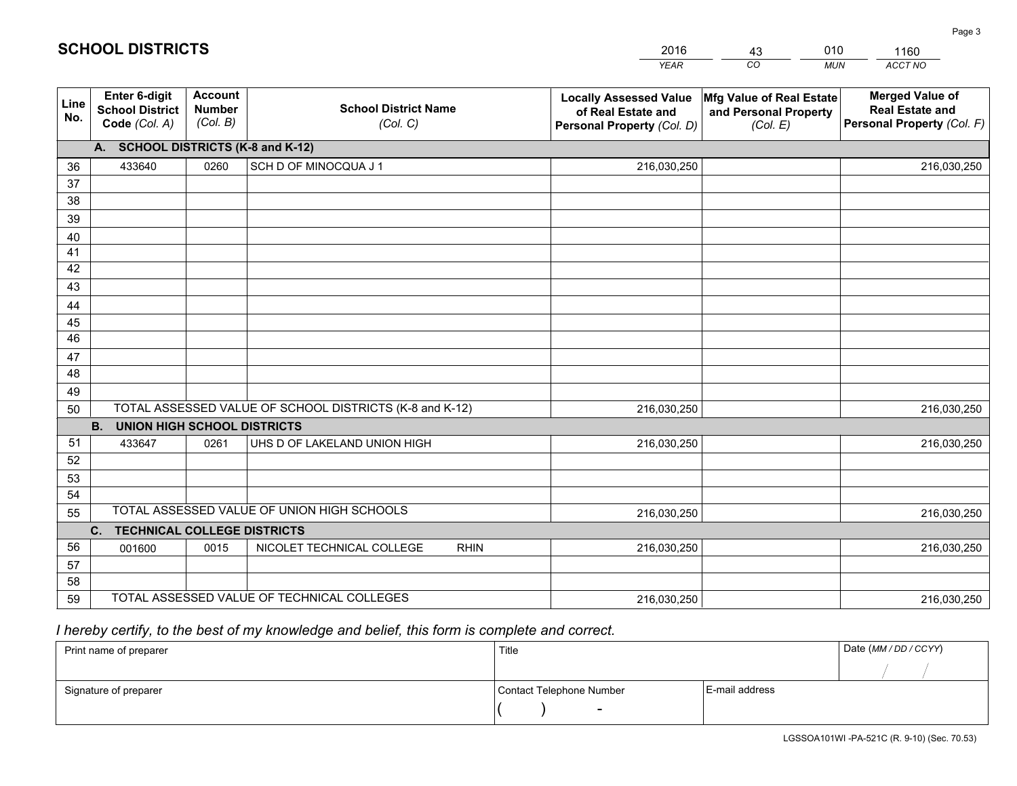|             |                                                          |                                             |                                                         | <b>YEAR</b>                                                                       | CO<br><b>MUN</b>                                              | ACCT NO                                                                        |
|-------------|----------------------------------------------------------|---------------------------------------------|---------------------------------------------------------|-----------------------------------------------------------------------------------|---------------------------------------------------------------|--------------------------------------------------------------------------------|
| Line<br>No. | Enter 6-digit<br><b>School District</b><br>Code (Col. A) | <b>Account</b><br><b>Number</b><br>(Col. B) | <b>School District Name</b><br>(Col. C)                 | <b>Locally Assessed Value</b><br>of Real Estate and<br>Personal Property (Col. D) | Mfg Value of Real Estate<br>and Personal Property<br>(Col. E) | <b>Merged Value of</b><br><b>Real Estate and</b><br>Personal Property (Col. F) |
|             | A. SCHOOL DISTRICTS (K-8 and K-12)                       |                                             |                                                         |                                                                                   |                                                               |                                                                                |
| 36          | 433640                                                   | 0260                                        | SCH D OF MINOCQUA J 1                                   | 216,030,250                                                                       |                                                               | 216,030,250                                                                    |
| 37          |                                                          |                                             |                                                         |                                                                                   |                                                               |                                                                                |
| 38          |                                                          |                                             |                                                         |                                                                                   |                                                               |                                                                                |
| 39          |                                                          |                                             |                                                         |                                                                                   |                                                               |                                                                                |
| 40          |                                                          |                                             |                                                         |                                                                                   |                                                               |                                                                                |
| 41          |                                                          |                                             |                                                         |                                                                                   |                                                               |                                                                                |
| 42          |                                                          |                                             |                                                         |                                                                                   |                                                               |                                                                                |
| 43          |                                                          |                                             |                                                         |                                                                                   |                                                               |                                                                                |
| 44          |                                                          |                                             |                                                         |                                                                                   |                                                               |                                                                                |
| 45<br>46    |                                                          |                                             |                                                         |                                                                                   |                                                               |                                                                                |
|             |                                                          |                                             |                                                         |                                                                                   |                                                               |                                                                                |
| 47<br>48    |                                                          |                                             |                                                         |                                                                                   |                                                               |                                                                                |
| 49          |                                                          |                                             |                                                         |                                                                                   |                                                               |                                                                                |
| 50          |                                                          |                                             | TOTAL ASSESSED VALUE OF SCHOOL DISTRICTS (K-8 and K-12) | 216,030,250                                                                       |                                                               | 216,030,250                                                                    |
|             | <b>B.</b><br><b>UNION HIGH SCHOOL DISTRICTS</b>          |                                             |                                                         |                                                                                   |                                                               |                                                                                |
| 51          | 433647                                                   | 0261                                        | UHS D OF LAKELAND UNION HIGH                            | 216,030,250                                                                       |                                                               | 216,030,250                                                                    |
| 52          |                                                          |                                             |                                                         |                                                                                   |                                                               |                                                                                |
| 53          |                                                          |                                             |                                                         |                                                                                   |                                                               |                                                                                |
| 54          |                                                          |                                             |                                                         |                                                                                   |                                                               |                                                                                |
| 55          |                                                          |                                             | TOTAL ASSESSED VALUE OF UNION HIGH SCHOOLS              | 216,030,250                                                                       |                                                               | 216,030,250                                                                    |
|             | C. TECHNICAL COLLEGE DISTRICTS                           |                                             |                                                         |                                                                                   |                                                               |                                                                                |
| 56          | 001600                                                   | 0015                                        | NICOLET TECHNICAL COLLEGE<br><b>RHIN</b>                | 216,030,250                                                                       |                                                               | 216,030,250                                                                    |
| 57          |                                                          |                                             |                                                         |                                                                                   |                                                               |                                                                                |
| 58          |                                                          |                                             |                                                         |                                                                                   |                                                               |                                                                                |
| 59          |                                                          |                                             | TOTAL ASSESSED VALUE OF TECHNICAL COLLEGES              | 216,030,250                                                                       |                                                               | 216,030,250                                                                    |

43

010

 *I hereby certify, to the best of my knowledge and belief, this form is complete and correct.*

**SCHOOL DISTRICTS**

| Print name of preparer | Title                    |                | Date (MM / DD / CCYY) |
|------------------------|--------------------------|----------------|-----------------------|
|                        |                          |                |                       |
| Signature of preparer  | Contact Telephone Number | E-mail address |                       |
|                        | $\sim$                   |                |                       |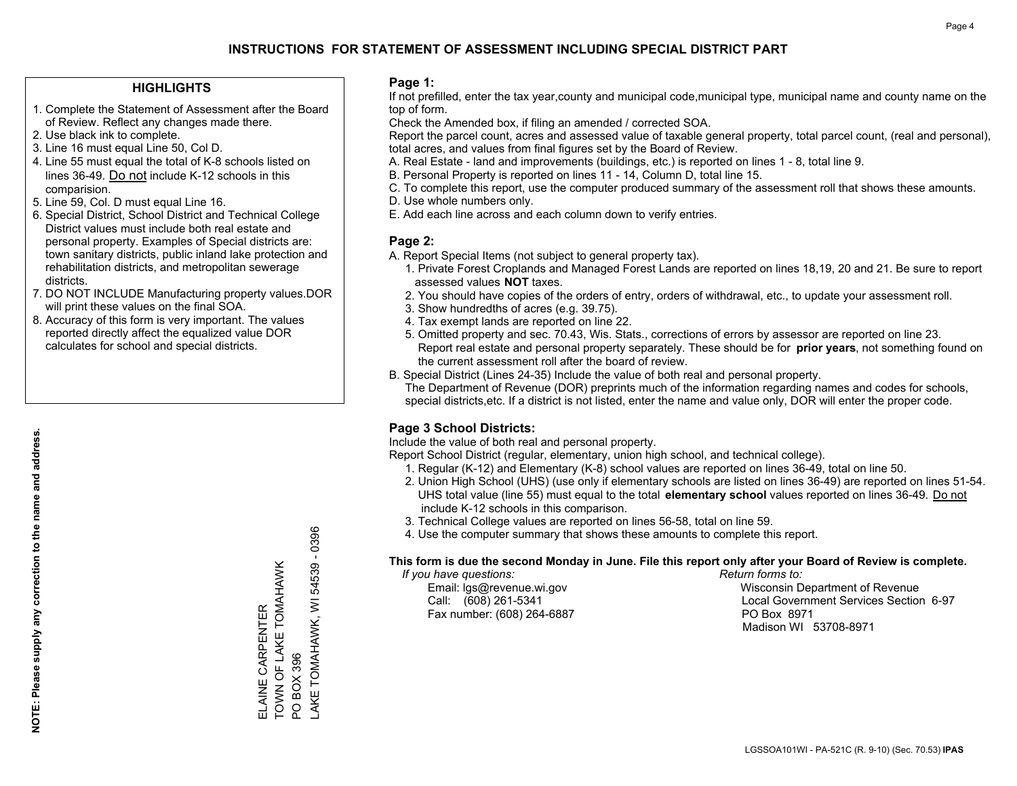#### **HIGHLIGHTS**

- 1. Complete the Statement of Assessment after the Board of Review. Reflect any changes made there.
- 2. Use black ink to complete.
- 3. Line 16 must equal Line 50, Col D.
- 4. Line 55 must equal the total of K-8 schools listed on lines 36-49. Do not include K-12 schools in this comparision.
- 5. Line 59, Col. D must equal Line 16.
- 6. Special District, School District and Technical College District values must include both real estate and personal property. Examples of Special districts are: town sanitary districts, public inland lake protection and rehabilitation districts, and metropolitan sewerage districts.
- 7. DO NOT INCLUDE Manufacturing property values.DOR will print these values on the final SOA.

ELAINE CARPENTER

ELAINE CARPENTER

TOWN OF LAKE TOMAHAWK

TOWN OF LAKE TOMAHAWK

PO BOX 396

PO BOX 396

LAKE TOMAHAWK, WI 54539 - 0396

AKE TOMAHAWK, WI

 $-0396$ 

54539

 8. Accuracy of this form is very important. The values reported directly affect the equalized value DOR calculates for school and special districts.

#### **Page 1:**

 If not prefilled, enter the tax year,county and municipal code,municipal type, municipal name and county name on the top of form.

Check the Amended box, if filing an amended / corrected SOA.

 Report the parcel count, acres and assessed value of taxable general property, total parcel count, (real and personal), total acres, and values from final figures set by the Board of Review.

- A. Real Estate land and improvements (buildings, etc.) is reported on lines 1 8, total line 9.
- B. Personal Property is reported on lines 11 14, Column D, total line 15.
- C. To complete this report, use the computer produced summary of the assessment roll that shows these amounts.
- D. Use whole numbers only.
- E. Add each line across and each column down to verify entries.

#### **Page 2:**

- A. Report Special Items (not subject to general property tax).
- 1. Private Forest Croplands and Managed Forest Lands are reported on lines 18,19, 20 and 21. Be sure to report assessed values **NOT** taxes.
- 2. You should have copies of the orders of entry, orders of withdrawal, etc., to update your assessment roll.
	- 3. Show hundredths of acres (e.g. 39.75).
- 4. Tax exempt lands are reported on line 22.
- 5. Omitted property and sec. 70.43, Wis. Stats., corrections of errors by assessor are reported on line 23. Report real estate and personal property separately. These should be for **prior years**, not something found on the current assessment roll after the board of review.
- B. Special District (Lines 24-35) Include the value of both real and personal property.
- The Department of Revenue (DOR) preprints much of the information regarding names and codes for schools, special districts,etc. If a district is not listed, enter the name and value only, DOR will enter the proper code.

## **Page 3 School Districts:**

Include the value of both real and personal property.

Report School District (regular, elementary, union high school, and technical college).

- 1. Regular (K-12) and Elementary (K-8) school values are reported on lines 36-49, total on line 50.
- 2. Union High School (UHS) (use only if elementary schools are listed on lines 36-49) are reported on lines 51-54. UHS total value (line 55) must equal to the total **elementary school** values reported on lines 36-49. Do notinclude K-12 schools in this comparison.
- 3. Technical College values are reported on lines 56-58, total on line 59.
- 4. Use the computer summary that shows these amounts to complete this report.

#### **This form is due the second Monday in June. File this report only after your Board of Review is complete.**

 *If you have questions: Return forms to:*

Fax number: (608) 264-6887 PO Box 8971

 Email: lgs@revenue.wi.gov Wisconsin Department of Revenue Call: (608) 261-5341 Local Government Services Section 6-97Madison WI 53708-8971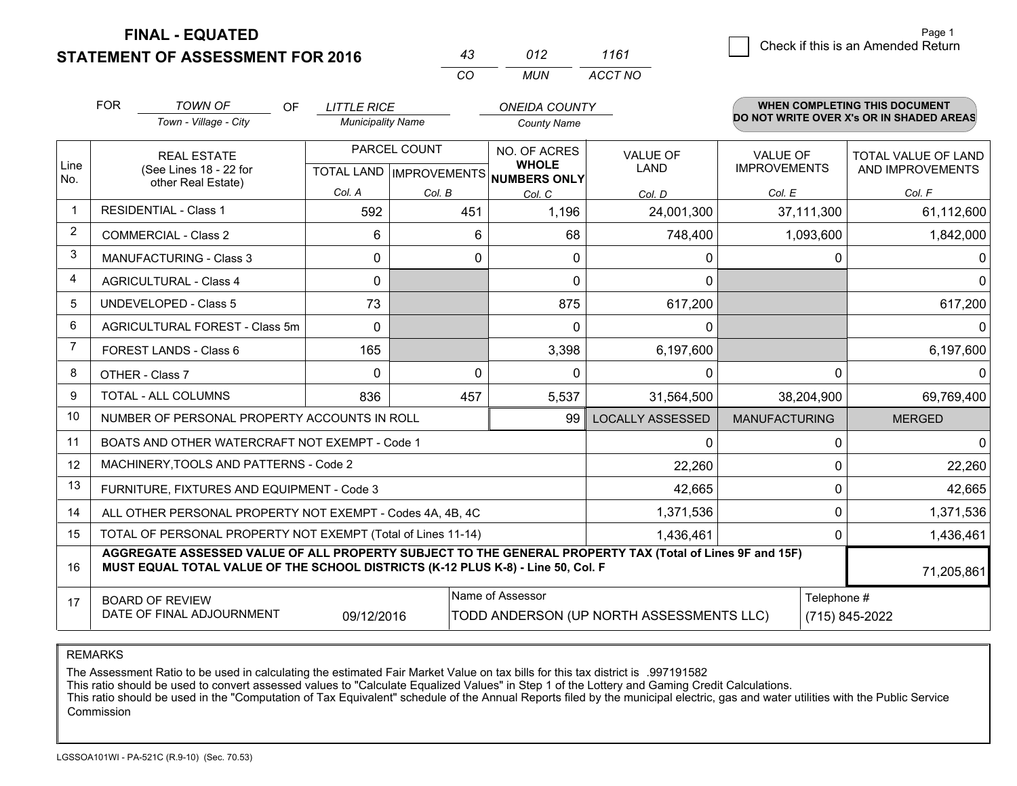**FINAL - EQUATED**

**STATEMENT OF ASSESSMENT FOR 2016** 

|          | (112) | 1161    |
|----------|-------|---------|
| $\cdots$ | MI IN | ACCT NO |

|                      | <b>FOR</b>                                                                                                                                                                                   | <b>TOWN OF</b><br><b>OF</b>                               | <b>LITTLE RICE</b>       |                           | <b>ONEIDA COUNTY</b>                     |                         |                                          | <b>WHEN COMPLETING THIS DOCUMENT</b> |
|----------------------|----------------------------------------------------------------------------------------------------------------------------------------------------------------------------------------------|-----------------------------------------------------------|--------------------------|---------------------------|------------------------------------------|-------------------------|------------------------------------------|--------------------------------------|
|                      |                                                                                                                                                                                              | Town - Village - City                                     | <b>Municipality Name</b> |                           | <b>County Name</b>                       |                         | DO NOT WRITE OVER X's OR IN SHADED AREAS |                                      |
|                      |                                                                                                                                                                                              | PARCEL COUNT<br><b>REAL ESTATE</b>                        |                          |                           | NO. OF ACRES                             | <b>VALUE OF</b>         | <b>VALUE OF</b>                          | TOTAL VALUE OF LAND                  |
| Line<br>No.          | (See Lines 18 - 22 for<br>other Real Estate)                                                                                                                                                 |                                                           |                          | TOTAL LAND   IMPROVEMENTS | <b>WHOLE</b><br><b>NUMBERS ONLY</b>      | <b>LAND</b>             | <b>IMPROVEMENTS</b>                      | AND IMPROVEMENTS                     |
|                      |                                                                                                                                                                                              |                                                           | Col. A                   | Col. B                    | Col. C                                   | Col. D                  | Col. E                                   | Col. F                               |
| $\blacktriangleleft$ |                                                                                                                                                                                              | <b>RESIDENTIAL - Class 1</b>                              | 592                      | 451                       | 1,196                                    | 24,001,300              | 37,111,300                               | 61,112,600                           |
| 2                    |                                                                                                                                                                                              | <b>COMMERCIAL - Class 2</b>                               | 6                        | 6                         | 68                                       | 748,400                 | 1,093,600                                | 1,842,000                            |
| 3                    |                                                                                                                                                                                              | <b>MANUFACTURING - Class 3</b>                            | $\Omega$                 | 0                         | $\Omega$                                 | $\Omega$                | $\Omega$                                 |                                      |
| 4                    |                                                                                                                                                                                              | <b>AGRICULTURAL - Class 4</b>                             | $\mathbf{0}$             |                           | 0                                        | $\Omega$                |                                          | 0                                    |
| 5                    |                                                                                                                                                                                              | <b>UNDEVELOPED - Class 5</b>                              | 73                       |                           | 875                                      | 617,200                 |                                          | 617,200                              |
| 6                    | AGRICULTURAL FOREST - Class 5m<br>FOREST LANDS - Class 6                                                                                                                                     |                                                           | $\Omega$                 |                           | $\Omega$                                 | $\Omega$                |                                          | 0                                    |
| 7                    |                                                                                                                                                                                              |                                                           | 165                      |                           | 3,398                                    | 6,197,600               |                                          | 6,197,600                            |
| 8                    |                                                                                                                                                                                              | OTHER - Class 7                                           | $\Omega$                 | 0                         | 0                                        | $\Omega$                | 0                                        |                                      |
| 9                    |                                                                                                                                                                                              | TOTAL - ALL COLUMNS                                       | 836                      | 457                       | 5,537                                    | 31,564,500              | 38,204,900                               | 69,769,400                           |
| 10                   |                                                                                                                                                                                              | NUMBER OF PERSONAL PROPERTY ACCOUNTS IN ROLL              |                          |                           | 99                                       | <b>LOCALLY ASSESSED</b> | <b>MANUFACTURING</b>                     | <b>MERGED</b>                        |
| 11                   |                                                                                                                                                                                              | BOATS AND OTHER WATERCRAFT NOT EXEMPT - Code 1            |                          |                           |                                          | $\Omega$                | 0                                        | 0                                    |
| 12                   |                                                                                                                                                                                              | MACHINERY, TOOLS AND PATTERNS - Code 2                    |                          |                           |                                          | 22,260                  | 0                                        | 22,260                               |
| 13                   |                                                                                                                                                                                              | FURNITURE, FIXTURES AND EQUIPMENT - Code 3                |                          |                           |                                          | 42,665                  | 0                                        | 42,665                               |
| 14                   |                                                                                                                                                                                              | ALL OTHER PERSONAL PROPERTY NOT EXEMPT - Codes 4A, 4B, 4C |                          |                           |                                          | 1,371,536               | 0                                        | 1,371,536                            |
| 15                   | TOTAL OF PERSONAL PROPERTY NOT EXEMPT (Total of Lines 11-14)                                                                                                                                 |                                                           |                          |                           |                                          | 1,436,461               | 0                                        | 1,436,461                            |
| 16                   | AGGREGATE ASSESSED VALUE OF ALL PROPERTY SUBJECT TO THE GENERAL PROPERTY TAX (Total of Lines 9F and 15F)<br>MUST EQUAL TOTAL VALUE OF THE SCHOOL DISTRICTS (K-12 PLUS K-8) - Line 50, Col. F |                                                           |                          |                           |                                          |                         | 71,205,861                               |                                      |
| 17                   |                                                                                                                                                                                              | <b>BOARD OF REVIEW</b>                                    |                          |                           | Name of Assessor                         |                         | Telephone #                              |                                      |
|                      |                                                                                                                                                                                              | DATE OF FINAL ADJOURNMENT                                 | 09/12/2016               |                           | TODD ANDERSON (UP NORTH ASSESSMENTS LLC) |                         | (715) 845-2022                           |                                      |

REMARKS

The Assessment Ratio to be used in calculating the estimated Fair Market Value on tax bills for this tax district is .997191582

This ratio should be used to convert assessed values to "Calculate Equalized Values" in Step 1 of the Lottery and Gaming Credit Calculations.<br>This ratio should be used in the "Computation of Tax Equivalent" schedule of the Commission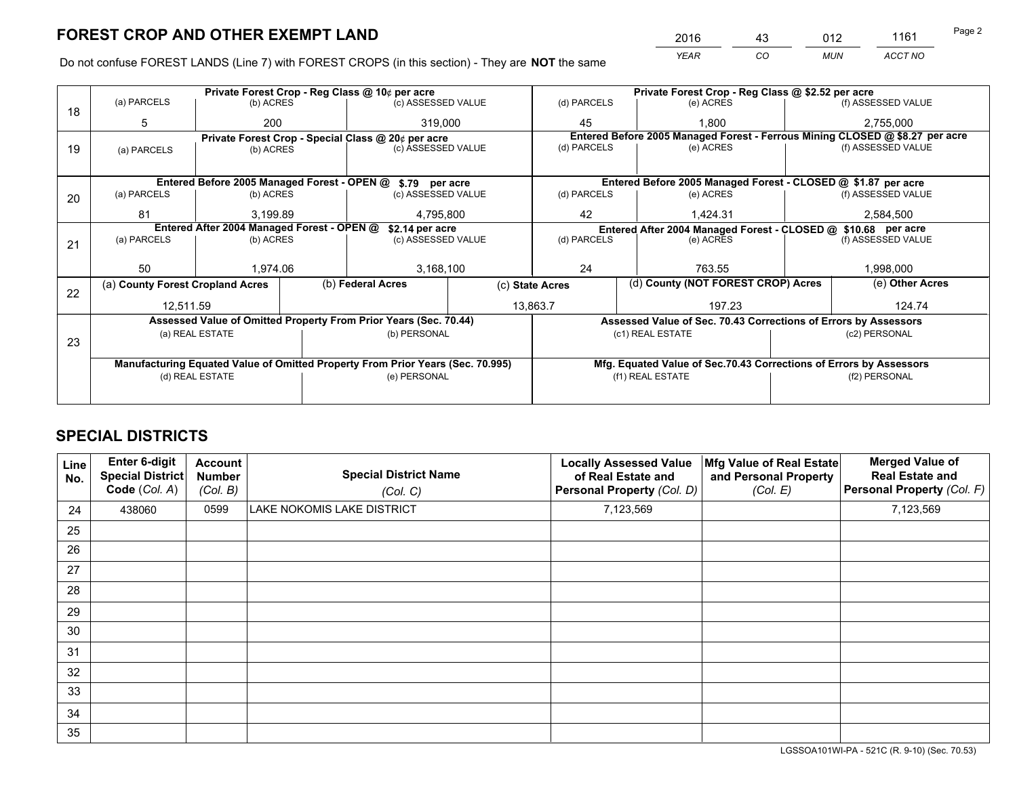*YEAR CO MUN ACCT NO* <sup>2016</sup> <sup>43</sup> <sup>012</sup> <sup>1161</sup>

Do not confuse FOREST LANDS (Line 7) with FOREST CROPS (in this section) - They are **NOT** the same

|    |                                                                                |                                 |  | Private Forest Crop - Reg Class @ 10¢ per acre                   |                                                                              |                                                               | Private Forest Crop - Reg Class @ \$2.52 per acre                  |                                                                 |           |                    |
|----|--------------------------------------------------------------------------------|---------------------------------|--|------------------------------------------------------------------|------------------------------------------------------------------------------|---------------------------------------------------------------|--------------------------------------------------------------------|-----------------------------------------------------------------|-----------|--------------------|
| 18 | (a) PARCELS                                                                    | (b) ACRES                       |  | (c) ASSESSED VALUE                                               |                                                                              | (d) PARCELS                                                   |                                                                    | (e) ACRES                                                       |           | (f) ASSESSED VALUE |
|    | 5                                                                              | 200                             |  | 319,000                                                          |                                                                              | 45                                                            |                                                                    | 1.800                                                           |           | 2,755,000          |
|    | Private Forest Crop - Special Class @ 20¢ per acre                             |                                 |  |                                                                  | Entered Before 2005 Managed Forest - Ferrous Mining CLOSED @ \$8.27 per acre |                                                               |                                                                    |                                                                 |           |                    |
| 19 | (a) PARCELS                                                                    | (b) ACRES                       |  | (c) ASSESSED VALUE                                               |                                                                              | (d) PARCELS                                                   |                                                                    | (e) ACRES                                                       |           | (f) ASSESSED VALUE |
|    |                                                                                |                                 |  |                                                                  |                                                                              |                                                               |                                                                    |                                                                 |           |                    |
|    |                                                                                |                                 |  | Entered Before 2005 Managed Forest - OPEN @ \$.79 per acre       |                                                                              |                                                               |                                                                    | Entered Before 2005 Managed Forest - CLOSED @ \$1.87 per acre   |           |                    |
| 20 | (a) PARCELS                                                                    | (b) ACRES                       |  | (c) ASSESSED VALUE                                               |                                                                              | (d) PARCELS                                                   |                                                                    | (e) ACRES                                                       |           | (f) ASSESSED VALUE |
|    | 81                                                                             | 3.199.89                        |  | 4,795,800                                                        |                                                                              | 42                                                            |                                                                    | 1.424.31                                                        | 2,584,500 |                    |
|    | Entered After 2004 Managed Forest - OPEN @<br>\$2.14 per acre                  |                                 |  |                                                                  |                                                                              | Entered After 2004 Managed Forest - CLOSED @ \$10.68 per acre |                                                                    |                                                                 |           |                    |
| 21 | (a) PARCELS                                                                    | (b) ACRES                       |  | (c) ASSESSED VALUE                                               |                                                                              | (d) PARCELS                                                   |                                                                    | (e) ACRES                                                       |           |                    |
|    |                                                                                |                                 |  |                                                                  |                                                                              |                                                               |                                                                    |                                                                 |           |                    |
|    | 50                                                                             | 1.974.06                        |  | 3,168,100                                                        |                                                                              | 24                                                            |                                                                    | 763.55                                                          |           | 1,998,000          |
|    | (a) County Forest Cropland Acres                                               |                                 |  | (b) Federal Acres                                                | (c) State Acres                                                              |                                                               | (d) County (NOT FOREST CROP) Acres                                 |                                                                 |           | (e) Other Acres    |
| 22 | 12,511.59                                                                      |                                 |  | 13,863.7                                                         |                                                                              | 197.23                                                        |                                                                    |                                                                 | 124.74    |                    |
|    |                                                                                |                                 |  | Assessed Value of Omitted Property From Prior Years (Sec. 70.44) |                                                                              |                                                               |                                                                    | Assessed Value of Sec. 70.43 Corrections of Errors by Assessors |           |                    |
|    |                                                                                | (a) REAL ESTATE                 |  | (b) PERSONAL                                                     |                                                                              | (c1) REAL ESTATE                                              |                                                                    | (c2) PERSONAL                                                   |           |                    |
| 23 |                                                                                |                                 |  |                                                                  |                                                                              |                                                               |                                                                    |                                                                 |           |                    |
|    |                                                                                |                                 |  |                                                                  |                                                                              |                                                               |                                                                    |                                                                 |           |                    |
|    | Manufacturing Equated Value of Omitted Property From Prior Years (Sec. 70.995) |                                 |  |                                                                  |                                                                              |                                                               | Mfg. Equated Value of Sec.70.43 Corrections of Errors by Assessors |                                                                 |           |                    |
|    |                                                                                | (d) REAL ESTATE<br>(e) PERSONAL |  |                                                                  |                                                                              | (f1) REAL ESTATE<br>(f2) PERSONAL                             |                                                                    |                                                                 |           |                    |
|    |                                                                                |                                 |  |                                                                  |                                                                              |                                                               |                                                                    |                                                                 |           |                    |

## **SPECIAL DISTRICTS**

| Line<br>No. | Enter 6-digit<br>Special District<br>Code (Col. A) | <b>Account</b><br><b>Number</b><br>(Col. B) | <b>Special District Name</b><br>(Col. C) | <b>Locally Assessed Value</b><br>of Real Estate and<br>Personal Property (Col. D) | Mfg Value of Real Estate<br>and Personal Property<br>(Col. E) | <b>Merged Value of</b><br><b>Real Estate and</b><br>Personal Property (Col. F) |
|-------------|----------------------------------------------------|---------------------------------------------|------------------------------------------|-----------------------------------------------------------------------------------|---------------------------------------------------------------|--------------------------------------------------------------------------------|
| 24          | 438060                                             | 0599                                        | LAKE NOKOMIS LAKE DISTRICT               | 7,123,569                                                                         |                                                               | 7,123,569                                                                      |
| 25          |                                                    |                                             |                                          |                                                                                   |                                                               |                                                                                |
| 26          |                                                    |                                             |                                          |                                                                                   |                                                               |                                                                                |
| 27          |                                                    |                                             |                                          |                                                                                   |                                                               |                                                                                |
| 28          |                                                    |                                             |                                          |                                                                                   |                                                               |                                                                                |
| 29          |                                                    |                                             |                                          |                                                                                   |                                                               |                                                                                |
| 30          |                                                    |                                             |                                          |                                                                                   |                                                               |                                                                                |
| 31          |                                                    |                                             |                                          |                                                                                   |                                                               |                                                                                |
| 32          |                                                    |                                             |                                          |                                                                                   |                                                               |                                                                                |
| 33          |                                                    |                                             |                                          |                                                                                   |                                                               |                                                                                |
| 34          |                                                    |                                             |                                          |                                                                                   |                                                               |                                                                                |
| 35          |                                                    |                                             |                                          |                                                                                   |                                                               |                                                                                |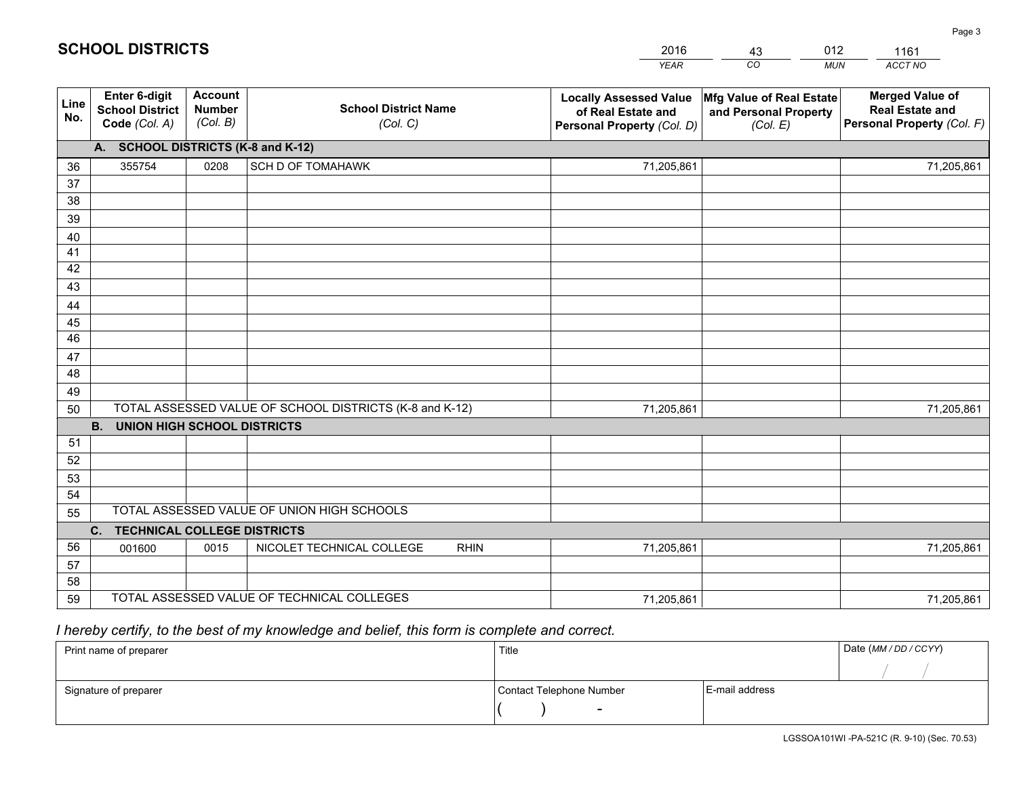|             |                                                                 |                                             |                                                         | <b>YEAR</b>                                                                       | CO<br><b>MUN</b>                                              | ACCT NO                                                                        |
|-------------|-----------------------------------------------------------------|---------------------------------------------|---------------------------------------------------------|-----------------------------------------------------------------------------------|---------------------------------------------------------------|--------------------------------------------------------------------------------|
| Line<br>No. | <b>Enter 6-digit</b><br><b>School District</b><br>Code (Col. A) | <b>Account</b><br><b>Number</b><br>(Col. B) | <b>School District Name</b><br>(Col. C)                 | <b>Locally Assessed Value</b><br>of Real Estate and<br>Personal Property (Col. D) | Mfg Value of Real Estate<br>and Personal Property<br>(Col. E) | <b>Merged Value of</b><br><b>Real Estate and</b><br>Personal Property (Col. F) |
|             | A. SCHOOL DISTRICTS (K-8 and K-12)                              |                                             |                                                         |                                                                                   |                                                               |                                                                                |
| 36          | 355754                                                          | 0208                                        | SCH D OF TOMAHAWK                                       | 71,205,861                                                                        |                                                               | 71,205,861                                                                     |
| 37          |                                                                 |                                             |                                                         |                                                                                   |                                                               |                                                                                |
| 38          |                                                                 |                                             |                                                         |                                                                                   |                                                               |                                                                                |
| 39          |                                                                 |                                             |                                                         |                                                                                   |                                                               |                                                                                |
| 40          |                                                                 |                                             |                                                         |                                                                                   |                                                               |                                                                                |
| 41          |                                                                 |                                             |                                                         |                                                                                   |                                                               |                                                                                |
| 42          |                                                                 |                                             |                                                         |                                                                                   |                                                               |                                                                                |
| 43          |                                                                 |                                             |                                                         |                                                                                   |                                                               |                                                                                |
| 44<br>45    |                                                                 |                                             |                                                         |                                                                                   |                                                               |                                                                                |
| 46          |                                                                 |                                             |                                                         |                                                                                   |                                                               |                                                                                |
| 47          |                                                                 |                                             |                                                         |                                                                                   |                                                               |                                                                                |
| 48          |                                                                 |                                             |                                                         |                                                                                   |                                                               |                                                                                |
| 49          |                                                                 |                                             |                                                         |                                                                                   |                                                               |                                                                                |
| 50          |                                                                 |                                             | TOTAL ASSESSED VALUE OF SCHOOL DISTRICTS (K-8 and K-12) | 71,205,861                                                                        |                                                               | 71,205,861                                                                     |
|             | <b>B.</b><br><b>UNION HIGH SCHOOL DISTRICTS</b>                 |                                             |                                                         |                                                                                   |                                                               |                                                                                |
| 51          |                                                                 |                                             |                                                         |                                                                                   |                                                               |                                                                                |
| 52          |                                                                 |                                             |                                                         |                                                                                   |                                                               |                                                                                |
| 53          |                                                                 |                                             |                                                         |                                                                                   |                                                               |                                                                                |
| 54          |                                                                 |                                             |                                                         |                                                                                   |                                                               |                                                                                |
| 55          |                                                                 |                                             | TOTAL ASSESSED VALUE OF UNION HIGH SCHOOLS              |                                                                                   |                                                               |                                                                                |
|             | C.<br><b>TECHNICAL COLLEGE DISTRICTS</b>                        |                                             |                                                         |                                                                                   |                                                               |                                                                                |
| 56          | 001600                                                          | 0015                                        | NICOLET TECHNICAL COLLEGE<br><b>RHIN</b>                | 71,205,861                                                                        |                                                               | 71,205,861                                                                     |
| 57          |                                                                 |                                             |                                                         |                                                                                   |                                                               |                                                                                |
| 58          |                                                                 |                                             | TOTAL ASSESSED VALUE OF TECHNICAL COLLEGES              |                                                                                   |                                                               |                                                                                |
| 59          |                                                                 |                                             |                                                         | 71,205,861                                                                        |                                                               | 71,205,861                                                                     |

43

012

 *I hereby certify, to the best of my knowledge and belief, this form is complete and correct.*

**SCHOOL DISTRICTS**

| Print name of preparer | Title                    |                | Date (MM/DD/CCYY) |
|------------------------|--------------------------|----------------|-------------------|
|                        |                          |                |                   |
| Signature of preparer  | Contact Telephone Number | E-mail address |                   |
|                        | $\sim$                   |                |                   |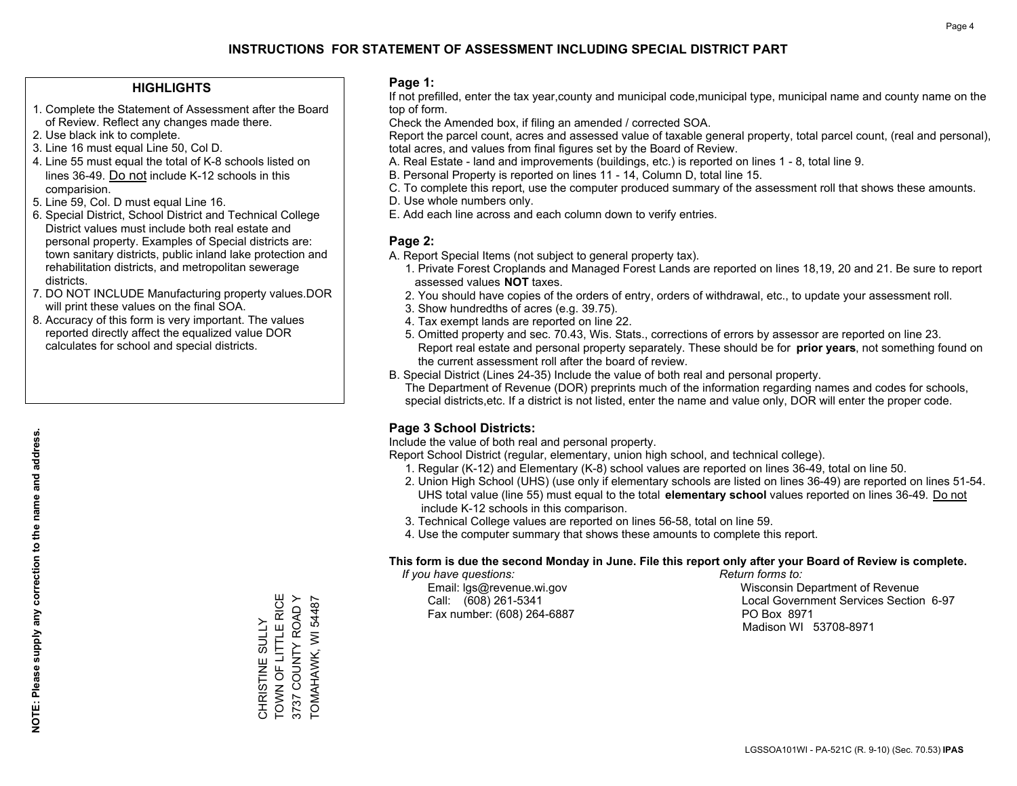#### **HIGHLIGHTS**

- 1. Complete the Statement of Assessment after the Board of Review. Reflect any changes made there.
- 2. Use black ink to complete.
- 3. Line 16 must equal Line 50, Col D.
- 4. Line 55 must equal the total of K-8 schools listed on lines 36-49. Do not include K-12 schools in this comparision.
- 5. Line 59, Col. D must equal Line 16.
- 6. Special District, School District and Technical College District values must include both real estate and personal property. Examples of Special districts are: town sanitary districts, public inland lake protection and rehabilitation districts, and metropolitan sewerage districts.
- 7. DO NOT INCLUDE Manufacturing property values.DOR will print these values on the final SOA.
- 8. Accuracy of this form is very important. The values reported directly affect the equalized value DOR calculates for school and special districts.

#### **Page 1:**

 If not prefilled, enter the tax year,county and municipal code,municipal type, municipal name and county name on the top of form.

Check the Amended box, if filing an amended / corrected SOA.

 Report the parcel count, acres and assessed value of taxable general property, total parcel count, (real and personal), total acres, and values from final figures set by the Board of Review.

- A. Real Estate land and improvements (buildings, etc.) is reported on lines 1 8, total line 9.
- B. Personal Property is reported on lines 11 14, Column D, total line 15.
- C. To complete this report, use the computer produced summary of the assessment roll that shows these amounts.
- D. Use whole numbers only.
- E. Add each line across and each column down to verify entries.

#### **Page 2:**

- A. Report Special Items (not subject to general property tax).
- 1. Private Forest Croplands and Managed Forest Lands are reported on lines 18,19, 20 and 21. Be sure to report assessed values **NOT** taxes.
- 2. You should have copies of the orders of entry, orders of withdrawal, etc., to update your assessment roll.
	- 3. Show hundredths of acres (e.g. 39.75).
- 4. Tax exempt lands are reported on line 22.
- 5. Omitted property and sec. 70.43, Wis. Stats., corrections of errors by assessor are reported on line 23. Report real estate and personal property separately. These should be for **prior years**, not something found on the current assessment roll after the board of review.
- B. Special District (Lines 24-35) Include the value of both real and personal property.

 The Department of Revenue (DOR) preprints much of the information regarding names and codes for schools, special districts,etc. If a district is not listed, enter the name and value only, DOR will enter the proper code.

## **Page 3 School Districts:**

Include the value of both real and personal property.

Report School District (regular, elementary, union high school, and technical college).

- 1. Regular (K-12) and Elementary (K-8) school values are reported on lines 36-49, total on line 50.
- 2. Union High School (UHS) (use only if elementary schools are listed on lines 36-49) are reported on lines 51-54. UHS total value (line 55) must equal to the total **elementary school** values reported on lines 36-49. Do notinclude K-12 schools in this comparison.
- 3. Technical College values are reported on lines 56-58, total on line 59.
- 4. Use the computer summary that shows these amounts to complete this report.

#### **This form is due the second Monday in June. File this report only after your Board of Review is complete.**

 *If you have questions: Return forms to:*

Fax number: (608) 264-6887 PO Box 8971

 Email: lgs@revenue.wi.gov Wisconsin Department of Revenue Call: (608) 261-5341 Local Government Services Section 6-97Madison WI 53708-8971

CHRISTINE SULLY<br>TOWN OF LITTLE RICE TOWN OF LITTLE RICE 3737 COUNTY ROAD Y 3737 COUNTY ROAD Y CHRISTINE SULLY

TOMAHAWK, WI 54487

TOMAHAWK, WI 54487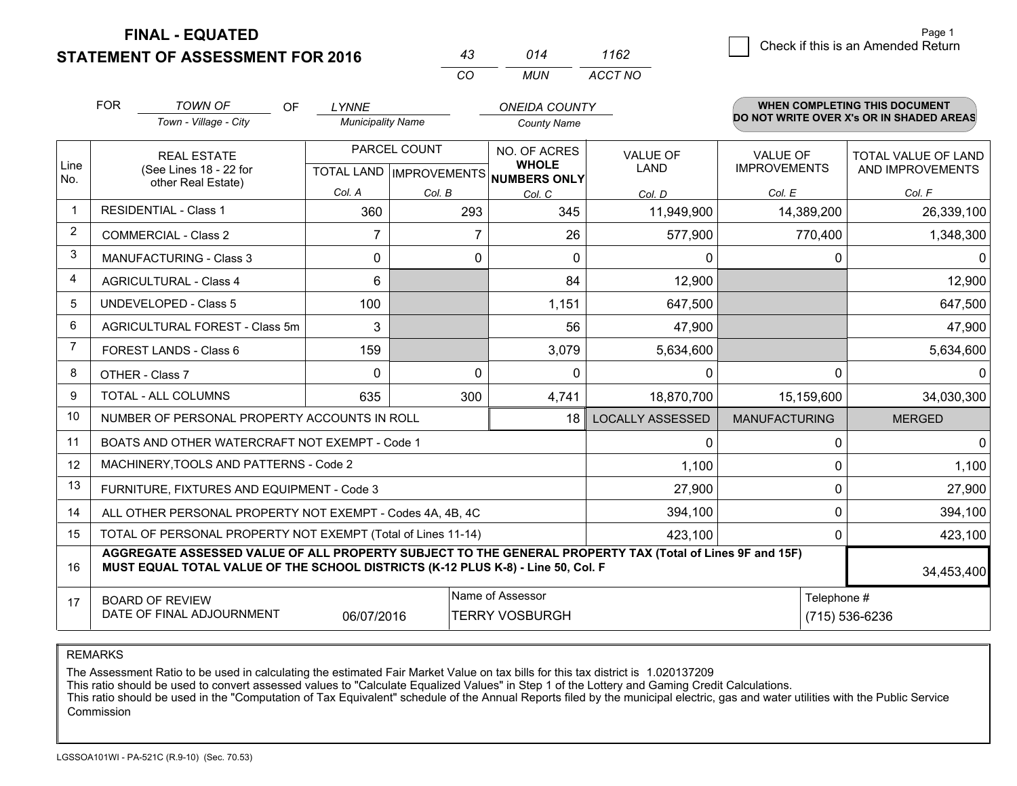**FINAL - EQUATED**

**STATEMENT OF ASSESSMENT FOR 2016** 

| 43  | 014 | 1162    |
|-----|-----|---------|
| CO. | MUN | ACCT NO |

|                | <b>FOR</b>                                                                                                                                                                                   | TOWN OF<br><b>OF</b>                                         | <b>LYNNE</b>             |              | <b>ONEIDA COUNTY</b>                                 |                         |                      | <b>WHEN COMPLETING THIS DOCUMENT</b><br>DO NOT WRITE OVER X's OR IN SHADED AREAS |  |
|----------------|----------------------------------------------------------------------------------------------------------------------------------------------------------------------------------------------|--------------------------------------------------------------|--------------------------|--------------|------------------------------------------------------|-------------------------|----------------------|----------------------------------------------------------------------------------|--|
|                |                                                                                                                                                                                              | Town - Village - City                                        | <b>Municipality Name</b> |              | <b>County Name</b>                                   |                         |                      |                                                                                  |  |
|                |                                                                                                                                                                                              | <b>REAL ESTATE</b>                                           |                          | PARCEL COUNT | NO. OF ACRES                                         | <b>VALUE OF</b>         | <b>VALUE OF</b>      | TOTAL VALUE OF LAND                                                              |  |
| Line<br>No.    |                                                                                                                                                                                              | (See Lines 18 - 22 for<br>other Real Estate)                 |                          |              | <b>WHOLE</b><br>TOTAL LAND IMPROVEMENTS NUMBERS ONLY | LAND                    | <b>IMPROVEMENTS</b>  | AND IMPROVEMENTS                                                                 |  |
|                |                                                                                                                                                                                              |                                                              | Col. A                   | Col. B       | Col. C                                               | Col. D                  | Col. E               | Col. F                                                                           |  |
| $\mathbf{1}$   |                                                                                                                                                                                              | <b>RESIDENTIAL - Class 1</b>                                 | 360                      | 293          | 345                                                  | 11,949,900              | 14,389,200           | 26,339,100                                                                       |  |
| $\overline{2}$ |                                                                                                                                                                                              | <b>COMMERCIAL - Class 2</b>                                  | 7                        |              | 26<br>7                                              | 577,900                 | 770,400              | 1,348,300                                                                        |  |
| 3              |                                                                                                                                                                                              | <b>MANUFACTURING - Class 3</b>                               | 0                        |              | 0<br>$\Omega$                                        | $\mathbf 0$             | 0                    | 0                                                                                |  |
| 4              |                                                                                                                                                                                              | <b>AGRICULTURAL - Class 4</b>                                | 6                        |              | 84                                                   | 12,900                  |                      | 12,900                                                                           |  |
| 5              |                                                                                                                                                                                              | UNDEVELOPED - Class 5                                        | 100                      |              | 1,151                                                | 647,500                 |                      | 647,500                                                                          |  |
| 6              |                                                                                                                                                                                              | AGRICULTURAL FOREST - Class 5m                               | 3                        |              | 56                                                   | 47,900                  |                      | 47,900                                                                           |  |
| $\overline{7}$ |                                                                                                                                                                                              | FOREST LANDS - Class 6                                       | 159                      |              | 3,079                                                | 5,634,600               |                      | 5,634,600                                                                        |  |
| 8              |                                                                                                                                                                                              | OTHER - Class 7                                              | $\Omega$                 |              | $\Omega$<br>$\Omega$                                 | $\Omega$                | 0                    | 0                                                                                |  |
| 9              |                                                                                                                                                                                              | TOTAL - ALL COLUMNS                                          | 635                      | 300          | 4,741                                                | 18,870,700              | 15,159,600           | 34,030,300                                                                       |  |
| 10             |                                                                                                                                                                                              | NUMBER OF PERSONAL PROPERTY ACCOUNTS IN ROLL                 |                          |              | 18                                                   | <b>LOCALLY ASSESSED</b> | <b>MANUFACTURING</b> | <b>MERGED</b>                                                                    |  |
| 11             |                                                                                                                                                                                              | BOATS AND OTHER WATERCRAFT NOT EXEMPT - Code 1               |                          |              |                                                      | $\Omega$                | 0                    | 0                                                                                |  |
| 12             |                                                                                                                                                                                              | MACHINERY, TOOLS AND PATTERNS - Code 2                       |                          |              |                                                      | 1,100                   | 0                    | 1,100                                                                            |  |
| 13             |                                                                                                                                                                                              | FURNITURE, FIXTURES AND EQUIPMENT - Code 3                   |                          |              |                                                      | 27,900                  | $\Omega$             | 27,900                                                                           |  |
| 14             |                                                                                                                                                                                              | ALL OTHER PERSONAL PROPERTY NOT EXEMPT - Codes 4A, 4B, 4C    |                          |              |                                                      | 394,100                 | $\Omega$             | 394,100                                                                          |  |
| 15             |                                                                                                                                                                                              | TOTAL OF PERSONAL PROPERTY NOT EXEMPT (Total of Lines 11-14) |                          |              |                                                      | 423,100                 | 0                    | 423,100                                                                          |  |
| 16             | AGGREGATE ASSESSED VALUE OF ALL PROPERTY SUBJECT TO THE GENERAL PROPERTY TAX (Total of Lines 9F and 15F)<br>MUST EQUAL TOTAL VALUE OF THE SCHOOL DISTRICTS (K-12 PLUS K-8) - Line 50, Col. F |                                                              |                          |              |                                                      |                         | 34,453,400           |                                                                                  |  |
| 17             |                                                                                                                                                                                              | <b>BOARD OF REVIEW</b>                                       |                          |              | Name of Assessor                                     |                         | Telephone #          |                                                                                  |  |
|                |                                                                                                                                                                                              | DATE OF FINAL ADJOURNMENT                                    | 06/07/2016               |              | <b>TERRY VOSBURGH</b>                                | (715) 536-6236          |                      |                                                                                  |  |

REMARKS

The Assessment Ratio to be used in calculating the estimated Fair Market Value on tax bills for this tax district is 1.020137209<br>This ratio should be used to convert assessed values to "Calculate Equalized Values" in Step Commission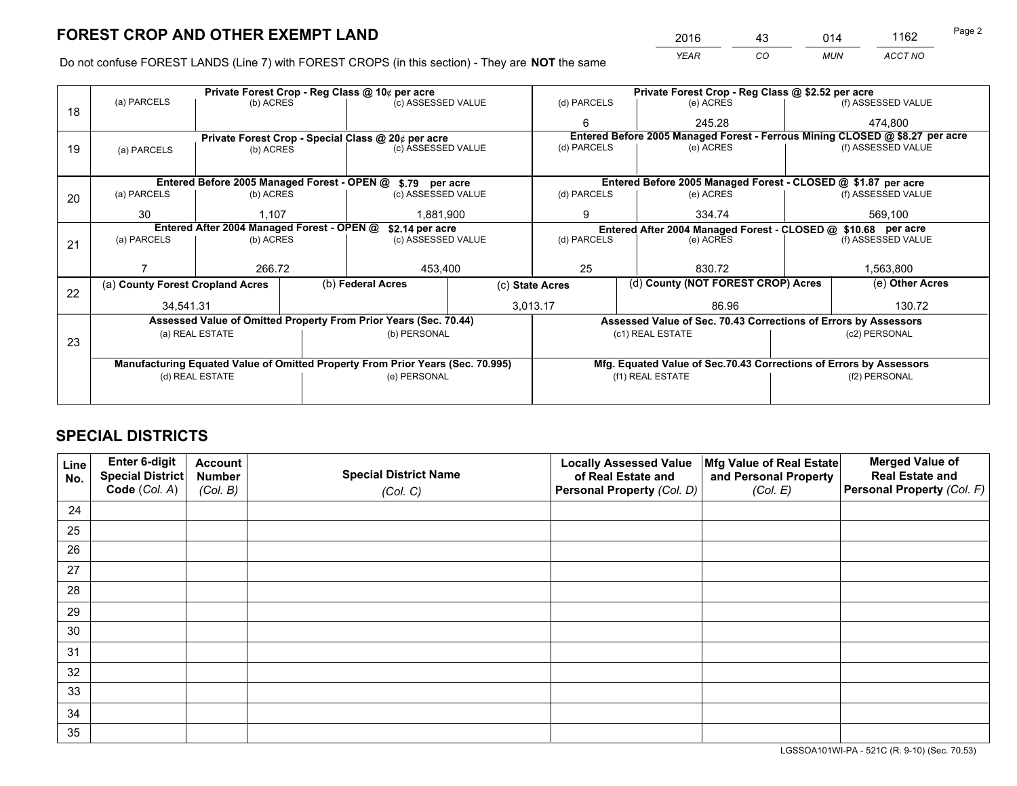*YEAR CO MUN ACCT NO* <sup>2016</sup> <sup>43</sup> <sup>014</sup> <sup>1162</sup>

Do not confuse FOREST LANDS (Line 7) with FOREST CROPS (in this section) - They are **NOT** the same

|    |                                                                                |                 |             | Private Forest Crop - Reg Class @ 10¢ per acre                   | Private Forest Crop - Reg Class @ \$2.52 per acre |                                                                              |                    |                                                                    |               |                    |  |
|----|--------------------------------------------------------------------------------|-----------------|-------------|------------------------------------------------------------------|---------------------------------------------------|------------------------------------------------------------------------------|--------------------|--------------------------------------------------------------------|---------------|--------------------|--|
| 18 | (a) PARCELS                                                                    | (b) ACRES       |             | (c) ASSESSED VALUE                                               |                                                   | (d) PARCELS                                                                  |                    | (e) ACRES                                                          |               | (f) ASSESSED VALUE |  |
|    |                                                                                |                 |             |                                                                  |                                                   | 6                                                                            |                    | 245.28                                                             |               | 474.800            |  |
|    |                                                                                |                 |             | Private Forest Crop - Special Class @ 20¢ per acre               |                                                   | Entered Before 2005 Managed Forest - Ferrous Mining CLOSED @ \$8.27 per acre |                    |                                                                    |               |                    |  |
| 19 | (a) PARCELS                                                                    | (b) ACRES       |             | (c) ASSESSED VALUE                                               |                                                   | (d) PARCELS                                                                  |                    | (e) ACRES                                                          |               | (f) ASSESSED VALUE |  |
|    |                                                                                |                 |             |                                                                  |                                                   |                                                                              |                    |                                                                    |               |                    |  |
|    |                                                                                |                 |             | Entered Before 2005 Managed Forest - OPEN @ \$.79 per acre       |                                                   |                                                                              |                    | Entered Before 2005 Managed Forest - CLOSED @ \$1.87 per acre      |               |                    |  |
| 20 | (a) PARCELS<br>(b) ACRES<br>(c) ASSESSED VALUE                                 |                 | (d) PARCELS |                                                                  | (e) ACRES                                         |                                                                              | (f) ASSESSED VALUE |                                                                    |               |                    |  |
|    | 30                                                                             | 1.107           |             | 1.881.900                                                        |                                                   | 9<br>334.74                                                                  |                    | 569,100                                                            |               |                    |  |
|    | Entered After 2004 Managed Forest - OPEN @<br>\$2.14 per acre                  |                 |             |                                                                  |                                                   |                                                                              |                    | Entered After 2004 Managed Forest - CLOSED @ \$10.68 per acre      |               |                    |  |
| 21 | (a) PARCELS                                                                    | (b) ACRES       |             | (c) ASSESSED VALUE                                               | (d) PARCELS                                       |                                                                              |                    | (e) ACRES                                                          |               | (f) ASSESSED VALUE |  |
|    |                                                                                |                 |             |                                                                  |                                                   |                                                                              |                    |                                                                    |               |                    |  |
|    |                                                                                | 266.72          |             | 453,400                                                          |                                                   | 25<br>830.72                                                                 |                    | 1,563,800                                                          |               |                    |  |
| 22 | (a) County Forest Cropland Acres                                               |                 |             | (b) Federal Acres                                                | (c) State Acres                                   |                                                                              |                    | (d) County (NOT FOREST CROP) Acres                                 |               | (e) Other Acres    |  |
|    | 34,541.31                                                                      |                 |             | 3,013.17                                                         |                                                   | 86.96                                                                        |                    |                                                                    | 130.72        |                    |  |
|    |                                                                                |                 |             | Assessed Value of Omitted Property From Prior Years (Sec. 70.44) |                                                   | Assessed Value of Sec. 70.43 Corrections of Errors by Assessors              |                    |                                                                    |               |                    |  |
| 23 |                                                                                | (a) REAL ESTATE |             | (b) PERSONAL                                                     |                                                   |                                                                              |                    | (c1) REAL ESTATE                                                   |               | (c2) PERSONAL      |  |
|    |                                                                                |                 |             |                                                                  |                                                   |                                                                              |                    |                                                                    |               |                    |  |
|    | Manufacturing Equated Value of Omitted Property From Prior Years (Sec. 70.995) |                 |             |                                                                  |                                                   |                                                                              |                    | Mfg. Equated Value of Sec.70.43 Corrections of Errors by Assessors |               |                    |  |
|    | (d) REAL ESTATE                                                                |                 |             | (e) PERSONAL                                                     |                                                   | (f1) REAL ESTATE                                                             |                    |                                                                    | (f2) PERSONAL |                    |  |
|    |                                                                                |                 |             |                                                                  |                                                   |                                                                              |                    |                                                                    |               |                    |  |

## **SPECIAL DISTRICTS**

| Line<br>No. | Enter 6-digit<br><b>Special District</b> | <b>Account</b><br><b>Number</b> | <b>Special District Name</b> | <b>Locally Assessed Value</b><br>of Real Estate and | Mfg Value of Real Estate<br>and Personal Property | <b>Merged Value of</b><br><b>Real Estate and</b> |
|-------------|------------------------------------------|---------------------------------|------------------------------|-----------------------------------------------------|---------------------------------------------------|--------------------------------------------------|
|             | Code (Col. A)                            | (Col. B)                        | (Col. C)                     | Personal Property (Col. D)                          | (Col. E)                                          | Personal Property (Col. F)                       |
| 24          |                                          |                                 |                              |                                                     |                                                   |                                                  |
| 25          |                                          |                                 |                              |                                                     |                                                   |                                                  |
| 26          |                                          |                                 |                              |                                                     |                                                   |                                                  |
| 27          |                                          |                                 |                              |                                                     |                                                   |                                                  |
| 28          |                                          |                                 |                              |                                                     |                                                   |                                                  |
| 29          |                                          |                                 |                              |                                                     |                                                   |                                                  |
| 30          |                                          |                                 |                              |                                                     |                                                   |                                                  |
| 31          |                                          |                                 |                              |                                                     |                                                   |                                                  |
| 32          |                                          |                                 |                              |                                                     |                                                   |                                                  |
| 33          |                                          |                                 |                              |                                                     |                                                   |                                                  |
| 34          |                                          |                                 |                              |                                                     |                                                   |                                                  |
| 35          |                                          |                                 |                              |                                                     |                                                   |                                                  |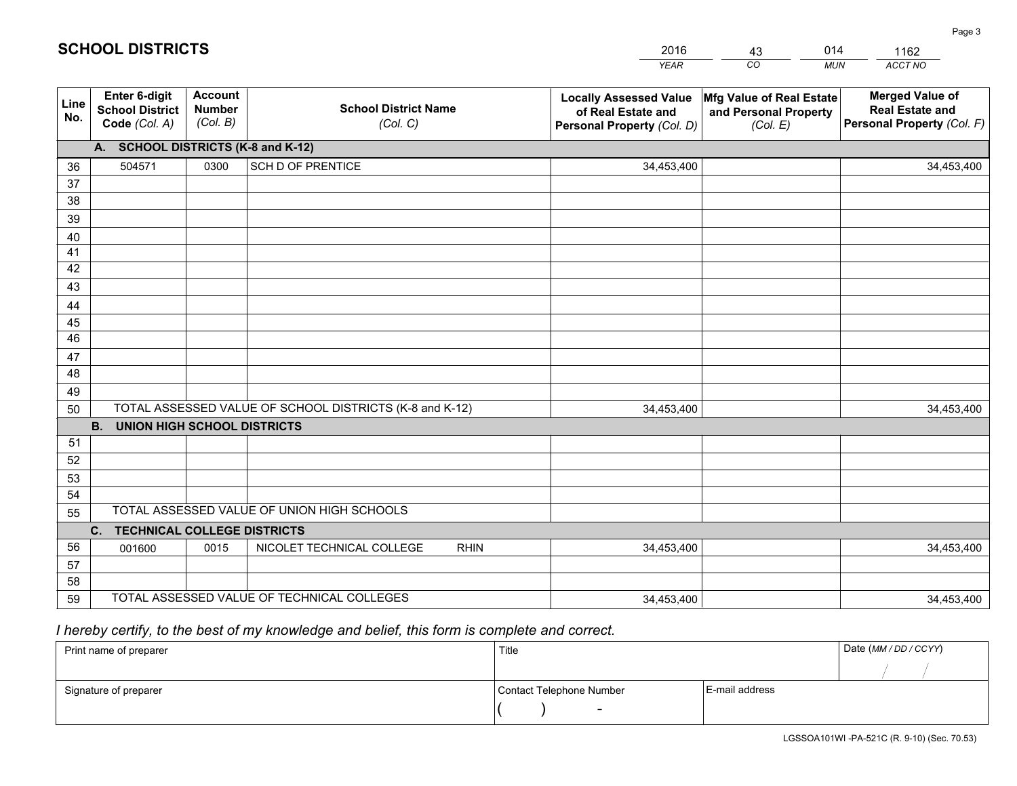|             |                                                                 |                                             |                                                         | <b>YEAR</b>                                                                       | CO<br><b>MUN</b>                                              | ACCT NO                                                                        |
|-------------|-----------------------------------------------------------------|---------------------------------------------|---------------------------------------------------------|-----------------------------------------------------------------------------------|---------------------------------------------------------------|--------------------------------------------------------------------------------|
| Line<br>No. | <b>Enter 6-digit</b><br><b>School District</b><br>Code (Col. A) | <b>Account</b><br><b>Number</b><br>(Col. B) | <b>School District Name</b><br>(Col. C)                 | <b>Locally Assessed Value</b><br>of Real Estate and<br>Personal Property (Col. D) | Mfg Value of Real Estate<br>and Personal Property<br>(Col. E) | <b>Merged Value of</b><br><b>Real Estate and</b><br>Personal Property (Col. F) |
|             | A. SCHOOL DISTRICTS (K-8 and K-12)                              |                                             |                                                         |                                                                                   |                                                               |                                                                                |
| 36          | 504571                                                          | 0300                                        | SCH D OF PRENTICE                                       | 34,453,400                                                                        |                                                               | 34,453,400                                                                     |
| 37          |                                                                 |                                             |                                                         |                                                                                   |                                                               |                                                                                |
| 38          |                                                                 |                                             |                                                         |                                                                                   |                                                               |                                                                                |
| 39          |                                                                 |                                             |                                                         |                                                                                   |                                                               |                                                                                |
| 40          |                                                                 |                                             |                                                         |                                                                                   |                                                               |                                                                                |
| 41<br>42    |                                                                 |                                             |                                                         |                                                                                   |                                                               |                                                                                |
| 43          |                                                                 |                                             |                                                         |                                                                                   |                                                               |                                                                                |
| 44          |                                                                 |                                             |                                                         |                                                                                   |                                                               |                                                                                |
| 45          |                                                                 |                                             |                                                         |                                                                                   |                                                               |                                                                                |
| 46          |                                                                 |                                             |                                                         |                                                                                   |                                                               |                                                                                |
| 47          |                                                                 |                                             |                                                         |                                                                                   |                                                               |                                                                                |
| 48          |                                                                 |                                             |                                                         |                                                                                   |                                                               |                                                                                |
| 49          |                                                                 |                                             |                                                         |                                                                                   |                                                               |                                                                                |
| 50          |                                                                 |                                             | TOTAL ASSESSED VALUE OF SCHOOL DISTRICTS (K-8 and K-12) | 34,453,400                                                                        |                                                               | 34,453,400                                                                     |
|             | <b>B.</b><br><b>UNION HIGH SCHOOL DISTRICTS</b>                 |                                             |                                                         |                                                                                   |                                                               |                                                                                |
| 51          |                                                                 |                                             |                                                         |                                                                                   |                                                               |                                                                                |
| 52          |                                                                 |                                             |                                                         |                                                                                   |                                                               |                                                                                |
| 53          |                                                                 |                                             |                                                         |                                                                                   |                                                               |                                                                                |
| 54          |                                                                 |                                             | TOTAL ASSESSED VALUE OF UNION HIGH SCHOOLS              |                                                                                   |                                                               |                                                                                |
| 55          |                                                                 |                                             |                                                         |                                                                                   |                                                               |                                                                                |
|             | C.<br><b>TECHNICAL COLLEGE DISTRICTS</b>                        |                                             |                                                         |                                                                                   |                                                               |                                                                                |
| 56<br>57    | 001600                                                          | 0015                                        | NICOLET TECHNICAL COLLEGE<br><b>RHIN</b>                | 34,453,400                                                                        |                                                               | 34,453,400                                                                     |
| 58          |                                                                 |                                             |                                                         |                                                                                   |                                                               |                                                                                |
| 59          |                                                                 |                                             | TOTAL ASSESSED VALUE OF TECHNICAL COLLEGES              | 34,453,400                                                                        |                                                               | 34,453,400                                                                     |

43

014

 *I hereby certify, to the best of my knowledge and belief, this form is complete and correct.*

**SCHOOL DISTRICTS**

| Print name of preparer | Title                    |                | Date (MM/DD/CCYY) |
|------------------------|--------------------------|----------------|-------------------|
|                        |                          |                |                   |
| Signature of preparer  | Contact Telephone Number | E-mail address |                   |
|                        | $\sim$                   |                |                   |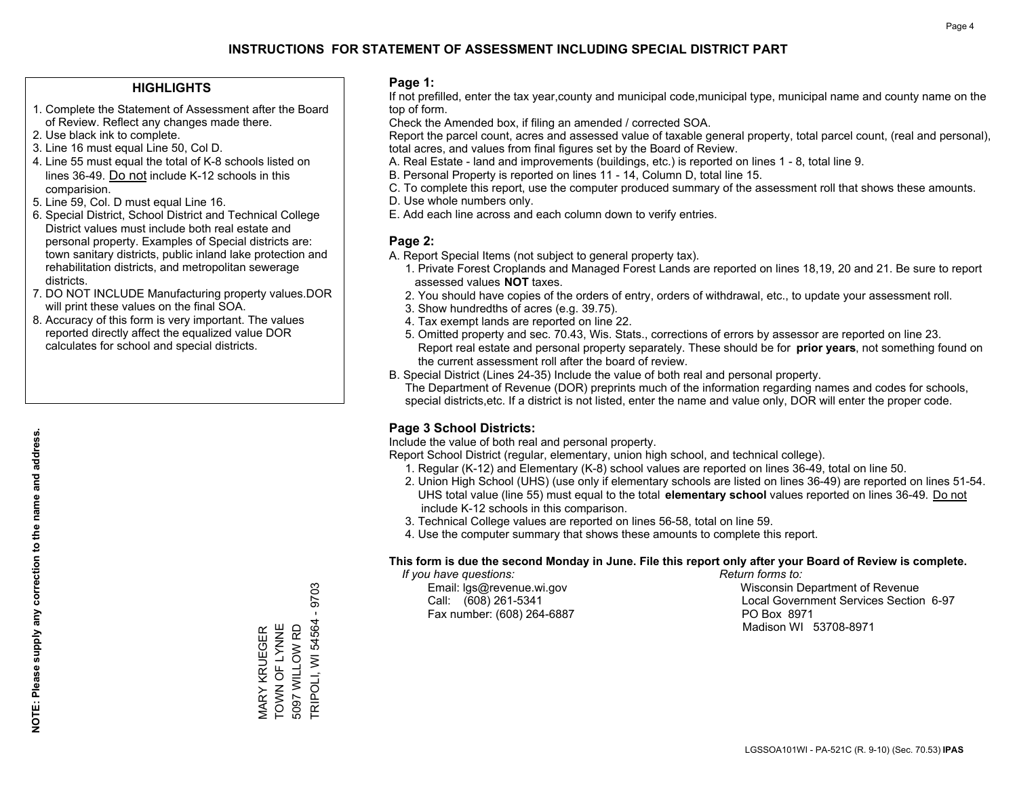#### **HIGHLIGHTS**

- 1. Complete the Statement of Assessment after the Board of Review. Reflect any changes made there.
- 2. Use black ink to complete.
- 3. Line 16 must equal Line 50, Col D.
- 4. Line 55 must equal the total of K-8 schools listed on lines 36-49. Do not include K-12 schools in this comparision.
- 5. Line 59, Col. D must equal Line 16.
- 6. Special District, School District and Technical College District values must include both real estate and personal property. Examples of Special districts are: town sanitary districts, public inland lake protection and rehabilitation districts, and metropolitan sewerage districts.
- 7. DO NOT INCLUDE Manufacturing property values.DOR will print these values on the final SOA.

MARY KRUEGER TOWN OF LYNNE 5097 WILLOW RD

MARY KRUEGER<br>TOWN OF LYNNE

TRIPOLI, WI 54564 - 9703

**TRIPOLI, WI 54564** 5097 WILLOW RD

9703  $\mathbf{I}$ 

 8. Accuracy of this form is very important. The values reported directly affect the equalized value DOR calculates for school and special districts.

#### **Page 1:**

 If not prefilled, enter the tax year,county and municipal code,municipal type, municipal name and county name on the top of form.

Check the Amended box, if filing an amended / corrected SOA.

 Report the parcel count, acres and assessed value of taxable general property, total parcel count, (real and personal), total acres, and values from final figures set by the Board of Review.

- A. Real Estate land and improvements (buildings, etc.) is reported on lines 1 8, total line 9.
- B. Personal Property is reported on lines 11 14, Column D, total line 15.
- C. To complete this report, use the computer produced summary of the assessment roll that shows these amounts.
- D. Use whole numbers only.
- E. Add each line across and each column down to verify entries.

#### **Page 2:**

- A. Report Special Items (not subject to general property tax).
- 1. Private Forest Croplands and Managed Forest Lands are reported on lines 18,19, 20 and 21. Be sure to report assessed values **NOT** taxes.
- 2. You should have copies of the orders of entry, orders of withdrawal, etc., to update your assessment roll.
	- 3. Show hundredths of acres (e.g. 39.75).
- 4. Tax exempt lands are reported on line 22.
- 5. Omitted property and sec. 70.43, Wis. Stats., corrections of errors by assessor are reported on line 23. Report real estate and personal property separately. These should be for **prior years**, not something found on the current assessment roll after the board of review.
- B. Special District (Lines 24-35) Include the value of both real and personal property.

 The Department of Revenue (DOR) preprints much of the information regarding names and codes for schools, special districts,etc. If a district is not listed, enter the name and value only, DOR will enter the proper code.

## **Page 3 School Districts:**

Include the value of both real and personal property.

Report School District (regular, elementary, union high school, and technical college).

- 1. Regular (K-12) and Elementary (K-8) school values are reported on lines 36-49, total on line 50.
- 2. Union High School (UHS) (use only if elementary schools are listed on lines 36-49) are reported on lines 51-54. UHS total value (line 55) must equal to the total **elementary school** values reported on lines 36-49. Do notinclude K-12 schools in this comparison.
- 3. Technical College values are reported on lines 56-58, total on line 59.
- 4. Use the computer summary that shows these amounts to complete this report.

#### **This form is due the second Monday in June. File this report only after your Board of Review is complete.**

 *If you have questions: Return forms to:*

Fax number: (608) 264-6887 PO Box 8971

 Email: lgs@revenue.wi.gov Wisconsin Department of Revenue Call: (608) 261-5341 Local Government Services Section 6-97Madison WI 53708-8971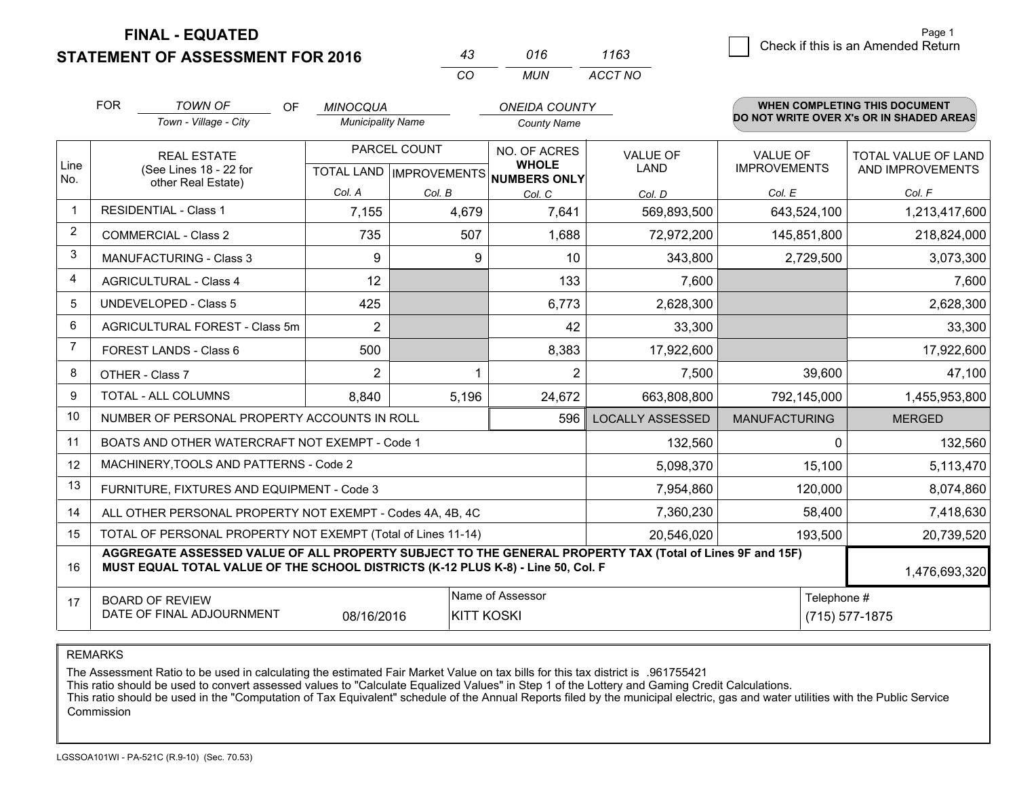**FINAL - EQUATED**

**STATEMENT OF ASSESSMENT FOR 2016** 

|          | 016  | 1163    |
|----------|------|---------|
| $\cdots$ | MUN. | ACCT NO |

|                | <b>FOR</b>                                   | <b>TOWN OF</b><br>OF                                                                                                                                                                         | <b>MINOCQUA</b>          |              | <b>ONEIDA COUNTY</b>                                 |                         |                      | <b>WHEN COMPLETING THIS DOCUMENT</b>     |
|----------------|----------------------------------------------|----------------------------------------------------------------------------------------------------------------------------------------------------------------------------------------------|--------------------------|--------------|------------------------------------------------------|-------------------------|----------------------|------------------------------------------|
|                |                                              | Town - Village - City                                                                                                                                                                        | <b>Municipality Name</b> |              | <b>County Name</b>                                   |                         |                      | DO NOT WRITE OVER X's OR IN SHADED AREAS |
|                |                                              | <b>REAL ESTATE</b>                                                                                                                                                                           |                          | PARCEL COUNT | NO. OF ACRES                                         | VALUE OF                | <b>VALUE OF</b>      | TOTAL VALUE OF LAND                      |
| Line<br>No.    | (See Lines 18 - 22 for<br>other Real Estate) |                                                                                                                                                                                              |                          |              | <b>WHOLE</b><br>TOTAL LAND IMPROVEMENTS NUMBERS ONLY | <b>LAND</b>             | <b>IMPROVEMENTS</b>  | AND IMPROVEMENTS                         |
|                |                                              |                                                                                                                                                                                              | Col. A                   | Col. B       | Col. C                                               | Col. D                  | Col. E               | Col. F                                   |
| -1             |                                              | <b>RESIDENTIAL - Class 1</b>                                                                                                                                                                 | 7,155                    | 4,679        | 7,641                                                | 569,893,500             | 643,524,100          | 1,213,417,600                            |
| $\overline{2}$ |                                              | <b>COMMERCIAL - Class 2</b>                                                                                                                                                                  | 735                      | 507          | 1,688                                                | 72,972,200              | 145,851,800          | 218,824,000                              |
| 3              |                                              | MANUFACTURING - Class 3                                                                                                                                                                      | 9                        |              | 9<br>10                                              | 343,800                 | 2,729,500            | 3,073,300                                |
| 4              |                                              | <b>AGRICULTURAL - Class 4</b>                                                                                                                                                                | 12                       |              | 133                                                  | 7,600                   |                      | 7,600                                    |
| 5              |                                              | <b>UNDEVELOPED - Class 5</b>                                                                                                                                                                 | 425                      |              | 6,773                                                | 2,628,300               |                      | 2,628,300                                |
| 6              |                                              | AGRICULTURAL FOREST - Class 5m                                                                                                                                                               | $\overline{2}$           |              | 42                                                   | 33,300                  |                      | 33,300                                   |
| $\overline{7}$ |                                              | FOREST LANDS - Class 6                                                                                                                                                                       | 500                      |              | 8,383                                                | 17,922,600              |                      | 17,922,600                               |
| 8              |                                              | OTHER - Class 7                                                                                                                                                                              | $\overline{2}$           |              | $\overline{2}$                                       | 7,500                   | 39,600               | 47,100                                   |
| 9              |                                              | TOTAL - ALL COLUMNS                                                                                                                                                                          | 8,840                    | 5,196        | 24,672                                               | 663,808,800             | 792,145,000          | 1,455,953,800                            |
| 10             |                                              | NUMBER OF PERSONAL PROPERTY ACCOUNTS IN ROLL                                                                                                                                                 |                          |              | 596                                                  | <b>LOCALLY ASSESSED</b> | <b>MANUFACTURING</b> | <b>MERGED</b>                            |
| 11             |                                              | BOATS AND OTHER WATERCRAFT NOT EXEMPT - Code 1                                                                                                                                               |                          |              |                                                      | 132,560                 | O                    | 132,560                                  |
| 12             |                                              | MACHINERY, TOOLS AND PATTERNS - Code 2                                                                                                                                                       |                          |              |                                                      | 5,098,370               | 15,100               | 5,113,470                                |
| 13             |                                              | FURNITURE, FIXTURES AND EQUIPMENT - Code 3                                                                                                                                                   |                          |              |                                                      | 7,954,860               | 120,000              | 8,074,860                                |
| 14             |                                              | ALL OTHER PERSONAL PROPERTY NOT EXEMPT - Codes 4A, 4B, 4C                                                                                                                                    |                          |              |                                                      | 7,360,230               | 58,400               | 7,418,630                                |
| 15             |                                              | TOTAL OF PERSONAL PROPERTY NOT EXEMPT (Total of Lines 11-14)                                                                                                                                 |                          |              |                                                      | 20,546,020              | 193,500              | 20,739,520                               |
| 16             |                                              | AGGREGATE ASSESSED VALUE OF ALL PROPERTY SUBJECT TO THE GENERAL PROPERTY TAX (Total of Lines 9F and 15F)<br>MUST EQUAL TOTAL VALUE OF THE SCHOOL DISTRICTS (K-12 PLUS K-8) - Line 50, Col. F |                          |              |                                                      |                         |                      | 1,476,693,320                            |
| 17             |                                              | <b>BOARD OF REVIEW</b><br>DATE OF FINAL ADJOURNMENT                                                                                                                                          | 08/16/2016               |              | Name of Assessor<br><b>KITT KOSKI</b>                |                         | Telephone #          | (715) 577-1875                           |

REMARKS

The Assessment Ratio to be used in calculating the estimated Fair Market Value on tax bills for this tax district is .961755421<br>This ratio should be used to convert assessed values to "Calculate Equalized Values" in Step 1 Commission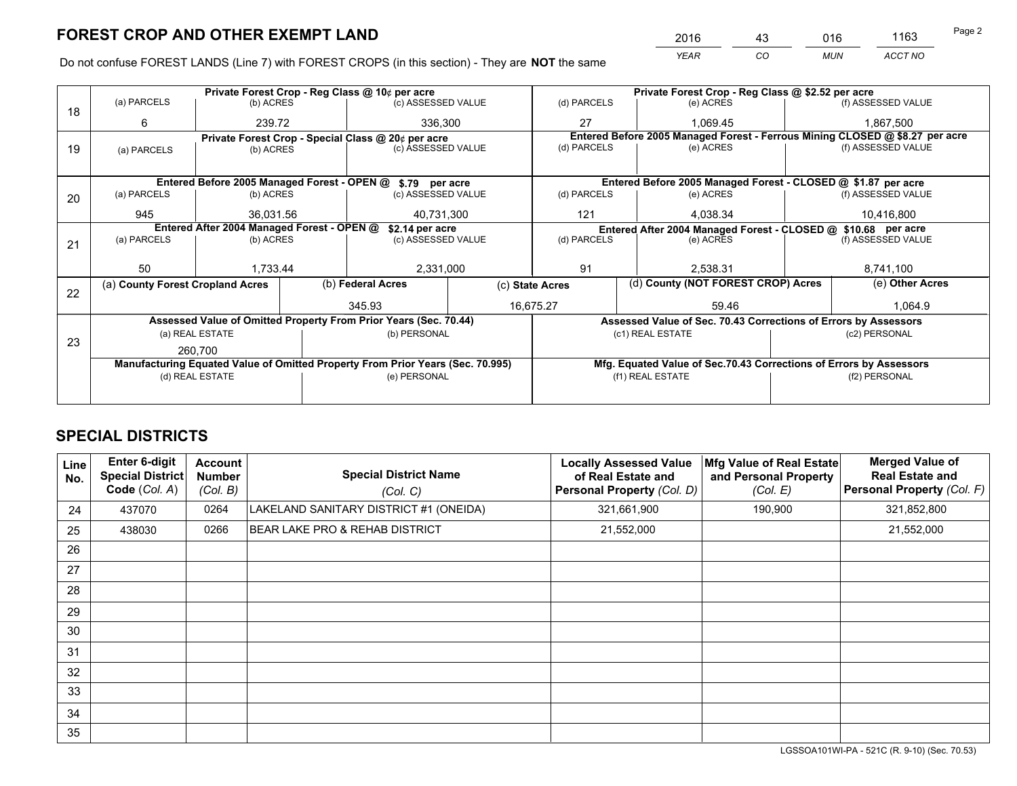*YEAR CO MUN ACCT NO* <sup>2016</sup> <sup>43</sup> <sup>016</sup> <sup>1163</sup>

Do not confuse FOREST LANDS (Line 7) with FOREST CROPS (in this section) - They are **NOT** the same

|    |                                                               |                                             |  |                                                                                | Private Forest Crop - Reg Class @ \$2.52 per acre |                    |  |                                                                    |               |                                                                              |
|----|---------------------------------------------------------------|---------------------------------------------|--|--------------------------------------------------------------------------------|---------------------------------------------------|--------------------|--|--------------------------------------------------------------------|---------------|------------------------------------------------------------------------------|
| 18 | (a) PARCELS                                                   | (b) ACRES                                   |  | (c) ASSESSED VALUE                                                             |                                                   | (d) PARCELS        |  | (e) ACRES                                                          |               | (f) ASSESSED VALUE                                                           |
|    | 6                                                             | 239.72                                      |  | 336,300                                                                        |                                                   | 27                 |  | 1.069.45                                                           |               | 1,867,500                                                                    |
|    |                                                               |                                             |  | Private Forest Crop - Special Class @ 20¢ per acre                             |                                                   |                    |  |                                                                    |               | Entered Before 2005 Managed Forest - Ferrous Mining CLOSED @ \$8.27 per acre |
| 19 | (a) PARCELS                                                   | (b) ACRES                                   |  | (c) ASSESSED VALUE                                                             |                                                   | (d) PARCELS        |  | (e) ACRES                                                          |               | (f) ASSESSED VALUE                                                           |
|    |                                                               |                                             |  |                                                                                |                                                   |                    |  |                                                                    |               |                                                                              |
|    |                                                               | Entered Before 2005 Managed Forest - OPEN @ |  | \$.79 per acre                                                                 |                                                   |                    |  | Entered Before 2005 Managed Forest - CLOSED @ \$1.87 per acre      |               |                                                                              |
| 20 | (a) PARCELS                                                   | (b) ACRES                                   |  | (c) ASSESSED VALUE                                                             |                                                   | (d) PARCELS        |  | (e) ACRES                                                          |               | (f) ASSESSED VALUE                                                           |
|    | 945                                                           | 36,031.56                                   |  | 40,731,300                                                                     |                                                   | 4,038.34<br>121    |  | 10,416,800                                                         |               |                                                                              |
|    | Entered After 2004 Managed Forest - OPEN @<br>\$2.14 per acre |                                             |  |                                                                                |                                                   |                    |  | Entered After 2004 Managed Forest - CLOSED @ \$10.68 per acre      |               |                                                                              |
| 21 | (a) PARCELS                                                   | (b) ACRES                                   |  | (c) ASSESSED VALUE                                                             |                                                   | (d) PARCELS        |  | (e) ACRES                                                          |               | (f) ASSESSED VALUE                                                           |
|    |                                                               |                                             |  |                                                                                |                                                   |                    |  |                                                                    |               |                                                                              |
|    | 50                                                            | 1,733.44                                    |  | 2,331,000                                                                      |                                                   | 91                 |  | 2,538.31                                                           |               | 8,741,100                                                                    |
|    | (a) County Forest Cropland Acres                              |                                             |  | (b) Federal Acres<br>(c) State Acres                                           |                                                   |                    |  | (d) County (NOT FOREST CROP) Acres                                 |               | (e) Other Acres                                                              |
| 22 |                                                               |                                             |  | 345.93                                                                         |                                                   | 16,675.27<br>59.46 |  |                                                                    | 1.064.9       |                                                                              |
|    |                                                               |                                             |  | Assessed Value of Omitted Property From Prior Years (Sec. 70.44)               |                                                   |                    |  |                                                                    |               |                                                                              |
|    |                                                               |                                             |  |                                                                                |                                                   |                    |  | Assessed Value of Sec. 70.43 Corrections of Errors by Assessors    |               |                                                                              |
| 23 |                                                               | (a) REAL ESTATE                             |  | (b) PERSONAL                                                                   |                                                   |                    |  | (c1) REAL ESTATE                                                   |               | (c2) PERSONAL                                                                |
|    |                                                               | 260.700                                     |  |                                                                                |                                                   |                    |  |                                                                    |               |                                                                              |
|    |                                                               |                                             |  | Manufacturing Equated Value of Omitted Property From Prior Years (Sec. 70.995) |                                                   |                    |  | Mfg. Equated Value of Sec.70.43 Corrections of Errors by Assessors |               |                                                                              |
|    |                                                               | (d) REAL ESTATE                             |  | (e) PERSONAL                                                                   |                                                   |                    |  | (f1) REAL ESTATE                                                   | (f2) PERSONAL |                                                                              |
|    |                                                               |                                             |  |                                                                                |                                                   |                    |  |                                                                    |               |                                                                              |

## **SPECIAL DISTRICTS**

| Line<br>No. | <b>Enter 6-digit</b><br><b>Special District</b><br>Code (Col. A) | <b>Account</b><br><b>Number</b><br>(Col. B) | <b>Special District Name</b><br>(Col. C)  | <b>Locally Assessed Value</b><br>of Real Estate and<br>Personal Property (Col. D) | Mfg Value of Real Estate<br>and Personal Property<br>(Col. E) | <b>Merged Value of</b><br><b>Real Estate and</b><br>Personal Property (Col. F) |
|-------------|------------------------------------------------------------------|---------------------------------------------|-------------------------------------------|-----------------------------------------------------------------------------------|---------------------------------------------------------------|--------------------------------------------------------------------------------|
| 24          | 437070                                                           | 0264                                        | LAKELAND SANITARY DISTRICT #1 (ONEIDA)    | 321,661,900                                                                       | 190,900                                                       | 321,852,800                                                                    |
| 25          | 438030                                                           | 0266                                        | <b>BEAR LAKE PRO &amp; REHAB DISTRICT</b> | 21,552,000                                                                        |                                                               | 21,552,000                                                                     |
| 26          |                                                                  |                                             |                                           |                                                                                   |                                                               |                                                                                |
| 27          |                                                                  |                                             |                                           |                                                                                   |                                                               |                                                                                |
| 28          |                                                                  |                                             |                                           |                                                                                   |                                                               |                                                                                |
| 29          |                                                                  |                                             |                                           |                                                                                   |                                                               |                                                                                |
| 30          |                                                                  |                                             |                                           |                                                                                   |                                                               |                                                                                |
| 31          |                                                                  |                                             |                                           |                                                                                   |                                                               |                                                                                |
| 32          |                                                                  |                                             |                                           |                                                                                   |                                                               |                                                                                |
| 33          |                                                                  |                                             |                                           |                                                                                   |                                                               |                                                                                |
| 34          |                                                                  |                                             |                                           |                                                                                   |                                                               |                                                                                |
| 35          |                                                                  |                                             |                                           |                                                                                   |                                                               |                                                                                |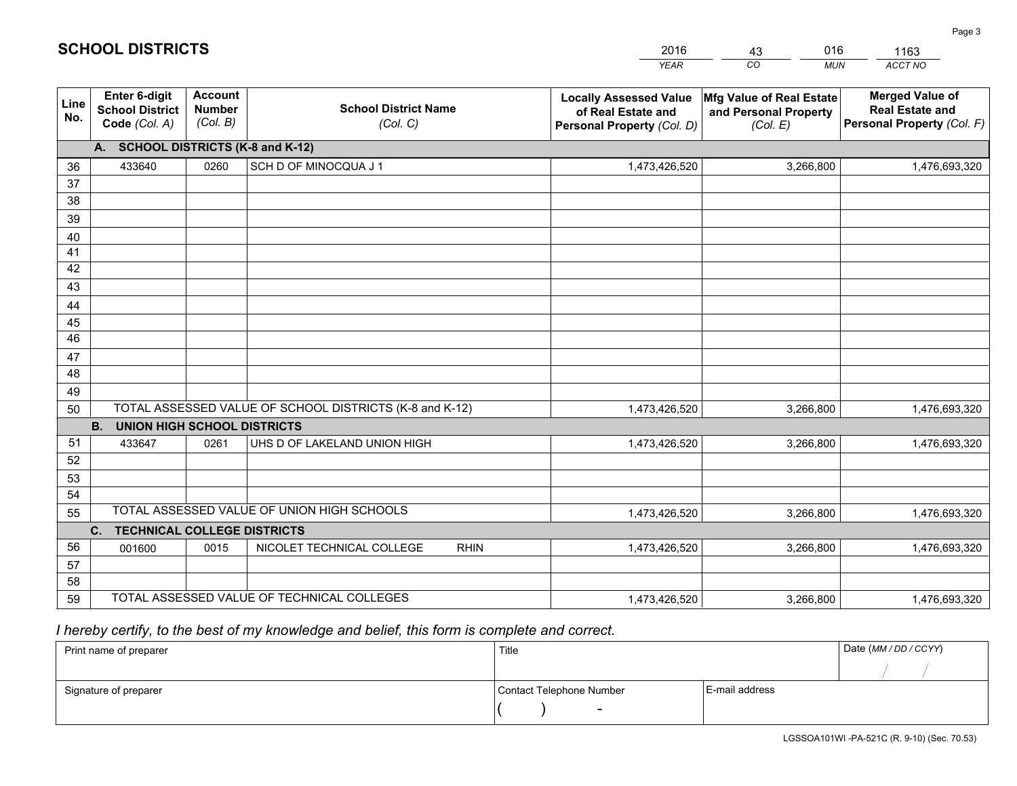|             |                                                                 |                                             |                                                         | <b>YEAR</b>                                                                       | CO<br><b>MUN</b>                                              | <b>ACCT NO</b>                                                                 |
|-------------|-----------------------------------------------------------------|---------------------------------------------|---------------------------------------------------------|-----------------------------------------------------------------------------------|---------------------------------------------------------------|--------------------------------------------------------------------------------|
| Line<br>No. | <b>Enter 6-digit</b><br><b>School District</b><br>Code (Col. A) | <b>Account</b><br><b>Number</b><br>(Col. B) | <b>School District Name</b><br>(Col. C)                 | <b>Locally Assessed Value</b><br>of Real Estate and<br>Personal Property (Col. D) | Mfg Value of Real Estate<br>and Personal Property<br>(Col. E) | <b>Merged Value of</b><br><b>Real Estate and</b><br>Personal Property (Col. F) |
|             | A. SCHOOL DISTRICTS (K-8 and K-12)                              |                                             |                                                         |                                                                                   |                                                               |                                                                                |
| 36          | 433640                                                          | 0260                                        | SCH D OF MINOCQUA J 1                                   | 1,473,426,520                                                                     | 3,266,800                                                     | 1,476,693,320                                                                  |
| 37          |                                                                 |                                             |                                                         |                                                                                   |                                                               |                                                                                |
| 38          |                                                                 |                                             |                                                         |                                                                                   |                                                               |                                                                                |
| 39          |                                                                 |                                             |                                                         |                                                                                   |                                                               |                                                                                |
| 40          |                                                                 |                                             |                                                         |                                                                                   |                                                               |                                                                                |
| 41<br>42    |                                                                 |                                             |                                                         |                                                                                   |                                                               |                                                                                |
| 43          |                                                                 |                                             |                                                         |                                                                                   |                                                               |                                                                                |
| 44          |                                                                 |                                             |                                                         |                                                                                   |                                                               |                                                                                |
| 45          |                                                                 |                                             |                                                         |                                                                                   |                                                               |                                                                                |
| 46          |                                                                 |                                             |                                                         |                                                                                   |                                                               |                                                                                |
| 47          |                                                                 |                                             |                                                         |                                                                                   |                                                               |                                                                                |
| 48          |                                                                 |                                             |                                                         |                                                                                   |                                                               |                                                                                |
| 49          |                                                                 |                                             |                                                         |                                                                                   |                                                               |                                                                                |
| 50          |                                                                 |                                             | TOTAL ASSESSED VALUE OF SCHOOL DISTRICTS (K-8 and K-12) | 1,473,426,520                                                                     | 3,266,800                                                     | 1,476,693,320                                                                  |
|             | <b>B.</b><br><b>UNION HIGH SCHOOL DISTRICTS</b>                 |                                             |                                                         |                                                                                   |                                                               |                                                                                |
| 51          | 433647                                                          | 0261                                        | UHS D OF LAKELAND UNION HIGH                            | 1,473,426,520                                                                     | 3,266,800                                                     | 1,476,693,320                                                                  |
| 52          |                                                                 |                                             |                                                         |                                                                                   |                                                               |                                                                                |
| 53          |                                                                 |                                             |                                                         |                                                                                   |                                                               |                                                                                |
| 54          |                                                                 |                                             |                                                         |                                                                                   |                                                               |                                                                                |
| 55          |                                                                 |                                             | TOTAL ASSESSED VALUE OF UNION HIGH SCHOOLS              | 1,473,426,520                                                                     | 3,266,800                                                     | 1,476,693,320                                                                  |
|             | C.<br><b>TECHNICAL COLLEGE DISTRICTS</b>                        |                                             |                                                         |                                                                                   |                                                               |                                                                                |
| 56          | 001600                                                          | 0015                                        | NICOLET TECHNICAL COLLEGE<br><b>RHIN</b>                | 1,473,426,520                                                                     | 3,266,800                                                     | 1,476,693,320                                                                  |
| 57<br>58    |                                                                 |                                             |                                                         |                                                                                   |                                                               |                                                                                |
| 59          |                                                                 |                                             | TOTAL ASSESSED VALUE OF TECHNICAL COLLEGES              | 1,473,426,520                                                                     | 3,266,800                                                     | 1,476,693,320                                                                  |
|             |                                                                 |                                             |                                                         |                                                                                   |                                                               |                                                                                |

43

016

 *I hereby certify, to the best of my knowledge and belief, this form is complete and correct.*

**SCHOOL DISTRICTS**

| Print name of preparer | Title                    | Date (MM / DD / CCYY) |  |
|------------------------|--------------------------|-----------------------|--|
|                        |                          |                       |  |
| Signature of preparer  | Contact Telephone Number | E-mail address        |  |
|                        | $\sim$                   |                       |  |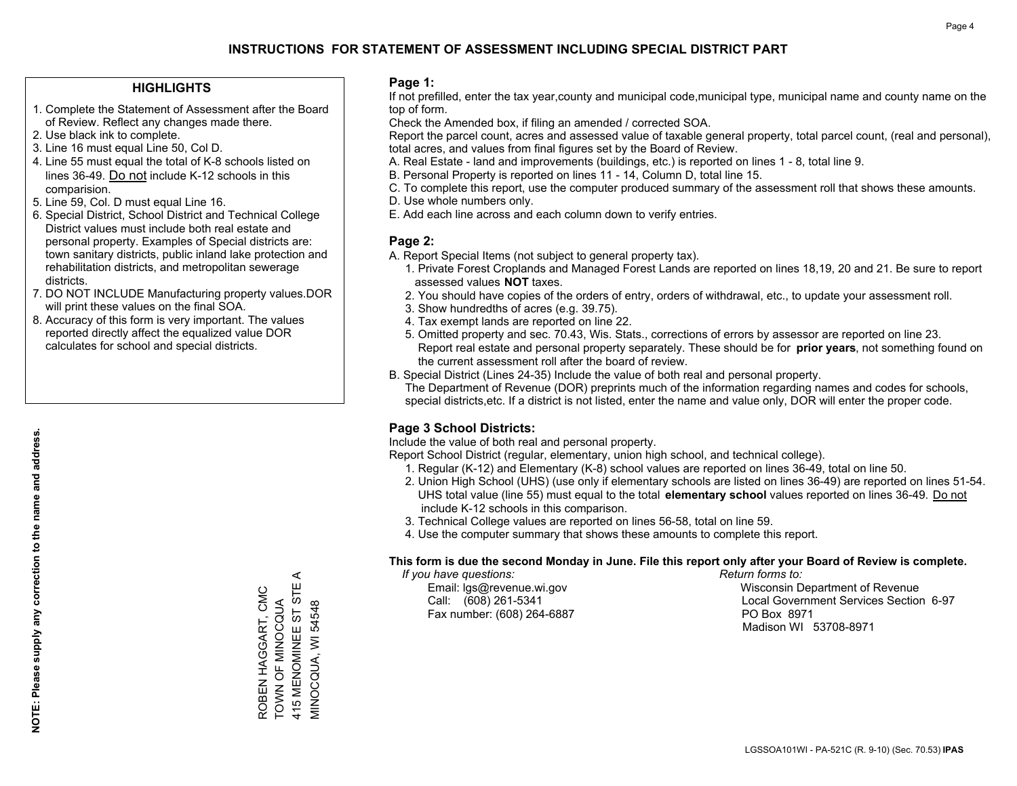#### **HIGHLIGHTS**

- 1. Complete the Statement of Assessment after the Board of Review. Reflect any changes made there.
- 2. Use black ink to complete.
- 3. Line 16 must equal Line 50, Col D.
- 4. Line 55 must equal the total of K-8 schools listed on lines 36-49. Do not include K-12 schools in this comparision.
- 5. Line 59, Col. D must equal Line 16.
- 6. Special District, School District and Technical College District values must include both real estate and personal property. Examples of Special districts are: town sanitary districts, public inland lake protection and rehabilitation districts, and metropolitan sewerage districts.
- 7. DO NOT INCLUDE Manufacturing property values.DOR will print these values on the final SOA.
- 8. Accuracy of this form is very important. The values reported directly affect the equalized value DOR calculates for school and special districts.

#### **Page 1:**

 If not prefilled, enter the tax year,county and municipal code,municipal type, municipal name and county name on the top of form.

Check the Amended box, if filing an amended / corrected SOA.

 Report the parcel count, acres and assessed value of taxable general property, total parcel count, (real and personal), total acres, and values from final figures set by the Board of Review.

- A. Real Estate land and improvements (buildings, etc.) is reported on lines 1 8, total line 9.
- B. Personal Property is reported on lines 11 14, Column D, total line 15.
- C. To complete this report, use the computer produced summary of the assessment roll that shows these amounts.
- D. Use whole numbers only.
- E. Add each line across and each column down to verify entries.

#### **Page 2:**

- A. Report Special Items (not subject to general property tax).
- 1. Private Forest Croplands and Managed Forest Lands are reported on lines 18,19, 20 and 21. Be sure to report assessed values **NOT** taxes.
- 2. You should have copies of the orders of entry, orders of withdrawal, etc., to update your assessment roll.
	- 3. Show hundredths of acres (e.g. 39.75).
- 4. Tax exempt lands are reported on line 22.
- 5. Omitted property and sec. 70.43, Wis. Stats., corrections of errors by assessor are reported on line 23. Report real estate and personal property separately. These should be for **prior years**, not something found on the current assessment roll after the board of review.
- B. Special District (Lines 24-35) Include the value of both real and personal property.

 The Department of Revenue (DOR) preprints much of the information regarding names and codes for schools, special districts,etc. If a district is not listed, enter the name and value only, DOR will enter the proper code.

## **Page 3 School Districts:**

Include the value of both real and personal property.

Report School District (regular, elementary, union high school, and technical college).

- 1. Regular (K-12) and Elementary (K-8) school values are reported on lines 36-49, total on line 50.
- 2. Union High School (UHS) (use only if elementary schools are listed on lines 36-49) are reported on lines 51-54. UHS total value (line 55) must equal to the total **elementary school** values reported on lines 36-49. Do notinclude K-12 schools in this comparison.
- 3. Technical College values are reported on lines 56-58, total on line 59.
- 4. Use the computer summary that shows these amounts to complete this report.

#### **This form is due the second Monday in June. File this report only after your Board of Review is complete.**

 *If you have questions: Return forms to:*

Fax number: (608) 264-6887 PO Box 8971

 Email: lgs@revenue.wi.gov Wisconsin Department of Revenue Call: (608) 261-5341 Local Government Services Section 6-97Madison WI 53708-8971

 $\prec$ 415 MENOMINEE ST STE A 415 MENOMINEE ST STE ROBEN HAGGART, CMC ROBEN HAGGART, CMC TOWN OF MINOCQUA **FOWN OF MINOCQUA** VIINOCQUA, WI 54548

MINOCQUA, WI 54548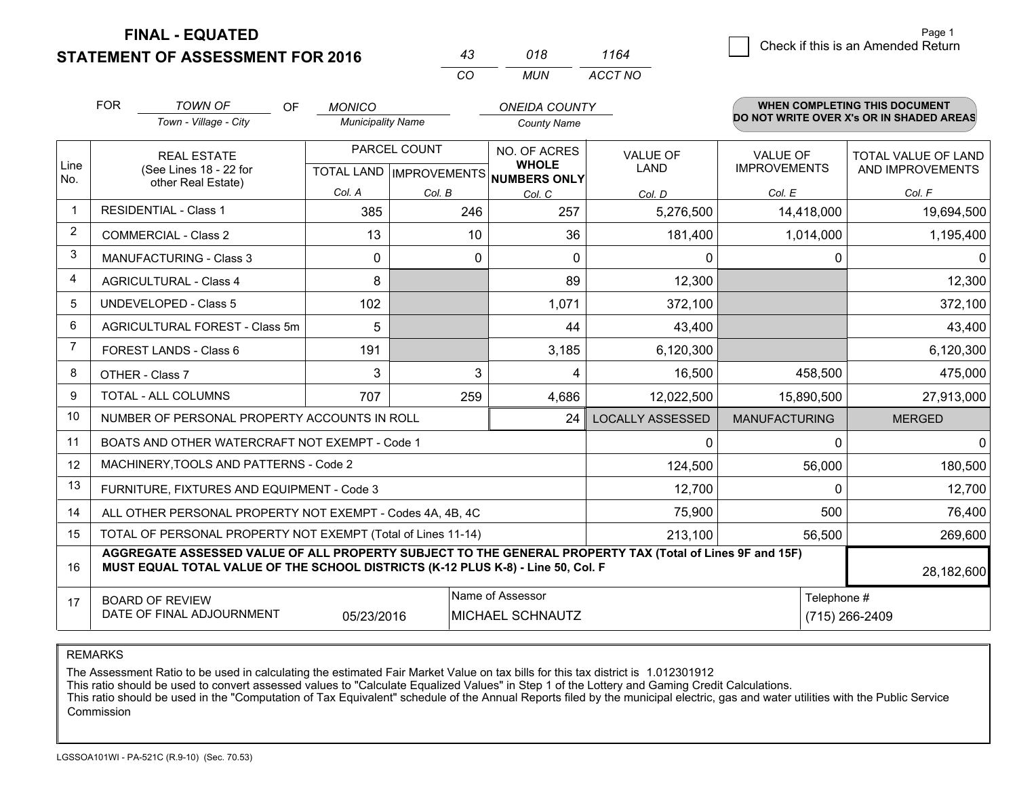**FINAL - EQUATED**

**STATEMENT OF ASSESSMENT FOR 2016** 

| 43.      | 018  | 1164    |
|----------|------|---------|
| $\cdots$ | MUN. | ACCT NO |

|             | <b>FOR</b>                                                                                                               | <b>TOWN OF</b><br><b>OF</b><br>Town - Village - City                                                                                                                                         | <b>MONICO</b><br><b>Municipality Name</b> |              | <b>ONEIDA COUNTY</b><br><b>County Name</b>                           |                         |                                        | <b>WHEN COMPLETING THIS DOCUMENT</b><br>DO NOT WRITE OVER X's OR IN SHADED AREAS |
|-------------|--------------------------------------------------------------------------------------------------------------------------|----------------------------------------------------------------------------------------------------------------------------------------------------------------------------------------------|-------------------------------------------|--------------|----------------------------------------------------------------------|-------------------------|----------------------------------------|----------------------------------------------------------------------------------|
| Line<br>No. | <b>REAL ESTATE</b><br>(See Lines 18 - 22 for<br>other Real Estate)                                                       |                                                                                                                                                                                              |                                           | PARCEL COUNT | NO. OF ACRES<br><b>WHOLE</b><br>TOTAL LAND IMPROVEMENTS NUMBERS ONLY | <b>VALUE OF</b><br>LAND | <b>VALUE OF</b><br><b>IMPROVEMENTS</b> | TOTAL VALUE OF LAND<br>AND IMPROVEMENTS                                          |
|             |                                                                                                                          |                                                                                                                                                                                              | Col. A                                    | Col. B       | Col. C                                                               | Col. D                  | Col. E                                 | Col. F                                                                           |
|             |                                                                                                                          | <b>RESIDENTIAL - Class 1</b>                                                                                                                                                                 | 385                                       | 246          | 257                                                                  | 5,276,500               | 14,418,000                             | 19,694,500                                                                       |
| 2           |                                                                                                                          | <b>COMMERCIAL - Class 2</b>                                                                                                                                                                  | 13                                        | 10           | 36                                                                   | 181,400                 | 1,014,000                              | 1,195,400                                                                        |
| 3           |                                                                                                                          | <b>MANUFACTURING - Class 3</b>                                                                                                                                                               | $\Omega$                                  | 0            | $\mathbf{0}$                                                         | 0                       | 0                                      | $\Omega$                                                                         |
| 4           |                                                                                                                          | <b>AGRICULTURAL - Class 4</b>                                                                                                                                                                | 8                                         |              | 89                                                                   | 12,300                  |                                        | 12,300                                                                           |
| 5           |                                                                                                                          | UNDEVELOPED - Class 5                                                                                                                                                                        | 102                                       |              | 1,071                                                                | 372,100                 |                                        | 372,100                                                                          |
| 6           |                                                                                                                          | AGRICULTURAL FOREST - Class 5m                                                                                                                                                               | 5                                         |              | 44                                                                   | 43,400                  |                                        | 43,400                                                                           |
|             |                                                                                                                          | FOREST LANDS - Class 6                                                                                                                                                                       | 191                                       |              | 3,185                                                                | 6,120,300               |                                        | 6,120,300                                                                        |
| 8           |                                                                                                                          | OTHER - Class 7                                                                                                                                                                              | 3                                         | 3            | 4                                                                    | 16,500                  | 458,500                                | 475,000                                                                          |
| 9           |                                                                                                                          | TOTAL - ALL COLUMNS                                                                                                                                                                          | 707                                       | 259          | 4,686                                                                | 12,022,500              | 15,890,500                             | 27,913,000                                                                       |
| 10          |                                                                                                                          | NUMBER OF PERSONAL PROPERTY ACCOUNTS IN ROLL                                                                                                                                                 |                                           |              | 24                                                                   | <b>LOCALLY ASSESSED</b> | <b>MANUFACTURING</b>                   | <b>MERGED</b>                                                                    |
| 11          |                                                                                                                          | BOATS AND OTHER WATERCRAFT NOT EXEMPT - Code 1                                                                                                                                               |                                           |              |                                                                      | 0                       | $\Omega$                               | $\Omega$                                                                         |
| 12          |                                                                                                                          | MACHINERY, TOOLS AND PATTERNS - Code 2                                                                                                                                                       |                                           |              |                                                                      | 124,500                 | 56,000                                 | 180,500                                                                          |
| 13          |                                                                                                                          | FURNITURE, FIXTURES AND EQUIPMENT - Code 3                                                                                                                                                   |                                           |              |                                                                      | 12,700                  | 0                                      | 12,700                                                                           |
| 14          |                                                                                                                          | ALL OTHER PERSONAL PROPERTY NOT EXEMPT - Codes 4A, 4B, 4C                                                                                                                                    |                                           |              |                                                                      | 75,900                  | 500                                    | 76,400                                                                           |
| 15          |                                                                                                                          | TOTAL OF PERSONAL PROPERTY NOT EXEMPT (Total of Lines 11-14)                                                                                                                                 |                                           |              |                                                                      | 213,100                 | 56,500                                 | 269,600                                                                          |
| 16          |                                                                                                                          | AGGREGATE ASSESSED VALUE OF ALL PROPERTY SUBJECT TO THE GENERAL PROPERTY TAX (Total of Lines 9F and 15F)<br>MUST EQUAL TOTAL VALUE OF THE SCHOOL DISTRICTS (K-12 PLUS K-8) - Line 50, Col. F |                                           |              |                                                                      |                         |                                        | 28,182,600                                                                       |
| 17          | Name of Assessor<br>Telephone #<br><b>BOARD OF REVIEW</b><br>DATE OF FINAL ADJOURNMENT<br>05/23/2016<br>MICHAEL SCHNAUTZ |                                                                                                                                                                                              |                                           |              |                                                                      | (715) 266-2409          |                                        |                                                                                  |

REMARKS

The Assessment Ratio to be used in calculating the estimated Fair Market Value on tax bills for this tax district is 1.012301912<br>This ratio should be used to convert assessed values to "Calculate Equalized Values" in Step Commission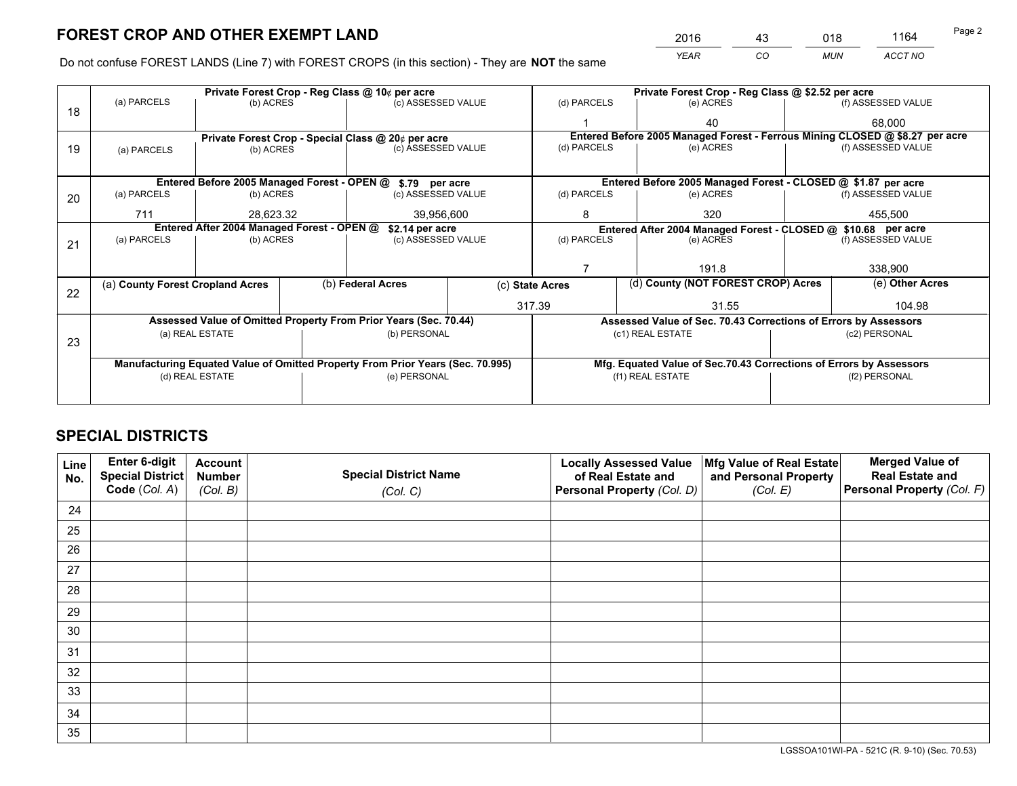*YEAR CO MUN ACCT NO* <sup>2016</sup> <sup>43</sup> <sup>018</sup> <sup>1164</sup>

Do not confuse FOREST LANDS (Line 7) with FOREST CROPS (in this section) - They are **NOT** the same

|    | Private Forest Crop - Reg Class @ 10¢ per acre                                 |                 |  |                                      |                                                                              | Private Forest Crop - Reg Class @ \$2.52 per acre               |                                    |  |                    |  |
|----|--------------------------------------------------------------------------------|-----------------|--|--------------------------------------|------------------------------------------------------------------------------|-----------------------------------------------------------------|------------------------------------|--|--------------------|--|
| 18 | (a) PARCELS                                                                    | (b) ACRES       |  | (c) ASSESSED VALUE                   |                                                                              | (d) PARCELS                                                     | (e) ACRES                          |  | (f) ASSESSED VALUE |  |
|    |                                                                                |                 |  |                                      |                                                                              |                                                                 | 40                                 |  | 68.000             |  |
|    | Private Forest Crop - Special Class @ 20¢ per acre                             |                 |  |                                      | Entered Before 2005 Managed Forest - Ferrous Mining CLOSED @ \$8.27 per acre |                                                                 |                                    |  |                    |  |
| 19 | (a) PARCELS                                                                    | (b) ACRES       |  | (c) ASSESSED VALUE                   |                                                                              | (d) PARCELS                                                     | (e) ACRES                          |  | (f) ASSESSED VALUE |  |
|    |                                                                                |                 |  |                                      |                                                                              |                                                                 |                                    |  |                    |  |
|    | Entered Before 2005 Managed Forest - OPEN @<br>\$.79 per acre                  |                 |  |                                      |                                                                              | Entered Before 2005 Managed Forest - CLOSED @ \$1.87 per acre   |                                    |  |                    |  |
| 20 | (a) PARCELS                                                                    | (b) ACRES       |  | (c) ASSESSED VALUE                   |                                                                              | (d) PARCELS                                                     | (e) ACRES                          |  |                    |  |
|    | 711                                                                            | 28.623.32       |  | 39,956,600                           |                                                                              | 8                                                               | 320                                |  | 455.500            |  |
|    | Entered After 2004 Managed Forest - OPEN @<br>\$2.14 per acre                  |                 |  |                                      | Entered After 2004 Managed Forest - CLOSED @ \$10.68 per acre                |                                                                 |                                    |  |                    |  |
| 21 | (a) PARCELS                                                                    | (b) ACRES       |  | (c) ASSESSED VALUE                   |                                                                              | (d) PARCELS                                                     | (e) ACRES                          |  |                    |  |
|    |                                                                                |                 |  |                                      |                                                                              |                                                                 |                                    |  |                    |  |
|    |                                                                                |                 |  |                                      |                                                                              |                                                                 | 191.8                              |  | 338,900            |  |
| 22 | (a) County Forest Cropland Acres                                               |                 |  | (b) Federal Acres<br>(c) State Acres |                                                                              |                                                                 | (d) County (NOT FOREST CROP) Acres |  | (e) Other Acres    |  |
|    |                                                                                |                 |  |                                      | 317.39                                                                       |                                                                 | 31.55                              |  | 104.98             |  |
|    | Assessed Value of Omitted Property From Prior Years (Sec. 70.44)               |                 |  |                                      |                                                                              | Assessed Value of Sec. 70.43 Corrections of Errors by Assessors |                                    |  |                    |  |
|    | (a) REAL ESTATE<br>(b) PERSONAL                                                |                 |  |                                      |                                                                              | (c1) REAL ESTATE                                                |                                    |  |                    |  |
| 23 |                                                                                |                 |  |                                      |                                                                              |                                                                 |                                    |  |                    |  |
|    | Manufacturing Equated Value of Omitted Property From Prior Years (Sec. 70.995) |                 |  |                                      | Mfg. Equated Value of Sec.70.43 Corrections of Errors by Assessors           |                                                                 |                                    |  |                    |  |
|    |                                                                                | (d) REAL ESTATE |  | (e) PERSONAL                         |                                                                              | (f1) REAL ESTATE                                                |                                    |  | (f2) PERSONAL      |  |
|    |                                                                                |                 |  |                                      |                                                                              |                                                                 |                                    |  |                    |  |

## **SPECIAL DISTRICTS**

| Line<br>No. | Enter 6-digit<br>Special District<br>Code (Col. A) | <b>Account</b><br><b>Number</b><br>(Col. B) | <b>Special District Name</b><br>(Col. C) | <b>Locally Assessed Value</b><br>of Real Estate and<br>Personal Property (Col. D) | Mfg Value of Real Estate<br>and Personal Property<br>(Col. E) | <b>Merged Value of</b><br><b>Real Estate and</b><br>Personal Property (Col. F) |
|-------------|----------------------------------------------------|---------------------------------------------|------------------------------------------|-----------------------------------------------------------------------------------|---------------------------------------------------------------|--------------------------------------------------------------------------------|
| 24          |                                                    |                                             |                                          |                                                                                   |                                                               |                                                                                |
| 25          |                                                    |                                             |                                          |                                                                                   |                                                               |                                                                                |
| 26          |                                                    |                                             |                                          |                                                                                   |                                                               |                                                                                |
| 27          |                                                    |                                             |                                          |                                                                                   |                                                               |                                                                                |
| 28          |                                                    |                                             |                                          |                                                                                   |                                                               |                                                                                |
| 29          |                                                    |                                             |                                          |                                                                                   |                                                               |                                                                                |
| 30          |                                                    |                                             |                                          |                                                                                   |                                                               |                                                                                |
| 31          |                                                    |                                             |                                          |                                                                                   |                                                               |                                                                                |
| 32          |                                                    |                                             |                                          |                                                                                   |                                                               |                                                                                |
| 33          |                                                    |                                             |                                          |                                                                                   |                                                               |                                                                                |
| 34          |                                                    |                                             |                                          |                                                                                   |                                                               |                                                                                |
| 35          |                                                    |                                             |                                          |                                                                                   |                                                               |                                                                                |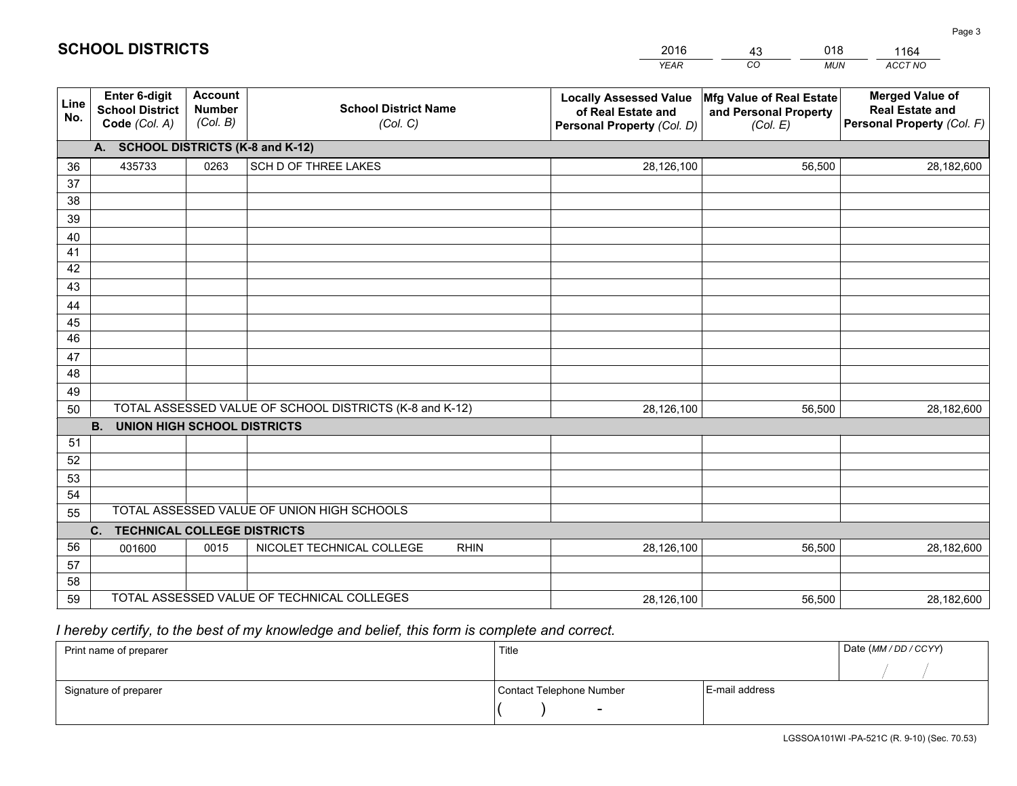|             |                                                                                               |                                             |                                            | <b>YEAR</b>                                                                       | CO<br><b>MUN</b>                                              | ACCT NO                                                                        |  |  |  |
|-------------|-----------------------------------------------------------------------------------------------|---------------------------------------------|--------------------------------------------|-----------------------------------------------------------------------------------|---------------------------------------------------------------|--------------------------------------------------------------------------------|--|--|--|
| Line<br>No. | <b>Enter 6-digit</b><br><b>School District</b><br>Code (Col. A)                               | <b>Account</b><br><b>Number</b><br>(Col. B) | <b>School District Name</b><br>(Col. C)    | <b>Locally Assessed Value</b><br>of Real Estate and<br>Personal Property (Col. D) | Mfg Value of Real Estate<br>and Personal Property<br>(Col. E) | <b>Merged Value of</b><br><b>Real Estate and</b><br>Personal Property (Col. F) |  |  |  |
|             | A. SCHOOL DISTRICTS (K-8 and K-12)                                                            |                                             |                                            |                                                                                   |                                                               |                                                                                |  |  |  |
| 36          | 435733                                                                                        | 0263                                        | SCH D OF THREE LAKES                       | 28,126,100                                                                        | 56,500                                                        | 28,182,600                                                                     |  |  |  |
| 37          |                                                                                               |                                             |                                            |                                                                                   |                                                               |                                                                                |  |  |  |
| 38          |                                                                                               |                                             |                                            |                                                                                   |                                                               |                                                                                |  |  |  |
| 39          |                                                                                               |                                             |                                            |                                                                                   |                                                               |                                                                                |  |  |  |
| 40          |                                                                                               |                                             |                                            |                                                                                   |                                                               |                                                                                |  |  |  |
| 41          |                                                                                               |                                             |                                            |                                                                                   |                                                               |                                                                                |  |  |  |
| 42<br>43    |                                                                                               |                                             |                                            |                                                                                   |                                                               |                                                                                |  |  |  |
|             |                                                                                               |                                             |                                            |                                                                                   |                                                               |                                                                                |  |  |  |
| 44<br>45    |                                                                                               |                                             |                                            |                                                                                   |                                                               |                                                                                |  |  |  |
| 46          |                                                                                               |                                             |                                            |                                                                                   |                                                               |                                                                                |  |  |  |
| 47          |                                                                                               |                                             |                                            |                                                                                   |                                                               |                                                                                |  |  |  |
| 48          |                                                                                               |                                             |                                            |                                                                                   |                                                               |                                                                                |  |  |  |
| 49          |                                                                                               |                                             |                                            |                                                                                   |                                                               |                                                                                |  |  |  |
| 50          | TOTAL ASSESSED VALUE OF SCHOOL DISTRICTS (K-8 and K-12)<br>28,126,100<br>56,500<br>28,182,600 |                                             |                                            |                                                                                   |                                                               |                                                                                |  |  |  |
|             | <b>B.</b><br><b>UNION HIGH SCHOOL DISTRICTS</b>                                               |                                             |                                            |                                                                                   |                                                               |                                                                                |  |  |  |
| 51          |                                                                                               |                                             |                                            |                                                                                   |                                                               |                                                                                |  |  |  |
| 52          |                                                                                               |                                             |                                            |                                                                                   |                                                               |                                                                                |  |  |  |
| 53          |                                                                                               |                                             |                                            |                                                                                   |                                                               |                                                                                |  |  |  |
| 54          |                                                                                               |                                             |                                            |                                                                                   |                                                               |                                                                                |  |  |  |
| 55          | TOTAL ASSESSED VALUE OF UNION HIGH SCHOOLS                                                    |                                             |                                            |                                                                                   |                                                               |                                                                                |  |  |  |
|             | C.<br><b>TECHNICAL COLLEGE DISTRICTS</b>                                                      |                                             |                                            |                                                                                   |                                                               |                                                                                |  |  |  |
| 56          | 001600                                                                                        | 0015                                        | NICOLET TECHNICAL COLLEGE<br><b>RHIN</b>   | 28,126,100                                                                        | 56,500                                                        | 28,182,600                                                                     |  |  |  |
| 57          |                                                                                               |                                             |                                            |                                                                                   |                                                               |                                                                                |  |  |  |
| 58          |                                                                                               |                                             |                                            |                                                                                   |                                                               |                                                                                |  |  |  |
| 59          |                                                                                               |                                             | TOTAL ASSESSED VALUE OF TECHNICAL COLLEGES | 28,126,100                                                                        | 56,500                                                        | 28,182,600                                                                     |  |  |  |

43

018

 *I hereby certify, to the best of my knowledge and belief, this form is complete and correct.*

**SCHOOL DISTRICTS**

| Print name of preparer | Title                    |                | Date (MM / DD / CCYY) |
|------------------------|--------------------------|----------------|-----------------------|
|                        |                          |                |                       |
| Signature of preparer  | Contact Telephone Number | E-mail address |                       |
|                        | $\sim$                   |                |                       |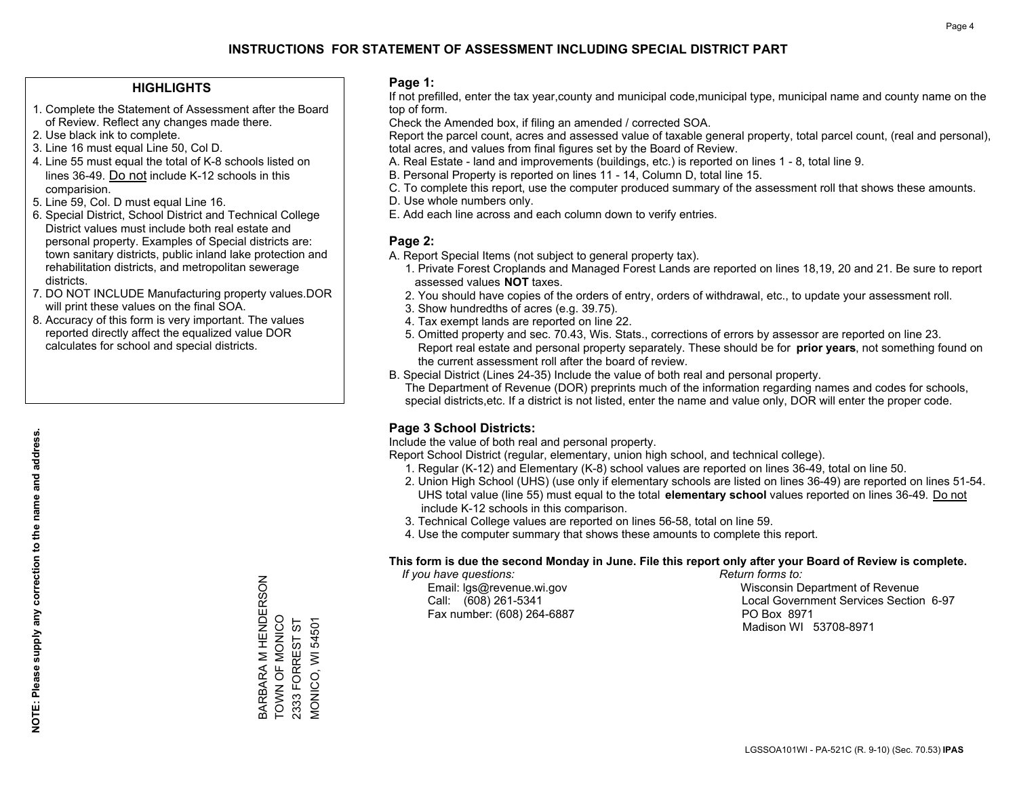#### **HIGHLIGHTS**

- 1. Complete the Statement of Assessment after the Board of Review. Reflect any changes made there.
- 2. Use black ink to complete.
- 3. Line 16 must equal Line 50, Col D.
- 4. Line 55 must equal the total of K-8 schools listed on lines 36-49. Do not include K-12 schools in this comparision.
- 5. Line 59, Col. D must equal Line 16.
- 6. Special District, School District and Technical College District values must include both real estate and personal property. Examples of Special districts are: town sanitary districts, public inland lake protection and rehabilitation districts, and metropolitan sewerage districts.
- 7. DO NOT INCLUDE Manufacturing property values.DOR will print these values on the final SOA.
- 8. Accuracy of this form is very important. The values reported directly affect the equalized value DOR calculates for school and special districts.

#### **Page 1:**

 If not prefilled, enter the tax year,county and municipal code,municipal type, municipal name and county name on the top of form.

Check the Amended box, if filing an amended / corrected SOA.

 Report the parcel count, acres and assessed value of taxable general property, total parcel count, (real and personal), total acres, and values from final figures set by the Board of Review.

- A. Real Estate land and improvements (buildings, etc.) is reported on lines 1 8, total line 9.
- B. Personal Property is reported on lines 11 14, Column D, total line 15.
- C. To complete this report, use the computer produced summary of the assessment roll that shows these amounts.
- D. Use whole numbers only.
- E. Add each line across and each column down to verify entries.

#### **Page 2:**

- A. Report Special Items (not subject to general property tax).
- 1. Private Forest Croplands and Managed Forest Lands are reported on lines 18,19, 20 and 21. Be sure to report assessed values **NOT** taxes.
- 2. You should have copies of the orders of entry, orders of withdrawal, etc., to update your assessment roll.
	- 3. Show hundredths of acres (e.g. 39.75).
- 4. Tax exempt lands are reported on line 22.
- 5. Omitted property and sec. 70.43, Wis. Stats., corrections of errors by assessor are reported on line 23. Report real estate and personal property separately. These should be for **prior years**, not something found on the current assessment roll after the board of review.
- B. Special District (Lines 24-35) Include the value of both real and personal property.
- The Department of Revenue (DOR) preprints much of the information regarding names and codes for schools, special districts,etc. If a district is not listed, enter the name and value only, DOR will enter the proper code.

## **Page 3 School Districts:**

Include the value of both real and personal property.

Report School District (regular, elementary, union high school, and technical college).

- 1. Regular (K-12) and Elementary (K-8) school values are reported on lines 36-49, total on line 50.
- 2. Union High School (UHS) (use only if elementary schools are listed on lines 36-49) are reported on lines 51-54. UHS total value (line 55) must equal to the total **elementary school** values reported on lines 36-49. Do notinclude K-12 schools in this comparison.
- 3. Technical College values are reported on lines 56-58, total on line 59.
- 4. Use the computer summary that shows these amounts to complete this report.

#### **This form is due the second Monday in June. File this report only after your Board of Review is complete.**

 *If you have questions: Return forms to:*

Fax number: (608) 264-6887 PO Box 8971

 Email: lgs@revenue.wi.gov Wisconsin Department of Revenue Call: (608) 261-5341 Local Government Services Section 6-97Madison WI 53708-8971

BARBARA M HENDERSON<br>TOWN OF MONICO BARBARA M HENDERSON TOWN OF MONICO 2333 FORREST ST 2333 FORREST ST VIONICO, WI 54501 MONICO, WI 54501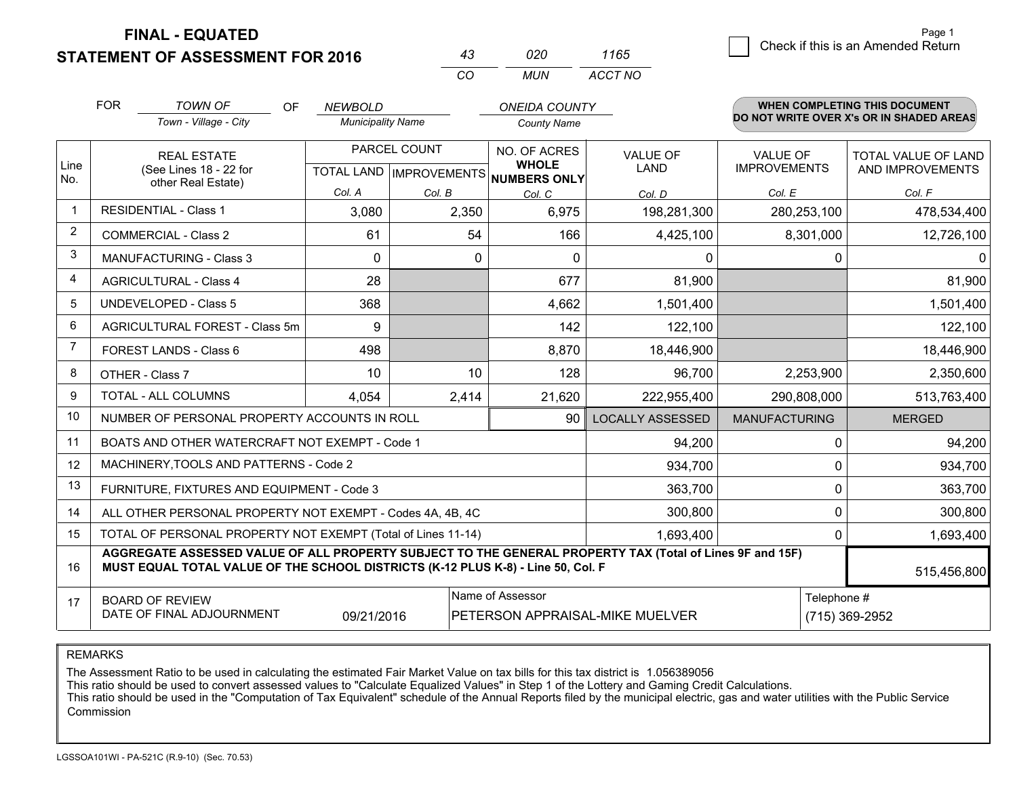**STATEMENT OF ASSESSMENT FOR 2016** 

| 43  | 020 | 1165    |
|-----|-----|---------|
| CO. | MUN | ACCT NO |

|                | <b>FOR</b>                                                                                                                                                                                   | <b>TOWN OF</b><br><b>OF</b><br>Town - Village - City      | <b>NEWBOLD</b><br><b>Municipality Name</b> |          | <b>ONEIDA COUNTY</b>                                     |                         |                      | <b>WHEN COMPLETING THIS DOCUMENT</b><br>DO NOT WRITE OVER X's OR IN SHADED AREAS |
|----------------|----------------------------------------------------------------------------------------------------------------------------------------------------------------------------------------------|-----------------------------------------------------------|--------------------------------------------|----------|----------------------------------------------------------|-------------------------|----------------------|----------------------------------------------------------------------------------|
|                |                                                                                                                                                                                              |                                                           |                                            |          | <b>County Name</b>                                       |                         |                      |                                                                                  |
|                |                                                                                                                                                                                              | <b>REAL ESTATE</b>                                        | PARCEL COUNT                               |          | NO. OF ACRES                                             | <b>VALUE OF</b>         | <b>VALUE OF</b>      | <b>TOTAL VALUE OF LAND</b>                                                       |
| Line<br>No.    |                                                                                                                                                                                              | (See Lines 18 - 22 for<br>other Real Estate)              |                                            |          | <b>WHOLE</b><br>TOTAL LAND   IMPROVEMENTS   NUMBERS ONLY | <b>LAND</b>             | <b>IMPROVEMENTS</b>  | AND IMPROVEMENTS                                                                 |
|                |                                                                                                                                                                                              |                                                           | Col. A                                     | Col. B   | Col. C                                                   | Col. D                  | Col. E               | Col. F                                                                           |
| $\mathbf{1}$   |                                                                                                                                                                                              | <b>RESIDENTIAL - Class 1</b>                              | 3,080                                      | 2,350    | 6,975                                                    | 198,281,300             | 280,253,100          | 478,534,400                                                                      |
| $\overline{2}$ |                                                                                                                                                                                              | <b>COMMERCIAL - Class 2</b>                               | 61                                         | 54       | 166                                                      | 4,425,100               | 8,301,000            | 12,726,100                                                                       |
| 3              |                                                                                                                                                                                              | MANUFACTURING - Class 3                                   | $\Omega$                                   | $\Omega$ | $\Omega$                                                 | $\mathbf{0}$            | $\mathbf 0$          | $\Omega$                                                                         |
| 4              |                                                                                                                                                                                              | <b>AGRICULTURAL - Class 4</b>                             | 28                                         |          | 677                                                      | 81,900                  |                      | 81,900                                                                           |
| 5              |                                                                                                                                                                                              | UNDEVELOPED - Class 5                                     | 368                                        |          | 4,662                                                    | 1,501,400               |                      | 1,501,400                                                                        |
| 6              | AGRICULTURAL FOREST - Class 5m                                                                                                                                                               |                                                           | 9                                          |          | 142                                                      | 122,100                 |                      | 122,100                                                                          |
| 7              | FOREST LANDS - Class 6                                                                                                                                                                       |                                                           | 498                                        |          | 8,870                                                    | 18,446,900              |                      | 18,446,900                                                                       |
| 8              |                                                                                                                                                                                              | OTHER - Class 7                                           | 10                                         | 10       | 128                                                      | 96,700                  | 2,253,900            | 2,350,600                                                                        |
| 9              |                                                                                                                                                                                              | TOTAL - ALL COLUMNS                                       | 4,054                                      | 2,414    | 21,620                                                   | 222,955,400             | 290,808,000          | 513,763,400                                                                      |
| 10             |                                                                                                                                                                                              | NUMBER OF PERSONAL PROPERTY ACCOUNTS IN ROLL              |                                            |          | 90                                                       | <b>LOCALLY ASSESSED</b> | <b>MANUFACTURING</b> | <b>MERGED</b>                                                                    |
| 11             |                                                                                                                                                                                              | BOATS AND OTHER WATERCRAFT NOT EXEMPT - Code 1            |                                            |          |                                                          | 94,200                  | 0                    | 94,200                                                                           |
| 12             |                                                                                                                                                                                              | MACHINERY, TOOLS AND PATTERNS - Code 2                    |                                            |          |                                                          | 934,700                 | 0                    | 934,700                                                                          |
| 13             |                                                                                                                                                                                              | FURNITURE, FIXTURES AND EQUIPMENT - Code 3                |                                            |          |                                                          | 363,700                 | $\mathbf 0$          | 363,700                                                                          |
| 14             |                                                                                                                                                                                              | ALL OTHER PERSONAL PROPERTY NOT EXEMPT - Codes 4A, 4B, 4C |                                            |          |                                                          | 300,800                 | 0                    | 300,800                                                                          |
| 15             | TOTAL OF PERSONAL PROPERTY NOT EXEMPT (Total of Lines 11-14)                                                                                                                                 |                                                           |                                            |          |                                                          |                         | 0                    | 1,693,400                                                                        |
| 16             | AGGREGATE ASSESSED VALUE OF ALL PROPERTY SUBJECT TO THE GENERAL PROPERTY TAX (Total of Lines 9F and 15F)<br>MUST EQUAL TOTAL VALUE OF THE SCHOOL DISTRICTS (K-12 PLUS K-8) - Line 50, Col. F |                                                           |                                            |          |                                                          |                         | 515,456,800          |                                                                                  |
| 17             | Name of Assessor<br><b>BOARD OF REVIEW</b><br>DATE OF FINAL ADJOURNMENT<br>09/21/2016<br>PETERSON APPRAISAL-MIKE MUELVER                                                                     |                                                           |                                            |          |                                                          | Telephone #             | (715) 369-2952       |                                                                                  |

REMARKS

The Assessment Ratio to be used in calculating the estimated Fair Market Value on tax bills for this tax district is 1.056389056

This ratio should be used to convert assessed values to "Calculate Equalized Values" in Step 1 of the Lottery and Gaming Credit Calculations.<br>This ratio should be used in the "Computation of Tax Equivalent" schedule of the Commission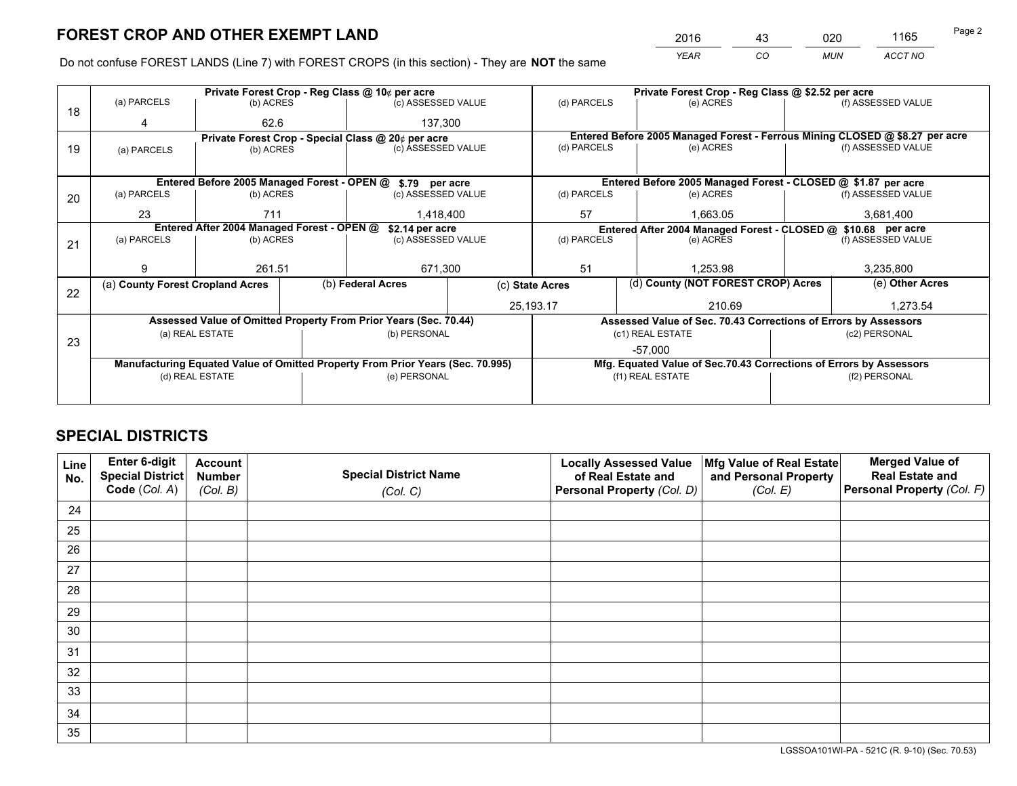*YEAR CO MUN ACCT NO* <sup>2016</sup> <sup>43</sup> <sup>020</sup> <sup>1165</sup>

Do not confuse FOREST LANDS (Line 7) with FOREST CROPS (in this section) - They are **NOT** the same

|    |                                                               |                 |  | Private Forest Crop - Reg Class @ 10¢ per acre                                 |    |                                                               | Private Forest Crop - Reg Class @ \$2.52 per acre                            |               |                    |  |
|----|---------------------------------------------------------------|-----------------|--|--------------------------------------------------------------------------------|----|---------------------------------------------------------------|------------------------------------------------------------------------------|---------------|--------------------|--|
| 18 | (a) PARCELS                                                   | (b) ACRES       |  | (c) ASSESSED VALUE                                                             |    | (d) PARCELS                                                   | (e) ACRES                                                                    |               | (f) ASSESSED VALUE |  |
|    | 4                                                             | 62.6            |  | 137,300                                                                        |    |                                                               |                                                                              |               |                    |  |
|    |                                                               |                 |  | Private Forest Crop - Special Class @ 20¢ per acre                             |    |                                                               | Entered Before 2005 Managed Forest - Ferrous Mining CLOSED @ \$8.27 per acre |               |                    |  |
| 19 | (a) PARCELS                                                   | (b) ACRES       |  | (c) ASSESSED VALUE                                                             |    | (d) PARCELS                                                   | (e) ACRES                                                                    |               | (f) ASSESSED VALUE |  |
|    |                                                               |                 |  |                                                                                |    |                                                               |                                                                              |               |                    |  |
|    |                                                               |                 |  | Entered Before 2005 Managed Forest - OPEN @ \$.79 per acre                     |    |                                                               | Entered Before 2005 Managed Forest - CLOSED @ \$1.87 per acre                |               |                    |  |
| 20 | (a) PARCELS                                                   | (b) ACRES       |  | (c) ASSESSED VALUE                                                             |    | (d) PARCELS                                                   | (e) ACRES                                                                    |               | (f) ASSESSED VALUE |  |
|    | 23                                                            | 711             |  | 1,418,400                                                                      | 57 |                                                               | 1.663.05                                                                     |               | 3,681,400          |  |
|    | Entered After 2004 Managed Forest - OPEN @<br>\$2.14 per acre |                 |  |                                                                                |    | Entered After 2004 Managed Forest - CLOSED @ \$10.68 per acre |                                                                              |               |                    |  |
| 21 | (a) PARCELS                                                   | (b) ACRES       |  | (c) ASSESSED VALUE                                                             |    | (d) PARCELS<br>(e) ACRES                                      |                                                                              |               | (f) ASSESSED VALUE |  |
|    |                                                               |                 |  |                                                                                |    |                                                               |                                                                              |               |                    |  |
|    | 9                                                             | 261.51          |  | 671,300                                                                        |    | 51<br>1.253.98                                                |                                                                              | 3,235,800     |                    |  |
| 22 | (a) County Forest Cropland Acres                              |                 |  | (b) Federal Acres                                                              |    | (d) County (NOT FOREST CROP) Acres<br>(c) State Acres         |                                                                              |               | (e) Other Acres    |  |
|    |                                                               |                 |  |                                                                                |    | 25,193.17                                                     | 210.69                                                                       |               | 1,273.54           |  |
|    |                                                               |                 |  | Assessed Value of Omitted Property From Prior Years (Sec. 70.44)               |    |                                                               | Assessed Value of Sec. 70.43 Corrections of Errors by Assessors              |               |                    |  |
|    |                                                               | (a) REAL ESTATE |  | (b) PERSONAL                                                                   |    |                                                               | (c1) REAL ESTATE                                                             |               | (c2) PERSONAL      |  |
| 23 |                                                               |                 |  |                                                                                |    |                                                               | $-57,000$                                                                    |               |                    |  |
|    |                                                               |                 |  | Manufacturing Equated Value of Omitted Property From Prior Years (Sec. 70.995) |    |                                                               | Mfg. Equated Value of Sec.70.43 Corrections of Errors by Assessors           |               |                    |  |
|    |                                                               | (d) REAL ESTATE |  | (e) PERSONAL                                                                   |    | (f1) REAL ESTATE                                              |                                                                              | (f2) PERSONAL |                    |  |
|    |                                                               |                 |  |                                                                                |    |                                                               |                                                                              |               |                    |  |

## **SPECIAL DISTRICTS**

| Line<br>No. | Enter 6-digit<br>Special District<br>Code (Col. A) | <b>Account</b><br><b>Number</b> | <b>Special District Name</b> | <b>Locally Assessed Value</b><br>of Real Estate and | Mfg Value of Real Estate<br>and Personal Property | <b>Merged Value of</b><br><b>Real Estate and</b><br>Personal Property (Col. F) |
|-------------|----------------------------------------------------|---------------------------------|------------------------------|-----------------------------------------------------|---------------------------------------------------|--------------------------------------------------------------------------------|
|             |                                                    | (Col. B)                        | (Col. C)                     | Personal Property (Col. D)                          | (Col. E)                                          |                                                                                |
| 24          |                                                    |                                 |                              |                                                     |                                                   |                                                                                |
| 25          |                                                    |                                 |                              |                                                     |                                                   |                                                                                |
| 26          |                                                    |                                 |                              |                                                     |                                                   |                                                                                |
| 27          |                                                    |                                 |                              |                                                     |                                                   |                                                                                |
| 28          |                                                    |                                 |                              |                                                     |                                                   |                                                                                |
| 29          |                                                    |                                 |                              |                                                     |                                                   |                                                                                |
| 30          |                                                    |                                 |                              |                                                     |                                                   |                                                                                |
| 31          |                                                    |                                 |                              |                                                     |                                                   |                                                                                |
| 32          |                                                    |                                 |                              |                                                     |                                                   |                                                                                |
| 33          |                                                    |                                 |                              |                                                     |                                                   |                                                                                |
| 34          |                                                    |                                 |                              |                                                     |                                                   |                                                                                |
| 35          |                                                    |                                 |                              |                                                     |                                                   |                                                                                |

LGSSOA101WI-PA - 521C (R. 9-10) (Sec. 70.53)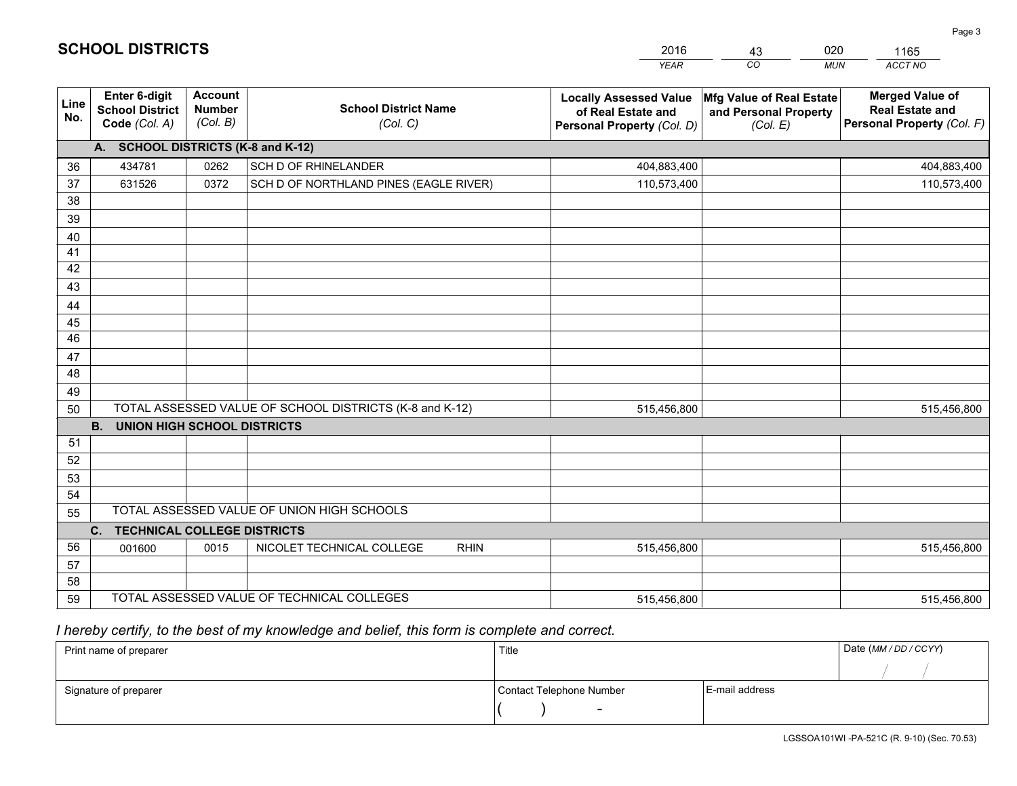|                 |                                                                 |                                             |                                                         | <b>YEAR</b>                                                                       | CO<br><b>MUN</b>                                              | ACCT NO                                                                        |
|-----------------|-----------------------------------------------------------------|---------------------------------------------|---------------------------------------------------------|-----------------------------------------------------------------------------------|---------------------------------------------------------------|--------------------------------------------------------------------------------|
| Line<br>No.     | <b>Enter 6-digit</b><br><b>School District</b><br>Code (Col. A) | <b>Account</b><br><b>Number</b><br>(Col. B) | <b>School District Name</b><br>(Col. C)                 | <b>Locally Assessed Value</b><br>of Real Estate and<br>Personal Property (Col. D) | Mfg Value of Real Estate<br>and Personal Property<br>(Col. E) | <b>Merged Value of</b><br><b>Real Estate and</b><br>Personal Property (Col. F) |
|                 | A. SCHOOL DISTRICTS (K-8 and K-12)                              |                                             |                                                         |                                                                                   |                                                               |                                                                                |
| 36              | 434781                                                          | 0262                                        | SCH D OF RHINELANDER                                    | 404,883,400                                                                       |                                                               | 404,883,400                                                                    |
| 37              | 631526                                                          | 0372                                        | SCH D OF NORTHLAND PINES (EAGLE RIVER)                  | 110,573,400                                                                       |                                                               | 110,573,400                                                                    |
| 38              |                                                                 |                                             |                                                         |                                                                                   |                                                               |                                                                                |
| 39              |                                                                 |                                             |                                                         |                                                                                   |                                                               |                                                                                |
| 40              |                                                                 |                                             |                                                         |                                                                                   |                                                               |                                                                                |
| 41              |                                                                 |                                             |                                                         |                                                                                   |                                                               |                                                                                |
| 42              |                                                                 |                                             |                                                         |                                                                                   |                                                               |                                                                                |
| 43              |                                                                 |                                             |                                                         |                                                                                   |                                                               |                                                                                |
| 44<br>45        |                                                                 |                                             |                                                         |                                                                                   |                                                               |                                                                                |
| $\overline{46}$ |                                                                 |                                             |                                                         |                                                                                   |                                                               |                                                                                |
| 47              |                                                                 |                                             |                                                         |                                                                                   |                                                               |                                                                                |
| 48              |                                                                 |                                             |                                                         |                                                                                   |                                                               |                                                                                |
| 49              |                                                                 |                                             |                                                         |                                                                                   |                                                               |                                                                                |
| 50              |                                                                 |                                             | TOTAL ASSESSED VALUE OF SCHOOL DISTRICTS (K-8 and K-12) | 515,456,800                                                                       |                                                               | 515,456,800                                                                    |
|                 | <b>B.</b><br><b>UNION HIGH SCHOOL DISTRICTS</b>                 |                                             |                                                         |                                                                                   |                                                               |                                                                                |
| 51              |                                                                 |                                             |                                                         |                                                                                   |                                                               |                                                                                |
| 52              |                                                                 |                                             |                                                         |                                                                                   |                                                               |                                                                                |
| 53              |                                                                 |                                             |                                                         |                                                                                   |                                                               |                                                                                |
| 54              |                                                                 |                                             |                                                         |                                                                                   |                                                               |                                                                                |
| 55              |                                                                 |                                             | TOTAL ASSESSED VALUE OF UNION HIGH SCHOOLS              |                                                                                   |                                                               |                                                                                |
|                 | C.<br><b>TECHNICAL COLLEGE DISTRICTS</b>                        |                                             |                                                         |                                                                                   |                                                               |                                                                                |
| 56              | 001600                                                          | 0015                                        | NICOLET TECHNICAL COLLEGE<br><b>RHIN</b>                | 515,456,800                                                                       |                                                               | 515,456,800                                                                    |
| 57              |                                                                 |                                             |                                                         |                                                                                   |                                                               |                                                                                |
| 58              |                                                                 |                                             |                                                         |                                                                                   |                                                               |                                                                                |
| 59              |                                                                 |                                             | TOTAL ASSESSED VALUE OF TECHNICAL COLLEGES              | 515,456,800                                                                       |                                                               | 515,456,800                                                                    |

43

020

 *I hereby certify, to the best of my knowledge and belief, this form is complete and correct.*

**SCHOOL DISTRICTS**

| Print name of preparer | Title                    |                | Date (MM / DD / CCYY) |
|------------------------|--------------------------|----------------|-----------------------|
|                        |                          |                |                       |
| Signature of preparer  | Contact Telephone Number | E-mail address |                       |
|                        | $\sim$                   |                |                       |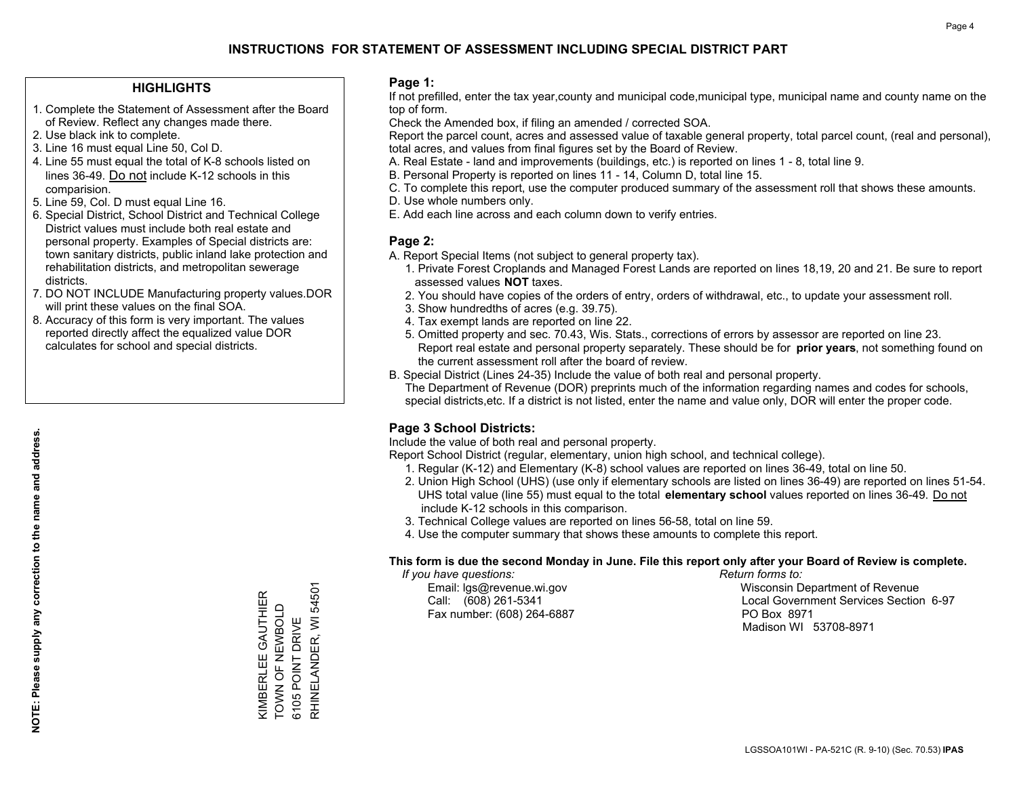#### **HIGHLIGHTS**

- 1. Complete the Statement of Assessment after the Board of Review. Reflect any changes made there.
- 2. Use black ink to complete.
- 3. Line 16 must equal Line 50, Col D.
- 4. Line 55 must equal the total of K-8 schools listed on lines 36-49. Do not include K-12 schools in this comparision.
- 5. Line 59, Col. D must equal Line 16.
- 6. Special District, School District and Technical College District values must include both real estate and personal property. Examples of Special districts are: town sanitary districts, public inland lake protection and rehabilitation districts, and metropolitan sewerage districts.
- 7. DO NOT INCLUDE Manufacturing property values.DOR will print these values on the final SOA.

KIMBERLEE GAUTHIER TOWN OF NEWBOLD 6105 POINT DRIVE

KIMBERLEE GAUTHIER<br>TOWN OF NEWBOLD

RHINELANDER, WI 54501

RHINELANDER, WI 6105 POINT DRIVE

54501

 8. Accuracy of this form is very important. The values reported directly affect the equalized value DOR calculates for school and special districts.

#### **Page 1:**

 If not prefilled, enter the tax year,county and municipal code,municipal type, municipal name and county name on the top of form.

Check the Amended box, if filing an amended / corrected SOA.

 Report the parcel count, acres and assessed value of taxable general property, total parcel count, (real and personal), total acres, and values from final figures set by the Board of Review.

- A. Real Estate land and improvements (buildings, etc.) is reported on lines 1 8, total line 9.
- B. Personal Property is reported on lines 11 14, Column D, total line 15.
- C. To complete this report, use the computer produced summary of the assessment roll that shows these amounts.
- D. Use whole numbers only.
- E. Add each line across and each column down to verify entries.

### **Page 2:**

- A. Report Special Items (not subject to general property tax).
- 1. Private Forest Croplands and Managed Forest Lands are reported on lines 18,19, 20 and 21. Be sure to report assessed values **NOT** taxes.
- 2. You should have copies of the orders of entry, orders of withdrawal, etc., to update your assessment roll.
	- 3. Show hundredths of acres (e.g. 39.75).
- 4. Tax exempt lands are reported on line 22.
- 5. Omitted property and sec. 70.43, Wis. Stats., corrections of errors by assessor are reported on line 23. Report real estate and personal property separately. These should be for **prior years**, not something found on the current assessment roll after the board of review.
- B. Special District (Lines 24-35) Include the value of both real and personal property.

 The Department of Revenue (DOR) preprints much of the information regarding names and codes for schools, special districts,etc. If a district is not listed, enter the name and value only, DOR will enter the proper code.

## **Page 3 School Districts:**

Include the value of both real and personal property.

Report School District (regular, elementary, union high school, and technical college).

- 1. Regular (K-12) and Elementary (K-8) school values are reported on lines 36-49, total on line 50.
- 2. Union High School (UHS) (use only if elementary schools are listed on lines 36-49) are reported on lines 51-54. UHS total value (line 55) must equal to the total **elementary school** values reported on lines 36-49. Do notinclude K-12 schools in this comparison.
- 3. Technical College values are reported on lines 56-58, total on line 59.
- 4. Use the computer summary that shows these amounts to complete this report.

#### **This form is due the second Monday in June. File this report only after your Board of Review is complete.**

 *If you have questions: Return forms to:*

Fax number: (608) 264-6887 PO Box 8971

 Email: lgs@revenue.wi.gov Wisconsin Department of Revenue Call: (608) 261-5341 Local Government Services Section 6-97Madison WI 53708-8971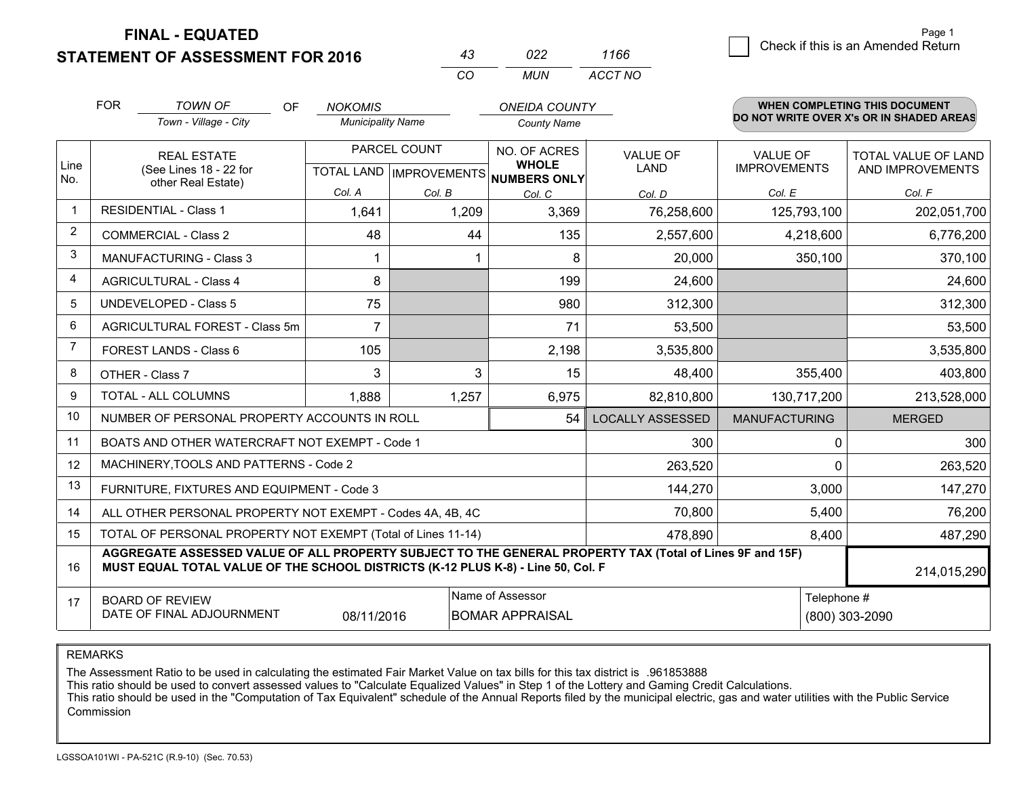**STATEMENT OF ASSESSMENT FOR 2016** 

| 43  | 022 | 1166    |
|-----|-----|---------|
| CO. | MUN | ACCT NO |

|              | <b>FOR</b>                                                                                                                                                                                   | <b>TOWN OF</b><br>OF<br>Town - Village - City             | <b>NOKOMIS</b><br><b>Municipality Name</b>          |        | <b>ONEIDA COUNTY</b><br><b>County Name</b> |                         |                                        | <b>WHEN COMPLETING THIS DOCUMENT</b><br>DO NOT WRITE OVER X's OR IN SHADED AREAS |
|--------------|----------------------------------------------------------------------------------------------------------------------------------------------------------------------------------------------|-----------------------------------------------------------|-----------------------------------------------------|--------|--------------------------------------------|-------------------------|----------------------------------------|----------------------------------------------------------------------------------|
| Line         | <b>REAL ESTATE</b><br>(See Lines 18 - 22 for                                                                                                                                                 |                                                           | PARCEL COUNT<br>TOTAL LAND MPROVEMENTS NUMBERS ONLY |        | NO. OF ACRES<br><b>WHOLE</b>               | <b>VALUE OF</b><br>LAND | <b>VALUE OF</b><br><b>IMPROVEMENTS</b> | <b>TOTAL VALUE OF LAND</b><br>AND IMPROVEMENTS                                   |
| No.          |                                                                                                                                                                                              | other Real Estate)                                        | Col. A                                              | Col. B | Col. C                                     | Col. D                  | Col. E                                 | Col. F                                                                           |
| $\mathbf{1}$ |                                                                                                                                                                                              | <b>RESIDENTIAL - Class 1</b>                              | 1,641                                               | 1,209  | 3,369                                      | 76,258,600              | 125,793,100                            | 202,051,700                                                                      |
| 2            |                                                                                                                                                                                              | <b>COMMERCIAL - Class 2</b>                               | 48                                                  | 44     | 135                                        | 2,557,600               | 4,218,600                              | 6,776,200                                                                        |
| 3            |                                                                                                                                                                                              | <b>MANUFACTURING - Class 3</b>                            |                                                     |        | 8                                          | 20,000                  | 350,100                                | 370,100                                                                          |
| 4            |                                                                                                                                                                                              | <b>AGRICULTURAL - Class 4</b>                             | 8                                                   |        | 199                                        | 24,600                  |                                        | 24,600                                                                           |
| 5            |                                                                                                                                                                                              | <b>UNDEVELOPED - Class 5</b>                              | 75                                                  |        | 980                                        | 312,300                 |                                        | 312,300                                                                          |
| 6            |                                                                                                                                                                                              | AGRICULTURAL FOREST - Class 5m                            | $\overline{7}$                                      |        | 71                                         | 53,500                  |                                        | 53,500                                                                           |
| 7            |                                                                                                                                                                                              | FOREST LANDS - Class 6                                    | 105                                                 |        | 2,198                                      | 3,535,800               |                                        | 3,535,800                                                                        |
| 8            |                                                                                                                                                                                              | OTHER - Class 7                                           | 3                                                   | 3      | 15                                         | 48,400                  | 355,400                                | 403,800                                                                          |
| 9            |                                                                                                                                                                                              | TOTAL - ALL COLUMNS                                       | 1,888                                               | 1,257  | 6,975                                      | 82,810,800              | 130,717,200                            | 213,528,000                                                                      |
| 10           |                                                                                                                                                                                              | NUMBER OF PERSONAL PROPERTY ACCOUNTS IN ROLL              |                                                     |        | 54                                         | <b>LOCALLY ASSESSED</b> | <b>MANUFACTURING</b>                   | <b>MERGED</b>                                                                    |
| 11           |                                                                                                                                                                                              | BOATS AND OTHER WATERCRAFT NOT EXEMPT - Code 1            |                                                     |        |                                            | 300                     | 0                                      | 300                                                                              |
| 12           |                                                                                                                                                                                              | MACHINERY, TOOLS AND PATTERNS - Code 2                    |                                                     |        |                                            | 263,520                 | 0                                      | 263,520                                                                          |
| 13           |                                                                                                                                                                                              | FURNITURE, FIXTURES AND EQUIPMENT - Code 3                |                                                     |        |                                            | 144,270                 | 3,000                                  | 147,270                                                                          |
| 14           |                                                                                                                                                                                              | ALL OTHER PERSONAL PROPERTY NOT EXEMPT - Codes 4A, 4B, 4C |                                                     |        |                                            | 70,800                  | 5,400                                  | 76,200                                                                           |
| 15           | TOTAL OF PERSONAL PROPERTY NOT EXEMPT (Total of Lines 11-14)<br>478,890<br>8,400                                                                                                             |                                                           |                                                     |        |                                            |                         |                                        | 487,290                                                                          |
| 16           | AGGREGATE ASSESSED VALUE OF ALL PROPERTY SUBJECT TO THE GENERAL PROPERTY TAX (Total of Lines 9F and 15F)<br>MUST EQUAL TOTAL VALUE OF THE SCHOOL DISTRICTS (K-12 PLUS K-8) - Line 50, Col. F |                                                           |                                                     |        |                                            |                         | 214,015,290                            |                                                                                  |
| 17           | Name of Assessor<br><b>BOARD OF REVIEW</b><br>DATE OF FINAL ADJOURNMENT<br>08/11/2016<br><b>BOMAR APPRAISAL</b>                                                                              |                                                           |                                                     |        |                                            | Telephone #             | (800) 303-2090                         |                                                                                  |

REMARKS

The Assessment Ratio to be used in calculating the estimated Fair Market Value on tax bills for this tax district is .961853888

This ratio should be used to convert assessed values to "Calculate Equalized Values" in Step 1 of the Lottery and Gaming Credit Calculations.<br>This ratio should be used in the "Computation of Tax Equivalent" schedule of the Commission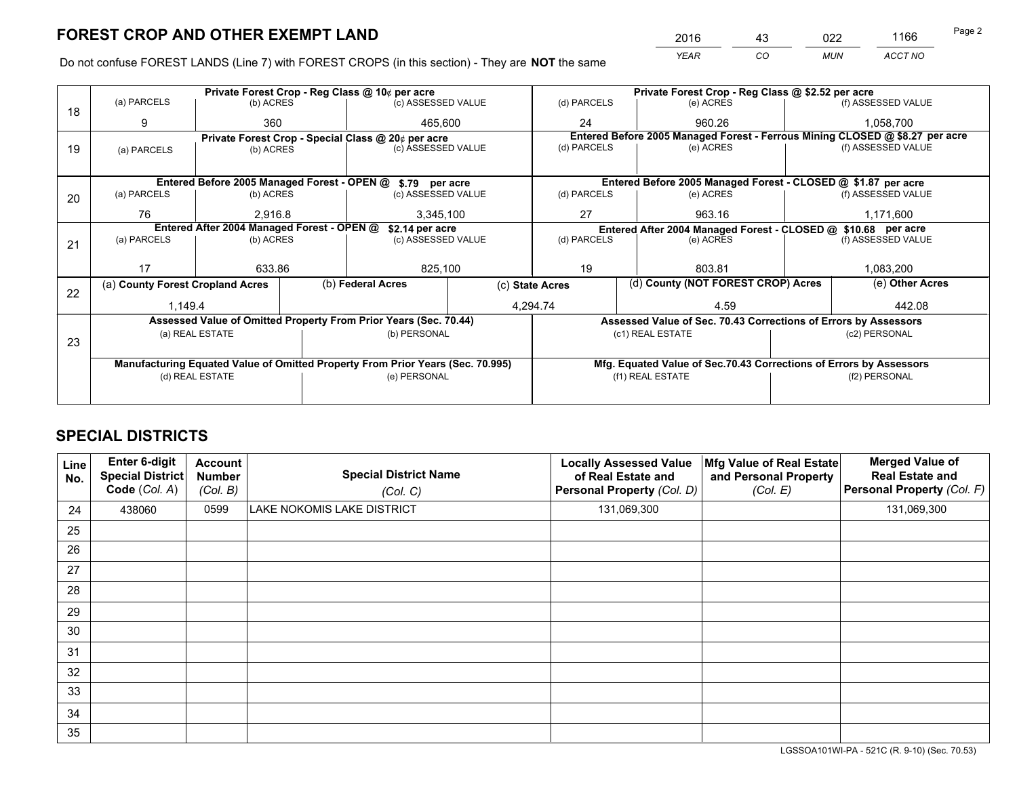*YEAR CO MUN ACCT NO* <sup>2016</sup> <sup>43</sup> <sup>022</sup> <sup>1166</sup> Page 2

Do not confuse FOREST LANDS (Line 7) with FOREST CROPS (in this section) - They are **NOT** the same

|    |                                                                                |                 |  | Private Forest Crop - Reg Class @ 10¢ per acre                   |                 |                          | Private Forest Crop - Reg Class @ \$2.52 per acre                            |                                                                    |                    |  |
|----|--------------------------------------------------------------------------------|-----------------|--|------------------------------------------------------------------|-----------------|--------------------------|------------------------------------------------------------------------------|--------------------------------------------------------------------|--------------------|--|
| 18 | (a) PARCELS                                                                    | (b) ACRES       |  | (c) ASSESSED VALUE                                               |                 | (d) PARCELS              | (e) ACRES                                                                    |                                                                    | (f) ASSESSED VALUE |  |
|    | 9                                                                              | 360             |  | 465.600                                                          |                 | 24                       | 960.26                                                                       |                                                                    | 1,058,700          |  |
|    |                                                                                |                 |  | Private Forest Crop - Special Class @ 20¢ per acre               |                 |                          | Entered Before 2005 Managed Forest - Ferrous Mining CLOSED @ \$8.27 per acre |                                                                    |                    |  |
| 19 | (a) PARCELS                                                                    | (b) ACRES       |  | (c) ASSESSED VALUE                                               |                 | (d) PARCELS              | (e) ACRES                                                                    |                                                                    | (f) ASSESSED VALUE |  |
|    |                                                                                |                 |  |                                                                  |                 |                          |                                                                              |                                                                    |                    |  |
|    |                                                                                |                 |  | Entered Before 2005 Managed Forest - OPEN @ \$.79 per acre       |                 |                          | Entered Before 2005 Managed Forest - CLOSED @ \$1.87 per acre                |                                                                    |                    |  |
| 20 | (a) PARCELS                                                                    | (b) ACRES       |  | (c) ASSESSED VALUE                                               |                 | (d) PARCELS              | (e) ACRES                                                                    |                                                                    | (f) ASSESSED VALUE |  |
|    | 76                                                                             | 2.916.8         |  | 3,345,100                                                        |                 | 27                       | 963.16                                                                       |                                                                    | 1,171,600          |  |
|    | Entered After 2004 Managed Forest - OPEN @<br>\$2.14 per acre                  |                 |  |                                                                  |                 |                          | Entered After 2004 Managed Forest - CLOSED @ \$10.68 per acre                |                                                                    |                    |  |
| 21 | (a) PARCELS                                                                    | (b) ACRES       |  | (c) ASSESSED VALUE                                               |                 | (d) PARCELS<br>(e) ACRES |                                                                              |                                                                    | (f) ASSESSED VALUE |  |
|    |                                                                                |                 |  |                                                                  |                 |                          |                                                                              |                                                                    |                    |  |
|    | 17                                                                             | 633.86          |  | 825,100                                                          |                 | 19                       | 803.81                                                                       |                                                                    | 1,083,200          |  |
| 22 | (a) County Forest Cropland Acres                                               |                 |  | (b) Federal Acres                                                | (c) State Acres |                          | (d) County (NOT FOREST CROP) Acres                                           |                                                                    | (e) Other Acres    |  |
|    | 1,149.4                                                                        |                 |  |                                                                  | 4,294.74        |                          | 4.59                                                                         |                                                                    | 442.08             |  |
|    |                                                                                |                 |  | Assessed Value of Omitted Property From Prior Years (Sec. 70.44) |                 |                          | Assessed Value of Sec. 70.43 Corrections of Errors by Assessors              |                                                                    |                    |  |
|    |                                                                                | (a) REAL ESTATE |  | (b) PERSONAL                                                     |                 |                          | (c1) REAL ESTATE                                                             |                                                                    | (c2) PERSONAL      |  |
| 23 |                                                                                |                 |  |                                                                  |                 |                          |                                                                              |                                                                    |                    |  |
|    | Manufacturing Equated Value of Omitted Property From Prior Years (Sec. 70.995) |                 |  |                                                                  |                 |                          |                                                                              | Mfg. Equated Value of Sec.70.43 Corrections of Errors by Assessors |                    |  |
|    |                                                                                | (d) REAL ESTATE |  | (e) PERSONAL                                                     |                 | (f1) REAL ESTATE         |                                                                              |                                                                    | (f2) PERSONAL      |  |
|    |                                                                                |                 |  |                                                                  |                 |                          |                                                                              |                                                                    |                    |  |

## **SPECIAL DISTRICTS**

| Line<br>No. | Enter 6-digit<br>Special District<br>Code (Col. A) | <b>Account</b><br><b>Number</b><br>(Col. B) | <b>Special District Name</b><br>(Col. C) | <b>Locally Assessed Value</b><br>of Real Estate and<br>Personal Property (Col. D) | Mfg Value of Real Estate<br>and Personal Property<br>(Col. E) | <b>Merged Value of</b><br><b>Real Estate and</b><br>Personal Property (Col. F) |
|-------------|----------------------------------------------------|---------------------------------------------|------------------------------------------|-----------------------------------------------------------------------------------|---------------------------------------------------------------|--------------------------------------------------------------------------------|
| 24          | 438060                                             | 0599                                        | LAKE NOKOMIS LAKE DISTRICT               | 131,069,300                                                                       |                                                               | 131,069,300                                                                    |
| 25          |                                                    |                                             |                                          |                                                                                   |                                                               |                                                                                |
| 26          |                                                    |                                             |                                          |                                                                                   |                                                               |                                                                                |
| 27          |                                                    |                                             |                                          |                                                                                   |                                                               |                                                                                |
| 28          |                                                    |                                             |                                          |                                                                                   |                                                               |                                                                                |
| 29          |                                                    |                                             |                                          |                                                                                   |                                                               |                                                                                |
| 30          |                                                    |                                             |                                          |                                                                                   |                                                               |                                                                                |
| 31          |                                                    |                                             |                                          |                                                                                   |                                                               |                                                                                |
| 32          |                                                    |                                             |                                          |                                                                                   |                                                               |                                                                                |
| 33          |                                                    |                                             |                                          |                                                                                   |                                                               |                                                                                |
| 34          |                                                    |                                             |                                          |                                                                                   |                                                               |                                                                                |
| 35          |                                                    |                                             |                                          |                                                                                   |                                                               |                                                                                |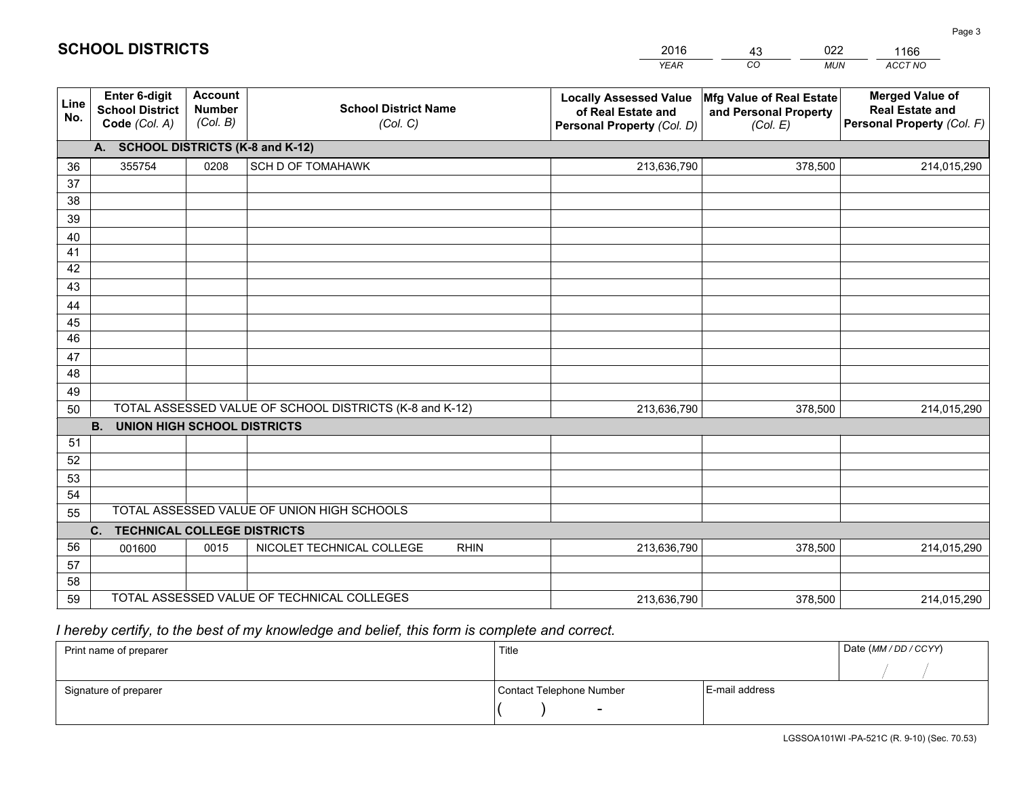|             |                                                                 |                                             |                                                         | <b>YEAR</b>                                                                       | CO<br><b>MUN</b>                                              | ACCT NO                                                                        |
|-------------|-----------------------------------------------------------------|---------------------------------------------|---------------------------------------------------------|-----------------------------------------------------------------------------------|---------------------------------------------------------------|--------------------------------------------------------------------------------|
| Line<br>No. | <b>Enter 6-digit</b><br><b>School District</b><br>Code (Col. A) | <b>Account</b><br><b>Number</b><br>(Col. B) | <b>School District Name</b><br>(Col. C)                 | <b>Locally Assessed Value</b><br>of Real Estate and<br>Personal Property (Col. D) | Mfg Value of Real Estate<br>and Personal Property<br>(Col. E) | <b>Merged Value of</b><br><b>Real Estate and</b><br>Personal Property (Col. F) |
|             | A. SCHOOL DISTRICTS (K-8 and K-12)                              |                                             |                                                         |                                                                                   |                                                               |                                                                                |
| 36          | 355754                                                          | 0208                                        | <b>SCH D OF TOMAHAWK</b>                                | 213,636,790                                                                       | 378,500                                                       | 214,015,290                                                                    |
| 37          |                                                                 |                                             |                                                         |                                                                                   |                                                               |                                                                                |
| 38          |                                                                 |                                             |                                                         |                                                                                   |                                                               |                                                                                |
| 39          |                                                                 |                                             |                                                         |                                                                                   |                                                               |                                                                                |
| 40          |                                                                 |                                             |                                                         |                                                                                   |                                                               |                                                                                |
| 41          |                                                                 |                                             |                                                         |                                                                                   |                                                               |                                                                                |
| 42          |                                                                 |                                             |                                                         |                                                                                   |                                                               |                                                                                |
| 43          |                                                                 |                                             |                                                         |                                                                                   |                                                               |                                                                                |
| 44          |                                                                 |                                             |                                                         |                                                                                   |                                                               |                                                                                |
| 45<br>46    |                                                                 |                                             |                                                         |                                                                                   |                                                               |                                                                                |
| 47          |                                                                 |                                             |                                                         |                                                                                   |                                                               |                                                                                |
| 48          |                                                                 |                                             |                                                         |                                                                                   |                                                               |                                                                                |
| 49          |                                                                 |                                             |                                                         |                                                                                   |                                                               |                                                                                |
| 50          |                                                                 |                                             | TOTAL ASSESSED VALUE OF SCHOOL DISTRICTS (K-8 and K-12) | 213,636,790                                                                       | 378,500                                                       | 214,015,290                                                                    |
|             | <b>B.</b><br><b>UNION HIGH SCHOOL DISTRICTS</b>                 |                                             |                                                         |                                                                                   |                                                               |                                                                                |
| 51          |                                                                 |                                             |                                                         |                                                                                   |                                                               |                                                                                |
| 52          |                                                                 |                                             |                                                         |                                                                                   |                                                               |                                                                                |
| 53          |                                                                 |                                             |                                                         |                                                                                   |                                                               |                                                                                |
| 54          |                                                                 |                                             |                                                         |                                                                                   |                                                               |                                                                                |
| 55          |                                                                 |                                             | TOTAL ASSESSED VALUE OF UNION HIGH SCHOOLS              |                                                                                   |                                                               |                                                                                |
|             | C.<br><b>TECHNICAL COLLEGE DISTRICTS</b>                        |                                             |                                                         |                                                                                   |                                                               |                                                                                |
| 56          | 001600                                                          | 0015                                        | NICOLET TECHNICAL COLLEGE<br><b>RHIN</b>                | 213,636,790                                                                       | 378,500                                                       | 214,015,290                                                                    |
| 57          |                                                                 |                                             |                                                         |                                                                                   |                                                               |                                                                                |
| 58          |                                                                 |                                             |                                                         |                                                                                   |                                                               |                                                                                |
| 59          |                                                                 |                                             | TOTAL ASSESSED VALUE OF TECHNICAL COLLEGES              | 213,636,790                                                                       | 378,500                                                       | 214,015,290                                                                    |

43

022

 *I hereby certify, to the best of my knowledge and belief, this form is complete and correct.*

**SCHOOL DISTRICTS**

| Print name of preparer | Title                    |                | Date (MM / DD / CCYY) |
|------------------------|--------------------------|----------------|-----------------------|
|                        |                          |                |                       |
| Signature of preparer  | Contact Telephone Number | E-mail address |                       |
|                        | $\sim$                   |                |                       |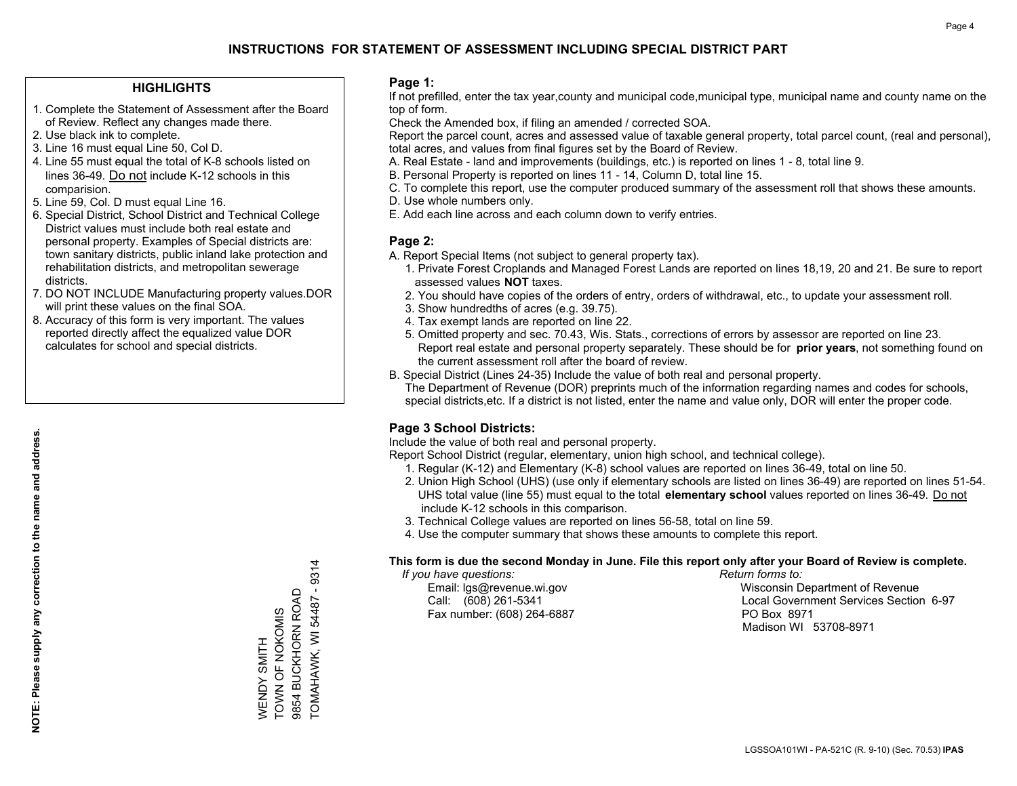#### **HIGHLIGHTS**

- 1. Complete the Statement of Assessment after the Board of Review. Reflect any changes made there.
- 2. Use black ink to complete.
- 3. Line 16 must equal Line 50, Col D.
- 4. Line 55 must equal the total of K-8 schools listed on lines 36-49. Do not include K-12 schools in this comparision.
- 5. Line 59, Col. D must equal Line 16.
- 6. Special District, School District and Technical College District values must include both real estate and personal property. Examples of Special districts are: town sanitary districts, public inland lake protection and rehabilitation districts, and metropolitan sewerage districts.
- 7. DO NOT INCLUDE Manufacturing property values.DOR will print these values on the final SOA.

WENDY SMITH TOWN OF NOKOMIS 9854 BUCKHORN ROAD TOMAHAWK, WI 54487 - 9314

WENDY SMITH<br>TOWN OF NOKOMIS

 $-9314$ 

9854 BUCKHORN ROAD TOMAHAWK, WI 54487

 8. Accuracy of this form is very important. The values reported directly affect the equalized value DOR calculates for school and special districts.

#### **Page 1:**

 If not prefilled, enter the tax year,county and municipal code,municipal type, municipal name and county name on the top of form.

Check the Amended box, if filing an amended / corrected SOA.

 Report the parcel count, acres and assessed value of taxable general property, total parcel count, (real and personal), total acres, and values from final figures set by the Board of Review.

- A. Real Estate land and improvements (buildings, etc.) is reported on lines 1 8, total line 9.
- B. Personal Property is reported on lines 11 14, Column D, total line 15.
- C. To complete this report, use the computer produced summary of the assessment roll that shows these amounts.
- D. Use whole numbers only.
- E. Add each line across and each column down to verify entries.

#### **Page 2:**

- A. Report Special Items (not subject to general property tax).
- 1. Private Forest Croplands and Managed Forest Lands are reported on lines 18,19, 20 and 21. Be sure to report assessed values **NOT** taxes.
- 2. You should have copies of the orders of entry, orders of withdrawal, etc., to update your assessment roll.
	- 3. Show hundredths of acres (e.g. 39.75).
- 4. Tax exempt lands are reported on line 22.
- 5. Omitted property and sec. 70.43, Wis. Stats., corrections of errors by assessor are reported on line 23. Report real estate and personal property separately. These should be for **prior years**, not something found on the current assessment roll after the board of review.
- B. Special District (Lines 24-35) Include the value of both real and personal property.
- The Department of Revenue (DOR) preprints much of the information regarding names and codes for schools, special districts,etc. If a district is not listed, enter the name and value only, DOR will enter the proper code.

## **Page 3 School Districts:**

Include the value of both real and personal property.

Report School District (regular, elementary, union high school, and technical college).

- 1. Regular (K-12) and Elementary (K-8) school values are reported on lines 36-49, total on line 50.
- 2. Union High School (UHS) (use only if elementary schools are listed on lines 36-49) are reported on lines 51-54. UHS total value (line 55) must equal to the total **elementary school** values reported on lines 36-49. Do notinclude K-12 schools in this comparison.
- 3. Technical College values are reported on lines 56-58, total on line 59.
- 4. Use the computer summary that shows these amounts to complete this report.

#### **This form is due the second Monday in June. File this report only after your Board of Review is complete.**

 *If you have questions: Return forms to:*

Fax number: (608) 264-6887 PO Box 8971

 Email: lgs@revenue.wi.gov Wisconsin Department of Revenue Call: (608) 261-5341 Local Government Services Section 6-97Madison WI 53708-8971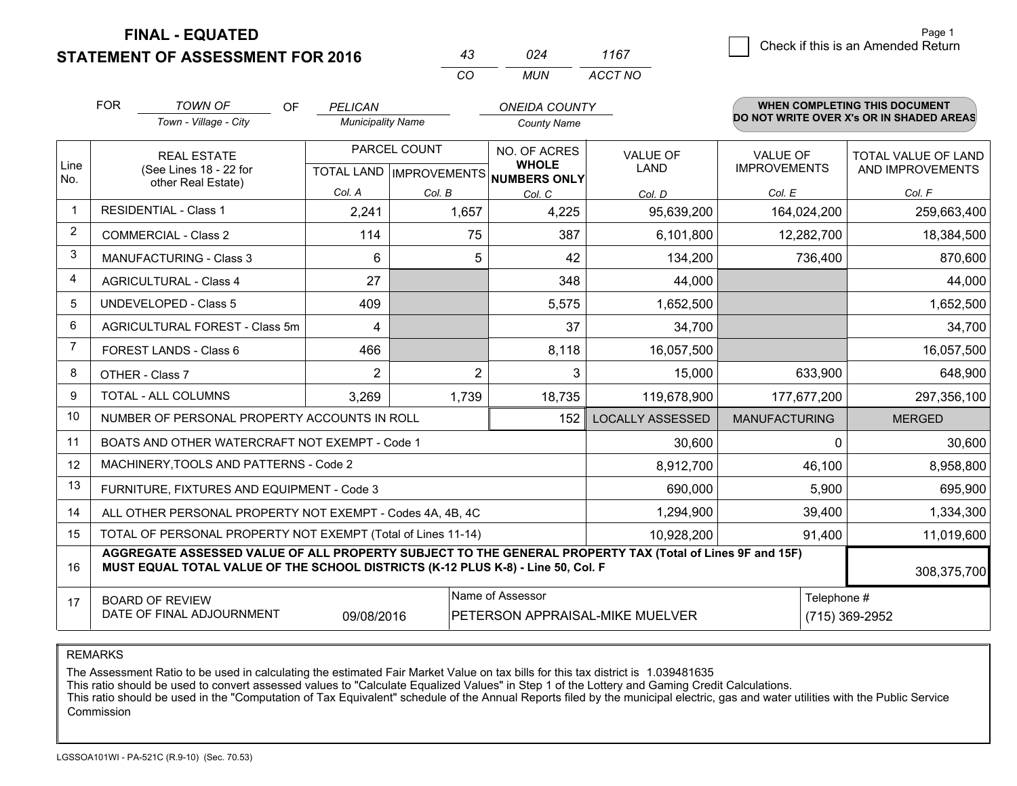### **STATEMENT OF ASSESSMENT FOR 2016**

|          | N24  | 1167    |
|----------|------|---------|
| $\cdots$ | MUN. | ACCT NO |

|             | <b>FOR</b><br><b>TOWN OF</b><br><b>OF</b>                                                                                                                                                    | PELICAN                  |                           | <b>ONEIDA COUNTY</b>         |                                 |                      | <b>WHEN COMPLETING THIS DOCUMENT</b>     |
|-------------|----------------------------------------------------------------------------------------------------------------------------------------------------------------------------------------------|--------------------------|---------------------------|------------------------------|---------------------------------|----------------------|------------------------------------------|
|             | Town - Village - City                                                                                                                                                                        | <b>Municipality Name</b> |                           | <b>County Name</b>           |                                 |                      | DO NOT WRITE OVER X's OR IN SHADED AREAS |
|             | <b>REAL ESTATE</b>                                                                                                                                                                           | PARCEL COUNT             |                           | NO. OF ACRES                 | <b>VALUE OF</b>                 | <b>VALUE OF</b>      | TOTAL VALUE OF LAND                      |
| Line<br>No. | (See Lines 18 - 22 for<br>other Real Estate)                                                                                                                                                 |                          | TOTAL LAND   IMPROVEMENTS | <b>WHOLE</b><br>NUMBERS ONLY | <b>LAND</b>                     | <b>IMPROVEMENTS</b>  | AND IMPROVEMENTS                         |
|             |                                                                                                                                                                                              | Col. A                   | Col. B                    | Col. C                       | Col. D                          | Col. E               | Col. F                                   |
|             | <b>RESIDENTIAL - Class 1</b>                                                                                                                                                                 | 2,241                    | 1,657                     | 4,225                        | 95,639,200                      | 164,024,200          | 259,663,400                              |
| 2           | <b>COMMERCIAL - Class 2</b>                                                                                                                                                                  | 114                      | 75                        | 387                          | 6,101,800                       | 12,282,700           | 18,384,500                               |
| 3           | <b>MANUFACTURING - Class 3</b>                                                                                                                                                               | 6                        | 5                         | 42                           | 134,200                         | 736,400              | 870,600                                  |
| 4           | <b>AGRICULTURAL - Class 4</b>                                                                                                                                                                | 27                       |                           | 348                          | 44,000                          |                      | 44,000                                   |
| 5           | <b>UNDEVELOPED - Class 5</b>                                                                                                                                                                 | 409                      |                           | 5,575                        | 1,652,500                       |                      | 1,652,500                                |
| 6           | AGRICULTURAL FOREST - Class 5m                                                                                                                                                               | 4                        |                           | 37                           | 34,700                          |                      | 34,700                                   |
|             | FOREST LANDS - Class 6                                                                                                                                                                       | 466                      |                           | 8,118                        | 16,057,500                      |                      | 16,057,500                               |
| 8           | OTHER - Class 7                                                                                                                                                                              | $\overline{2}$           | $\overline{2}$            | 3                            | 15,000                          | 633,900              | 648,900                                  |
| 9           | <b>TOTAL - ALL COLUMNS</b>                                                                                                                                                                   | 3,269                    | 1,739                     | 18,735                       | 119,678,900                     | 177,677,200          | 297,356,100                              |
| 10          | NUMBER OF PERSONAL PROPERTY ACCOUNTS IN ROLL                                                                                                                                                 |                          |                           | 152                          | <b>LOCALLY ASSESSED</b>         | <b>MANUFACTURING</b> | <b>MERGED</b>                            |
| 11          | BOATS AND OTHER WATERCRAFT NOT EXEMPT - Code 1                                                                                                                                               |                          |                           |                              | 30,600                          | $\Omega$             | 30,600                                   |
| 12          | MACHINERY, TOOLS AND PATTERNS - Code 2                                                                                                                                                       |                          |                           |                              | 8,912,700                       | 46,100               | 8,958,800                                |
| 13          | FURNITURE, FIXTURES AND EQUIPMENT - Code 3                                                                                                                                                   |                          |                           |                              | 690,000                         | 5,900                | 695,900                                  |
| 14          | ALL OTHER PERSONAL PROPERTY NOT EXEMPT - Codes 4A, 4B, 4C                                                                                                                                    |                          |                           |                              | 1,294,900                       | 39,400               | 1,334,300                                |
| 15          | TOTAL OF PERSONAL PROPERTY NOT EXEMPT (Total of Lines 11-14)<br>10,928,200<br>91,400                                                                                                         |                          |                           |                              |                                 |                      | 11,019,600                               |
| 16          | AGGREGATE ASSESSED VALUE OF ALL PROPERTY SUBJECT TO THE GENERAL PROPERTY TAX (Total of Lines 9F and 15F)<br>MUST EQUAL TOTAL VALUE OF THE SCHOOL DISTRICTS (K-12 PLUS K-8) - Line 50, Col. F |                          |                           |                              |                                 |                      | 308,375,700                              |
| 17          | <b>BOARD OF REVIEW</b>                                                                                                                                                                       |                          |                           | Name of Assessor             |                                 | Telephone #          |                                          |
|             | DATE OF FINAL ADJOURNMENT                                                                                                                                                                    | 09/08/2016               |                           |                              | PETERSON APPRAISAL-MIKE MUELVER |                      | (715) 369-2952                           |

#### REMARKS

The Assessment Ratio to be used in calculating the estimated Fair Market Value on tax bills for this tax district is 1.039481635<br>This ratio should be used to convert assessed values to "Calculate Equalized Values" in Step Commission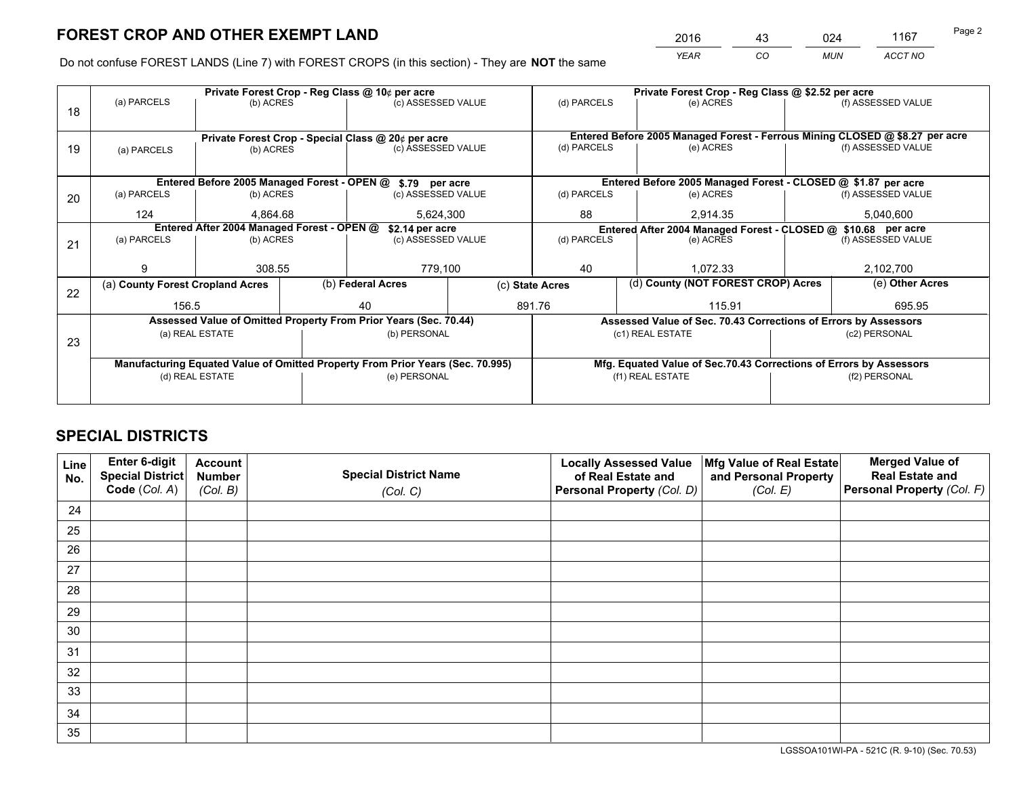*YEAR CO MUN ACCT NO* <sup>2016</sup> <sup>43</sup> <sup>024</sup> <sup>1167</sup>

Do not confuse FOREST LANDS (Line 7) with FOREST CROPS (in this section) - They are **NOT** the same

|    |                                                                                |                                             |  | Private Forest Crop - Reg Class @ 10¢ per acre                   |                                   | Private Forest Crop - Reg Class @ \$2.52 per acre                            |                                                               |                                                                                     |                    |  |
|----|--------------------------------------------------------------------------------|---------------------------------------------|--|------------------------------------------------------------------|-----------------------------------|------------------------------------------------------------------------------|---------------------------------------------------------------|-------------------------------------------------------------------------------------|--------------------|--|
| 18 | (a) PARCELS                                                                    | (b) ACRES                                   |  | (c) ASSESSED VALUE                                               |                                   | (d) PARCELS                                                                  | (e) ACRES                                                     |                                                                                     | (f) ASSESSED VALUE |  |
|    |                                                                                |                                             |  |                                                                  |                                   |                                                                              |                                                               |                                                                                     |                    |  |
|    |                                                                                |                                             |  | Private Forest Crop - Special Class @ 20¢ per acre               |                                   | Entered Before 2005 Managed Forest - Ferrous Mining CLOSED @ \$8.27 per acre |                                                               |                                                                                     |                    |  |
| 19 | (a) PARCELS                                                                    | (b) ACRES                                   |  | (c) ASSESSED VALUE                                               |                                   | (d) PARCELS                                                                  | (e) ACRES                                                     |                                                                                     | (f) ASSESSED VALUE |  |
|    |                                                                                |                                             |  |                                                                  |                                   |                                                                              |                                                               |                                                                                     |                    |  |
|    |                                                                                | Entered Before 2005 Managed Forest - OPEN @ |  | \$.79 per acre                                                   |                                   |                                                                              | Entered Before 2005 Managed Forest - CLOSED @ \$1.87 per acre |                                                                                     |                    |  |
| 20 | (a) PARCELS                                                                    | (b) ACRES                                   |  | (c) ASSESSED VALUE                                               |                                   | (d) PARCELS                                                                  | (e) ACRES                                                     |                                                                                     | (f) ASSESSED VALUE |  |
|    | 124                                                                            | 4.864.68                                    |  | 5,624,300                                                        |                                   | 88                                                                           | 2.914.35                                                      |                                                                                     | 5,040,600          |  |
|    | Entered After 2004 Managed Forest - OPEN @                                     |                                             |  | \$2.14 per acre                                                  |                                   |                                                                              |                                                               | Entered After 2004 Managed Forest - CLOSED @ \$10.68 per acre<br>(f) ASSESSED VALUE |                    |  |
| 21 | (a) PARCELS                                                                    | (b) ACRES                                   |  |                                                                  | (c) ASSESSED VALUE<br>(d) PARCELS |                                                                              | (e) ACRES                                                     |                                                                                     |                    |  |
|    |                                                                                |                                             |  |                                                                  |                                   |                                                                              |                                                               |                                                                                     |                    |  |
|    | 9                                                                              | 308.55                                      |  | 779,100                                                          |                                   | 40<br>1.072.33                                                               |                                                               |                                                                                     | 2,102,700          |  |
| 22 | (a) County Forest Cropland Acres                                               |                                             |  | (b) Federal Acres                                                |                                   | (d) County (NOT FOREST CROP) Acres<br>(c) State Acres                        |                                                               |                                                                                     | (e) Other Acres    |  |
|    | 156.5                                                                          |                                             |  | 40                                                               |                                   | 891.76<br>115.91                                                             |                                                               |                                                                                     | 695.95             |  |
|    |                                                                                |                                             |  | Assessed Value of Omitted Property From Prior Years (Sec. 70.44) |                                   | Assessed Value of Sec. 70.43 Corrections of Errors by Assessors              |                                                               |                                                                                     |                    |  |
| 23 |                                                                                | (a) REAL ESTATE                             |  | (b) PERSONAL                                                     |                                   |                                                                              | (c1) REAL ESTATE                                              |                                                                                     | (c2) PERSONAL      |  |
|    |                                                                                |                                             |  |                                                                  |                                   |                                                                              |                                                               |                                                                                     |                    |  |
|    | Manufacturing Equated Value of Omitted Property From Prior Years (Sec. 70.995) |                                             |  |                                                                  |                                   | Mfg. Equated Value of Sec.70.43 Corrections of Errors by Assessors           |                                                               |                                                                                     |                    |  |
|    | (d) REAL ESTATE                                                                |                                             |  | (e) PERSONAL                                                     |                                   | (f1) REAL ESTATE                                                             |                                                               | (f2) PERSONAL                                                                       |                    |  |
|    |                                                                                |                                             |  |                                                                  |                                   |                                                                              |                                                               |                                                                                     |                    |  |

## **SPECIAL DISTRICTS**

| Line<br>No. | Enter 6-digit<br>Special District<br>Code (Col. A) | <b>Account</b><br><b>Number</b> | <b>Special District Name</b> | <b>Locally Assessed Value</b><br>of Real Estate and | Mfg Value of Real Estate<br>and Personal Property | <b>Merged Value of</b><br><b>Real Estate and</b><br>Personal Property (Col. F) |
|-------------|----------------------------------------------------|---------------------------------|------------------------------|-----------------------------------------------------|---------------------------------------------------|--------------------------------------------------------------------------------|
|             |                                                    | (Col. B)                        | (Col. C)                     | Personal Property (Col. D)                          | (Col. E)                                          |                                                                                |
| 24          |                                                    |                                 |                              |                                                     |                                                   |                                                                                |
| 25          |                                                    |                                 |                              |                                                     |                                                   |                                                                                |
| 26          |                                                    |                                 |                              |                                                     |                                                   |                                                                                |
| 27          |                                                    |                                 |                              |                                                     |                                                   |                                                                                |
| 28          |                                                    |                                 |                              |                                                     |                                                   |                                                                                |
| 29          |                                                    |                                 |                              |                                                     |                                                   |                                                                                |
| 30          |                                                    |                                 |                              |                                                     |                                                   |                                                                                |
| 31          |                                                    |                                 |                              |                                                     |                                                   |                                                                                |
| 32          |                                                    |                                 |                              |                                                     |                                                   |                                                                                |
| 33          |                                                    |                                 |                              |                                                     |                                                   |                                                                                |
| 34          |                                                    |                                 |                              |                                                     |                                                   |                                                                                |
| 35          |                                                    |                                 |                              |                                                     |                                                   |                                                                                |

LGSSOA101WI-PA - 521C (R. 9-10) (Sec. 70.53)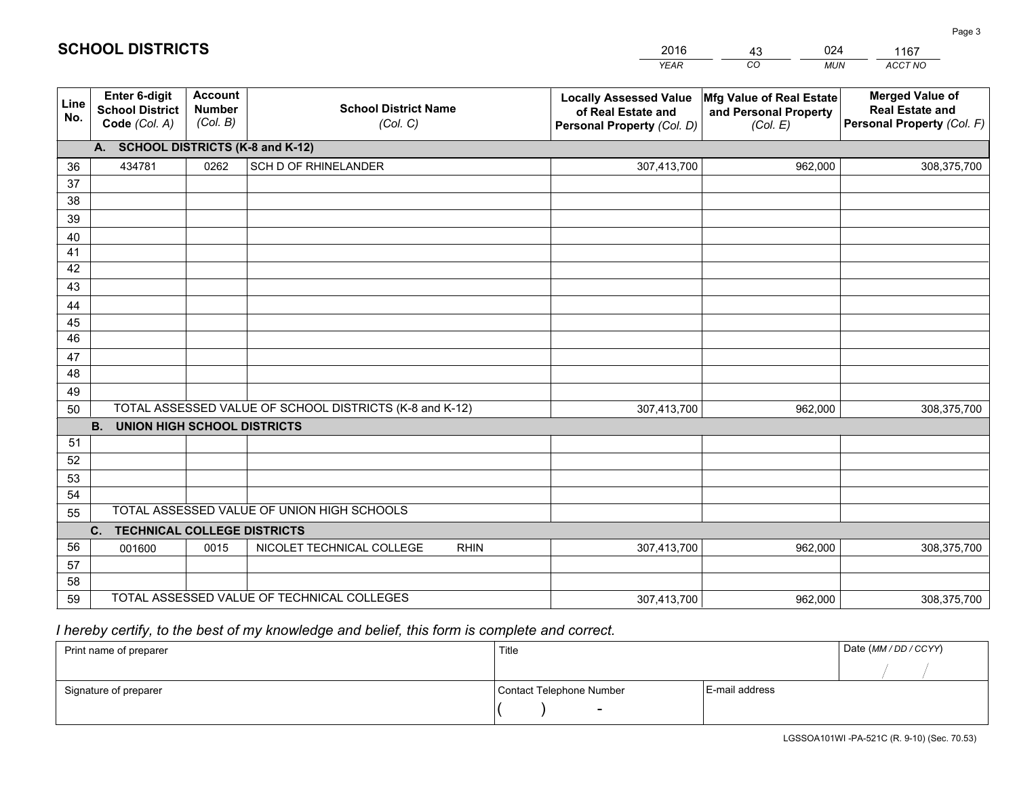|             |                                                                 |                                             |                                                         | <b>YEAR</b>                                                                       | CO<br><b>MUN</b>                                              | ACCT NO                                                                        |
|-------------|-----------------------------------------------------------------|---------------------------------------------|---------------------------------------------------------|-----------------------------------------------------------------------------------|---------------------------------------------------------------|--------------------------------------------------------------------------------|
| Line<br>No. | <b>Enter 6-digit</b><br><b>School District</b><br>Code (Col. A) | <b>Account</b><br><b>Number</b><br>(Col. B) | <b>School District Name</b><br>(Col. C)                 | <b>Locally Assessed Value</b><br>of Real Estate and<br>Personal Property (Col. D) | Mfg Value of Real Estate<br>and Personal Property<br>(Col. E) | <b>Merged Value of</b><br><b>Real Estate and</b><br>Personal Property (Col. F) |
|             | A. SCHOOL DISTRICTS (K-8 and K-12)                              |                                             |                                                         |                                                                                   |                                                               |                                                                                |
| 36          | 434781                                                          | 0262                                        | SCH D OF RHINELANDER                                    | 307,413,700                                                                       | 962,000                                                       | 308,375,700                                                                    |
| 37          |                                                                 |                                             |                                                         |                                                                                   |                                                               |                                                                                |
| 38          |                                                                 |                                             |                                                         |                                                                                   |                                                               |                                                                                |
| 39          |                                                                 |                                             |                                                         |                                                                                   |                                                               |                                                                                |
| 40          |                                                                 |                                             |                                                         |                                                                                   |                                                               |                                                                                |
| 41          |                                                                 |                                             |                                                         |                                                                                   |                                                               |                                                                                |
| 42          |                                                                 |                                             |                                                         |                                                                                   |                                                               |                                                                                |
| 43          |                                                                 |                                             |                                                         |                                                                                   |                                                               |                                                                                |
| 44<br>45    |                                                                 |                                             |                                                         |                                                                                   |                                                               |                                                                                |
| 46          |                                                                 |                                             |                                                         |                                                                                   |                                                               |                                                                                |
| 47          |                                                                 |                                             |                                                         |                                                                                   |                                                               |                                                                                |
| 48          |                                                                 |                                             |                                                         |                                                                                   |                                                               |                                                                                |
| 49          |                                                                 |                                             |                                                         |                                                                                   |                                                               |                                                                                |
| 50          |                                                                 |                                             | TOTAL ASSESSED VALUE OF SCHOOL DISTRICTS (K-8 and K-12) | 307,413,700                                                                       | 962,000                                                       | 308,375,700                                                                    |
|             | <b>B.</b><br><b>UNION HIGH SCHOOL DISTRICTS</b>                 |                                             |                                                         |                                                                                   |                                                               |                                                                                |
| 51          |                                                                 |                                             |                                                         |                                                                                   |                                                               |                                                                                |
| 52          |                                                                 |                                             |                                                         |                                                                                   |                                                               |                                                                                |
| 53          |                                                                 |                                             |                                                         |                                                                                   |                                                               |                                                                                |
| 54          |                                                                 |                                             |                                                         |                                                                                   |                                                               |                                                                                |
| 55          |                                                                 |                                             | TOTAL ASSESSED VALUE OF UNION HIGH SCHOOLS              |                                                                                   |                                                               |                                                                                |
|             | C.<br><b>TECHNICAL COLLEGE DISTRICTS</b>                        |                                             |                                                         |                                                                                   |                                                               |                                                                                |
| 56          | 001600                                                          | 0015                                        | NICOLET TECHNICAL COLLEGE<br><b>RHIN</b>                | 307,413,700                                                                       | 962,000                                                       | 308,375,700                                                                    |
| 57          |                                                                 |                                             |                                                         |                                                                                   |                                                               |                                                                                |
| 58          |                                                                 |                                             |                                                         |                                                                                   |                                                               |                                                                                |
| 59          |                                                                 |                                             | TOTAL ASSESSED VALUE OF TECHNICAL COLLEGES              | 307,413,700                                                                       | 962,000                                                       | 308,375,700                                                                    |

43

024

 *I hereby certify, to the best of my knowledge and belief, this form is complete and correct.*

**SCHOOL DISTRICTS**

| Print name of preparer | Title                    |                | Date (MM/DD/CCYY) |
|------------------------|--------------------------|----------------|-------------------|
|                        |                          |                |                   |
| Signature of preparer  | Contact Telephone Number | E-mail address |                   |
|                        | $\overline{\phantom{0}}$ |                |                   |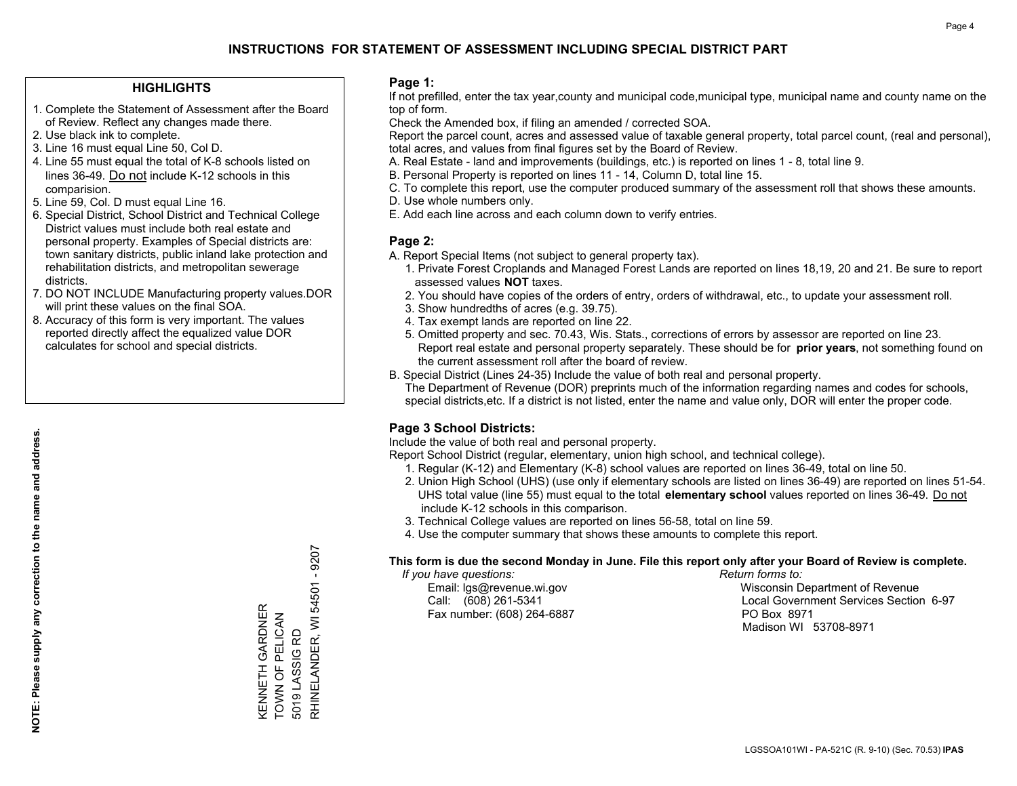#### **HIGHLIGHTS**

- 1. Complete the Statement of Assessment after the Board of Review. Reflect any changes made there.
- 2. Use black ink to complete.
- 3. Line 16 must equal Line 50, Col D.
- 4. Line 55 must equal the total of K-8 schools listed on lines 36-49. Do not include K-12 schools in this comparision.
- 5. Line 59, Col. D must equal Line 16.
- 6. Special District, School District and Technical College District values must include both real estate and personal property. Examples of Special districts are: town sanitary districts, public inland lake protection and rehabilitation districts, and metropolitan sewerage districts.
- 7. DO NOT INCLUDE Manufacturing property values.DOR will print these values on the final SOA.

KENNETH GARDNER TOWN OF PELICAN 5019 LASSIG RD

KENNETH GARDNER<br>TOWN OF PELICAN

5019 LASSIG RD

RHINELANDER, WI 54501 - 9207

RHINELANDER, WI 54501 - 9207

 8. Accuracy of this form is very important. The values reported directly affect the equalized value DOR calculates for school and special districts.

#### **Page 1:**

 If not prefilled, enter the tax year,county and municipal code,municipal type, municipal name and county name on the top of form.

Check the Amended box, if filing an amended / corrected SOA.

 Report the parcel count, acres and assessed value of taxable general property, total parcel count, (real and personal), total acres, and values from final figures set by the Board of Review.

- A. Real Estate land and improvements (buildings, etc.) is reported on lines 1 8, total line 9.
- B. Personal Property is reported on lines 11 14, Column D, total line 15.
- C. To complete this report, use the computer produced summary of the assessment roll that shows these amounts.
- D. Use whole numbers only.
- E. Add each line across and each column down to verify entries.

#### **Page 2:**

- A. Report Special Items (not subject to general property tax).
- 1. Private Forest Croplands and Managed Forest Lands are reported on lines 18,19, 20 and 21. Be sure to report assessed values **NOT** taxes.
- 2. You should have copies of the orders of entry, orders of withdrawal, etc., to update your assessment roll.
	- 3. Show hundredths of acres (e.g. 39.75).
- 4. Tax exempt lands are reported on line 22.
- 5. Omitted property and sec. 70.43, Wis. Stats., corrections of errors by assessor are reported on line 23. Report real estate and personal property separately. These should be for **prior years**, not something found on the current assessment roll after the board of review.
- B. Special District (Lines 24-35) Include the value of both real and personal property.

 The Department of Revenue (DOR) preprints much of the information regarding names and codes for schools, special districts,etc. If a district is not listed, enter the name and value only, DOR will enter the proper code.

## **Page 3 School Districts:**

Include the value of both real and personal property.

Report School District (regular, elementary, union high school, and technical college).

- 1. Regular (K-12) and Elementary (K-8) school values are reported on lines 36-49, total on line 50.
- 2. Union High School (UHS) (use only if elementary schools are listed on lines 36-49) are reported on lines 51-54. UHS total value (line 55) must equal to the total **elementary school** values reported on lines 36-49. Do notinclude K-12 schools in this comparison.
- 3. Technical College values are reported on lines 56-58, total on line 59.
- 4. Use the computer summary that shows these amounts to complete this report.

#### **This form is due the second Monday in June. File this report only after your Board of Review is complete.**

 *If you have questions: Return forms to:*

Fax number: (608) 264-6887 PO Box 8971

 Email: lgs@revenue.wi.gov Wisconsin Department of Revenue Call: (608) 261-5341 Local Government Services Section 6-97Madison WI 53708-8971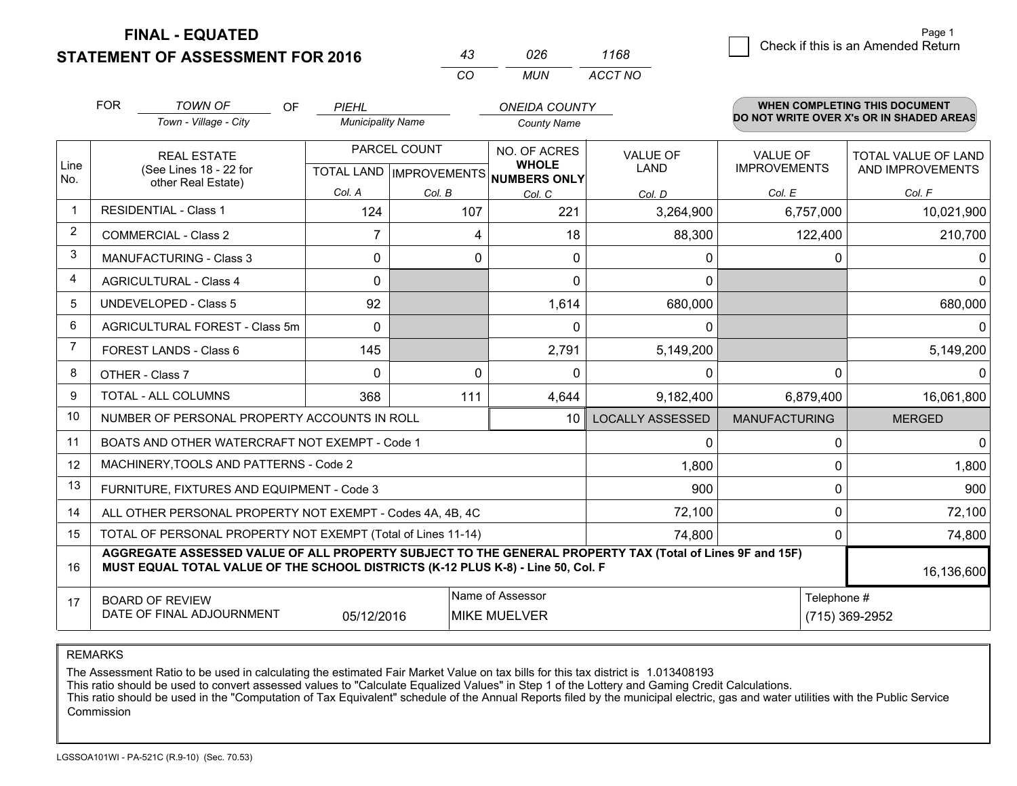**STATEMENT OF ASSESSMENT FOR 2016** 

| 43  | 026   | 1168    |
|-----|-------|---------|
| CO. | MI IN | ACCT NO |

|             | <b>FOR</b>                                                             | <b>TOWN OF</b><br><b>OF</b>                                                                                                                                                                  | PIEHL                    |          | <b>ONEIDA COUNTY</b>                                 |                         |                      | <b>WHEN COMPLETING THIS DOCUMENT</b>     |
|-------------|------------------------------------------------------------------------|----------------------------------------------------------------------------------------------------------------------------------------------------------------------------------------------|--------------------------|----------|------------------------------------------------------|-------------------------|----------------------|------------------------------------------|
|             |                                                                        | Town - Village - City                                                                                                                                                                        | <b>Municipality Name</b> |          | <b>County Name</b>                                   |                         |                      | DO NOT WRITE OVER X's OR IN SHADED AREAS |
|             |                                                                        | PARCEL COUNT<br><b>REAL ESTATE</b>                                                                                                                                                           |                          |          | NO. OF ACRES                                         | <b>VALUE OF</b>         | <b>VALUE OF</b>      | TOTAL VALUE OF LAND                      |
| Line<br>No. |                                                                        | (See Lines 18 - 22 for<br>other Real Estate)                                                                                                                                                 |                          |          | <b>WHOLE</b><br>TOTAL LAND IMPROVEMENTS NUMBERS ONLY | LAND                    | <b>IMPROVEMENTS</b>  | AND IMPROVEMENTS                         |
|             |                                                                        |                                                                                                                                                                                              | Col. A                   | Col. B   | Col. C                                               | Col. D                  | Col. E               | Col. F                                   |
| $\mathbf 1$ |                                                                        | <b>RESIDENTIAL - Class 1</b>                                                                                                                                                                 | 124                      | 107      | 221                                                  | 3,264,900               | 6,757,000            | 10,021,900                               |
| 2           |                                                                        | <b>COMMERCIAL - Class 2</b>                                                                                                                                                                  | $\overline{7}$           | 4        | 18                                                   | 88,300                  | 122,400              | 210,700                                  |
| 3           |                                                                        | <b>MANUFACTURING - Class 3</b>                                                                                                                                                               | $\Omega$                 | $\Omega$ | $\Omega$                                             | $\mathbf{0}$            | 0                    | $\Omega$                                 |
| 4           |                                                                        | <b>AGRICULTURAL - Class 4</b>                                                                                                                                                                | $\Omega$                 |          | $\Omega$                                             | $\Omega$                |                      | $\overline{0}$                           |
| 5           |                                                                        | <b>UNDEVELOPED - Class 5</b>                                                                                                                                                                 | 92                       |          | 1,614                                                | 680,000                 |                      | 680,000                                  |
| 6           | AGRICULTURAL FOREST - Class 5m                                         |                                                                                                                                                                                              | $\Omega$                 |          | $\Omega$                                             | 0                       |                      | 0                                        |
| 7           |                                                                        | FOREST LANDS - Class 6                                                                                                                                                                       | 145                      |          | 2,791                                                | 5,149,200               |                      | 5,149,200                                |
| 8           |                                                                        | OTHER - Class 7                                                                                                                                                                              | $\Omega$                 | $\Omega$ | 0                                                    | 0                       | 0                    | $\Omega$                                 |
| 9           |                                                                        | TOTAL - ALL COLUMNS                                                                                                                                                                          | 368                      | 111      | 4,644                                                | 9,182,400               | 6,879,400            | 16,061,800                               |
| 10          |                                                                        | NUMBER OF PERSONAL PROPERTY ACCOUNTS IN ROLL                                                                                                                                                 |                          |          | 10 <sup>1</sup>                                      | <b>LOCALLY ASSESSED</b> | <b>MANUFACTURING</b> | <b>MERGED</b>                            |
| 11          |                                                                        | BOATS AND OTHER WATERCRAFT NOT EXEMPT - Code 1                                                                                                                                               |                          |          |                                                      | 0                       | 0                    | $\overline{0}$                           |
| 12          |                                                                        | MACHINERY, TOOLS AND PATTERNS - Code 2                                                                                                                                                       |                          |          |                                                      | 1,800                   | 0                    | 1,800                                    |
| 13          |                                                                        | FURNITURE, FIXTURES AND EQUIPMENT - Code 3                                                                                                                                                   |                          |          |                                                      | 900                     | 0                    | 900                                      |
| 14          |                                                                        | ALL OTHER PERSONAL PROPERTY NOT EXEMPT - Codes 4A, 4B, 4C                                                                                                                                    |                          |          |                                                      | 72,100                  | 0                    | 72,100                                   |
| 15          | TOTAL OF PERSONAL PROPERTY NOT EXEMPT (Total of Lines 11-14)<br>74,800 |                                                                                                                                                                                              |                          |          |                                                      |                         | 0                    | 74,800                                   |
| 16          |                                                                        | AGGREGATE ASSESSED VALUE OF ALL PROPERTY SUBJECT TO THE GENERAL PROPERTY TAX (Total of Lines 9F and 15F)<br>MUST EQUAL TOTAL VALUE OF THE SCHOOL DISTRICTS (K-12 PLUS K-8) - Line 50, Col. F |                          |          |                                                      |                         |                      | 16,136,600                               |
| 17          |                                                                        | <b>BOARD OF REVIEW</b>                                                                                                                                                                       |                          |          | Name of Assessor                                     |                         | Telephone #          |                                          |
|             |                                                                        | DATE OF FINAL ADJOURNMENT                                                                                                                                                                    | 05/12/2016               |          | <b>MIKE MUELVER</b>                                  |                         |                      | (715) 369-2952                           |

REMARKS

The Assessment Ratio to be used in calculating the estimated Fair Market Value on tax bills for this tax district is 1.013408193

This ratio should be used to convert assessed values to "Calculate Equalized Values" in Step 1 of the Lottery and Gaming Credit Calculations.<br>This ratio should be used in the "Computation of Tax Equivalent" schedule of the Commission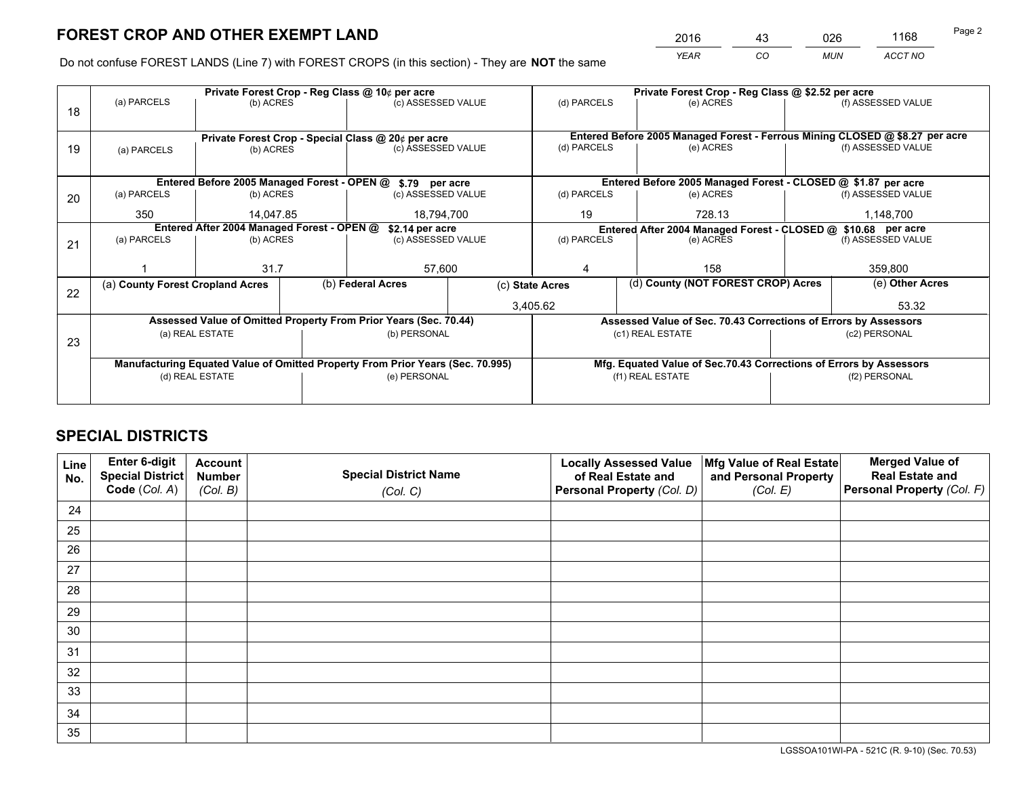*YEAR CO MUN ACCT NO* <sup>2016</sup> <sup>43</sup> <sup>026</sup> <sup>1168</sup>

Do not confuse FOREST LANDS (Line 7) with FOREST CROPS (in this section) - They are **NOT** the same

|    |                                                                                |                         |  | Private Forest Crop - Reg Class @ 10¢ per acre                   |                                                                              | Private Forest Crop - Reg Class @ \$2.52 per acre |                                                                    |           |                    |  |
|----|--------------------------------------------------------------------------------|-------------------------|--|------------------------------------------------------------------|------------------------------------------------------------------------------|---------------------------------------------------|--------------------------------------------------------------------|-----------|--------------------|--|
| 18 | (a) PARCELS                                                                    | (b) ACRES               |  | (c) ASSESSED VALUE                                               |                                                                              | (d) PARCELS                                       | (e) ACRES                                                          |           | (f) ASSESSED VALUE |  |
|    |                                                                                |                         |  |                                                                  |                                                                              |                                                   |                                                                    |           |                    |  |
|    | Private Forest Crop - Special Class @ 20¢ per acre                             |                         |  |                                                                  | Entered Before 2005 Managed Forest - Ferrous Mining CLOSED @ \$8.27 per acre |                                                   |                                                                    |           |                    |  |
| 19 | (a) PARCELS                                                                    | (b) ACRES               |  | (c) ASSESSED VALUE                                               |                                                                              | (d) PARCELS                                       | (e) ACRES                                                          |           | (f) ASSESSED VALUE |  |
|    |                                                                                |                         |  |                                                                  |                                                                              |                                                   |                                                                    |           |                    |  |
|    |                                                                                |                         |  | Entered Before 2005 Managed Forest - OPEN @ \$.79 per acre       |                                                                              |                                                   | Entered Before 2005 Managed Forest - CLOSED @ \$1.87 per acre      |           |                    |  |
| 20 | (a) PARCELS                                                                    | (b) ACRES               |  | (c) ASSESSED VALUE                                               |                                                                              | (d) PARCELS                                       | (e) ACRES                                                          |           | (f) ASSESSED VALUE |  |
|    | 350                                                                            | 14.047.85<br>18,794,700 |  |                                                                  | 19<br>728.13                                                                 |                                                   |                                                                    | 1,148,700 |                    |  |
|    | Entered After 2004 Managed Forest - OPEN @<br>\$2.14 per acre                  |                         |  |                                                                  | Entered After 2004 Managed Forest - CLOSED @ \$10.68 per acre                |                                                   |                                                                    |           |                    |  |
| 21 | (a) PARCELS                                                                    | (b) ACRES               |  |                                                                  | (c) ASSESSED VALUE<br>(d) PARCELS                                            |                                                   | (e) ACRES                                                          |           |                    |  |
|    |                                                                                |                         |  |                                                                  |                                                                              |                                                   |                                                                    |           |                    |  |
|    |                                                                                | 31.7                    |  | 57,600                                                           |                                                                              | 4                                                 | 158                                                                |           | 359,800            |  |
| 22 | (a) County Forest Cropland Acres                                               |                         |  | (b) Federal Acres                                                |                                                                              | (c) State Acres                                   | (d) County (NOT FOREST CROP) Acres                                 |           | (e) Other Acres    |  |
|    |                                                                                |                         |  |                                                                  |                                                                              | 3,405.62                                          |                                                                    |           | 53.32              |  |
|    |                                                                                |                         |  | Assessed Value of Omitted Property From Prior Years (Sec. 70.44) |                                                                              |                                                   | Assessed Value of Sec. 70.43 Corrections of Errors by Assessors    |           |                    |  |
| 23 |                                                                                | (a) REAL ESTATE         |  | (b) PERSONAL                                                     |                                                                              |                                                   | (c1) REAL ESTATE                                                   |           | (c2) PERSONAL      |  |
|    |                                                                                |                         |  |                                                                  |                                                                              |                                                   |                                                                    |           |                    |  |
|    | Manufacturing Equated Value of Omitted Property From Prior Years (Sec. 70.995) |                         |  |                                                                  |                                                                              |                                                   | Mfg. Equated Value of Sec.70.43 Corrections of Errors by Assessors |           |                    |  |
|    | (d) REAL ESTATE                                                                |                         |  | (e) PERSONAL                                                     |                                                                              | (f1) REAL ESTATE                                  |                                                                    |           | (f2) PERSONAL      |  |
|    |                                                                                |                         |  |                                                                  |                                                                              |                                                   |                                                                    |           |                    |  |

## **SPECIAL DISTRICTS**

| Line<br>No. | Enter 6-digit<br><b>Special District</b> | <b>Account</b><br><b>Number</b> | <b>Special District Name</b> | <b>Locally Assessed Value</b><br>of Real Estate and | Mfg Value of Real Estate<br>and Personal Property | <b>Merged Value of</b><br><b>Real Estate and</b> |
|-------------|------------------------------------------|---------------------------------|------------------------------|-----------------------------------------------------|---------------------------------------------------|--------------------------------------------------|
|             | Code (Col. A)                            | (Col. B)                        | (Col. C)                     | Personal Property (Col. D)                          | (Col. E)                                          | Personal Property (Col. F)                       |
| 24          |                                          |                                 |                              |                                                     |                                                   |                                                  |
| 25          |                                          |                                 |                              |                                                     |                                                   |                                                  |
| 26          |                                          |                                 |                              |                                                     |                                                   |                                                  |
| 27          |                                          |                                 |                              |                                                     |                                                   |                                                  |
| 28          |                                          |                                 |                              |                                                     |                                                   |                                                  |
| 29          |                                          |                                 |                              |                                                     |                                                   |                                                  |
| 30          |                                          |                                 |                              |                                                     |                                                   |                                                  |
| 31          |                                          |                                 |                              |                                                     |                                                   |                                                  |
| 32          |                                          |                                 |                              |                                                     |                                                   |                                                  |
| 33          |                                          |                                 |                              |                                                     |                                                   |                                                  |
| 34          |                                          |                                 |                              |                                                     |                                                   |                                                  |
| 35          |                                          |                                 |                              |                                                     |                                                   |                                                  |

LGSSOA101WI-PA - 521C (R. 9-10) (Sec. 70.53)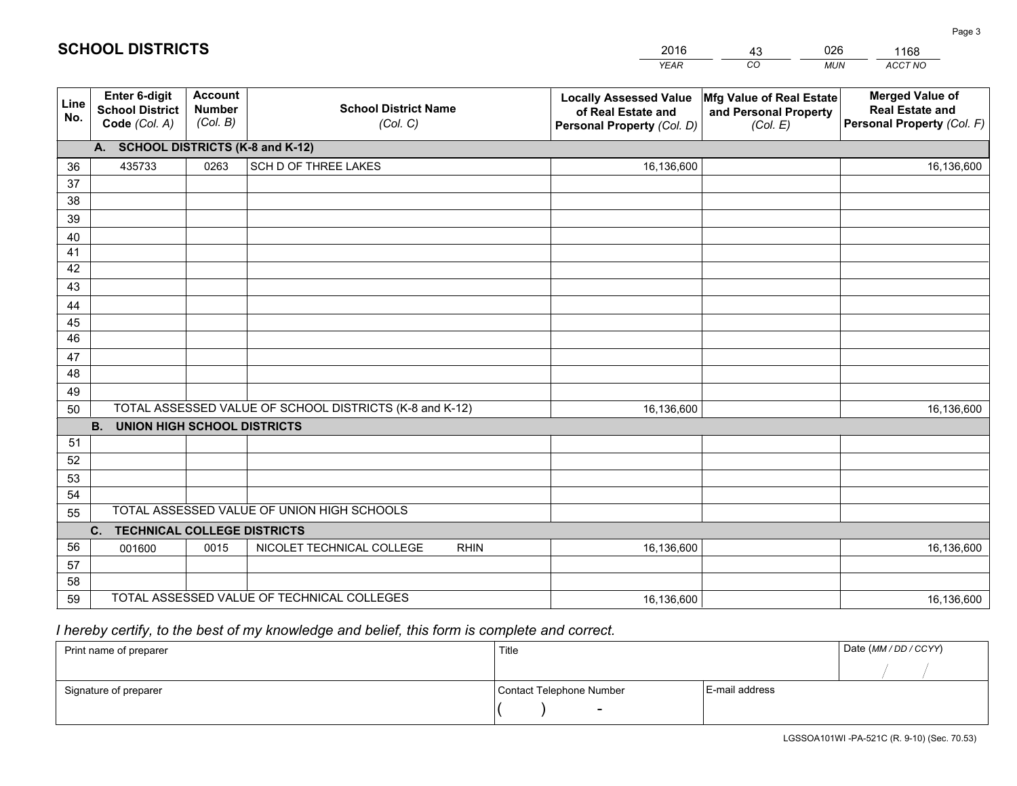|             |                                                                 |                                             |                                                         | <b>YEAR</b>                                                                       | CO<br><b>MUN</b>                                              | ACCT NO                                                                        |
|-------------|-----------------------------------------------------------------|---------------------------------------------|---------------------------------------------------------|-----------------------------------------------------------------------------------|---------------------------------------------------------------|--------------------------------------------------------------------------------|
| Line<br>No. | <b>Enter 6-digit</b><br><b>School District</b><br>Code (Col. A) | <b>Account</b><br><b>Number</b><br>(Col. B) | <b>School District Name</b><br>(Col. C)                 | <b>Locally Assessed Value</b><br>of Real Estate and<br>Personal Property (Col. D) | Mfg Value of Real Estate<br>and Personal Property<br>(Col. E) | <b>Merged Value of</b><br><b>Real Estate and</b><br>Personal Property (Col. F) |
|             | A. SCHOOL DISTRICTS (K-8 and K-12)                              |                                             |                                                         |                                                                                   |                                                               |                                                                                |
| 36          | 435733                                                          | 0263                                        | SCH D OF THREE LAKES                                    | 16,136,600                                                                        |                                                               | 16,136,600                                                                     |
| 37          |                                                                 |                                             |                                                         |                                                                                   |                                                               |                                                                                |
| 38          |                                                                 |                                             |                                                         |                                                                                   |                                                               |                                                                                |
| 39          |                                                                 |                                             |                                                         |                                                                                   |                                                               |                                                                                |
| 40          |                                                                 |                                             |                                                         |                                                                                   |                                                               |                                                                                |
| 41          |                                                                 |                                             |                                                         |                                                                                   |                                                               |                                                                                |
| 42          |                                                                 |                                             |                                                         |                                                                                   |                                                               |                                                                                |
| 43          |                                                                 |                                             |                                                         |                                                                                   |                                                               |                                                                                |
| 44          |                                                                 |                                             |                                                         |                                                                                   |                                                               |                                                                                |
| 45<br>46    |                                                                 |                                             |                                                         |                                                                                   |                                                               |                                                                                |
|             |                                                                 |                                             |                                                         |                                                                                   |                                                               |                                                                                |
| 47<br>48    |                                                                 |                                             |                                                         |                                                                                   |                                                               |                                                                                |
| 49          |                                                                 |                                             |                                                         |                                                                                   |                                                               |                                                                                |
| 50          |                                                                 |                                             | TOTAL ASSESSED VALUE OF SCHOOL DISTRICTS (K-8 and K-12) | 16,136,600                                                                        |                                                               | 16,136,600                                                                     |
|             | <b>UNION HIGH SCHOOL DISTRICTS</b><br><b>B.</b>                 |                                             |                                                         |                                                                                   |                                                               |                                                                                |
| 51          |                                                                 |                                             |                                                         |                                                                                   |                                                               |                                                                                |
| 52          |                                                                 |                                             |                                                         |                                                                                   |                                                               |                                                                                |
| 53          |                                                                 |                                             |                                                         |                                                                                   |                                                               |                                                                                |
| 54          |                                                                 |                                             |                                                         |                                                                                   |                                                               |                                                                                |
| 55          |                                                                 |                                             | TOTAL ASSESSED VALUE OF UNION HIGH SCHOOLS              |                                                                                   |                                                               |                                                                                |
|             | C <sub>1</sub><br><b>TECHNICAL COLLEGE DISTRICTS</b>            |                                             |                                                         |                                                                                   |                                                               |                                                                                |
| 56          | 001600                                                          | 0015                                        | NICOLET TECHNICAL COLLEGE<br><b>RHIN</b>                | 16,136,600                                                                        |                                                               | 16,136,600                                                                     |
| 57          |                                                                 |                                             |                                                         |                                                                                   |                                                               |                                                                                |
| 58          |                                                                 |                                             |                                                         |                                                                                   |                                                               |                                                                                |
| 59          |                                                                 |                                             | TOTAL ASSESSED VALUE OF TECHNICAL COLLEGES              | 16,136,600                                                                        |                                                               | 16,136,600                                                                     |

43

026

 *I hereby certify, to the best of my knowledge and belief, this form is complete and correct.*

**SCHOOL DISTRICTS**

| Print name of preparer | Title                    |                | Date (MM / DD / CCYY) |
|------------------------|--------------------------|----------------|-----------------------|
|                        |                          |                |                       |
| Signature of preparer  | Contact Telephone Number | E-mail address |                       |
|                        | $\sim$                   |                |                       |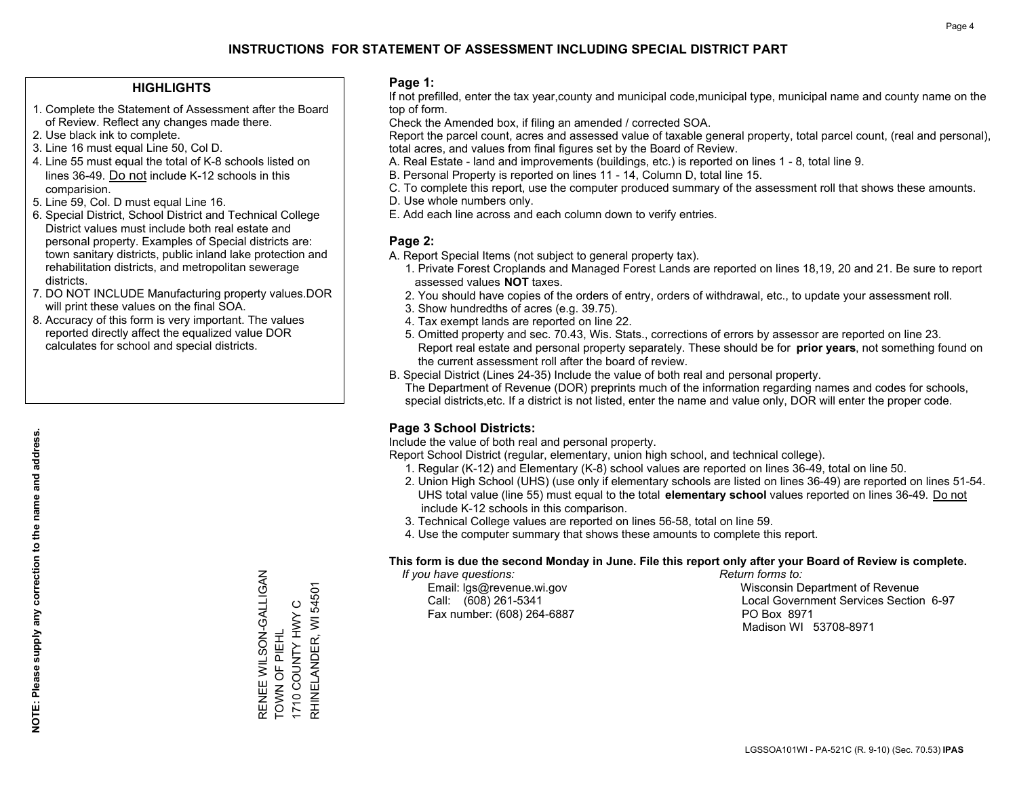#### **HIGHLIGHTS**

- 1. Complete the Statement of Assessment after the Board of Review. Reflect any changes made there.
- 2. Use black ink to complete.
- 3. Line 16 must equal Line 50, Col D.
- 4. Line 55 must equal the total of K-8 schools listed on lines 36-49. Do not include K-12 schools in this comparision.
- 5. Line 59, Col. D must equal Line 16.
- 6. Special District, School District and Technical College District values must include both real estate and personal property. Examples of Special districts are: town sanitary districts, public inland lake protection and rehabilitation districts, and metropolitan sewerage districts.
- 7. DO NOT INCLUDE Manufacturing property values.DOR will print these values on the final SOA.
- 8. Accuracy of this form is very important. The values reported directly affect the equalized value DOR calculates for school and special districts.

#### **Page 1:**

 If not prefilled, enter the tax year,county and municipal code,municipal type, municipal name and county name on the top of form.

Check the Amended box, if filing an amended / corrected SOA.

 Report the parcel count, acres and assessed value of taxable general property, total parcel count, (real and personal), total acres, and values from final figures set by the Board of Review.

- A. Real Estate land and improvements (buildings, etc.) is reported on lines 1 8, total line 9.
- B. Personal Property is reported on lines 11 14, Column D, total line 15.
- C. To complete this report, use the computer produced summary of the assessment roll that shows these amounts.
- D. Use whole numbers only.
- E. Add each line across and each column down to verify entries.

#### **Page 2:**

- A. Report Special Items (not subject to general property tax).
- 1. Private Forest Croplands and Managed Forest Lands are reported on lines 18,19, 20 and 21. Be sure to report assessed values **NOT** taxes.
- 2. You should have copies of the orders of entry, orders of withdrawal, etc., to update your assessment roll.
	- 3. Show hundredths of acres (e.g. 39.75).
- 4. Tax exempt lands are reported on line 22.
- 5. Omitted property and sec. 70.43, Wis. Stats., corrections of errors by assessor are reported on line 23. Report real estate and personal property separately. These should be for **prior years**, not something found on the current assessment roll after the board of review.
- B. Special District (Lines 24-35) Include the value of both real and personal property.
- The Department of Revenue (DOR) preprints much of the information regarding names and codes for schools, special districts,etc. If a district is not listed, enter the name and value only, DOR will enter the proper code.

## **Page 3 School Districts:**

Include the value of both real and personal property.

Report School District (regular, elementary, union high school, and technical college).

- 1. Regular (K-12) and Elementary (K-8) school values are reported on lines 36-49, total on line 50.
- 2. Union High School (UHS) (use only if elementary schools are listed on lines 36-49) are reported on lines 51-54. UHS total value (line 55) must equal to the total **elementary school** values reported on lines 36-49. Do notinclude K-12 schools in this comparison.
- 3. Technical College values are reported on lines 56-58, total on line 59.
- 4. Use the computer summary that shows these amounts to complete this report.

#### **This form is due the second Monday in June. File this report only after your Board of Review is complete.**

 *If you have questions: Return forms to:*

Fax number: (608) 264-6887 PO Box 8971

 Email: lgs@revenue.wi.gov Wisconsin Department of Revenue Call: (608) 261-5341 Local Government Services Section 6-97Madison WI 53708-8971

RENEE WILSON-GALLIGAN RENEE WILSON-GALLIGAN RHINELANDER, WI 54501 RHINELANDER, WI 54501 1710 COUNTY HWY C 1710 COUNTY HWY C TOWN OF PIEHL TOWN OF PIEHL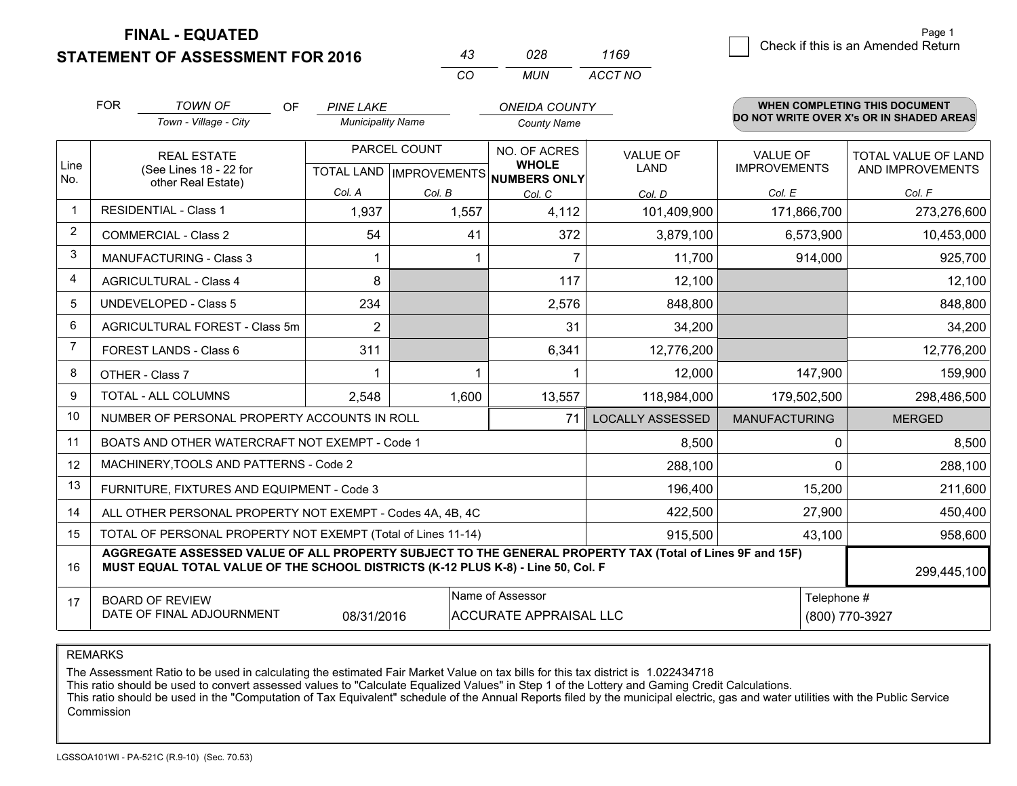### **STATEMENT OF ASSESSMENT FOR 2016**

|              | กวล | 1169    |
|--------------|-----|---------|
| $\mathbf{r}$ | MUN | ACCT NO |

|             | <b>FOR</b><br><b>TOWN OF</b><br><b>OF</b><br>Town - Village - City                                                                                                                           | <b>PINE LAKE</b><br><b>Municipality Name</b> |        | <b>ONEIDA COUNTY</b><br><b>County Name</b>   |                                |                                        | <b>WHEN COMPLETING THIS DOCUMENT</b><br>DO NOT WRITE OVER X's OR IN SHADED AREAS |
|-------------|----------------------------------------------------------------------------------------------------------------------------------------------------------------------------------------------|----------------------------------------------|--------|----------------------------------------------|--------------------------------|----------------------------------------|----------------------------------------------------------------------------------|
| Line<br>No. | PARCEL COUNT<br><b>REAL ESTATE</b><br>(See Lines 18 - 22 for<br>TOTAL LAND   IMPROVEMENTS<br>other Real Estate)                                                                              |                                              |        | NO. OF ACRES<br><b>WHOLE</b><br>NUMBERS ONLY | <b>VALUE OF</b><br><b>LAND</b> | <b>VALUE OF</b><br><b>IMPROVEMENTS</b> | TOTAL VALUE OF LAND<br>AND IMPROVEMENTS                                          |
|             |                                                                                                                                                                                              | Col. A                                       | Col. B | Col. C                                       | Col. D                         | Col. E                                 | Col. F                                                                           |
|             | <b>RESIDENTIAL - Class 1</b>                                                                                                                                                                 | 1,937                                        | 1,557  | 4,112                                        | 101,409,900                    | 171,866,700                            | 273,276,600                                                                      |
| 2           | <b>COMMERCIAL - Class 2</b>                                                                                                                                                                  | 54                                           | 41     | 372                                          | 3,879,100                      | 6,573,900                              | 10,453,000                                                                       |
| 3           | MANUFACTURING - Class 3                                                                                                                                                                      |                                              |        | $\overline{7}$                               | 11,700                         | 914,000                                | 925,700                                                                          |
| 4           | <b>AGRICULTURAL - Class 4</b>                                                                                                                                                                | 8                                            |        | 117                                          | 12,100                         |                                        | 12,100                                                                           |
| 5           | UNDEVELOPED - Class 5                                                                                                                                                                        | 234                                          |        | 2,576                                        | 848,800                        |                                        | 848,800                                                                          |
| 6           | AGRICULTURAL FOREST - Class 5m                                                                                                                                                               | $\overline{2}$                               |        | 31                                           | 34,200                         |                                        | 34,200                                                                           |
| 7           | FOREST LANDS - Class 6                                                                                                                                                                       | 311                                          |        | 6,341                                        | 12,776,200                     |                                        | 12,776,200                                                                       |
| 8           | OTHER - Class 7                                                                                                                                                                              |                                              |        |                                              | 12,000                         | 147,900                                | 159,900                                                                          |
| 9           | TOTAL - ALL COLUMNS                                                                                                                                                                          | 2,548                                        | 1,600  | 13,557                                       | 118,984,000                    | 179,502,500                            | 298,486,500                                                                      |
| 10          | NUMBER OF PERSONAL PROPERTY ACCOUNTS IN ROLL                                                                                                                                                 |                                              |        | 71                                           | <b>LOCALLY ASSESSED</b>        | <b>MANUFACTURING</b>                   | <b>MERGED</b>                                                                    |
| 11          | BOATS AND OTHER WATERCRAFT NOT EXEMPT - Code 1                                                                                                                                               |                                              |        |                                              | 8,500                          | 0                                      | 8,500                                                                            |
| 12          | MACHINERY, TOOLS AND PATTERNS - Code 2                                                                                                                                                       |                                              |        |                                              | 288,100                        | 0                                      | 288,100                                                                          |
| 13          | FURNITURE, FIXTURES AND EQUIPMENT - Code 3                                                                                                                                                   |                                              |        |                                              | 196,400                        | 15,200                                 | 211,600                                                                          |
| 14          | ALL OTHER PERSONAL PROPERTY NOT EXEMPT - Codes 4A, 4B, 4C                                                                                                                                    |                                              |        |                                              | 422,500                        | 27,900                                 | 450,400                                                                          |
| 15          | TOTAL OF PERSONAL PROPERTY NOT EXEMPT (Total of Lines 11-14)                                                                                                                                 |                                              |        |                                              | 915,500                        | 43,100                                 | 958,600                                                                          |
| 16          | AGGREGATE ASSESSED VALUE OF ALL PROPERTY SUBJECT TO THE GENERAL PROPERTY TAX (Total of Lines 9F and 15F)<br>MUST EQUAL TOTAL VALUE OF THE SCHOOL DISTRICTS (K-12 PLUS K-8) - Line 50, Col. F |                                              |        |                                              |                                |                                        | 299,445,100                                                                      |
| 17          | Name of Assessor<br>Telephone #<br><b>BOARD OF REVIEW</b><br>DATE OF FINAL ADJOURNMENT<br><b>ACCURATE APPRAISAL LLC</b><br>08/31/2016                                                        |                                              |        |                                              |                                | (800) 770-3927                         |                                                                                  |

REMARKS

The Assessment Ratio to be used in calculating the estimated Fair Market Value on tax bills for this tax district is 1.022434718<br>This ratio should be used to convert assessed values to "Calculate Equalized Values" in Step Commission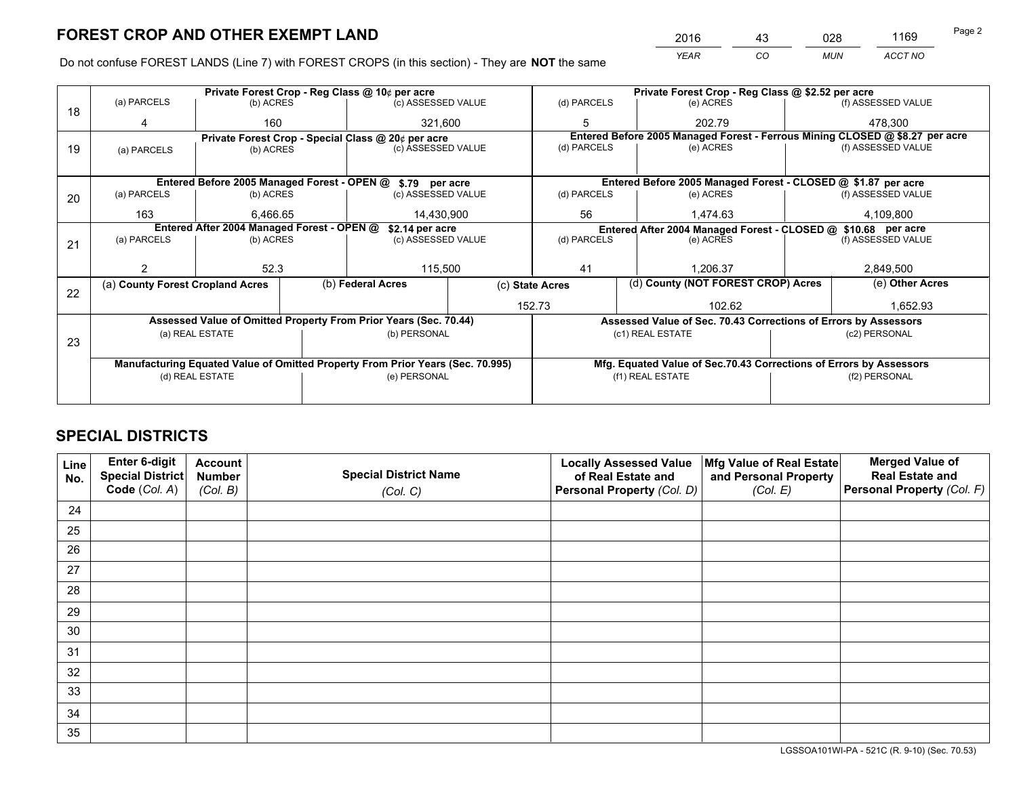*YEAR CO MUN ACCT NO* <sup>2016</sup> <sup>43</sup> <sup>028</sup> <sup>1169</sup>

Do not confuse FOREST LANDS (Line 7) with FOREST CROPS (in this section) - They are **NOT** the same

|    |                                                               |                                 |  | Private Forest Crop - Reg Class @ 10¢ per acre                                 |                 |                          | Private Forest Crop - Reg Class @ \$2.52 per acre |                                                                    |               |                                                                              |  |
|----|---------------------------------------------------------------|---------------------------------|--|--------------------------------------------------------------------------------|-----------------|--------------------------|---------------------------------------------------|--------------------------------------------------------------------|---------------|------------------------------------------------------------------------------|--|
| 18 | (a) PARCELS                                                   | (b) ACRES                       |  | (c) ASSESSED VALUE                                                             |                 | (d) PARCELS              |                                                   | (e) ACRES                                                          |               | (f) ASSESSED VALUE                                                           |  |
|    |                                                               | 160                             |  | 321,600                                                                        |                 | 5                        |                                                   | 202.79                                                             |               | 478.300                                                                      |  |
|    |                                                               |                                 |  | Private Forest Crop - Special Class @ 20¢ per acre                             |                 |                          |                                                   |                                                                    |               | Entered Before 2005 Managed Forest - Ferrous Mining CLOSED @ \$8.27 per acre |  |
| 19 | (a) PARCELS                                                   | (c) ASSESSED VALUE<br>(b) ACRES |  |                                                                                |                 | (d) PARCELS              |                                                   | (e) ACRES                                                          |               | (f) ASSESSED VALUE                                                           |  |
|    |                                                               |                                 |  |                                                                                |                 |                          |                                                   |                                                                    |               |                                                                              |  |
|    |                                                               |                                 |  | Entered Before 2005 Managed Forest - OPEN @ \$.79 per acre                     |                 |                          |                                                   | Entered Before 2005 Managed Forest - CLOSED @ \$1.87 per acre      |               |                                                                              |  |
| 20 | (a) PARCELS                                                   | (b) ACRES                       |  | (c) ASSESSED VALUE                                                             |                 | (d) PARCELS              |                                                   | (e) ACRES                                                          |               | (f) ASSESSED VALUE                                                           |  |
|    | 163                                                           | 6.466.65                        |  | 14,430,900                                                                     |                 | 56                       |                                                   | 1.474.63                                                           |               | 4,109,800                                                                    |  |
|    | Entered After 2004 Managed Forest - OPEN @<br>\$2.14 per acre |                                 |  |                                                                                |                 |                          |                                                   | Entered After 2004 Managed Forest - CLOSED @ \$10.68 per acre      |               |                                                                              |  |
| 21 | (a) PARCELS                                                   | (b) ACRES                       |  | (c) ASSESSED VALUE                                                             |                 | (d) PARCELS<br>(e) ACRES |                                                   | (f) ASSESSED VALUE                                                 |               |                                                                              |  |
|    |                                                               |                                 |  |                                                                                |                 |                          |                                                   |                                                                    |               |                                                                              |  |
|    |                                                               | 52.3                            |  | 115,500                                                                        |                 | 41                       |                                                   | 1.206.37                                                           |               | 2,849,500                                                                    |  |
| 22 | (a) County Forest Cropland Acres                              |                                 |  | (b) Federal Acres                                                              | (c) State Acres |                          |                                                   | (d) County (NOT FOREST CROP) Acres                                 |               | (e) Other Acres                                                              |  |
|    |                                                               |                                 |  |                                                                                |                 | 152.73                   |                                                   | 102.62                                                             |               | 1,652.93                                                                     |  |
|    |                                                               |                                 |  | Assessed Value of Omitted Property From Prior Years (Sec. 70.44)               |                 |                          |                                                   | Assessed Value of Sec. 70.43 Corrections of Errors by Assessors    |               |                                                                              |  |
|    |                                                               | (a) REAL ESTATE                 |  | (b) PERSONAL                                                                   |                 |                          |                                                   | (c1) REAL ESTATE                                                   |               | (c2) PERSONAL                                                                |  |
| 23 |                                                               |                                 |  |                                                                                |                 |                          |                                                   |                                                                    |               |                                                                              |  |
|    |                                                               |                                 |  | Manufacturing Equated Value of Omitted Property From Prior Years (Sec. 70.995) |                 |                          |                                                   | Mfg. Equated Value of Sec.70.43 Corrections of Errors by Assessors |               |                                                                              |  |
|    |                                                               | (d) REAL ESTATE                 |  | (e) PERSONAL                                                                   |                 | (f1) REAL ESTATE         |                                                   |                                                                    | (f2) PERSONAL |                                                                              |  |
|    |                                                               |                                 |  |                                                                                |                 |                          |                                                   |                                                                    |               |                                                                              |  |

## **SPECIAL DISTRICTS**

| Line<br>No. | Enter 6-digit<br>Special District<br>Code (Col. A) | <b>Account</b><br><b>Number</b><br>(Col. B) | <b>Special District Name</b><br>(Col. C) | <b>Locally Assessed Value</b><br>of Real Estate and<br>Personal Property (Col. D) | Mfg Value of Real Estate<br>and Personal Property<br>(Col. E) | <b>Merged Value of</b><br><b>Real Estate and</b><br>Personal Property (Col. F) |
|-------------|----------------------------------------------------|---------------------------------------------|------------------------------------------|-----------------------------------------------------------------------------------|---------------------------------------------------------------|--------------------------------------------------------------------------------|
| 24          |                                                    |                                             |                                          |                                                                                   |                                                               |                                                                                |
| 25          |                                                    |                                             |                                          |                                                                                   |                                                               |                                                                                |
| 26          |                                                    |                                             |                                          |                                                                                   |                                                               |                                                                                |
| 27          |                                                    |                                             |                                          |                                                                                   |                                                               |                                                                                |
| 28          |                                                    |                                             |                                          |                                                                                   |                                                               |                                                                                |
| 29          |                                                    |                                             |                                          |                                                                                   |                                                               |                                                                                |
| 30          |                                                    |                                             |                                          |                                                                                   |                                                               |                                                                                |
| 31          |                                                    |                                             |                                          |                                                                                   |                                                               |                                                                                |
| 32          |                                                    |                                             |                                          |                                                                                   |                                                               |                                                                                |
| 33          |                                                    |                                             |                                          |                                                                                   |                                                               |                                                                                |
| 34          |                                                    |                                             |                                          |                                                                                   |                                                               |                                                                                |
| 35          |                                                    |                                             |                                          |                                                                                   |                                                               |                                                                                |

LGSSOA101WI-PA - 521C (R. 9-10) (Sec. 70.53)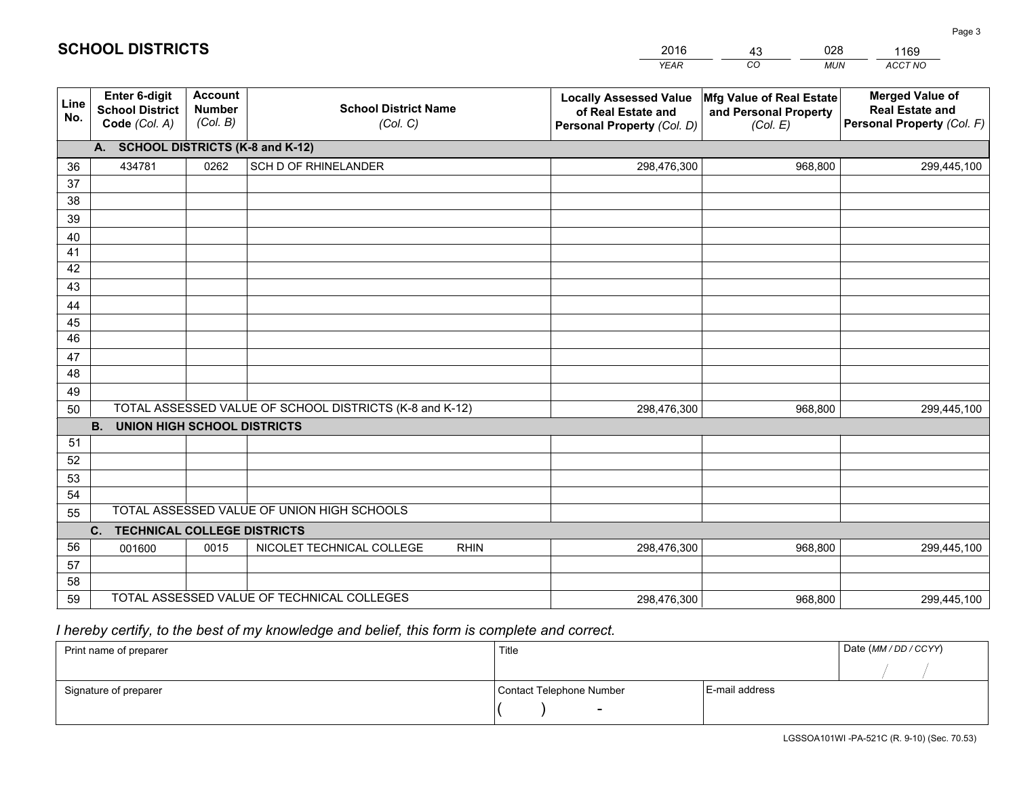|             |                                                                 |                                             |                                                         | <b>YEAR</b>                                                                       | CO<br><b>MUN</b>                                              | ACCT NO                                                                        |
|-------------|-----------------------------------------------------------------|---------------------------------------------|---------------------------------------------------------|-----------------------------------------------------------------------------------|---------------------------------------------------------------|--------------------------------------------------------------------------------|
| Line<br>No. | <b>Enter 6-digit</b><br><b>School District</b><br>Code (Col. A) | <b>Account</b><br><b>Number</b><br>(Col. B) | <b>School District Name</b><br>(Col. C)                 | <b>Locally Assessed Value</b><br>of Real Estate and<br>Personal Property (Col. D) | Mfg Value of Real Estate<br>and Personal Property<br>(Col. E) | <b>Merged Value of</b><br><b>Real Estate and</b><br>Personal Property (Col. F) |
|             | A. SCHOOL DISTRICTS (K-8 and K-12)                              |                                             |                                                         |                                                                                   |                                                               |                                                                                |
| 36          | 434781                                                          | 0262                                        | SCH D OF RHINELANDER                                    | 298,476,300                                                                       | 968,800                                                       | 299,445,100                                                                    |
| 37          |                                                                 |                                             |                                                         |                                                                                   |                                                               |                                                                                |
| 38          |                                                                 |                                             |                                                         |                                                                                   |                                                               |                                                                                |
| 39          |                                                                 |                                             |                                                         |                                                                                   |                                                               |                                                                                |
| 40          |                                                                 |                                             |                                                         |                                                                                   |                                                               |                                                                                |
| 41          |                                                                 |                                             |                                                         |                                                                                   |                                                               |                                                                                |
| 42          |                                                                 |                                             |                                                         |                                                                                   |                                                               |                                                                                |
| 43          |                                                                 |                                             |                                                         |                                                                                   |                                                               |                                                                                |
| 44          |                                                                 |                                             |                                                         |                                                                                   |                                                               |                                                                                |
| 45<br>46    |                                                                 |                                             |                                                         |                                                                                   |                                                               |                                                                                |
| 47          |                                                                 |                                             |                                                         |                                                                                   |                                                               |                                                                                |
| 48          |                                                                 |                                             |                                                         |                                                                                   |                                                               |                                                                                |
| 49          |                                                                 |                                             |                                                         |                                                                                   |                                                               |                                                                                |
| 50          |                                                                 |                                             | TOTAL ASSESSED VALUE OF SCHOOL DISTRICTS (K-8 and K-12) | 298,476,300                                                                       | 968,800                                                       | 299,445,100                                                                    |
|             | <b>B.</b><br><b>UNION HIGH SCHOOL DISTRICTS</b>                 |                                             |                                                         |                                                                                   |                                                               |                                                                                |
| 51          |                                                                 |                                             |                                                         |                                                                                   |                                                               |                                                                                |
| 52          |                                                                 |                                             |                                                         |                                                                                   |                                                               |                                                                                |
| 53          |                                                                 |                                             |                                                         |                                                                                   |                                                               |                                                                                |
| 54          |                                                                 |                                             |                                                         |                                                                                   |                                                               |                                                                                |
| 55          |                                                                 |                                             | TOTAL ASSESSED VALUE OF UNION HIGH SCHOOLS              |                                                                                   |                                                               |                                                                                |
|             | C.<br><b>TECHNICAL COLLEGE DISTRICTS</b>                        |                                             |                                                         |                                                                                   |                                                               |                                                                                |
| 56          | 001600                                                          | 0015                                        | NICOLET TECHNICAL COLLEGE<br><b>RHIN</b>                | 298,476,300                                                                       | 968,800                                                       | 299,445,100                                                                    |
| 57          |                                                                 |                                             |                                                         |                                                                                   |                                                               |                                                                                |
| 58          |                                                                 |                                             |                                                         |                                                                                   |                                                               |                                                                                |
| 59          |                                                                 |                                             | TOTAL ASSESSED VALUE OF TECHNICAL COLLEGES              | 298,476,300                                                                       | 968,800                                                       | 299,445,100                                                                    |

43

028

 *I hereby certify, to the best of my knowledge and belief, this form is complete and correct.*

**SCHOOL DISTRICTS**

| Print name of preparer | Title                    |                | Date (MM / DD / CCYY) |
|------------------------|--------------------------|----------------|-----------------------|
|                        |                          |                |                       |
| Signature of preparer  | Contact Telephone Number | E-mail address |                       |
|                        | $\sim$                   |                |                       |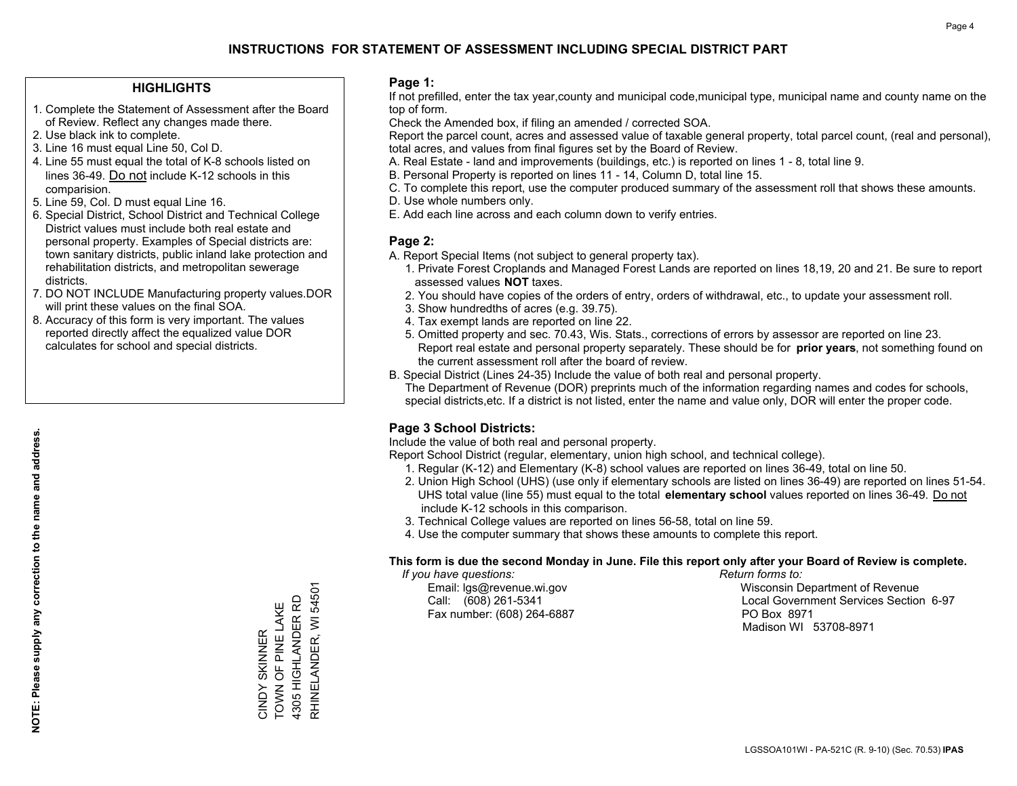#### **HIGHLIGHTS**

- 1. Complete the Statement of Assessment after the Board of Review. Reflect any changes made there.
- 2. Use black ink to complete.
- 3. Line 16 must equal Line 50, Col D.
- 4. Line 55 must equal the total of K-8 schools listed on lines 36-49. Do not include K-12 schools in this comparision.
- 5. Line 59, Col. D must equal Line 16.
- 6. Special District, School District and Technical College District values must include both real estate and personal property. Examples of Special districts are: town sanitary districts, public inland lake protection and rehabilitation districts, and metropolitan sewerage districts.
- 7. DO NOT INCLUDE Manufacturing property values.DOR will print these values on the final SOA.
- 8. Accuracy of this form is very important. The values reported directly affect the equalized value DOR calculates for school and special districts.

#### **Page 1:**

 If not prefilled, enter the tax year,county and municipal code,municipal type, municipal name and county name on the top of form.

Check the Amended box, if filing an amended / corrected SOA.

 Report the parcel count, acres and assessed value of taxable general property, total parcel count, (real and personal), total acres, and values from final figures set by the Board of Review.

- A. Real Estate land and improvements (buildings, etc.) is reported on lines 1 8, total line 9.
- B. Personal Property is reported on lines 11 14, Column D, total line 15.
- C. To complete this report, use the computer produced summary of the assessment roll that shows these amounts.
- D. Use whole numbers only.
- E. Add each line across and each column down to verify entries.

### **Page 2:**

- A. Report Special Items (not subject to general property tax).
- 1. Private Forest Croplands and Managed Forest Lands are reported on lines 18,19, 20 and 21. Be sure to report assessed values **NOT** taxes.
- 2. You should have copies of the orders of entry, orders of withdrawal, etc., to update your assessment roll.
	- 3. Show hundredths of acres (e.g. 39.75).
- 4. Tax exempt lands are reported on line 22.
- 5. Omitted property and sec. 70.43, Wis. Stats., corrections of errors by assessor are reported on line 23. Report real estate and personal property separately. These should be for **prior years**, not something found on the current assessment roll after the board of review.
- B. Special District (Lines 24-35) Include the value of both real and personal property.
- The Department of Revenue (DOR) preprints much of the information regarding names and codes for schools, special districts,etc. If a district is not listed, enter the name and value only, DOR will enter the proper code.

## **Page 3 School Districts:**

Include the value of both real and personal property.

Report School District (regular, elementary, union high school, and technical college).

- 1. Regular (K-12) and Elementary (K-8) school values are reported on lines 36-49, total on line 50.
- 2. Union High School (UHS) (use only if elementary schools are listed on lines 36-49) are reported on lines 51-54. UHS total value (line 55) must equal to the total **elementary school** values reported on lines 36-49. Do notinclude K-12 schools in this comparison.
- 3. Technical College values are reported on lines 56-58, total on line 59.
- 4. Use the computer summary that shows these amounts to complete this report.

#### **This form is due the second Monday in June. File this report only after your Board of Review is complete.**

 *If you have questions: Return forms to:*

Fax number: (608) 264-6887 PO Box 8971

 Email: lgs@revenue.wi.gov Wisconsin Department of Revenue Call: (608) 261-5341 Local Government Services Section 6-97Madison WI 53708-8971

**NOTE: Please supply any correction to the name and address.**

NOTE: Please supply any correction to the name and address.

RHINELANDER, WI 54501 RHINELANDER, WI 54501 4305 HIGHLANDER RD 4305 HIGHLANDER RD CINDY SKINNER<br>TOWN OF PINE LAKE TOWN OF PINE LAKE CINDY SKINNER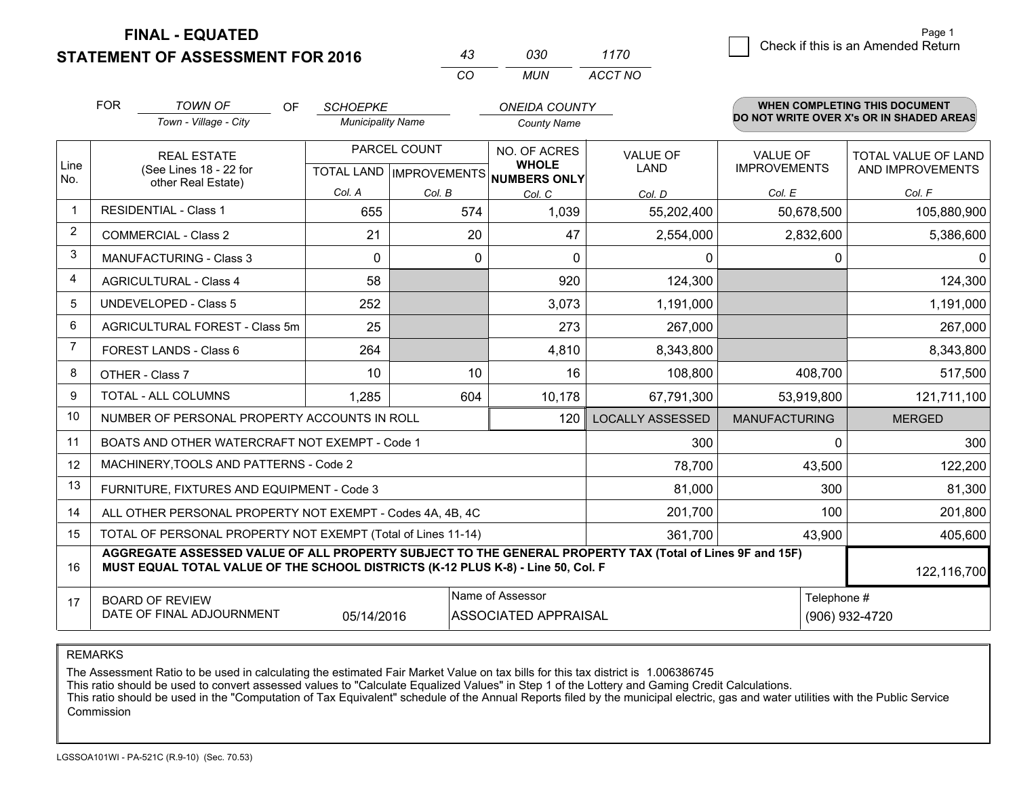**STATEMENT OF ASSESSMENT FOR 2016** 

| 43        | озо | 1170    |
|-----------|-----|---------|
| $($ : $($ | MUN | ACCT NO |

|              | <b>FOR</b>                                                                                                                                                                                   | <b>TOWN OF</b><br><b>OF</b>                                  | <b>SCHOEPKE</b>          |              | <b>ONEIDA COUNTY</b>                                     |                         |                      | <b>WHEN COMPLETING THIS DOCUMENT</b>     |  |
|--------------|----------------------------------------------------------------------------------------------------------------------------------------------------------------------------------------------|--------------------------------------------------------------|--------------------------|--------------|----------------------------------------------------------|-------------------------|----------------------|------------------------------------------|--|
|              |                                                                                                                                                                                              | Town - Village - City                                        | <b>Municipality Name</b> |              | <b>County Name</b>                                       |                         |                      | DO NOT WRITE OVER X's OR IN SHADED AREAS |  |
|              |                                                                                                                                                                                              | <b>REAL ESTATE</b>                                           |                          | PARCEL COUNT | NO. OF ACRES                                             | <b>VALUE OF</b>         | <b>VALUE OF</b>      | TOTAL VALUE OF LAND                      |  |
| Line<br>No.  |                                                                                                                                                                                              | (See Lines 18 - 22 for<br>other Real Estate)                 |                          |              | <b>WHOLE</b><br>TOTAL LAND   IMPROVEMENTS   NUMBERS ONLY | <b>LAND</b>             | <b>IMPROVEMENTS</b>  | AND IMPROVEMENTS                         |  |
|              |                                                                                                                                                                                              |                                                              | Col. A                   | Col. B       | Col. C                                                   | Col. D                  | Col. E               | Col. F                                   |  |
| $\mathbf{1}$ |                                                                                                                                                                                              | <b>RESIDENTIAL - Class 1</b>                                 | 655                      | 574          | 1,039                                                    | 55,202,400              | 50,678,500           | 105,880,900                              |  |
| 2            |                                                                                                                                                                                              | <b>COMMERCIAL - Class 2</b>                                  | 21                       | 20           | 47                                                       | 2,554,000               | 2,832,600            | 5,386,600                                |  |
| 3            |                                                                                                                                                                                              | MANUFACTURING - Class 3                                      | $\Omega$                 | $\mathbf 0$  | $\Omega$                                                 | $\mathbf 0$             | 0                    | $\Omega$                                 |  |
| 4            |                                                                                                                                                                                              | <b>AGRICULTURAL - Class 4</b>                                | 58                       |              | 920                                                      | 124,300                 |                      | 124,300                                  |  |
| 5            |                                                                                                                                                                                              | <b>UNDEVELOPED - Class 5</b>                                 | 252                      |              | 3,073                                                    | 1,191,000               |                      | 1,191,000                                |  |
| 6            |                                                                                                                                                                                              | AGRICULTURAL FOREST - Class 5m                               | 25                       |              | 273                                                      | 267,000                 |                      | 267,000                                  |  |
| 7            |                                                                                                                                                                                              | FOREST LANDS - Class 6                                       | 264                      |              | 4,810                                                    | 8,343,800               |                      | 8,343,800                                |  |
| 8            |                                                                                                                                                                                              | OTHER - Class 7                                              | 10                       | 10           | 16                                                       | 108,800                 | 408,700              | 517,500                                  |  |
| 9            |                                                                                                                                                                                              | TOTAL - ALL COLUMNS                                          | 1,285                    | 604          | 10,178                                                   | 67,791,300              | 53,919,800           | 121,711,100                              |  |
| 10           |                                                                                                                                                                                              | NUMBER OF PERSONAL PROPERTY ACCOUNTS IN ROLL                 |                          |              | 120                                                      | <b>LOCALLY ASSESSED</b> | <b>MANUFACTURING</b> | <b>MERGED</b>                            |  |
| 11           |                                                                                                                                                                                              | BOATS AND OTHER WATERCRAFT NOT EXEMPT - Code 1               |                          |              |                                                          | 300                     | 0                    | 300                                      |  |
| 12           |                                                                                                                                                                                              | MACHINERY, TOOLS AND PATTERNS - Code 2                       |                          |              |                                                          | 78,700                  | 43,500               | 122,200                                  |  |
| 13           |                                                                                                                                                                                              | FURNITURE, FIXTURES AND EQUIPMENT - Code 3                   |                          |              |                                                          | 81,000                  | 300                  | 81,300                                   |  |
| 14           |                                                                                                                                                                                              | ALL OTHER PERSONAL PROPERTY NOT EXEMPT - Codes 4A, 4B, 4C    |                          |              |                                                          | 201,700                 | 100                  | 201,800                                  |  |
| 15           |                                                                                                                                                                                              | TOTAL OF PERSONAL PROPERTY NOT EXEMPT (Total of Lines 11-14) |                          |              |                                                          | 361,700                 | 43,900               | 405,600                                  |  |
| 16           | AGGREGATE ASSESSED VALUE OF ALL PROPERTY SUBJECT TO THE GENERAL PROPERTY TAX (Total of Lines 9F and 15F)<br>MUST EQUAL TOTAL VALUE OF THE SCHOOL DISTRICTS (K-12 PLUS K-8) - Line 50, Col. F |                                                              |                          |              |                                                          |                         |                      | 122,116,700                              |  |
| 17           | Name of Assessor<br><b>BOARD OF REVIEW</b><br>DATE OF FINAL ADJOURNMENT<br>05/14/2016<br><b>ASSOCIATED APPRAISAL</b>                                                                         |                                                              |                          |              |                                                          |                         | Telephone #          | (906) 932-4720                           |  |

REMARKS

The Assessment Ratio to be used in calculating the estimated Fair Market Value on tax bills for this tax district is 1.006386745

This ratio should be used to convert assessed values to "Calculate Equalized Values" in Step 1 of the Lottery and Gaming Credit Calculations.<br>This ratio should be used in the "Computation of Tax Equivalent" schedule of the Commission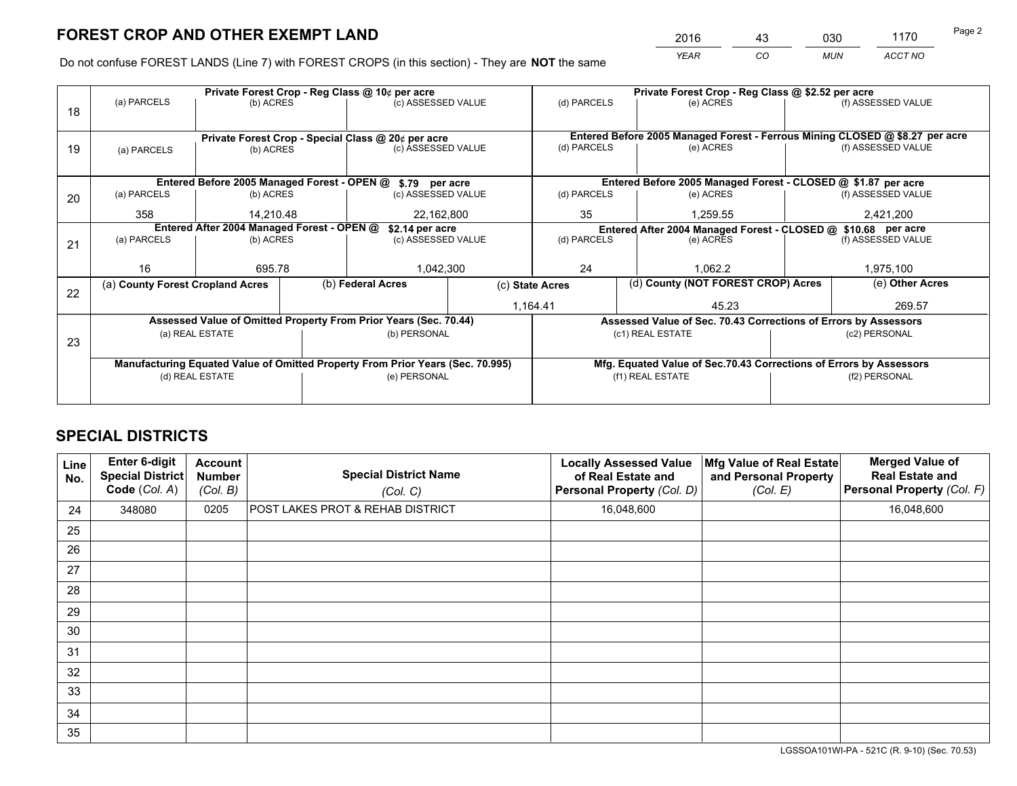*YEAR CO MUN ACCT NO* <sup>2016</sup> <sup>43</sup> <sup>030</sup> <sup>1170</sup>

Do not confuse FOREST LANDS (Line 7) with FOREST CROPS (in this section) - They are **NOT** the same

|    |                                                               |                 |  | Private Forest Crop - Reg Class @ 10¢ per acre                                 |                 | Private Forest Crop - Reg Class @ \$2.52 per acre             |                                                                    |                                    |               |                                                                              |  |
|----|---------------------------------------------------------------|-----------------|--|--------------------------------------------------------------------------------|-----------------|---------------------------------------------------------------|--------------------------------------------------------------------|------------------------------------|---------------|------------------------------------------------------------------------------|--|
| 18 | (a) PARCELS                                                   | (b) ACRES       |  | (c) ASSESSED VALUE                                                             |                 | (d) PARCELS                                                   | (e) ACRES                                                          |                                    |               | (f) ASSESSED VALUE                                                           |  |
|    |                                                               |                 |  |                                                                                |                 |                                                               |                                                                    |                                    |               |                                                                              |  |
|    |                                                               |                 |  | Private Forest Crop - Special Class @ 20¢ per acre                             |                 |                                                               |                                                                    |                                    |               | Entered Before 2005 Managed Forest - Ferrous Mining CLOSED @ \$8.27 per acre |  |
| 19 | (a) PARCELS                                                   | (b) ACRES       |  | (c) ASSESSED VALUE                                                             |                 | (d) PARCELS                                                   | (e) ACRES                                                          |                                    |               | (f) ASSESSED VALUE                                                           |  |
|    |                                                               |                 |  |                                                                                |                 |                                                               |                                                                    |                                    |               |                                                                              |  |
|    |                                                               |                 |  | Entered Before 2005 Managed Forest - OPEN @ \$.79 per acre                     |                 |                                                               | Entered Before 2005 Managed Forest - CLOSED @ \$1.87 per acre      |                                    |               |                                                                              |  |
| 20 | (a) PARCELS                                                   | (b) ACRES       |  | (c) ASSESSED VALUE                                                             |                 | (d) PARCELS                                                   | (e) ACRES                                                          |                                    |               | (f) ASSESSED VALUE                                                           |  |
|    | 358                                                           | 14,210.48       |  | 22,162,800                                                                     |                 | 35                                                            |                                                                    | 1,259.55                           |               | 2,421,200                                                                    |  |
|    | Entered After 2004 Managed Forest - OPEN @<br>\$2.14 per acre |                 |  |                                                                                |                 | Entered After 2004 Managed Forest - CLOSED @ \$10.68 per acre |                                                                    |                                    |               |                                                                              |  |
| 21 | (a) PARCELS                                                   | (b) ACRES       |  | (c) ASSESSED VALUE                                                             |                 | (d) PARCELS                                                   |                                                                    | (e) ACRES                          |               | (f) ASSESSED VALUE                                                           |  |
|    |                                                               |                 |  |                                                                                |                 |                                                               |                                                                    |                                    |               |                                                                              |  |
|    | 16                                                            | 695.78          |  | 1,042,300                                                                      |                 | 24                                                            | 1.062.2                                                            |                                    |               | 1,975,100                                                                    |  |
| 22 | (a) County Forest Cropland Acres                              |                 |  | (b) Federal Acres                                                              | (c) State Acres |                                                               |                                                                    | (d) County (NOT FOREST CROP) Acres |               | (e) Other Acres                                                              |  |
|    |                                                               |                 |  |                                                                                |                 | 1,164.41                                                      |                                                                    | 45.23                              |               | 269.57                                                                       |  |
|    |                                                               |                 |  | Assessed Value of Omitted Property From Prior Years (Sec. 70.44)               |                 |                                                               | Assessed Value of Sec. 70.43 Corrections of Errors by Assessors    |                                    |               |                                                                              |  |
|    |                                                               | (a) REAL ESTATE |  | (b) PERSONAL                                                                   |                 |                                                               | (c1) REAL ESTATE                                                   |                                    |               | (c2) PERSONAL                                                                |  |
| 23 |                                                               |                 |  |                                                                                |                 |                                                               |                                                                    |                                    |               |                                                                              |  |
|    |                                                               |                 |  | Manufacturing Equated Value of Omitted Property From Prior Years (Sec. 70.995) |                 |                                                               | Mfg. Equated Value of Sec.70.43 Corrections of Errors by Assessors |                                    |               |                                                                              |  |
|    |                                                               | (d) REAL ESTATE |  | (e) PERSONAL                                                                   |                 | (f1) REAL ESTATE                                              |                                                                    |                                    | (f2) PERSONAL |                                                                              |  |
|    |                                                               |                 |  |                                                                                |                 |                                                               |                                                                    |                                    |               |                                                                              |  |

## **SPECIAL DISTRICTS**

| Line<br>No. | Enter 6-digit<br>Special District<br>Code (Col. A) | <b>Account</b><br><b>Number</b><br>(Col. B) | <b>Special District Name</b><br>(Col. C) | <b>Locally Assessed Value</b><br>of Real Estate and<br>Personal Property (Col. D) | Mfg Value of Real Estate<br>and Personal Property<br>(Col. E) | <b>Merged Value of</b><br><b>Real Estate and</b><br>Personal Property (Col. F) |
|-------------|----------------------------------------------------|---------------------------------------------|------------------------------------------|-----------------------------------------------------------------------------------|---------------------------------------------------------------|--------------------------------------------------------------------------------|
| 24          | 348080                                             | 0205                                        | POST LAKES PROT & REHAB DISTRICT         | 16,048,600                                                                        |                                                               | 16,048,600                                                                     |
| 25          |                                                    |                                             |                                          |                                                                                   |                                                               |                                                                                |
| 26          |                                                    |                                             |                                          |                                                                                   |                                                               |                                                                                |
| 27          |                                                    |                                             |                                          |                                                                                   |                                                               |                                                                                |
| 28          |                                                    |                                             |                                          |                                                                                   |                                                               |                                                                                |
| 29          |                                                    |                                             |                                          |                                                                                   |                                                               |                                                                                |
| 30          |                                                    |                                             |                                          |                                                                                   |                                                               |                                                                                |
| 31          |                                                    |                                             |                                          |                                                                                   |                                                               |                                                                                |
| 32          |                                                    |                                             |                                          |                                                                                   |                                                               |                                                                                |
| 33          |                                                    |                                             |                                          |                                                                                   |                                                               |                                                                                |
| 34          |                                                    |                                             |                                          |                                                                                   |                                                               |                                                                                |
| 35          |                                                    |                                             |                                          |                                                                                   |                                                               |                                                                                |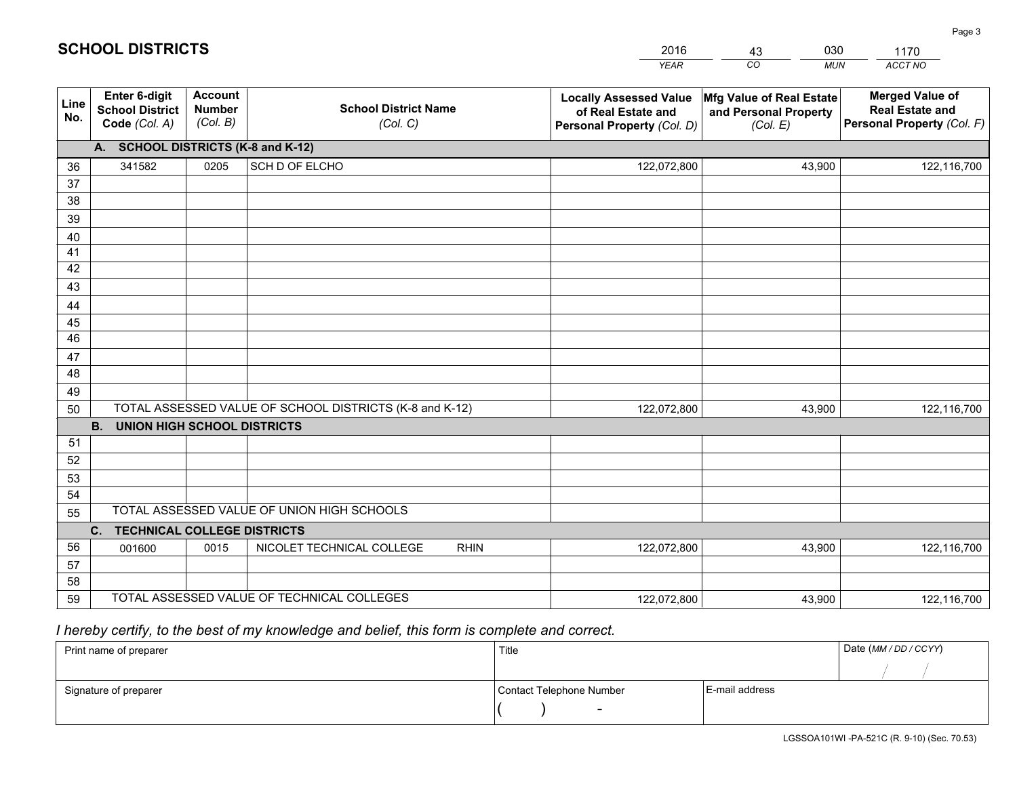|             |                                                                 |                                             |                                                         | <b>YEAR</b>                                                                       | CO<br><b>MUN</b>                                              | ACCT NO                                                                        |
|-------------|-----------------------------------------------------------------|---------------------------------------------|---------------------------------------------------------|-----------------------------------------------------------------------------------|---------------------------------------------------------------|--------------------------------------------------------------------------------|
| Line<br>No. | <b>Enter 6-digit</b><br><b>School District</b><br>Code (Col. A) | <b>Account</b><br><b>Number</b><br>(Col. B) | <b>School District Name</b><br>(Col. C)                 | <b>Locally Assessed Value</b><br>of Real Estate and<br>Personal Property (Col. D) | Mfg Value of Real Estate<br>and Personal Property<br>(Col. E) | <b>Merged Value of</b><br><b>Real Estate and</b><br>Personal Property (Col. F) |
|             | A. SCHOOL DISTRICTS (K-8 and K-12)                              |                                             |                                                         |                                                                                   |                                                               |                                                                                |
| 36          | 341582                                                          | 0205                                        | SCH D OF ELCHO                                          | 122,072,800                                                                       | 43,900                                                        | 122,116,700                                                                    |
| 37          |                                                                 |                                             |                                                         |                                                                                   |                                                               |                                                                                |
| 38          |                                                                 |                                             |                                                         |                                                                                   |                                                               |                                                                                |
| 39          |                                                                 |                                             |                                                         |                                                                                   |                                                               |                                                                                |
| 40          |                                                                 |                                             |                                                         |                                                                                   |                                                               |                                                                                |
| 41          |                                                                 |                                             |                                                         |                                                                                   |                                                               |                                                                                |
| 42<br>43    |                                                                 |                                             |                                                         |                                                                                   |                                                               |                                                                                |
| 44          |                                                                 |                                             |                                                         |                                                                                   |                                                               |                                                                                |
| 45          |                                                                 |                                             |                                                         |                                                                                   |                                                               |                                                                                |
| 46          |                                                                 |                                             |                                                         |                                                                                   |                                                               |                                                                                |
| 47          |                                                                 |                                             |                                                         |                                                                                   |                                                               |                                                                                |
| 48          |                                                                 |                                             |                                                         |                                                                                   |                                                               |                                                                                |
| 49          |                                                                 |                                             |                                                         |                                                                                   |                                                               |                                                                                |
| 50          |                                                                 |                                             | TOTAL ASSESSED VALUE OF SCHOOL DISTRICTS (K-8 and K-12) | 122,072,800                                                                       | 43,900                                                        | 122,116,700                                                                    |
|             | <b>B.</b><br><b>UNION HIGH SCHOOL DISTRICTS</b>                 |                                             |                                                         |                                                                                   |                                                               |                                                                                |
| 51          |                                                                 |                                             |                                                         |                                                                                   |                                                               |                                                                                |
| 52          |                                                                 |                                             |                                                         |                                                                                   |                                                               |                                                                                |
| 53          |                                                                 |                                             |                                                         |                                                                                   |                                                               |                                                                                |
| 54          |                                                                 |                                             |                                                         |                                                                                   |                                                               |                                                                                |
| 55          |                                                                 |                                             | TOTAL ASSESSED VALUE OF UNION HIGH SCHOOLS              |                                                                                   |                                                               |                                                                                |
|             | C.<br><b>TECHNICAL COLLEGE DISTRICTS</b>                        |                                             |                                                         |                                                                                   |                                                               |                                                                                |
| 56          | 001600                                                          | 0015                                        | NICOLET TECHNICAL COLLEGE<br><b>RHIN</b>                | 122,072,800                                                                       | 43,900                                                        | 122,116,700                                                                    |
| 57<br>58    |                                                                 |                                             |                                                         |                                                                                   |                                                               |                                                                                |
| 59          |                                                                 |                                             | TOTAL ASSESSED VALUE OF TECHNICAL COLLEGES              | 122,072,800                                                                       | 43,900                                                        | 122,116,700                                                                    |
|             |                                                                 |                                             |                                                         |                                                                                   |                                                               |                                                                                |

43

030

# *I hereby certify, to the best of my knowledge and belief, this form is complete and correct.*

**SCHOOL DISTRICTS**

| Print name of preparer | Title                    |                | Date (MM / DD / CCYY) |
|------------------------|--------------------------|----------------|-----------------------|
|                        |                          |                |                       |
| Signature of preparer  | Contact Telephone Number | E-mail address |                       |
|                        | $\sim$                   |                |                       |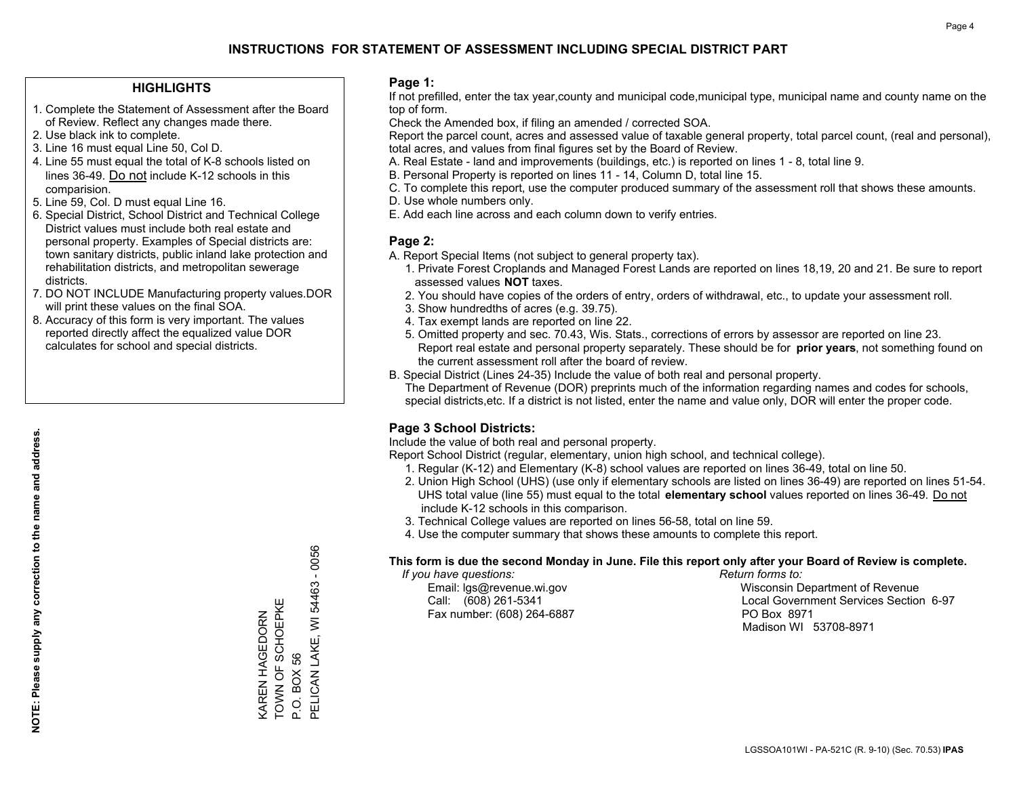#### **HIGHLIGHTS**

- 1. Complete the Statement of Assessment after the Board of Review. Reflect any changes made there.
- 2. Use black ink to complete.
- 3. Line 16 must equal Line 50, Col D.
- 4. Line 55 must equal the total of K-8 schools listed on lines 36-49. Do not include K-12 schools in this comparision.
- 5. Line 59, Col. D must equal Line 16.
- 6. Special District, School District and Technical College District values must include both real estate and personal property. Examples of Special districts are: town sanitary districts, public inland lake protection and rehabilitation districts, and metropolitan sewerage districts.
- 7. DO NOT INCLUDE Manufacturing property values.DOR will print these values on the final SOA.
- 8. Accuracy of this form is very important. The values reported directly affect the equalized value DOR calculates for school and special districts.

#### **Page 1:**

 If not prefilled, enter the tax year,county and municipal code,municipal type, municipal name and county name on the top of form.

Check the Amended box, if filing an amended / corrected SOA.

 Report the parcel count, acres and assessed value of taxable general property, total parcel count, (real and personal), total acres, and values from final figures set by the Board of Review.

- A. Real Estate land and improvements (buildings, etc.) is reported on lines 1 8, total line 9.
- B. Personal Property is reported on lines 11 14, Column D, total line 15.
- C. To complete this report, use the computer produced summary of the assessment roll that shows these amounts.
- D. Use whole numbers only.
- E. Add each line across and each column down to verify entries.

#### **Page 2:**

- A. Report Special Items (not subject to general property tax).
- 1. Private Forest Croplands and Managed Forest Lands are reported on lines 18,19, 20 and 21. Be sure to report assessed values **NOT** taxes.
- 2. You should have copies of the orders of entry, orders of withdrawal, etc., to update your assessment roll.
	- 3. Show hundredths of acres (e.g. 39.75).
- 4. Tax exempt lands are reported on line 22.
- 5. Omitted property and sec. 70.43, Wis. Stats., corrections of errors by assessor are reported on line 23. Report real estate and personal property separately. These should be for **prior years**, not something found on the current assessment roll after the board of review.
- B. Special District (Lines 24-35) Include the value of both real and personal property.

 The Department of Revenue (DOR) preprints much of the information regarding names and codes for schools, special districts,etc. If a district is not listed, enter the name and value only, DOR will enter the proper code.

## **Page 3 School Districts:**

Include the value of both real and personal property.

Report School District (regular, elementary, union high school, and technical college).

- 1. Regular (K-12) and Elementary (K-8) school values are reported on lines 36-49, total on line 50.
- 2. Union High School (UHS) (use only if elementary schools are listed on lines 36-49) are reported on lines 51-54. UHS total value (line 55) must equal to the total **elementary school** values reported on lines 36-49. Do notinclude K-12 schools in this comparison.
- 3. Technical College values are reported on lines 56-58, total on line 59.
- 4. Use the computer summary that shows these amounts to complete this report.

#### **This form is due the second Monday in June. File this report only after your Board of Review is complete.**

 *If you have questions: Return forms to:*

Fax number: (608) 264-6887 PO Box 8971

 Email: lgs@revenue.wi.gov Wisconsin Department of Revenue Call: (608) 261-5341 Local Government Services Section 6-97Madison WI 53708-8971

PELICAN LAKE, WI 54463 - 0056 PELICAN LAKE, WI 54463 - 0056 Ш TOWN OF SCHOEPKE KAREN HAGEDORN<br>TOWN OF SCHOEPKI KAREN HAGEDORN P.O. BOX 56 P.O. BOX 56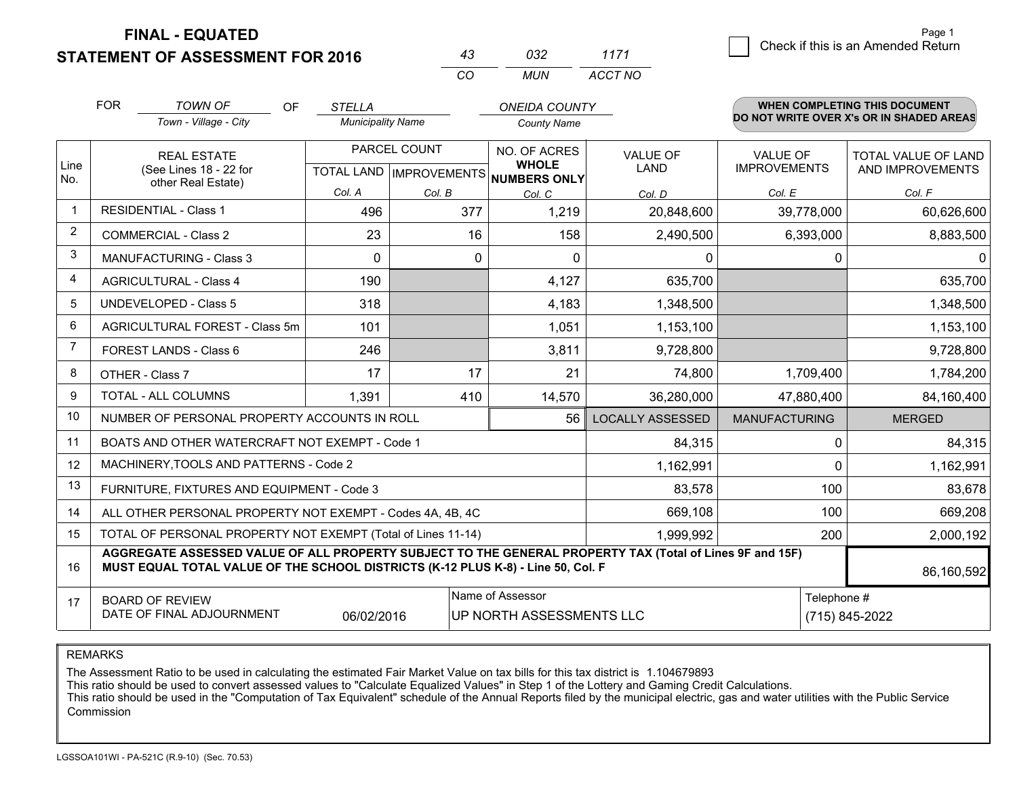## **STATEMENT OF ASSESSMENT FOR 2016**

|          | กจว  | 1171    |
|----------|------|---------|
| $\alpha$ | MUN. | ACCT NO |

|                | <b>FOR</b><br><b>TOWN OF</b><br>OF<br>Town - Village - City                                                                                                                                  | <b>STELLA</b> | <b>Municipality Name</b>                  |                               | <b>ONEIDA COUNTY</b><br><b>County Name</b> |                                        | <b>WHEN COMPLETING THIS DOCUMENT</b><br>DO NOT WRITE OVER X's OR IN SHADED AREAS |  |
|----------------|----------------------------------------------------------------------------------------------------------------------------------------------------------------------------------------------|---------------|-------------------------------------------|-------------------------------|--------------------------------------------|----------------------------------------|----------------------------------------------------------------------------------|--|
| Line<br>No.    | <b>REAL ESTATE</b><br>(See Lines 18 - 22 for                                                                                                                                                 |               | PARCEL COUNT<br>TOTAL LAND   IMPROVEMENTS |                               | <b>VALUE OF</b><br><b>LAND</b>             | <b>VALUE OF</b><br><b>IMPROVEMENTS</b> | <b>TOTAL VALUE OF LAND</b><br>AND IMPROVEMENTS                                   |  |
|                | other Real Estate)                                                                                                                                                                           | Col. A        | Col. B                                    | <b>NUMBERS ONLY</b><br>Col. C | Col. D                                     | Col. E                                 | Col. F                                                                           |  |
| $\mathbf 1$    | <b>RESIDENTIAL - Class 1</b>                                                                                                                                                                 | 496           | 377                                       | 1,219                         | 20,848,600                                 | 39,778,000                             | 60,626,600                                                                       |  |
| $\overline{2}$ | <b>COMMERCIAL - Class 2</b>                                                                                                                                                                  | 23            | 16                                        | 158                           | 2,490,500                                  | 6,393,000                              | 8,883,500                                                                        |  |
| 3              | <b>MANUFACTURING - Class 3</b>                                                                                                                                                               | $\Omega$      | 0                                         | $\mathbf{0}$                  | 0                                          | $\Omega$                               | $\Omega$                                                                         |  |
| $\overline{4}$ | <b>AGRICULTURAL - Class 4</b>                                                                                                                                                                | 190           |                                           | 4,127                         | 635,700                                    |                                        | 635,700                                                                          |  |
| 5              | <b>UNDEVELOPED - Class 5</b>                                                                                                                                                                 | 318           |                                           | 4,183                         | 1,348,500                                  |                                        | 1,348,500                                                                        |  |
| 6              | AGRICULTURAL FOREST - Class 5m                                                                                                                                                               | 101           |                                           | 1,051                         | 1,153,100                                  |                                        | 1,153,100                                                                        |  |
| 7              | FOREST LANDS - Class 6                                                                                                                                                                       | 246           |                                           | 3,811                         | 9,728,800                                  |                                        | 9,728,800                                                                        |  |
| 8              | OTHER - Class 7                                                                                                                                                                              | 17            | 17                                        | 21                            | 74,800                                     | 1,709,400                              | 1,784,200                                                                        |  |
| 9              | TOTAL - ALL COLUMNS                                                                                                                                                                          | 1,391         | 410                                       | 14,570                        | 36,280,000                                 | 47,880,400                             | 84,160,400                                                                       |  |
| 10             | NUMBER OF PERSONAL PROPERTY ACCOUNTS IN ROLL                                                                                                                                                 |               |                                           | 56                            | <b>LOCALLY ASSESSED</b>                    | <b>MANUFACTURING</b>                   | <b>MERGED</b>                                                                    |  |
| 11             | BOATS AND OTHER WATERCRAFT NOT EXEMPT - Code 1                                                                                                                                               |               |                                           |                               | 84,315                                     | $\Omega$                               | 84,315                                                                           |  |
| 12             | MACHINERY, TOOLS AND PATTERNS - Code 2                                                                                                                                                       |               |                                           |                               | 1,162,991                                  | $\Omega$                               | 1,162,991                                                                        |  |
| 13             | FURNITURE, FIXTURES AND EQUIPMENT - Code 3                                                                                                                                                   |               |                                           |                               | 83,578                                     | 100                                    | 83,678                                                                           |  |
| 14             | ALL OTHER PERSONAL PROPERTY NOT EXEMPT - Codes 4A, 4B, 4C                                                                                                                                    |               |                                           |                               | 669,108                                    | 100                                    | 669,208                                                                          |  |
| 15             | TOTAL OF PERSONAL PROPERTY NOT EXEMPT (Total of Lines 11-14)                                                                                                                                 |               | 1,999,992                                 | 200                           | 2,000,192                                  |                                        |                                                                                  |  |
| 16             | AGGREGATE ASSESSED VALUE OF ALL PROPERTY SUBJECT TO THE GENERAL PROPERTY TAX (Total of Lines 9F and 15F)<br>MUST EQUAL TOTAL VALUE OF THE SCHOOL DISTRICTS (K-12 PLUS K-8) - Line 50, Col. F |               |                                           |                               |                                            |                                        | 86,160,592                                                                       |  |
| 17             | Name of Assessor<br>Telephone #<br><b>BOARD OF REVIEW</b><br>DATE OF FINAL ADJOURNMENT<br>UP NORTH ASSESSMENTS LLC<br>(715) 845-2022<br>06/02/2016                                           |               |                                           |                               |                                            |                                        |                                                                                  |  |

REMARKS

The Assessment Ratio to be used in calculating the estimated Fair Market Value on tax bills for this tax district is 1.104679893

This ratio should be used to convert assessed values to "Calculate Equalized Values" in Step 1 of the Lottery and Gaming Credit Calculations.<br>This ratio should be used in the "Computation of Tax Equivalent" schedule of the Commission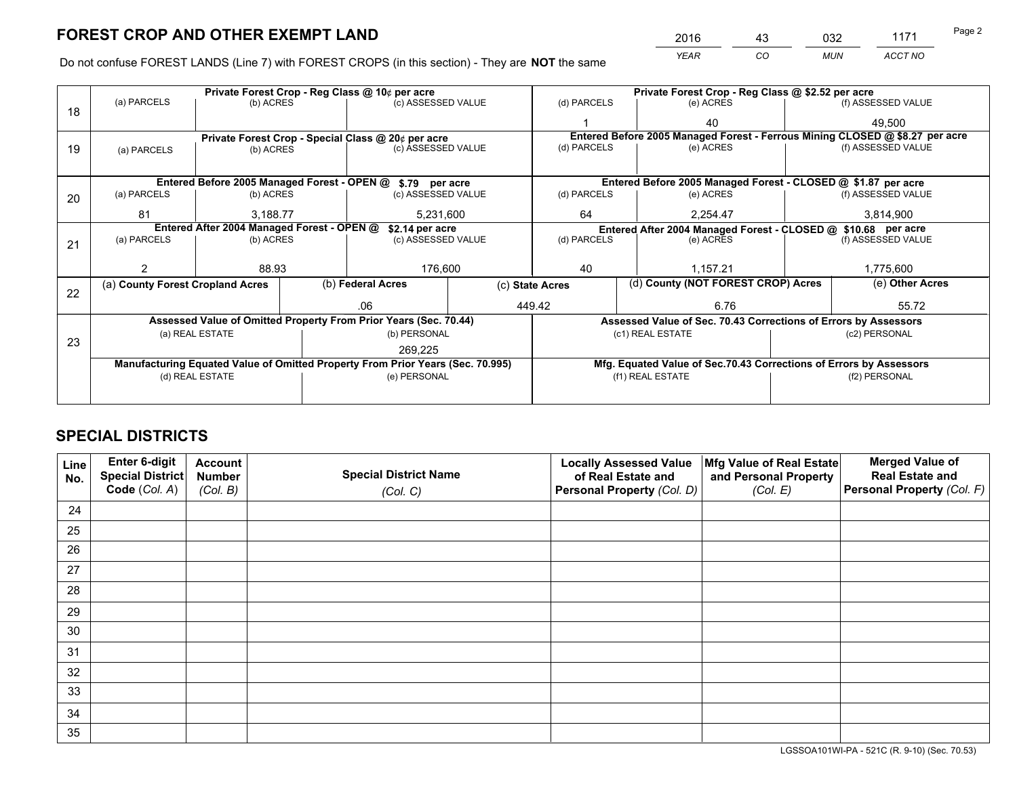*YEAR CO MUN ACCT NO* 2016 <u>43</u> 032 1171

Do not confuse FOREST LANDS (Line 7) with FOREST CROPS (in this section) - They are **NOT** the same

|    |                                                               |                 |  | Private Forest Crop - Reg Class @ 10¢ per acre                                 |  | Private Forest Crop - Reg Class @ \$2.52 per acre |                                    |                                                                    |               |                                                                              |
|----|---------------------------------------------------------------|-----------------|--|--------------------------------------------------------------------------------|--|---------------------------------------------------|------------------------------------|--------------------------------------------------------------------|---------------|------------------------------------------------------------------------------|
| 18 | (a) PARCELS                                                   | (b) ACRES       |  | (c) ASSESSED VALUE                                                             |  | (d) PARCELS                                       |                                    | (e) ACRES                                                          |               | (f) ASSESSED VALUE                                                           |
|    |                                                               |                 |  |                                                                                |  |                                                   |                                    | 40                                                                 |               | 49,500                                                                       |
|    |                                                               |                 |  | Private Forest Crop - Special Class @ 20¢ per acre                             |  |                                                   |                                    |                                                                    |               | Entered Before 2005 Managed Forest - Ferrous Mining CLOSED @ \$8.27 per acre |
| 19 | (a) PARCELS                                                   | (b) ACRES       |  | (c) ASSESSED VALUE                                                             |  | (d) PARCELS                                       |                                    | (e) ACRES                                                          |               | (f) ASSESSED VALUE                                                           |
|    |                                                               |                 |  |                                                                                |  |                                                   |                                    |                                                                    |               |                                                                              |
|    |                                                               |                 |  | Entered Before 2005 Managed Forest - OPEN @ \$.79 per acre                     |  |                                                   |                                    | Entered Before 2005 Managed Forest - CLOSED @ \$1.87 per acre      |               |                                                                              |
| 20 | (a) PARCELS                                                   | (b) ACRES       |  | (c) ASSESSED VALUE                                                             |  | (d) PARCELS                                       |                                    | (e) ACRES                                                          |               | (f) ASSESSED VALUE                                                           |
|    | 81                                                            | 3,188.77        |  | 5,231,600                                                                      |  | 64                                                | 2,254.47                           |                                                                    | 3,814,900     |                                                                              |
|    | Entered After 2004 Managed Forest - OPEN @<br>\$2.14 per acre |                 |  |                                                                                |  |                                                   |                                    | Entered After 2004 Managed Forest - CLOSED @ \$10.68 per acre      |               |                                                                              |
| 21 | (a) PARCELS                                                   | (b) ACRES       |  | (c) ASSESSED VALUE                                                             |  | (d) PARCELS<br>(e) ACRES                          |                                    | (f) ASSESSED VALUE                                                 |               |                                                                              |
|    |                                                               |                 |  |                                                                                |  |                                                   |                                    |                                                                    |               |                                                                              |
|    |                                                               | 88.93           |  | 176,600                                                                        |  | 40                                                |                                    | 1,157.21                                                           |               | 1,775,600                                                                    |
|    | (a) County Forest Cropland Acres                              |                 |  | (b) Federal Acres<br>(c) State Acres                                           |  |                                                   | (d) County (NOT FOREST CROP) Acres |                                                                    |               | (e) Other Acres                                                              |
| 22 |                                                               |                 |  |                                                                                |  |                                                   |                                    |                                                                    |               |                                                                              |
|    |                                                               |                 |  | .06                                                                            |  | 449.42                                            |                                    | 6.76                                                               |               | 55.72                                                                        |
|    |                                                               |                 |  | Assessed Value of Omitted Property From Prior Years (Sec. 70.44)               |  |                                                   |                                    | Assessed Value of Sec. 70.43 Corrections of Errors by Assessors    |               |                                                                              |
| 23 |                                                               | (a) REAL ESTATE |  | (b) PERSONAL                                                                   |  |                                                   |                                    | (c1) REAL ESTATE                                                   |               | (c2) PERSONAL                                                                |
|    |                                                               |                 |  | 269,225                                                                        |  |                                                   |                                    |                                                                    |               |                                                                              |
|    |                                                               |                 |  | Manufacturing Equated Value of Omitted Property From Prior Years (Sec. 70.995) |  |                                                   |                                    | Mfg. Equated Value of Sec.70.43 Corrections of Errors by Assessors |               |                                                                              |
|    |                                                               | (d) REAL ESTATE |  | (e) PERSONAL                                                                   |  |                                                   |                                    | (f1) REAL ESTATE                                                   | (f2) PERSONAL |                                                                              |
|    |                                                               |                 |  |                                                                                |  |                                                   |                                    |                                                                    |               |                                                                              |

## **SPECIAL DISTRICTS**

| Line<br>No. | Enter 6-digit<br>Special District<br>Code (Col. A) | <b>Account</b><br><b>Number</b><br>(Col. B) | <b>Special District Name</b><br>(Col. C) | <b>Locally Assessed Value</b><br>of Real Estate and<br>Personal Property (Col. D) | Mfg Value of Real Estate<br>and Personal Property<br>(Col. E) | <b>Merged Value of</b><br><b>Real Estate and</b><br>Personal Property (Col. F) |
|-------------|----------------------------------------------------|---------------------------------------------|------------------------------------------|-----------------------------------------------------------------------------------|---------------------------------------------------------------|--------------------------------------------------------------------------------|
| 24          |                                                    |                                             |                                          |                                                                                   |                                                               |                                                                                |
| 25          |                                                    |                                             |                                          |                                                                                   |                                                               |                                                                                |
| 26          |                                                    |                                             |                                          |                                                                                   |                                                               |                                                                                |
| 27          |                                                    |                                             |                                          |                                                                                   |                                                               |                                                                                |
| 28          |                                                    |                                             |                                          |                                                                                   |                                                               |                                                                                |
| 29          |                                                    |                                             |                                          |                                                                                   |                                                               |                                                                                |
| 30          |                                                    |                                             |                                          |                                                                                   |                                                               |                                                                                |
| 31          |                                                    |                                             |                                          |                                                                                   |                                                               |                                                                                |
| 32          |                                                    |                                             |                                          |                                                                                   |                                                               |                                                                                |
| 33          |                                                    |                                             |                                          |                                                                                   |                                                               |                                                                                |
| 34          |                                                    |                                             |                                          |                                                                                   |                                                               |                                                                                |
| 35          |                                                    |                                             |                                          |                                                                                   |                                                               |                                                                                |

LGSSOA101WI-PA - 521C (R. 9-10) (Sec. 70.53)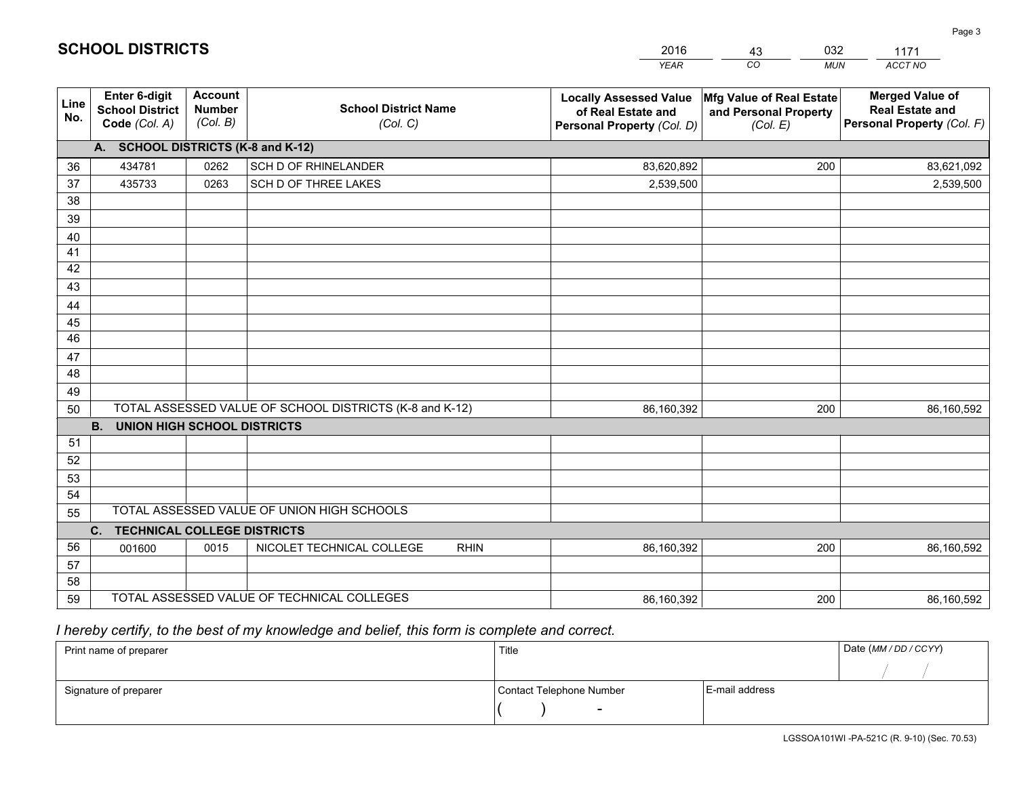|             |                                                                 |                                             |                                                         | <b>YEAR</b>                                                                       | CO<br><b>MUN</b>                                              | ACCT NO                                                                        |
|-------------|-----------------------------------------------------------------|---------------------------------------------|---------------------------------------------------------|-----------------------------------------------------------------------------------|---------------------------------------------------------------|--------------------------------------------------------------------------------|
| Line<br>No. | <b>Enter 6-digit</b><br><b>School District</b><br>Code (Col. A) | <b>Account</b><br><b>Number</b><br>(Col. B) | <b>School District Name</b><br>(Col. C)                 | <b>Locally Assessed Value</b><br>of Real Estate and<br>Personal Property (Col. D) | Mfg Value of Real Estate<br>and Personal Property<br>(Col. E) | <b>Merged Value of</b><br><b>Real Estate and</b><br>Personal Property (Col. F) |
|             | A. SCHOOL DISTRICTS (K-8 and K-12)                              |                                             |                                                         |                                                                                   |                                                               |                                                                                |
| 36          | 434781                                                          | 0262                                        | SCH D OF RHINELANDER                                    | 83,620,892                                                                        | 200                                                           | 83,621,092                                                                     |
| 37          | 435733                                                          | 0263                                        | SCH D OF THREE LAKES                                    | 2,539,500                                                                         |                                                               | 2,539,500                                                                      |
| 38          |                                                                 |                                             |                                                         |                                                                                   |                                                               |                                                                                |
| 39          |                                                                 |                                             |                                                         |                                                                                   |                                                               |                                                                                |
| 40          |                                                                 |                                             |                                                         |                                                                                   |                                                               |                                                                                |
| 41          |                                                                 |                                             |                                                         |                                                                                   |                                                               |                                                                                |
| 42          |                                                                 |                                             |                                                         |                                                                                   |                                                               |                                                                                |
| 43          |                                                                 |                                             |                                                         |                                                                                   |                                                               |                                                                                |
| 44          |                                                                 |                                             |                                                         |                                                                                   |                                                               |                                                                                |
| 45          |                                                                 |                                             |                                                         |                                                                                   |                                                               |                                                                                |
| 46          |                                                                 |                                             |                                                         |                                                                                   |                                                               |                                                                                |
| 47<br>48    |                                                                 |                                             |                                                         |                                                                                   |                                                               |                                                                                |
|             |                                                                 |                                             |                                                         |                                                                                   |                                                               |                                                                                |
| 49<br>50    |                                                                 |                                             | TOTAL ASSESSED VALUE OF SCHOOL DISTRICTS (K-8 and K-12) | 86,160,392                                                                        | 200                                                           | 86,160,592                                                                     |
|             | <b>B.</b><br><b>UNION HIGH SCHOOL DISTRICTS</b>                 |                                             |                                                         |                                                                                   |                                                               |                                                                                |
| 51          |                                                                 |                                             |                                                         |                                                                                   |                                                               |                                                                                |
| 52          |                                                                 |                                             |                                                         |                                                                                   |                                                               |                                                                                |
| 53          |                                                                 |                                             |                                                         |                                                                                   |                                                               |                                                                                |
| 54          |                                                                 |                                             |                                                         |                                                                                   |                                                               |                                                                                |
| 55          |                                                                 |                                             | TOTAL ASSESSED VALUE OF UNION HIGH SCHOOLS              |                                                                                   |                                                               |                                                                                |
|             | C.<br><b>TECHNICAL COLLEGE DISTRICTS</b>                        |                                             |                                                         |                                                                                   |                                                               |                                                                                |
| 56          | 001600                                                          | 0015                                        | NICOLET TECHNICAL COLLEGE<br><b>RHIN</b>                | 86,160,392                                                                        | 200                                                           | 86,160,592                                                                     |
| 57          |                                                                 |                                             |                                                         |                                                                                   |                                                               |                                                                                |
| 58          |                                                                 |                                             |                                                         |                                                                                   |                                                               |                                                                                |
| 59          |                                                                 |                                             | TOTAL ASSESSED VALUE OF TECHNICAL COLLEGES              | 86,160,392                                                                        | 200                                                           | 86,160,592                                                                     |

43

032

 *I hereby certify, to the best of my knowledge and belief, this form is complete and correct.*

**SCHOOL DISTRICTS**

| Print name of preparer | Title                    |                | Date (MM / DD / CCYY) |
|------------------------|--------------------------|----------------|-----------------------|
|                        |                          |                |                       |
| Signature of preparer  | Contact Telephone Number | E-mail address |                       |
|                        | $\sim$                   |                |                       |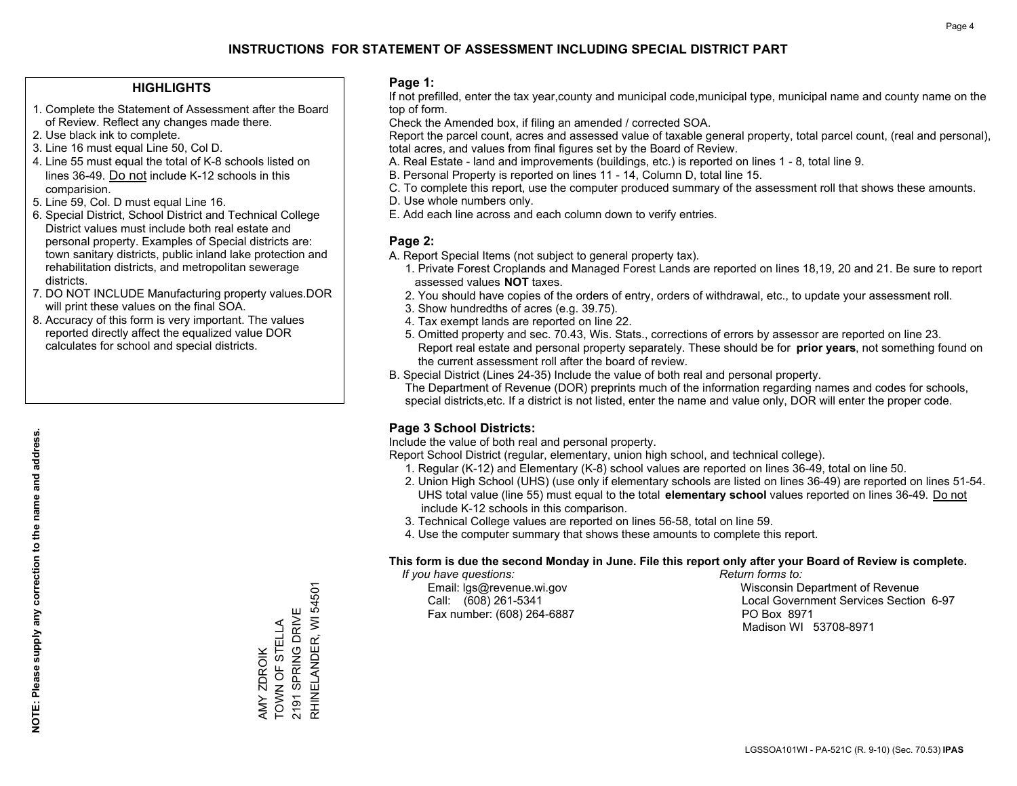#### **HIGHLIGHTS**

- 1. Complete the Statement of Assessment after the Board of Review. Reflect any changes made there.
- 2. Use black ink to complete.
- 3. Line 16 must equal Line 50, Col D.
- 4. Line 55 must equal the total of K-8 schools listed on lines 36-49. Do not include K-12 schools in this comparision.
- 5. Line 59, Col. D must equal Line 16.
- 6. Special District, School District and Technical College District values must include both real estate and personal property. Examples of Special districts are: town sanitary districts, public inland lake protection and rehabilitation districts, and metropolitan sewerage districts.
- 7. DO NOT INCLUDE Manufacturing property values.DOR will print these values on the final SOA.

AMY ZDROIK TOWN OF STELLA 2191 SPRING DRIVE RHINELANDER, WI 54501

RHINELANDER, WI 54501 2191 SPRING DRIVE AMY ZDROIK<br>TOWN OF STELLA

 8. Accuracy of this form is very important. The values reported directly affect the equalized value DOR calculates for school and special districts.

#### **Page 1:**

 If not prefilled, enter the tax year,county and municipal code,municipal type, municipal name and county name on the top of form.

Check the Amended box, if filing an amended / corrected SOA.

 Report the parcel count, acres and assessed value of taxable general property, total parcel count, (real and personal), total acres, and values from final figures set by the Board of Review.

- A. Real Estate land and improvements (buildings, etc.) is reported on lines 1 8, total line 9.
- B. Personal Property is reported on lines 11 14, Column D, total line 15.
- C. To complete this report, use the computer produced summary of the assessment roll that shows these amounts.
- D. Use whole numbers only.
- E. Add each line across and each column down to verify entries.

### **Page 2:**

- A. Report Special Items (not subject to general property tax).
- 1. Private Forest Croplands and Managed Forest Lands are reported on lines 18,19, 20 and 21. Be sure to report assessed values **NOT** taxes.
- 2. You should have copies of the orders of entry, orders of withdrawal, etc., to update your assessment roll.
	- 3. Show hundredths of acres (e.g. 39.75).
- 4. Tax exempt lands are reported on line 22.
- 5. Omitted property and sec. 70.43, Wis. Stats., corrections of errors by assessor are reported on line 23. Report real estate and personal property separately. These should be for **prior years**, not something found on the current assessment roll after the board of review.
- B. Special District (Lines 24-35) Include the value of both real and personal property.
- The Department of Revenue (DOR) preprints much of the information regarding names and codes for schools, special districts,etc. If a district is not listed, enter the name and value only, DOR will enter the proper code.

## **Page 3 School Districts:**

Include the value of both real and personal property.

Report School District (regular, elementary, union high school, and technical college).

- 1. Regular (K-12) and Elementary (K-8) school values are reported on lines 36-49, total on line 50.
- 2. Union High School (UHS) (use only if elementary schools are listed on lines 36-49) are reported on lines 51-54. UHS total value (line 55) must equal to the total **elementary school** values reported on lines 36-49. Do notinclude K-12 schools in this comparison.
- 3. Technical College values are reported on lines 56-58, total on line 59.
- 4. Use the computer summary that shows these amounts to complete this report.

#### **This form is due the second Monday in June. File this report only after your Board of Review is complete.**

 *If you have questions: Return forms to:*

Fax number: (608) 264-6887 PO Box 8971

 Email: lgs@revenue.wi.gov Wisconsin Department of Revenue Call: (608) 261-5341 Local Government Services Section 6-97Madison WI 53708-8971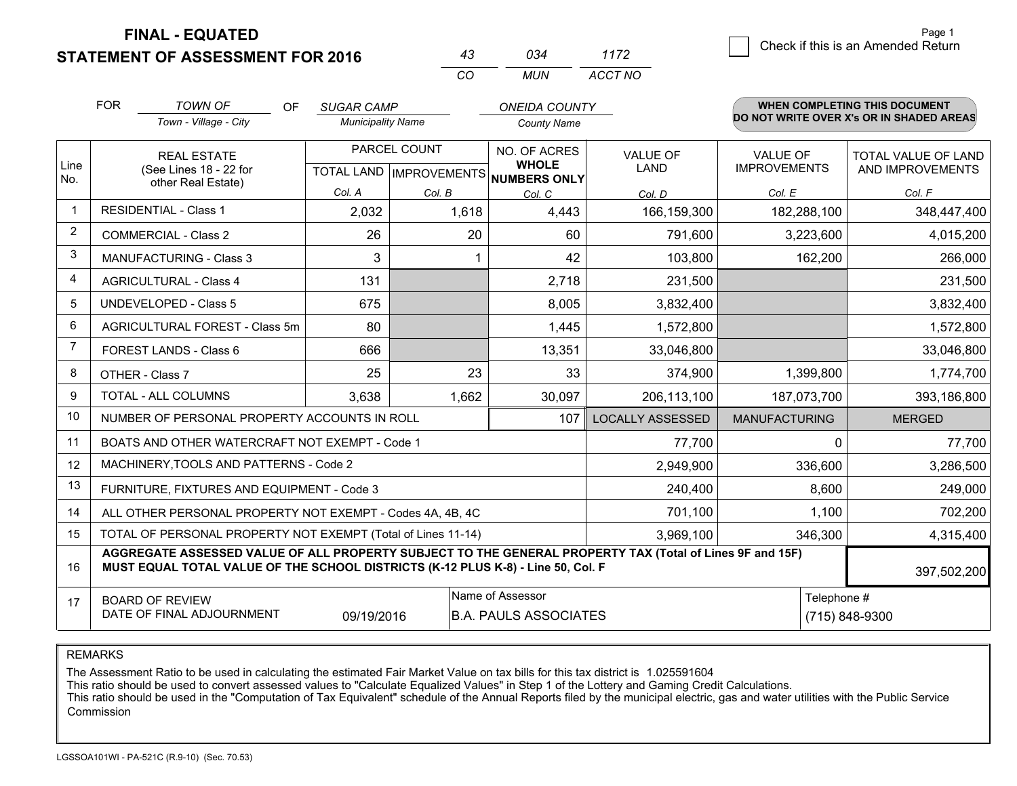**STATEMENT OF ASSESSMENT FOR 2016** 

| 43 | กจ⊿ | 1172    |
|----|-----|---------|
| (  | MUN | ACCT NO |

|                | <b>FOR</b><br><b>TOWN OF</b><br><b>OF</b><br><b>SUGAR CAMP</b><br><b>ONEIDA COUNTY</b><br>Town - Village - City<br><b>Municipality Name</b><br><b>County Name</b> |                                                                                                                                                                                              |        | <b>WHEN COMPLETING THIS DOCUMENT</b><br>DO NOT WRITE OVER X's OR IN SHADED AREAS |                                                          |                         |                      |                            |
|----------------|-------------------------------------------------------------------------------------------------------------------------------------------------------------------|----------------------------------------------------------------------------------------------------------------------------------------------------------------------------------------------|--------|----------------------------------------------------------------------------------|----------------------------------------------------------|-------------------------|----------------------|----------------------------|
|                |                                                                                                                                                                   |                                                                                                                                                                                              |        |                                                                                  |                                                          |                         |                      |                            |
|                |                                                                                                                                                                   | <b>REAL ESTATE</b>                                                                                                                                                                           |        | PARCEL COUNT                                                                     | NO. OF ACRES                                             | <b>VALUE OF</b>         | <b>VALUE OF</b>      | <b>TOTAL VALUE OF LAND</b> |
| Line<br>No.    |                                                                                                                                                                   | (See Lines 18 - 22 for<br>other Real Estate)                                                                                                                                                 |        |                                                                                  | <b>WHOLE</b><br>TOTAL LAND   IMPROVEMENTS   NUMBERS ONLY | <b>LAND</b>             | <b>IMPROVEMENTS</b>  | AND IMPROVEMENTS           |
|                |                                                                                                                                                                   |                                                                                                                                                                                              | Col. A | Col. B                                                                           | Col. C                                                   | Col. D                  | Col. E               | Col. F                     |
|                |                                                                                                                                                                   | <b>RESIDENTIAL - Class 1</b>                                                                                                                                                                 | 2,032  | 1,618                                                                            | 4,443                                                    | 166,159,300             | 182,288,100          | 348,447,400                |
| 2              |                                                                                                                                                                   | <b>COMMERCIAL - Class 2</b>                                                                                                                                                                  | 26     | 20                                                                               | 60                                                       | 791,600                 | 3,223,600            | 4,015,200                  |
| 3              |                                                                                                                                                                   | <b>MANUFACTURING - Class 3</b>                                                                                                                                                               | 3      |                                                                                  | 42                                                       | 103,800                 | 162,200              | 266,000                    |
| 4              |                                                                                                                                                                   | <b>AGRICULTURAL - Class 4</b>                                                                                                                                                                | 131    |                                                                                  | 2,718                                                    | 231,500                 |                      | 231,500                    |
| 5              |                                                                                                                                                                   | UNDEVELOPED - Class 5                                                                                                                                                                        | 675    |                                                                                  | 8,005                                                    | 3,832,400               |                      | 3,832,400                  |
| 6              |                                                                                                                                                                   | AGRICULTURAL FOREST - Class 5m                                                                                                                                                               | 80     |                                                                                  | 1,445                                                    | 1,572,800               |                      | 1,572,800                  |
| $\overline{7}$ |                                                                                                                                                                   | FOREST LANDS - Class 6                                                                                                                                                                       | 666    |                                                                                  | 13,351                                                   | 33,046,800              |                      | 33,046,800                 |
| 8              |                                                                                                                                                                   | OTHER - Class 7                                                                                                                                                                              | 25     | 23                                                                               | 33                                                       | 374,900                 | 1,399,800            | 1,774,700                  |
| 9              |                                                                                                                                                                   | TOTAL - ALL COLUMNS                                                                                                                                                                          | 3,638  | 1,662                                                                            | 30,097                                                   | 206,113,100             | 187,073,700          | 393,186,800                |
| 10             |                                                                                                                                                                   | NUMBER OF PERSONAL PROPERTY ACCOUNTS IN ROLL                                                                                                                                                 |        |                                                                                  | 107                                                      | <b>LOCALLY ASSESSED</b> | <b>MANUFACTURING</b> | <b>MERGED</b>              |
| 11             |                                                                                                                                                                   | BOATS AND OTHER WATERCRAFT NOT EXEMPT - Code 1                                                                                                                                               |        |                                                                                  |                                                          | 77,700                  |                      | 77,700<br>$\Omega$         |
| 12             |                                                                                                                                                                   | MACHINERY, TOOLS AND PATTERNS - Code 2                                                                                                                                                       |        |                                                                                  |                                                          | 2,949,900               | 336,600              | 3,286,500                  |
| 13             |                                                                                                                                                                   | FURNITURE, FIXTURES AND EQUIPMENT - Code 3                                                                                                                                                   |        |                                                                                  |                                                          | 240,400                 | 8,600                | 249,000                    |
| 14             |                                                                                                                                                                   | ALL OTHER PERSONAL PROPERTY NOT EXEMPT - Codes 4A, 4B, 4C                                                                                                                                    |        |                                                                                  |                                                          | 701,100                 | 1,100                | 702,200                    |
| 15             |                                                                                                                                                                   | TOTAL OF PERSONAL PROPERTY NOT EXEMPT (Total of Lines 11-14)                                                                                                                                 |        |                                                                                  |                                                          | 3,969,100               | 346,300              | 4,315,400                  |
| 16             |                                                                                                                                                                   | AGGREGATE ASSESSED VALUE OF ALL PROPERTY SUBJECT TO THE GENERAL PROPERTY TAX (Total of Lines 9F and 15F)<br>MUST EQUAL TOTAL VALUE OF THE SCHOOL DISTRICTS (K-12 PLUS K-8) - Line 50, Col. F |        |                                                                                  |                                                          |                         |                      | 397,502,200                |
| 17             |                                                                                                                                                                   | <b>BOARD OF REVIEW</b>                                                                                                                                                                       |        |                                                                                  | Name of Assessor                                         |                         |                      | Telephone #                |
|                | DATE OF FINAL ADJOURNMENT<br>09/19/2016<br><b>B.A. PAULS ASSOCIATES</b>                                                                                           |                                                                                                                                                                                              |        |                                                                                  |                                                          |                         |                      | (715) 848-9300             |

REMARKS

The Assessment Ratio to be used in calculating the estimated Fair Market Value on tax bills for this tax district is 1.025591604

This ratio should be used to convert assessed values to "Calculate Equalized Values" in Step 1 of the Lottery and Gaming Credit Calculations.<br>This ratio should be used in the "Computation of Tax Equivalent" schedule of the Commission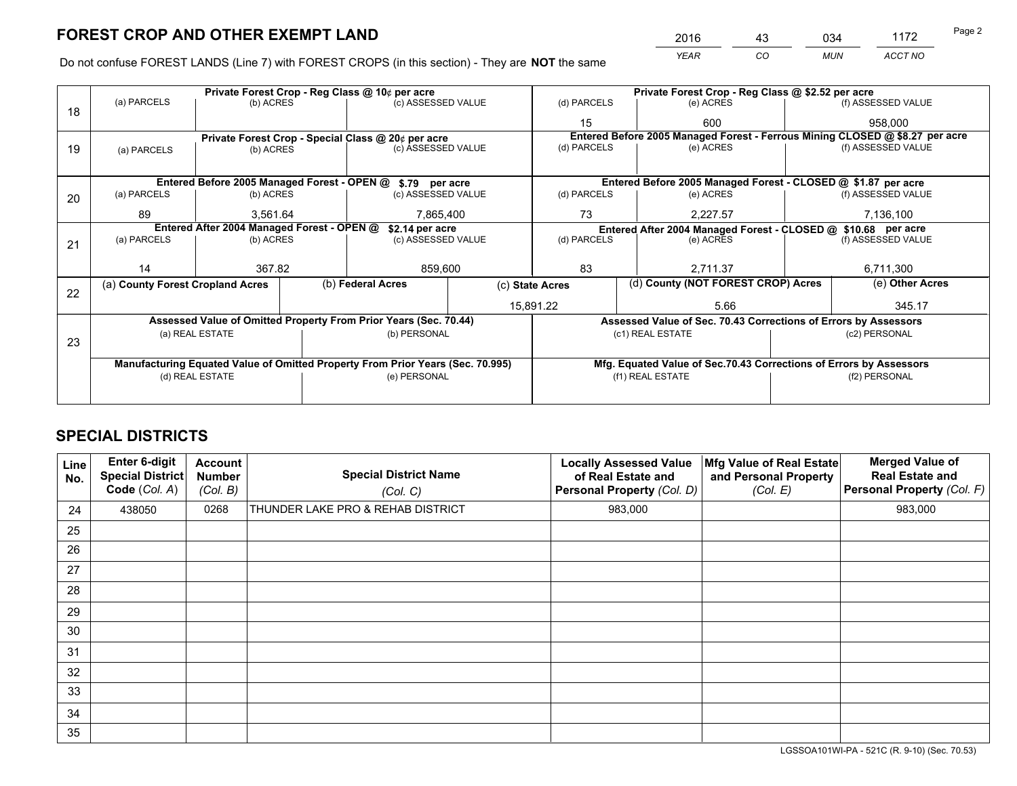*YEAR CO MUN ACCT NO* 2016 <u>43</u> 034 1172 Page 2

Do not confuse FOREST LANDS (Line 7) with FOREST CROPS (in this section) - They are **NOT** the same

|    |                                                                                |                 |  | Private Forest Crop - Reg Class @ 10¢ per acre                   | Private Forest Crop - Reg Class @ \$2.52 per acre |                          |                                                                              |                                                                    |                    |                    |
|----|--------------------------------------------------------------------------------|-----------------|--|------------------------------------------------------------------|---------------------------------------------------|--------------------------|------------------------------------------------------------------------------|--------------------------------------------------------------------|--------------------|--------------------|
| 18 | (a) PARCELS                                                                    | (b) ACRES       |  | (c) ASSESSED VALUE                                               |                                                   | (d) PARCELS              |                                                                              | (e) ACRES                                                          |                    | (f) ASSESSED VALUE |
|    |                                                                                |                 |  |                                                                  |                                                   | 15                       |                                                                              | 600                                                                |                    | 958,000            |
|    |                                                                                |                 |  | Private Forest Crop - Special Class @ 20¢ per acre               |                                                   |                          | Entered Before 2005 Managed Forest - Ferrous Mining CLOSED @ \$8.27 per acre |                                                                    |                    |                    |
| 19 | (a) PARCELS                                                                    | (b) ACRES       |  | (c) ASSESSED VALUE                                               |                                                   | (d) PARCELS              |                                                                              | (e) ACRES                                                          |                    | (f) ASSESSED VALUE |
|    |                                                                                |                 |  |                                                                  |                                                   |                          |                                                                              |                                                                    |                    |                    |
|    |                                                                                |                 |  | Entered Before 2005 Managed Forest - OPEN @ \$.79 per acre       |                                                   |                          |                                                                              | Entered Before 2005 Managed Forest - CLOSED @ \$1.87 per acre      |                    |                    |
| 20 | (a) PARCELS                                                                    | (b) ACRES       |  | (c) ASSESSED VALUE                                               |                                                   | (d) PARCELS              |                                                                              | (e) ACRES                                                          |                    | (f) ASSESSED VALUE |
|    | 89                                                                             | 3.561.64        |  | 7,865,400                                                        |                                                   | 73                       |                                                                              | 2.227.57                                                           | 7,136,100          |                    |
|    | Entered After 2004 Managed Forest - OPEN @<br>\$2.14 per acre                  |                 |  |                                                                  |                                                   |                          | Entered After 2004 Managed Forest - CLOSED @ \$10.68 per acre                |                                                                    |                    |                    |
| 21 | (a) PARCELS                                                                    | (b) ACRES       |  | (c) ASSESSED VALUE                                               |                                                   | (d) PARCELS<br>(e) ACRES |                                                                              |                                                                    | (f) ASSESSED VALUE |                    |
|    |                                                                                |                 |  |                                                                  |                                                   |                          |                                                                              |                                                                    |                    |                    |
|    | 14                                                                             | 367.82          |  | 859,600                                                          |                                                   | 83<br>2.711.37           |                                                                              |                                                                    | 6,711,300          |                    |
| 22 | (a) County Forest Cropland Acres                                               |                 |  | (b) Federal Acres<br>(c) State Acres                             |                                                   |                          |                                                                              | (d) County (NOT FOREST CROP) Acres                                 |                    | (e) Other Acres    |
|    |                                                                                |                 |  |                                                                  | 15,891.22                                         |                          |                                                                              | 5.66                                                               |                    | 345.17             |
|    |                                                                                |                 |  | Assessed Value of Omitted Property From Prior Years (Sec. 70.44) |                                                   |                          |                                                                              | Assessed Value of Sec. 70.43 Corrections of Errors by Assessors    |                    |                    |
|    |                                                                                | (a) REAL ESTATE |  | (b) PERSONAL                                                     |                                                   |                          |                                                                              | (c1) REAL ESTATE                                                   |                    | (c2) PERSONAL      |
| 23 |                                                                                |                 |  |                                                                  |                                                   |                          |                                                                              |                                                                    |                    |                    |
|    | Manufacturing Equated Value of Omitted Property From Prior Years (Sec. 70.995) |                 |  |                                                                  |                                                   |                          |                                                                              | Mfg. Equated Value of Sec.70.43 Corrections of Errors by Assessors |                    |                    |
|    | (d) REAL ESTATE                                                                |                 |  | (e) PERSONAL                                                     |                                                   | (f1) REAL ESTATE         |                                                                              | (f2) PERSONAL                                                      |                    |                    |
|    |                                                                                |                 |  |                                                                  |                                                   |                          |                                                                              |                                                                    |                    |                    |

## **SPECIAL DISTRICTS**

| Line<br>No. | Enter 6-digit<br>Special District<br>Code (Col. A) | <b>Account</b><br><b>Number</b><br>(Col. B) | <b>Special District Name</b><br>(Col. C) | <b>Locally Assessed Value</b><br>of Real Estate and<br>Personal Property (Col. D) | Mfg Value of Real Estate<br>and Personal Property<br>(Col. E) | <b>Merged Value of</b><br><b>Real Estate and</b><br>Personal Property (Col. F) |
|-------------|----------------------------------------------------|---------------------------------------------|------------------------------------------|-----------------------------------------------------------------------------------|---------------------------------------------------------------|--------------------------------------------------------------------------------|
| 24          | 438050                                             | 0268                                        | THUNDER LAKE PRO & REHAB DISTRICT        | 983,000                                                                           |                                                               | 983,000                                                                        |
| 25          |                                                    |                                             |                                          |                                                                                   |                                                               |                                                                                |
| 26          |                                                    |                                             |                                          |                                                                                   |                                                               |                                                                                |
| 27          |                                                    |                                             |                                          |                                                                                   |                                                               |                                                                                |
| 28          |                                                    |                                             |                                          |                                                                                   |                                                               |                                                                                |
| 29          |                                                    |                                             |                                          |                                                                                   |                                                               |                                                                                |
| 30          |                                                    |                                             |                                          |                                                                                   |                                                               |                                                                                |
| 31          |                                                    |                                             |                                          |                                                                                   |                                                               |                                                                                |
| 32          |                                                    |                                             |                                          |                                                                                   |                                                               |                                                                                |
| 33          |                                                    |                                             |                                          |                                                                                   |                                                               |                                                                                |
| 34          |                                                    |                                             |                                          |                                                                                   |                                                               |                                                                                |
| 35          |                                                    |                                             |                                          |                                                                                   |                                                               |                                                                                |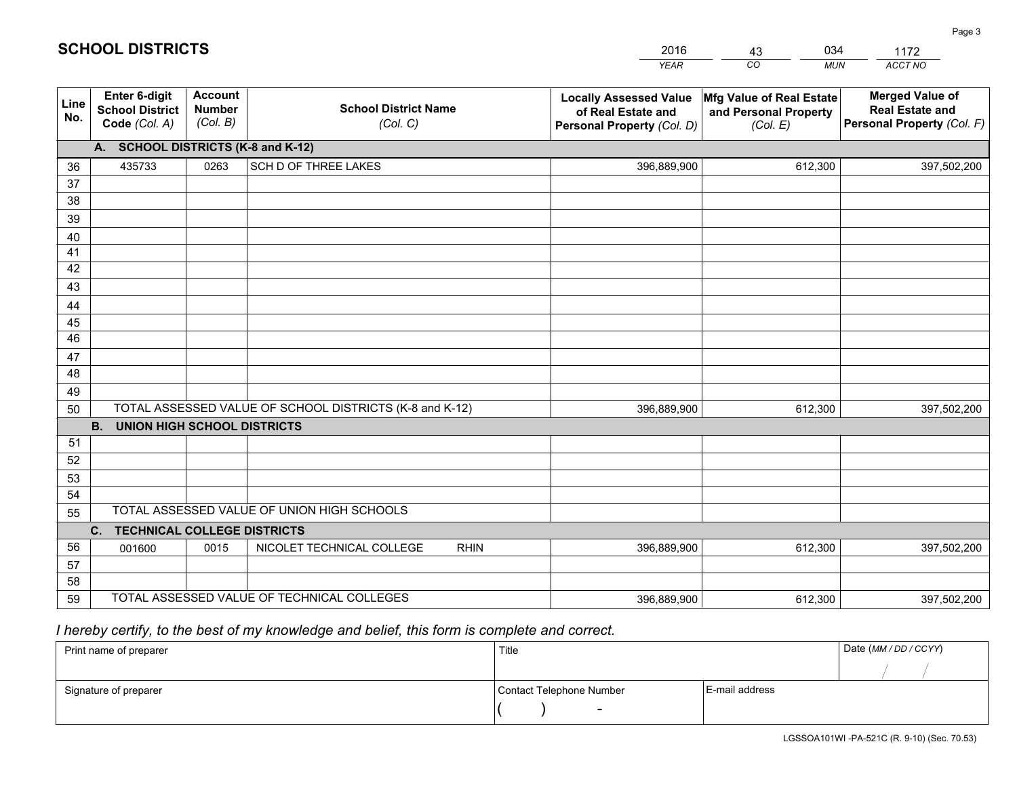|             |                                                                 |                                             |                                                         | <b>YEAR</b>                                                                       | CO<br><b>MUN</b>                                              | ACCT NO                                                                        |
|-------------|-----------------------------------------------------------------|---------------------------------------------|---------------------------------------------------------|-----------------------------------------------------------------------------------|---------------------------------------------------------------|--------------------------------------------------------------------------------|
| Line<br>No. | <b>Enter 6-digit</b><br><b>School District</b><br>Code (Col. A) | <b>Account</b><br><b>Number</b><br>(Col. B) | <b>School District Name</b><br>(Col. C)                 | <b>Locally Assessed Value</b><br>of Real Estate and<br>Personal Property (Col. D) | Mfg Value of Real Estate<br>and Personal Property<br>(Col. E) | <b>Merged Value of</b><br><b>Real Estate and</b><br>Personal Property (Col. F) |
|             | A. SCHOOL DISTRICTS (K-8 and K-12)                              |                                             |                                                         |                                                                                   |                                                               |                                                                                |
| 36          | 435733                                                          | 0263                                        | SCH D OF THREE LAKES                                    | 396,889,900                                                                       | 612,300                                                       | 397,502,200                                                                    |
| 37          |                                                                 |                                             |                                                         |                                                                                   |                                                               |                                                                                |
| 38          |                                                                 |                                             |                                                         |                                                                                   |                                                               |                                                                                |
| 39          |                                                                 |                                             |                                                         |                                                                                   |                                                               |                                                                                |
| 40          |                                                                 |                                             |                                                         |                                                                                   |                                                               |                                                                                |
| 41<br>42    |                                                                 |                                             |                                                         |                                                                                   |                                                               |                                                                                |
| 43          |                                                                 |                                             |                                                         |                                                                                   |                                                               |                                                                                |
|             |                                                                 |                                             |                                                         |                                                                                   |                                                               |                                                                                |
| 44<br>45    |                                                                 |                                             |                                                         |                                                                                   |                                                               |                                                                                |
| 46          |                                                                 |                                             |                                                         |                                                                                   |                                                               |                                                                                |
| 47          |                                                                 |                                             |                                                         |                                                                                   |                                                               |                                                                                |
| 48          |                                                                 |                                             |                                                         |                                                                                   |                                                               |                                                                                |
| 49          |                                                                 |                                             |                                                         |                                                                                   |                                                               |                                                                                |
| 50          |                                                                 |                                             | TOTAL ASSESSED VALUE OF SCHOOL DISTRICTS (K-8 and K-12) | 396,889,900                                                                       | 612,300                                                       | 397,502,200                                                                    |
|             | <b>B.</b><br><b>UNION HIGH SCHOOL DISTRICTS</b>                 |                                             |                                                         |                                                                                   |                                                               |                                                                                |
| 51          |                                                                 |                                             |                                                         |                                                                                   |                                                               |                                                                                |
| 52          |                                                                 |                                             |                                                         |                                                                                   |                                                               |                                                                                |
| 53          |                                                                 |                                             |                                                         |                                                                                   |                                                               |                                                                                |
| 54          |                                                                 |                                             |                                                         |                                                                                   |                                                               |                                                                                |
| 55          |                                                                 |                                             | TOTAL ASSESSED VALUE OF UNION HIGH SCHOOLS              |                                                                                   |                                                               |                                                                                |
|             | C.<br><b>TECHNICAL COLLEGE DISTRICTS</b>                        |                                             |                                                         |                                                                                   |                                                               |                                                                                |
| 56          | 001600                                                          | 0015                                        | NICOLET TECHNICAL COLLEGE<br><b>RHIN</b>                | 396,889,900                                                                       | 612,300                                                       | 397,502,200                                                                    |
| 57<br>58    |                                                                 |                                             |                                                         |                                                                                   |                                                               |                                                                                |
| 59          |                                                                 |                                             | TOTAL ASSESSED VALUE OF TECHNICAL COLLEGES              | 396,889,900                                                                       | 612,300                                                       | 397,502,200                                                                    |
|             |                                                                 |                                             |                                                         |                                                                                   |                                                               |                                                                                |

43

034

 *I hereby certify, to the best of my knowledge and belief, this form is complete and correct.*

**SCHOOL DISTRICTS**

| Print name of preparer | Title                    |                | Date (MM / DD / CCYY) |
|------------------------|--------------------------|----------------|-----------------------|
|                        |                          |                |                       |
| Signature of preparer  | Contact Telephone Number | E-mail address |                       |
|                        | -                        |                |                       |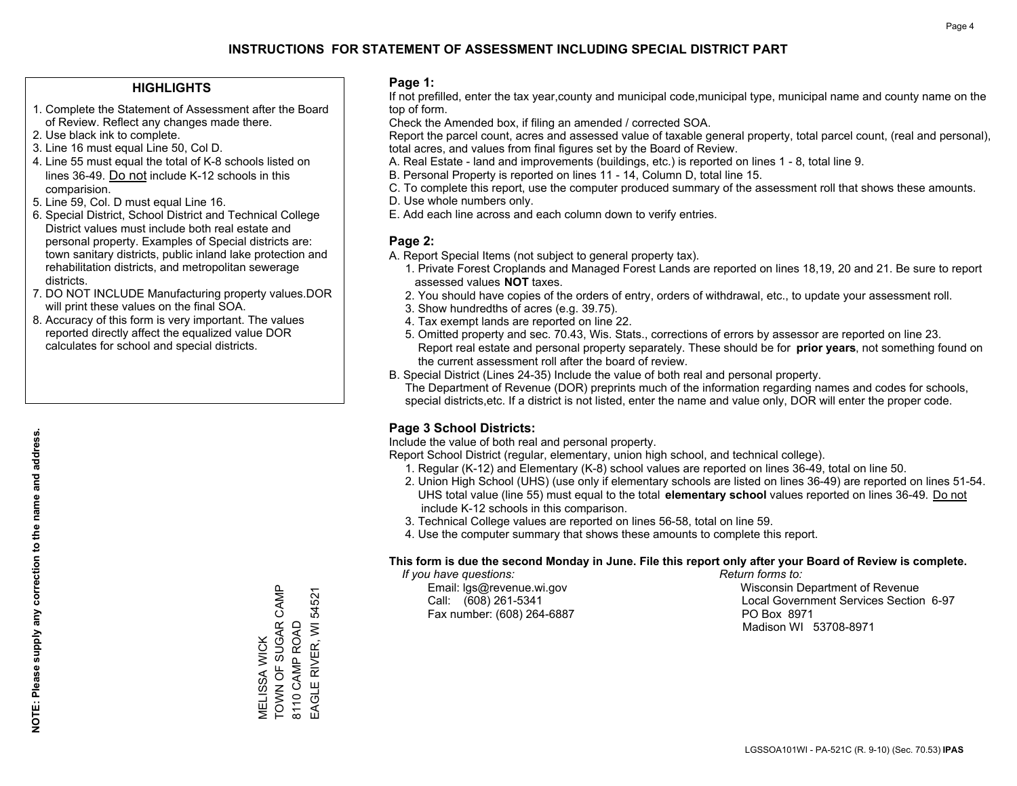#### **HIGHLIGHTS**

- 1. Complete the Statement of Assessment after the Board of Review. Reflect any changes made there.
- 2. Use black ink to complete.
- 3. Line 16 must equal Line 50, Col D.
- 4. Line 55 must equal the total of K-8 schools listed on lines 36-49. Do not include K-12 schools in this comparision.
- 5. Line 59, Col. D must equal Line 16.
- 6. Special District, School District and Technical College District values must include both real estate and personal property. Examples of Special districts are: town sanitary districts, public inland lake protection and rehabilitation districts, and metropolitan sewerage districts.
- 7. DO NOT INCLUDE Manufacturing property values.DOR will print these values on the final SOA.

MELISSA WICK

TOWN OF SUGAR CAMP

MELISSA WICK<br>TOWN OF SUGAR CAMP

8110 CAMP ROAD EAGLE RIVER, WI 54521

EAGLE RIVER, WI 54521 8110 CAMP ROAD

 8. Accuracy of this form is very important. The values reported directly affect the equalized value DOR calculates for school and special districts.

#### **Page 1:**

 If not prefilled, enter the tax year,county and municipal code,municipal type, municipal name and county name on the top of form.

Check the Amended box, if filing an amended / corrected SOA.

 Report the parcel count, acres and assessed value of taxable general property, total parcel count, (real and personal), total acres, and values from final figures set by the Board of Review.

- A. Real Estate land and improvements (buildings, etc.) is reported on lines 1 8, total line 9.
- B. Personal Property is reported on lines 11 14, Column D, total line 15.
- C. To complete this report, use the computer produced summary of the assessment roll that shows these amounts.
- D. Use whole numbers only.
- E. Add each line across and each column down to verify entries.

#### **Page 2:**

- A. Report Special Items (not subject to general property tax).
- 1. Private Forest Croplands and Managed Forest Lands are reported on lines 18,19, 20 and 21. Be sure to report assessed values **NOT** taxes.
- 2. You should have copies of the orders of entry, orders of withdrawal, etc., to update your assessment roll.
	- 3. Show hundredths of acres (e.g. 39.75).
- 4. Tax exempt lands are reported on line 22.
- 5. Omitted property and sec. 70.43, Wis. Stats., corrections of errors by assessor are reported on line 23. Report real estate and personal property separately. These should be for **prior years**, not something found on the current assessment roll after the board of review.
- B. Special District (Lines 24-35) Include the value of both real and personal property.
- The Department of Revenue (DOR) preprints much of the information regarding names and codes for schools, special districts,etc. If a district is not listed, enter the name and value only, DOR will enter the proper code.

## **Page 3 School Districts:**

Include the value of both real and personal property.

Report School District (regular, elementary, union high school, and technical college).

- 1. Regular (K-12) and Elementary (K-8) school values are reported on lines 36-49, total on line 50.
- 2. Union High School (UHS) (use only if elementary schools are listed on lines 36-49) are reported on lines 51-54. UHS total value (line 55) must equal to the total **elementary school** values reported on lines 36-49. Do notinclude K-12 schools in this comparison.
- 3. Technical College values are reported on lines 56-58, total on line 59.
- 4. Use the computer summary that shows these amounts to complete this report.

#### **This form is due the second Monday in June. File this report only after your Board of Review is complete.**

 *If you have questions: Return forms to:*

Fax number: (608) 264-6887 PO Box 8971

 Email: lgs@revenue.wi.gov Wisconsin Department of Revenue Call: (608) 261-5341 Local Government Services Section 6-97Madison WI 53708-8971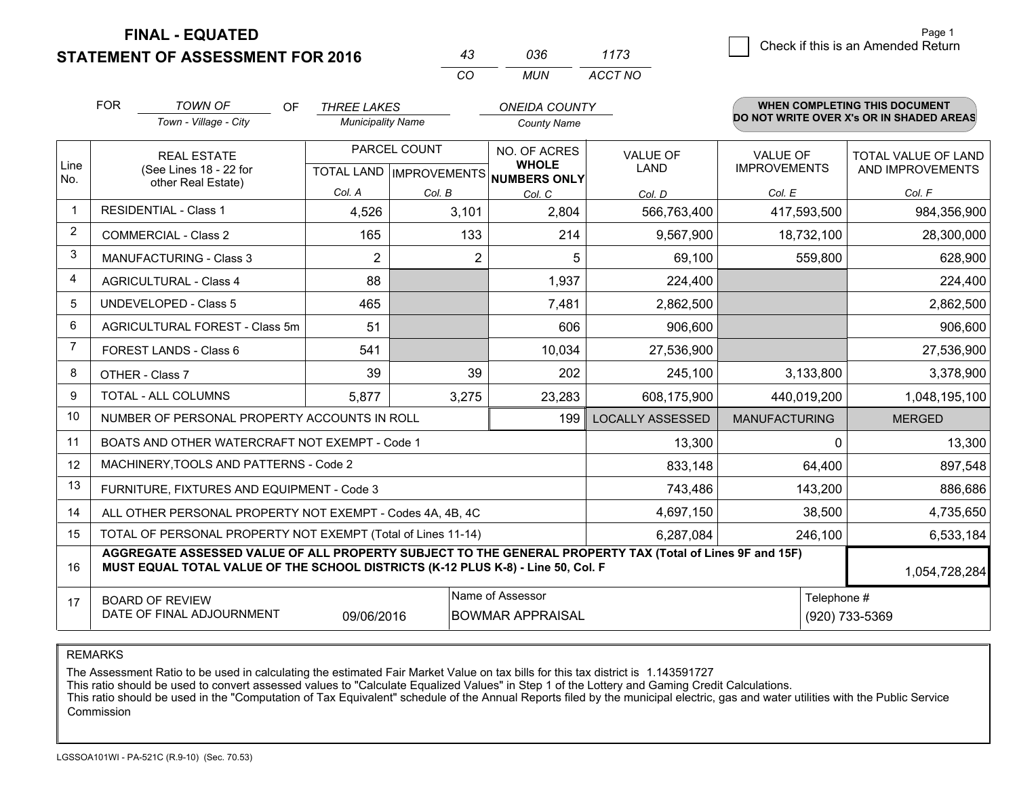## **STATEMENT OF ASSESSMENT FOR 2016**

|    | กวค | 1173    |
|----|-----|---------|
| ΓO | MUN | ACCT NO |

|                | <b>FOR</b><br>TOWN OF<br><b>OF</b><br><b>THREE LAKES</b><br>Town - Village - City<br><b>Municipality Name</b> |                                                                                                                                                                                                               | <b>ONEIDA COUNTY</b> |                | <b>WHEN COMPLETING THIS DOCUMENT</b><br>DO NOT WRITE OVER X's OR IN SHADED AREAS |                         |                      |                            |  |
|----------------|---------------------------------------------------------------------------------------------------------------|---------------------------------------------------------------------------------------------------------------------------------------------------------------------------------------------------------------|----------------------|----------------|----------------------------------------------------------------------------------|-------------------------|----------------------|----------------------------|--|
|                |                                                                                                               |                                                                                                                                                                                                               |                      |                | <b>County Name</b>                                                               |                         |                      |                            |  |
| Line<br>No.    |                                                                                                               | <b>REAL ESTATE</b>                                                                                                                                                                                            |                      | PARCEL COUNT   | NO. OF ACRES                                                                     | <b>VALUE OF</b>         | <b>VALUE OF</b>      | <b>TOTAL VALUE OF LAND</b> |  |
|                |                                                                                                               | (See Lines 18 - 22 for<br>other Real Estate)                                                                                                                                                                  |                      |                | <b>WHOLE</b><br>TOTAL LAND MPROVEMENTS NUMBERS ONLY                              | <b>LAND</b>             | <b>IMPROVEMENTS</b>  | AND IMPROVEMENTS           |  |
|                |                                                                                                               |                                                                                                                                                                                                               | Col. A               | Col. B         | Col. C                                                                           | Col. D                  | Col. E               | Col. F                     |  |
|                |                                                                                                               | <b>RESIDENTIAL - Class 1</b>                                                                                                                                                                                  | 4,526                | 3,101          | 2,804                                                                            | 566,763,400             | 417,593,500          | 984,356,900                |  |
| $\overline{2}$ |                                                                                                               | <b>COMMERCIAL - Class 2</b>                                                                                                                                                                                   | 165                  | 133            | 214                                                                              | 9,567,900               | 18,732,100           | 28,300,000                 |  |
| 3              |                                                                                                               | MANUFACTURING - Class 3                                                                                                                                                                                       | $\overline{2}$       | $\overline{2}$ | 5                                                                                | 69,100                  | 559,800              | 628,900                    |  |
| 4              |                                                                                                               | <b>AGRICULTURAL - Class 4</b>                                                                                                                                                                                 | 88                   |                | 1,937                                                                            | 224,400                 |                      | 224,400                    |  |
| 5              |                                                                                                               | <b>UNDEVELOPED - Class 5</b>                                                                                                                                                                                  | 465                  |                | 7,481                                                                            | 2,862,500               |                      | 2,862,500                  |  |
| 6              |                                                                                                               | AGRICULTURAL FOREST - Class 5m                                                                                                                                                                                | 51                   |                | 606                                                                              | 906,600                 |                      | 906,600                    |  |
| $\overline{7}$ | FOREST LANDS - Class 6                                                                                        |                                                                                                                                                                                                               | 541                  |                | 10,034                                                                           | 27,536,900              |                      | 27,536,900                 |  |
| 8              | OTHER - Class 7                                                                                               |                                                                                                                                                                                                               | 39                   | 39             | 202                                                                              | 245,100                 | 3,133,800            | 3,378,900                  |  |
| 9              | TOTAL - ALL COLUMNS                                                                                           |                                                                                                                                                                                                               | 5,877                | 3,275          | 23,283                                                                           | 608,175,900             | 440,019,200          | 1,048,195,100              |  |
| 10             |                                                                                                               | NUMBER OF PERSONAL PROPERTY ACCOUNTS IN ROLL                                                                                                                                                                  |                      |                | 199                                                                              | <b>LOCALLY ASSESSED</b> | <b>MANUFACTURING</b> | <b>MERGED</b>              |  |
| 11             |                                                                                                               | BOATS AND OTHER WATERCRAFT NOT EXEMPT - Code 1                                                                                                                                                                |                      |                | 13,300                                                                           |                         | 13,300<br>$\Omega$   |                            |  |
| 12             |                                                                                                               | MACHINERY, TOOLS AND PATTERNS - Code 2                                                                                                                                                                        |                      |                |                                                                                  | 833,148                 | 64,400               | 897,548                    |  |
| 13             |                                                                                                               | FURNITURE, FIXTURES AND EQUIPMENT - Code 3                                                                                                                                                                    |                      | 743,486        | 143,200                                                                          | 886,686                 |                      |                            |  |
| 14             | 4,697,150<br>ALL OTHER PERSONAL PROPERTY NOT EXEMPT - Codes 4A, 4B, 4C                                        |                                                                                                                                                                                                               |                      |                |                                                                                  |                         |                      | 38,500<br>4,735,650        |  |
| 15             | TOTAL OF PERSONAL PROPERTY NOT EXEMPT (Total of Lines 11-14)<br>6,287,084                                     |                                                                                                                                                                                                               |                      |                |                                                                                  |                         |                      | 6,533,184<br>246,100       |  |
| 16             |                                                                                                               | AGGREGATE ASSESSED VALUE OF ALL PROPERTY SUBJECT TO THE GENERAL PROPERTY TAX (Total of Lines 9F and 15F)<br>MUST EQUAL TOTAL VALUE OF THE SCHOOL DISTRICTS (K-12 PLUS K-8) - Line 50, Col. F<br>1,054,728,284 |                      |                |                                                                                  |                         |                      |                            |  |
| 17             |                                                                                                               | <b>BOARD OF REVIEW</b>                                                                                                                                                                                        |                      |                | Name of Assessor                                                                 |                         |                      | Telephone #                |  |
|                | DATE OF FINAL ADJOURNMENT<br><b>BOWMAR APPRAISAL</b><br>(920) 733-5369<br>09/06/2016                          |                                                                                                                                                                                                               |                      |                |                                                                                  |                         |                      |                            |  |

REMARKS

The Assessment Ratio to be used in calculating the estimated Fair Market Value on tax bills for this tax district is 1.143591727<br>This ratio should be used to convert assessed values to "Calculate Equalized Values" in Step Commission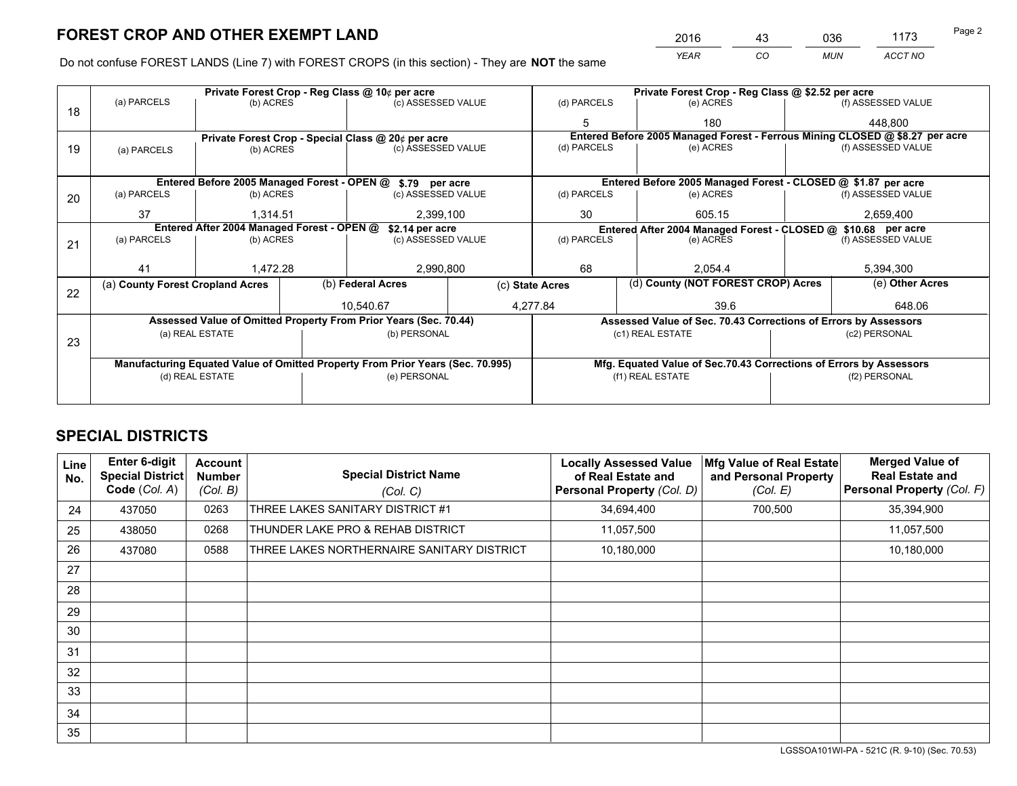*YEAR CO MUN ACCT NO* <u>2016 - 43 036 1173</u>

Do not confuse FOREST LANDS (Line 7) with FOREST CROPS (in this section) - They are **NOT** the same

| Private Forest Crop - Reg Class @ 10¢ per acre |                                                                                |                                 |  |                                                            |             | Private Forest Crop - Reg Class @ \$2.52 per acre                            |           |                                                               |               |                    |
|------------------------------------------------|--------------------------------------------------------------------------------|---------------------------------|--|------------------------------------------------------------|-------------|------------------------------------------------------------------------------|-----------|---------------------------------------------------------------|---------------|--------------------|
| 18                                             | (a) PARCELS                                                                    | (b) ACRES                       |  | (c) ASSESSED VALUE                                         |             | (d) PARCELS                                                                  |           | (e) ACRES                                                     |               | (f) ASSESSED VALUE |
|                                                |                                                                                |                                 |  |                                                            |             |                                                                              |           | 180                                                           |               | 448,800            |
|                                                |                                                                                |                                 |  | Private Forest Crop - Special Class @ 20¢ per acre         |             | Entered Before 2005 Managed Forest - Ferrous Mining CLOSED @ \$8.27 per acre |           |                                                               |               |                    |
| 19                                             | (a) PARCELS                                                                    | (b) ACRES                       |  | (c) ASSESSED VALUE                                         |             | (d) PARCELS                                                                  |           | (e) ACRES                                                     |               | (f) ASSESSED VALUE |
|                                                |                                                                                |                                 |  |                                                            |             |                                                                              |           |                                                               |               |                    |
|                                                |                                                                                |                                 |  | Entered Before 2005 Managed Forest - OPEN @ \$.79 per acre |             |                                                                              |           | Entered Before 2005 Managed Forest - CLOSED @ \$1.87 per acre |               |                    |
| 20                                             | (a) PARCELS                                                                    | (b) ACRES                       |  | (c) ASSESSED VALUE                                         |             | (d) PARCELS                                                                  |           | (e) ACRES                                                     |               | (f) ASSESSED VALUE |
|                                                | 37                                                                             | 1,314.51                        |  | 2,399,100                                                  |             | 30                                                                           |           | 605.15                                                        |               | 2,659,400          |
|                                                | Entered After 2004 Managed Forest - OPEN @<br>\$2.14 per acre                  |                                 |  |                                                            |             | Entered After 2004 Managed Forest - CLOSED @ \$10.68 per acre                |           |                                                               |               |                    |
| 21                                             | (a) PARCELS                                                                    | (c) ASSESSED VALUE<br>(b) ACRES |  |                                                            | (d) PARCELS |                                                                              | (e) ACRES | (f) ASSESSED VALUE                                            |               |                    |
|                                                |                                                                                |                                 |  |                                                            |             |                                                                              |           |                                                               |               |                    |
|                                                | 41                                                                             | 1.472.28                        |  | 2,990,800                                                  |             | 68                                                                           |           | 2.054.4                                                       |               | 5,394,300          |
|                                                | (a) County Forest Cropland Acres                                               |                                 |  | (b) Federal Acres<br>(c) State Acres                       |             |                                                                              |           | (d) County (NOT FOREST CROP) Acres                            |               | (e) Other Acres    |
| 22                                             |                                                                                |                                 |  |                                                            |             | 4,277.84<br>39.6                                                             |           |                                                               |               |                    |
|                                                |                                                                                |                                 |  | 10.540.67                                                  |             |                                                                              |           |                                                               |               | 648.06             |
|                                                | Assessed Value of Omitted Property From Prior Years (Sec. 70.44)               |                                 |  |                                                            |             | Assessed Value of Sec. 70.43 Corrections of Errors by Assessors              |           |                                                               |               |                    |
| 23                                             | (a) REAL ESTATE                                                                |                                 |  | (b) PERSONAL                                               |             | (c1) REAL ESTATE                                                             |           |                                                               | (c2) PERSONAL |                    |
|                                                |                                                                                |                                 |  |                                                            |             |                                                                              |           |                                                               |               |                    |
|                                                | Manufacturing Equated Value of Omitted Property From Prior Years (Sec. 70.995) |                                 |  |                                                            |             | Mfg. Equated Value of Sec.70.43 Corrections of Errors by Assessors           |           |                                                               |               |                    |
|                                                |                                                                                | (d) REAL ESTATE                 |  | (e) PERSONAL                                               |             | (f1) REAL ESTATE                                                             |           |                                                               | (f2) PERSONAL |                    |
|                                                |                                                                                |                                 |  |                                                            |             |                                                                              |           |                                                               |               |                    |

## **SPECIAL DISTRICTS**

| Line<br>No. | <b>Enter 6-digit</b><br><b>Special District</b><br>Code (Col. A) | Account<br><b>Number</b><br>(Col. B) | <b>Special District Name</b><br>(Col. C)   | <b>Locally Assessed Value</b><br>of Real Estate and<br><b>Personal Property (Col. D)</b> | Mfg Value of Real Estate<br>and Personal Property<br>(Col. E) | <b>Merged Value of</b><br><b>Real Estate and</b><br>Personal Property (Col. F) |
|-------------|------------------------------------------------------------------|--------------------------------------|--------------------------------------------|------------------------------------------------------------------------------------------|---------------------------------------------------------------|--------------------------------------------------------------------------------|
| 24          | 437050                                                           | 0263                                 | THREE LAKES SANITARY DISTRICT #1           | 34,694,400                                                                               | 700,500                                                       | 35,394,900                                                                     |
| 25          | 438050                                                           | 0268                                 | THUNDER LAKE PRO & REHAB DISTRICT          | 11,057,500                                                                               |                                                               | 11,057,500                                                                     |
| 26          | 437080                                                           | 0588                                 | THREE LAKES NORTHERNAIRE SANITARY DISTRICT | 10,180,000                                                                               |                                                               | 10,180,000                                                                     |
| 27          |                                                                  |                                      |                                            |                                                                                          |                                                               |                                                                                |
| 28          |                                                                  |                                      |                                            |                                                                                          |                                                               |                                                                                |
| 29          |                                                                  |                                      |                                            |                                                                                          |                                                               |                                                                                |
| 30          |                                                                  |                                      |                                            |                                                                                          |                                                               |                                                                                |
| 31          |                                                                  |                                      |                                            |                                                                                          |                                                               |                                                                                |
| 32          |                                                                  |                                      |                                            |                                                                                          |                                                               |                                                                                |
| 33          |                                                                  |                                      |                                            |                                                                                          |                                                               |                                                                                |
| 34          |                                                                  |                                      |                                            |                                                                                          |                                                               |                                                                                |
| 35          |                                                                  |                                      |                                            |                                                                                          |                                                               |                                                                                |

LGSSOA101WI-PA - 521C (R. 9-10) (Sec. 70.53)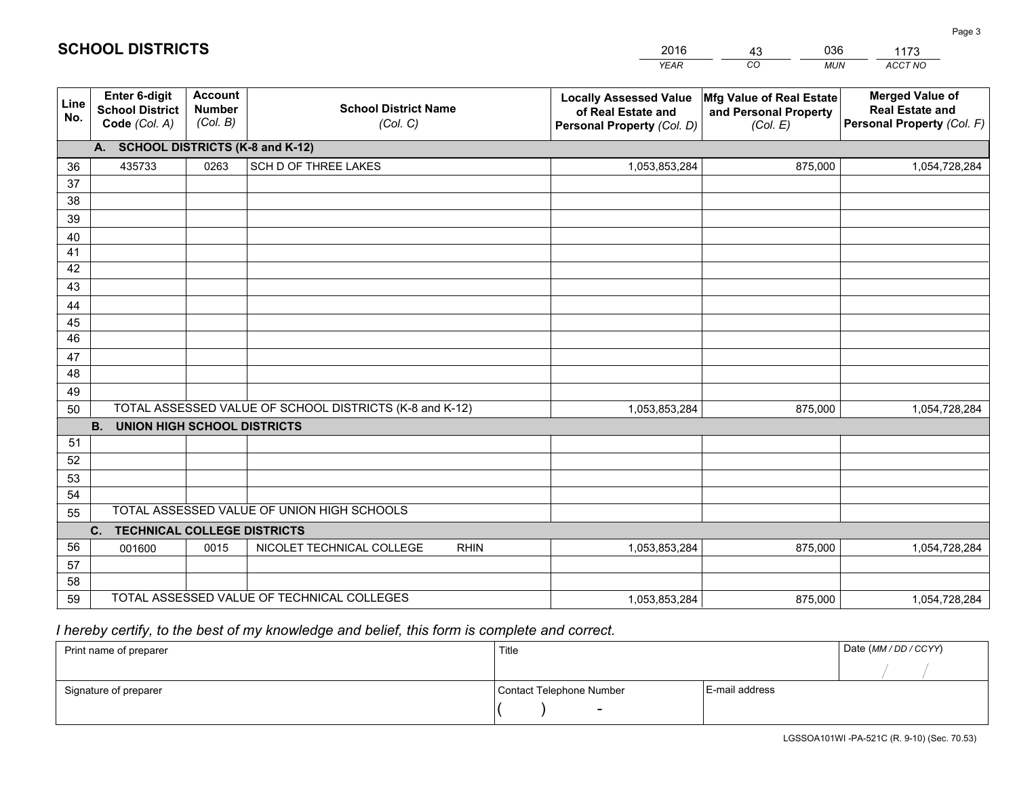|             |                                                                 |                                             |                                                         | <b>YEAR</b>                                                                       | CO<br><b>MUN</b>                                              | ACCT NO                                                                        |  |  |  |  |
|-------------|-----------------------------------------------------------------|---------------------------------------------|---------------------------------------------------------|-----------------------------------------------------------------------------------|---------------------------------------------------------------|--------------------------------------------------------------------------------|--|--|--|--|
| Line<br>No. | <b>Enter 6-digit</b><br><b>School District</b><br>Code (Col. A) | <b>Account</b><br><b>Number</b><br>(Col. B) | <b>School District Name</b><br>(Col. C)                 | <b>Locally Assessed Value</b><br>of Real Estate and<br>Personal Property (Col. D) | Mfg Value of Real Estate<br>and Personal Property<br>(Col. E) | <b>Merged Value of</b><br><b>Real Estate and</b><br>Personal Property (Col. F) |  |  |  |  |
|             | A. SCHOOL DISTRICTS (K-8 and K-12)                              |                                             |                                                         |                                                                                   |                                                               |                                                                                |  |  |  |  |
| 36          | 435733                                                          | 0263                                        | SCH D OF THREE LAKES                                    | 1,053,853,284                                                                     | 875,000                                                       | 1,054,728,284                                                                  |  |  |  |  |
| 37          |                                                                 |                                             |                                                         |                                                                                   |                                                               |                                                                                |  |  |  |  |
| 38          |                                                                 |                                             |                                                         |                                                                                   |                                                               |                                                                                |  |  |  |  |
| 39          |                                                                 |                                             |                                                         |                                                                                   |                                                               |                                                                                |  |  |  |  |
| 40          |                                                                 |                                             |                                                         |                                                                                   |                                                               |                                                                                |  |  |  |  |
| 41          |                                                                 |                                             |                                                         |                                                                                   |                                                               |                                                                                |  |  |  |  |
| 42<br>43    |                                                                 |                                             |                                                         |                                                                                   |                                                               |                                                                                |  |  |  |  |
|             |                                                                 |                                             |                                                         |                                                                                   |                                                               |                                                                                |  |  |  |  |
| 44<br>45    |                                                                 |                                             |                                                         |                                                                                   |                                                               |                                                                                |  |  |  |  |
| 46          |                                                                 |                                             |                                                         |                                                                                   |                                                               |                                                                                |  |  |  |  |
| 47          |                                                                 |                                             |                                                         |                                                                                   |                                                               |                                                                                |  |  |  |  |
| 48          |                                                                 |                                             |                                                         |                                                                                   |                                                               |                                                                                |  |  |  |  |
| 49          |                                                                 |                                             |                                                         |                                                                                   |                                                               |                                                                                |  |  |  |  |
| 50          |                                                                 |                                             | TOTAL ASSESSED VALUE OF SCHOOL DISTRICTS (K-8 and K-12) | 1,053,853,284                                                                     | 875,000                                                       | 1,054,728,284                                                                  |  |  |  |  |
|             | <b>B.</b><br><b>UNION HIGH SCHOOL DISTRICTS</b>                 |                                             |                                                         |                                                                                   |                                                               |                                                                                |  |  |  |  |
| 51          |                                                                 |                                             |                                                         |                                                                                   |                                                               |                                                                                |  |  |  |  |
| 52          |                                                                 |                                             |                                                         |                                                                                   |                                                               |                                                                                |  |  |  |  |
| 53          |                                                                 |                                             |                                                         |                                                                                   |                                                               |                                                                                |  |  |  |  |
| 54          |                                                                 |                                             |                                                         |                                                                                   |                                                               |                                                                                |  |  |  |  |
| 55          |                                                                 |                                             | TOTAL ASSESSED VALUE OF UNION HIGH SCHOOLS              |                                                                                   |                                                               |                                                                                |  |  |  |  |
|             | C.<br><b>TECHNICAL COLLEGE DISTRICTS</b>                        |                                             |                                                         |                                                                                   |                                                               |                                                                                |  |  |  |  |
| 56          | 001600                                                          | 0015                                        | NICOLET TECHNICAL COLLEGE<br><b>RHIN</b>                | 1,053,853,284                                                                     | 875,000                                                       | 1,054,728,284                                                                  |  |  |  |  |
| 57          |                                                                 |                                             |                                                         |                                                                                   |                                                               |                                                                                |  |  |  |  |
| 58          |                                                                 |                                             |                                                         |                                                                                   |                                                               |                                                                                |  |  |  |  |
| 59          |                                                                 |                                             | TOTAL ASSESSED VALUE OF TECHNICAL COLLEGES              | 1,053,853,284                                                                     | 875,000                                                       | 1,054,728,284                                                                  |  |  |  |  |

43

036

 *I hereby certify, to the best of my knowledge and belief, this form is complete and correct.*

**SCHOOL DISTRICTS**

| Print name of preparer | Title                    |                | Date (MM / DD / CCYY) |
|------------------------|--------------------------|----------------|-----------------------|
|                        |                          |                |                       |
| Signature of preparer  | Contact Telephone Number | E-mail address |                       |
|                        | $\sim$                   |                |                       |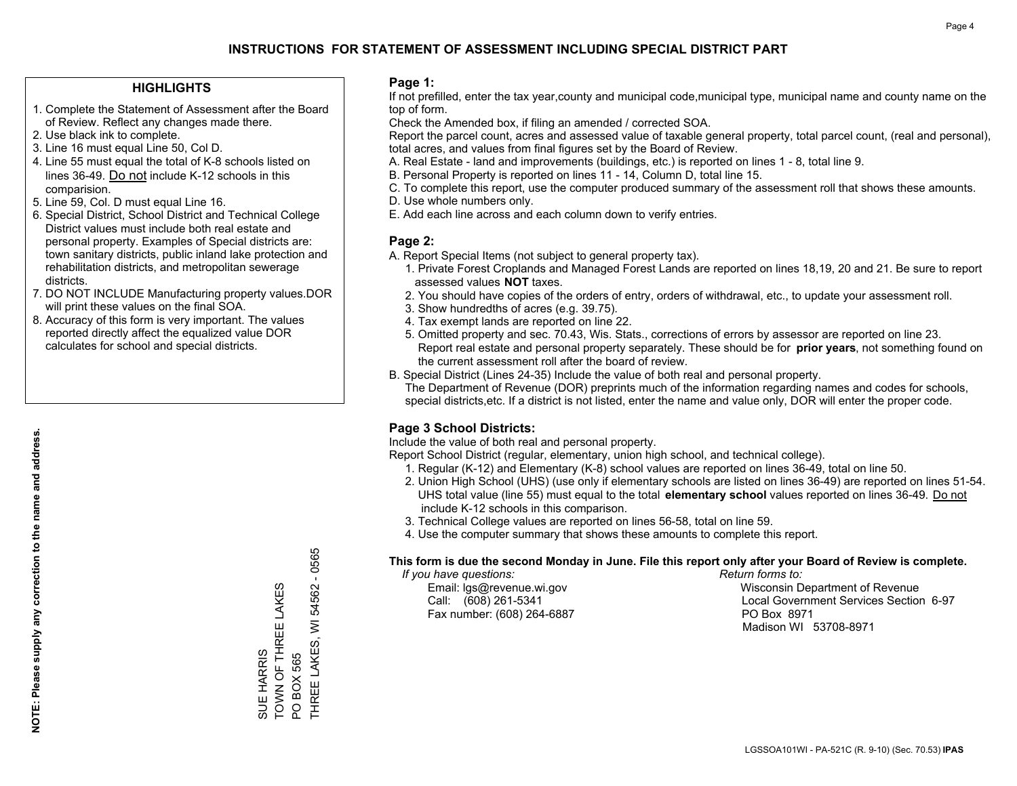#### **HIGHLIGHTS**

- 1. Complete the Statement of Assessment after the Board of Review. Reflect any changes made there.
- 2. Use black ink to complete.
- 3. Line 16 must equal Line 50, Col D.
- 4. Line 55 must equal the total of K-8 schools listed on lines 36-49. Do not include K-12 schools in this comparision.
- 5. Line 59, Col. D must equal Line 16.
- 6. Special District, School District and Technical College District values must include both real estate and personal property. Examples of Special districts are: town sanitary districts, public inland lake protection and rehabilitation districts, and metropolitan sewerage districts.
- 7. DO NOT INCLUDE Manufacturing property values.DOR will print these values on the final SOA.

SUE HARRIS

TOWN OF THREE LAKES

SUE HARRIS<br>TOWN OF THREE LAKES

PO BOX 565

THREE LAKES, WI 54562 - 0565

THREE LAKES, WI PO BOX 565

0565  $\mathbf{r}$ 54562

 8. Accuracy of this form is very important. The values reported directly affect the equalized value DOR calculates for school and special districts.

#### **Page 1:**

 If not prefilled, enter the tax year,county and municipal code,municipal type, municipal name and county name on the top of form.

Check the Amended box, if filing an amended / corrected SOA.

 Report the parcel count, acres and assessed value of taxable general property, total parcel count, (real and personal), total acres, and values from final figures set by the Board of Review.

- A. Real Estate land and improvements (buildings, etc.) is reported on lines 1 8, total line 9.
- B. Personal Property is reported on lines 11 14, Column D, total line 15.
- C. To complete this report, use the computer produced summary of the assessment roll that shows these amounts.
- D. Use whole numbers only.
- E. Add each line across and each column down to verify entries.

#### **Page 2:**

- A. Report Special Items (not subject to general property tax).
- 1. Private Forest Croplands and Managed Forest Lands are reported on lines 18,19, 20 and 21. Be sure to report assessed values **NOT** taxes.
- 2. You should have copies of the orders of entry, orders of withdrawal, etc., to update your assessment roll.
	- 3. Show hundredths of acres (e.g. 39.75).
- 4. Tax exempt lands are reported on line 22.
- 5. Omitted property and sec. 70.43, Wis. Stats., corrections of errors by assessor are reported on line 23. Report real estate and personal property separately. These should be for **prior years**, not something found on the current assessment roll after the board of review.
- B. Special District (Lines 24-35) Include the value of both real and personal property.
- The Department of Revenue (DOR) preprints much of the information regarding names and codes for schools, special districts,etc. If a district is not listed, enter the name and value only, DOR will enter the proper code.

## **Page 3 School Districts:**

Include the value of both real and personal property.

Report School District (regular, elementary, union high school, and technical college).

- 1. Regular (K-12) and Elementary (K-8) school values are reported on lines 36-49, total on line 50.
- 2. Union High School (UHS) (use only if elementary schools are listed on lines 36-49) are reported on lines 51-54. UHS total value (line 55) must equal to the total **elementary school** values reported on lines 36-49. Do notinclude K-12 schools in this comparison.
- 3. Technical College values are reported on lines 56-58, total on line 59.
- 4. Use the computer summary that shows these amounts to complete this report.

#### **This form is due the second Monday in June. File this report only after your Board of Review is complete.**

 *If you have questions: Return forms to:*

Fax number: (608) 264-6887 PO Box 8971

 Email: lgs@revenue.wi.gov Wisconsin Department of Revenue Call: (608) 261-5341 Local Government Services Section 6-97Madison WI 53708-8971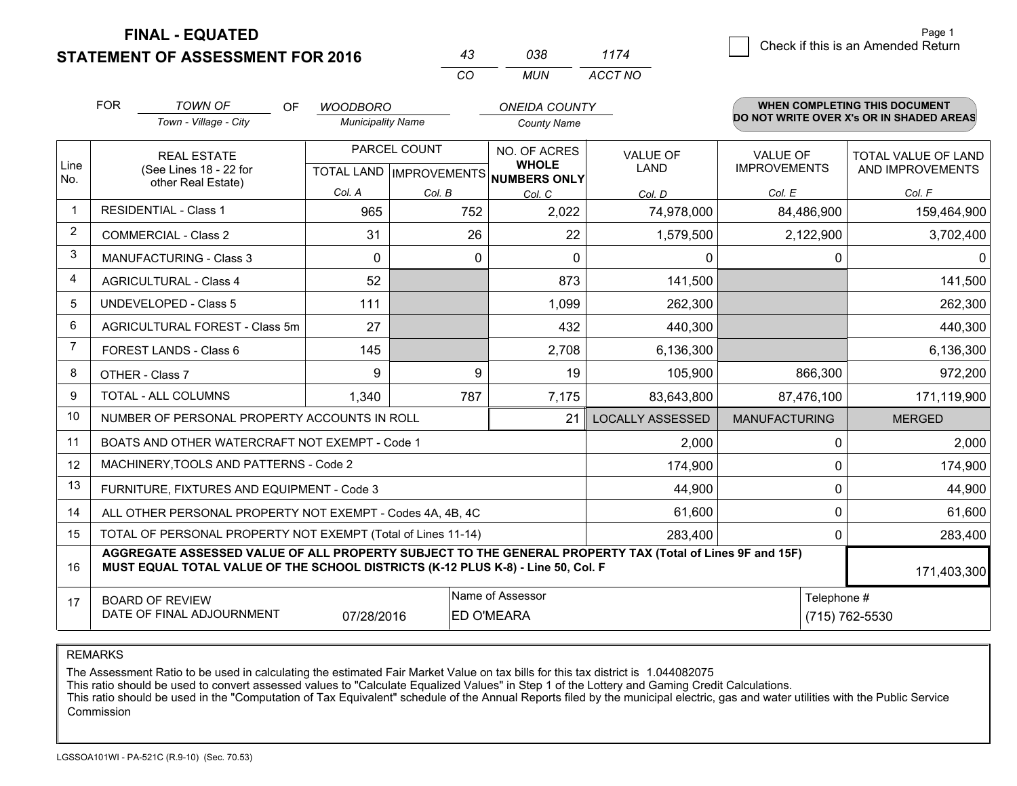**FINAL - EQUATED**

**STATEMENT OF ASSESSMENT FOR 2016** 

| 43.      | กวล   | 1174    |
|----------|-------|---------|
| $\Gamma$ | MI IN | ACCT NO |

|                         | <b>FOR</b><br><b>TOWN OF</b><br>OF<br><b>WOODBORO</b><br>Town - Village - City<br><b>Municipality Name</b>                                                                                   |                                                           | <b>ONEIDA COUNTY</b><br><b>County Name</b> |              |                                                     | <b>WHEN COMPLETING THIS DOCUMENT</b><br>DO NOT WRITE OVER X's OR IN SHADED AREAS |                      |                         |
|-------------------------|----------------------------------------------------------------------------------------------------------------------------------------------------------------------------------------------|-----------------------------------------------------------|--------------------------------------------|--------------|-----------------------------------------------------|----------------------------------------------------------------------------------|----------------------|-------------------------|
|                         |                                                                                                                                                                                              |                                                           |                                            |              |                                                     |                                                                                  |                      |                         |
|                         |                                                                                                                                                                                              | <b>REAL ESTATE</b>                                        |                                            | PARCEL COUNT | NO. OF ACRES                                        | <b>VALUE OF</b><br><b>LAND</b>                                                   | <b>VALUE OF</b>      | TOTAL VALUE OF LAND     |
| Line<br>No.             |                                                                                                                                                                                              | (See Lines 18 - 22 for<br>other Real Estate)              |                                            |              | <b>WHOLE</b><br>TOTAL LAND MPROVEMENTS NUMBERS ONLY |                                                                                  | <b>IMPROVEMENTS</b>  | AND IMPROVEMENTS        |
|                         |                                                                                                                                                                                              |                                                           | Col. A                                     | Col. B       | Col. C                                              | Col. D                                                                           | Col. E               | Col. F                  |
| $\mathbf 1$             |                                                                                                                                                                                              | <b>RESIDENTIAL - Class 1</b>                              | 965                                        | 752          | 2,022                                               | 74,978,000                                                                       | 84,486,900           | 159,464,900             |
| $\overline{2}$          |                                                                                                                                                                                              | <b>COMMERCIAL - Class 2</b>                               | 31                                         | 26           | 22                                                  | 1,579,500                                                                        | 2,122,900            | 3,702,400               |
| 3                       |                                                                                                                                                                                              | <b>MANUFACTURING - Class 3</b>                            | $\Omega$                                   | 0            | $\Omega$                                            | 0                                                                                | 0                    | $\mathbf{0}$            |
| $\overline{\mathbf{4}}$ |                                                                                                                                                                                              | <b>AGRICULTURAL - Class 4</b>                             | 52                                         |              | 873                                                 | 141,500                                                                          |                      | 141,500                 |
| 5                       |                                                                                                                                                                                              | <b>UNDEVELOPED - Class 5</b>                              | 111                                        |              | 1,099                                               | 262,300                                                                          |                      | 262,300                 |
| 6                       |                                                                                                                                                                                              | AGRICULTURAL FOREST - Class 5m                            | 27                                         |              | 432                                                 | 440,300                                                                          |                      | 440,300                 |
| 7                       |                                                                                                                                                                                              | FOREST LANDS - Class 6                                    | 145                                        |              | 2,708                                               | 6,136,300                                                                        |                      | 6,136,300               |
| 8                       |                                                                                                                                                                                              | OTHER - Class 7                                           | 9                                          | 9            | 19                                                  | 105,900                                                                          | 866,300              | 972,200                 |
| 9                       |                                                                                                                                                                                              | TOTAL - ALL COLUMNS                                       | 1,340                                      | 787          | 7,175                                               | 83,643,800                                                                       | 87,476,100           | 171,119,900             |
| 10                      |                                                                                                                                                                                              | NUMBER OF PERSONAL PROPERTY ACCOUNTS IN ROLL              |                                            |              | 21                                                  | <b>LOCALLY ASSESSED</b>                                                          | <b>MANUFACTURING</b> | <b>MERGED</b>           |
| 11                      |                                                                                                                                                                                              | BOATS AND OTHER WATERCRAFT NOT EXEMPT - Code 1            |                                            |              |                                                     | 2,000                                                                            | 0                    | 2,000                   |
| 12                      |                                                                                                                                                                                              | MACHINERY, TOOLS AND PATTERNS - Code 2                    |                                            |              |                                                     | 174,900                                                                          | $\mathbf{0}$         | 174,900                 |
| 13                      |                                                                                                                                                                                              | FURNITURE, FIXTURES AND EQUIPMENT - Code 3                |                                            |              |                                                     | 44,900                                                                           | $\mathbf 0$          | 44,900                  |
| 14                      |                                                                                                                                                                                              | ALL OTHER PERSONAL PROPERTY NOT EXEMPT - Codes 4A, 4B, 4C |                                            |              |                                                     | 61,600                                                                           | $\mathbf 0$          | 61,600                  |
| 15                      | TOTAL OF PERSONAL PROPERTY NOT EXEMPT (Total of Lines 11-14)<br>283,400                                                                                                                      |                                                           |                                            |              |                                                     |                                                                                  |                      | $\mathbf{0}$<br>283,400 |
| 16                      | AGGREGATE ASSESSED VALUE OF ALL PROPERTY SUBJECT TO THE GENERAL PROPERTY TAX (Total of Lines 9F and 15F)<br>MUST EQUAL TOTAL VALUE OF THE SCHOOL DISTRICTS (K-12 PLUS K-8) - Line 50, Col. F |                                                           |                                            |              |                                                     |                                                                                  | 171,403,300          |                         |
| 17                      |                                                                                                                                                                                              | <b>BOARD OF REVIEW</b>                                    |                                            |              | Name of Assessor                                    |                                                                                  | Telephone #          |                         |
|                         | DATE OF FINAL ADJOURNMENT<br>07/28/2016<br><b>ED O'MEARA</b>                                                                                                                                 |                                                           |                                            |              |                                                     | (715) 762-5530                                                                   |                      |                         |

REMARKS

The Assessment Ratio to be used in calculating the estimated Fair Market Value on tax bills for this tax district is 1.044082075

This ratio should be used to convert assessed values to "Calculate Equalized Values" in Step 1 of the Lottery and Gaming Credit Calculations.<br>This ratio should be used in the "Computation of Tax Equivalent" schedule of the Commission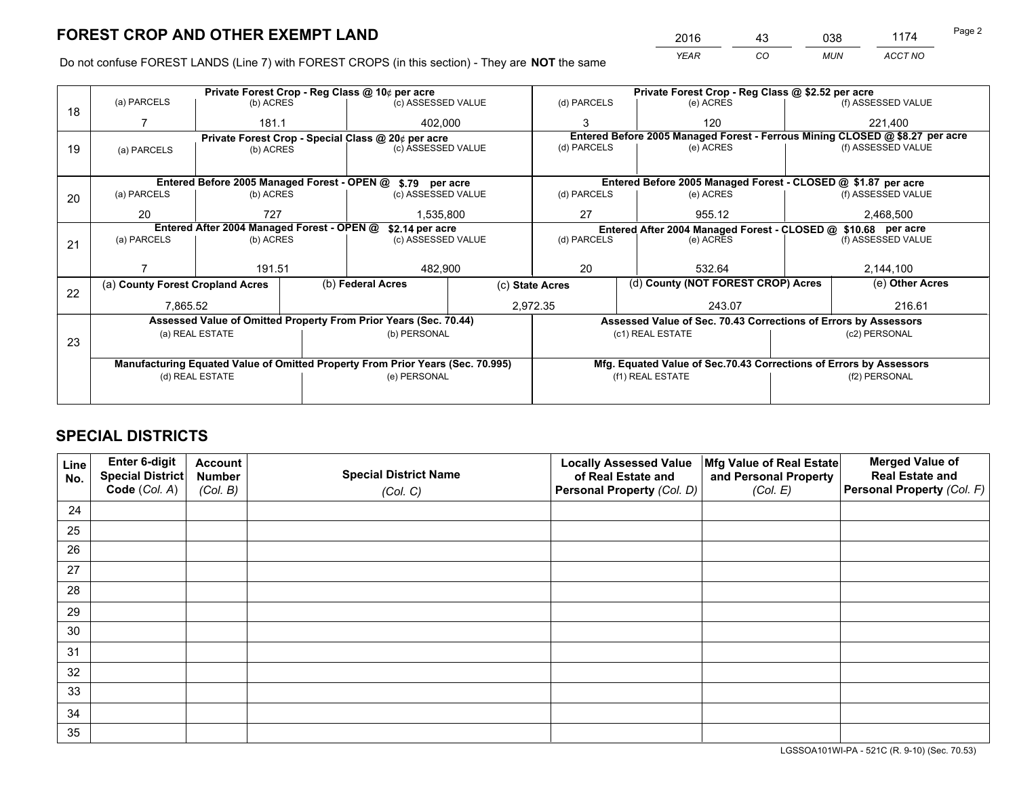# **FOREST CROP AND OTHER EXEMPT LAND**

 *YEAR CO MUN ACCT NO* <u>2016 - 43 038 1174</u>

Do not confuse FOREST LANDS (Line 7) with FOREST CROPS (in this section) - They are **NOT** the same

|    |                                                                                |                                 |                                                               | Private Forest Crop - Reg Class @ 10¢ per acre                   |                 | Private Forest Crop - Reg Class @ \$2.52 per acre |                                                                              |                                                                 |                                                                    |                    |
|----|--------------------------------------------------------------------------------|---------------------------------|---------------------------------------------------------------|------------------------------------------------------------------|-----------------|---------------------------------------------------|------------------------------------------------------------------------------|-----------------------------------------------------------------|--------------------------------------------------------------------|--------------------|
| 18 | (a) PARCELS                                                                    | (b) ACRES                       |                                                               | (c) ASSESSED VALUE                                               |                 | (d) PARCELS                                       |                                                                              | (e) ACRES                                                       |                                                                    | (f) ASSESSED VALUE |
|    |                                                                                | 181.1                           |                                                               | 402,000                                                          |                 |                                                   |                                                                              | 120                                                             |                                                                    | 221,400            |
|    |                                                                                |                                 |                                                               | Private Forest Crop - Special Class @ 20¢ per acre               |                 |                                                   | Entered Before 2005 Managed Forest - Ferrous Mining CLOSED @ \$8.27 per acre |                                                                 |                                                                    |                    |
| 19 | (a) PARCELS                                                                    | (c) ASSESSED VALUE<br>(b) ACRES |                                                               |                                                                  | (d) PARCELS     |                                                   | (e) ACRES                                                                    |                                                                 | (f) ASSESSED VALUE                                                 |                    |
|    |                                                                                |                                 |                                                               |                                                                  |                 |                                                   |                                                                              |                                                                 |                                                                    |                    |
|    |                                                                                |                                 |                                                               | Entered Before 2005 Managed Forest - OPEN @ \$.79 per acre       |                 |                                                   |                                                                              | Entered Before 2005 Managed Forest - CLOSED @ \$1.87 per acre   |                                                                    |                    |
| 20 | (a) PARCELS                                                                    | (b) ACRES                       |                                                               | (c) ASSESSED VALUE                                               |                 | (d) PARCELS                                       |                                                                              | (e) ACRES                                                       |                                                                    | (f) ASSESSED VALUE |
|    | 20                                                                             | 727                             |                                                               | 1.535.800                                                        |                 | 27<br>955.12                                      |                                                                              |                                                                 |                                                                    | 2,468,500          |
|    |                                                                                |                                 | Entered After 2004 Managed Forest - OPEN @<br>\$2.14 per acre |                                                                  |                 |                                                   |                                                                              | Entered After 2004 Managed Forest - CLOSED @ \$10.68 per acre   |                                                                    |                    |
| 21 | (a) PARCELS                                                                    | (b) ACRES                       |                                                               | (c) ASSESSED VALUE                                               |                 | (d) PARCELS                                       |                                                                              | (e) ACRES                                                       |                                                                    | (f) ASSESSED VALUE |
|    |                                                                                |                                 |                                                               |                                                                  |                 |                                                   |                                                                              |                                                                 |                                                                    |                    |
|    |                                                                                | 191.51                          |                                                               | 482,900                                                          |                 | 20                                                |                                                                              | 532.64                                                          |                                                                    | 2,144,100          |
|    | (a) County Forest Cropland Acres                                               |                                 |                                                               | (b) Federal Acres                                                | (c) State Acres |                                                   | (d) County (NOT FOREST CROP) Acres                                           |                                                                 |                                                                    | (e) Other Acres    |
| 22 | 7,865.52                                                                       |                                 |                                                               |                                                                  |                 | 2,972.35<br>243.07                                |                                                                              |                                                                 | 216.61                                                             |                    |
|    |                                                                                |                                 |                                                               | Assessed Value of Omitted Property From Prior Years (Sec. 70.44) |                 |                                                   |                                                                              | Assessed Value of Sec. 70.43 Corrections of Errors by Assessors |                                                                    |                    |
|    |                                                                                | (a) REAL ESTATE                 |                                                               | (b) PERSONAL                                                     |                 |                                                   |                                                                              | (c1) REAL ESTATE                                                | (c2) PERSONAL                                                      |                    |
| 23 |                                                                                |                                 |                                                               |                                                                  |                 |                                                   |                                                                              |                                                                 |                                                                    |                    |
|    | Manufacturing Equated Value of Omitted Property From Prior Years (Sec. 70.995) |                                 |                                                               |                                                                  |                 |                                                   |                                                                              |                                                                 | Mfg. Equated Value of Sec.70.43 Corrections of Errors by Assessors |                    |
|    |                                                                                | (d) REAL ESTATE                 |                                                               | (e) PERSONAL                                                     |                 | (f1) REAL ESTATE                                  |                                                                              |                                                                 | (f2) PERSONAL                                                      |                    |
|    |                                                                                |                                 |                                                               |                                                                  |                 |                                                   |                                                                              |                                                                 |                                                                    |                    |

## **SPECIAL DISTRICTS**

| Line<br>No. | Enter 6-digit<br>Special District<br>Code (Col. A) | <b>Account</b><br><b>Number</b><br>(Col. B) | <b>Special District Name</b><br>(Col. C) | <b>Locally Assessed Value</b><br>of Real Estate and<br>Personal Property (Col. D) | Mfg Value of Real Estate<br>and Personal Property<br>(Col. E) | <b>Merged Value of</b><br><b>Real Estate and</b><br>Personal Property (Col. F) |
|-------------|----------------------------------------------------|---------------------------------------------|------------------------------------------|-----------------------------------------------------------------------------------|---------------------------------------------------------------|--------------------------------------------------------------------------------|
| 24          |                                                    |                                             |                                          |                                                                                   |                                                               |                                                                                |
| 25          |                                                    |                                             |                                          |                                                                                   |                                                               |                                                                                |
| 26          |                                                    |                                             |                                          |                                                                                   |                                                               |                                                                                |
| 27          |                                                    |                                             |                                          |                                                                                   |                                                               |                                                                                |
| 28          |                                                    |                                             |                                          |                                                                                   |                                                               |                                                                                |
| 29          |                                                    |                                             |                                          |                                                                                   |                                                               |                                                                                |
| 30          |                                                    |                                             |                                          |                                                                                   |                                                               |                                                                                |
| 31          |                                                    |                                             |                                          |                                                                                   |                                                               |                                                                                |
| 32          |                                                    |                                             |                                          |                                                                                   |                                                               |                                                                                |
| 33          |                                                    |                                             |                                          |                                                                                   |                                                               |                                                                                |
| 34          |                                                    |                                             |                                          |                                                                                   |                                                               |                                                                                |
| 35          |                                                    |                                             |                                          |                                                                                   |                                                               |                                                                                |

LGSSOA101WI-PA - 521C (R. 9-10) (Sec. 70.53)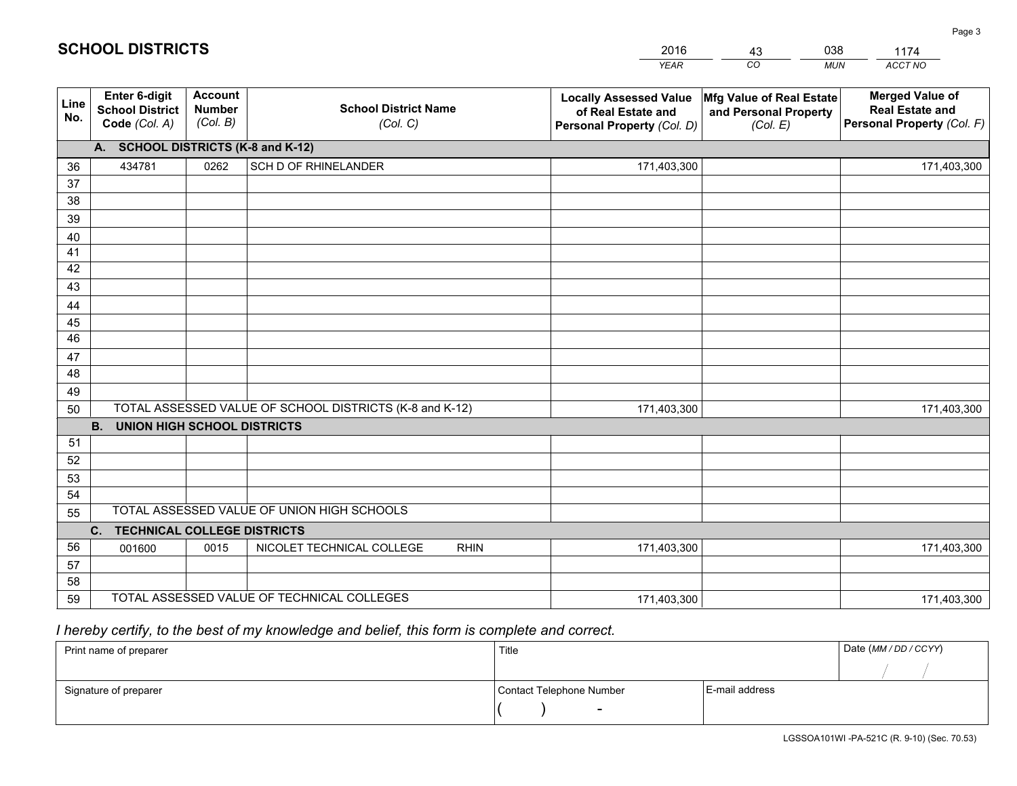|             |                                                          |                                             |                                                         | <b>YEAR</b>                                                                       | CO<br><b>MUN</b>                                              | ACCT NO                                                                        |
|-------------|----------------------------------------------------------|---------------------------------------------|---------------------------------------------------------|-----------------------------------------------------------------------------------|---------------------------------------------------------------|--------------------------------------------------------------------------------|
| Line<br>No. | Enter 6-digit<br><b>School District</b><br>Code (Col. A) | <b>Account</b><br><b>Number</b><br>(Col. B) | <b>School District Name</b><br>(Col. C)                 | <b>Locally Assessed Value</b><br>of Real Estate and<br>Personal Property (Col. D) | Mfg Value of Real Estate<br>and Personal Property<br>(Col. E) | <b>Merged Value of</b><br><b>Real Estate and</b><br>Personal Property (Col. F) |
|             | A. SCHOOL DISTRICTS (K-8 and K-12)                       |                                             |                                                         |                                                                                   |                                                               |                                                                                |
| 36          | 434781                                                   | 0262                                        | SCH D OF RHINELANDER                                    | 171,403,300                                                                       |                                                               | 171,403,300                                                                    |
| 37          |                                                          |                                             |                                                         |                                                                                   |                                                               |                                                                                |
| 38          |                                                          |                                             |                                                         |                                                                                   |                                                               |                                                                                |
| 39          |                                                          |                                             |                                                         |                                                                                   |                                                               |                                                                                |
| 40          |                                                          |                                             |                                                         |                                                                                   |                                                               |                                                                                |
| 41          |                                                          |                                             |                                                         |                                                                                   |                                                               |                                                                                |
| 42          |                                                          |                                             |                                                         |                                                                                   |                                                               |                                                                                |
| 43          |                                                          |                                             |                                                         |                                                                                   |                                                               |                                                                                |
| 44<br>45    |                                                          |                                             |                                                         |                                                                                   |                                                               |                                                                                |
| 46          |                                                          |                                             |                                                         |                                                                                   |                                                               |                                                                                |
| 47          |                                                          |                                             |                                                         |                                                                                   |                                                               |                                                                                |
| 48          |                                                          |                                             |                                                         |                                                                                   |                                                               |                                                                                |
| 49          |                                                          |                                             |                                                         |                                                                                   |                                                               |                                                                                |
| 50          |                                                          |                                             | TOTAL ASSESSED VALUE OF SCHOOL DISTRICTS (K-8 and K-12) | 171,403,300                                                                       |                                                               | 171,403,300                                                                    |
|             | <b>B.</b><br><b>UNION HIGH SCHOOL DISTRICTS</b>          |                                             |                                                         |                                                                                   |                                                               |                                                                                |
| 51          |                                                          |                                             |                                                         |                                                                                   |                                                               |                                                                                |
| 52          |                                                          |                                             |                                                         |                                                                                   |                                                               |                                                                                |
| 53          |                                                          |                                             |                                                         |                                                                                   |                                                               |                                                                                |
| 54          |                                                          |                                             |                                                         |                                                                                   |                                                               |                                                                                |
| 55          |                                                          |                                             | TOTAL ASSESSED VALUE OF UNION HIGH SCHOOLS              |                                                                                   |                                                               |                                                                                |
|             | C. TECHNICAL COLLEGE DISTRICTS                           |                                             |                                                         |                                                                                   |                                                               |                                                                                |
| 56          | 001600                                                   | 0015                                        | NICOLET TECHNICAL COLLEGE<br><b>RHIN</b>                | 171,403,300                                                                       |                                                               | 171,403,300                                                                    |
| 57          |                                                          |                                             |                                                         |                                                                                   |                                                               |                                                                                |
| 58          |                                                          |                                             | TOTAL ASSESSED VALUE OF TECHNICAL COLLEGES              |                                                                                   |                                                               |                                                                                |
| 59          |                                                          |                                             |                                                         | 171,403,300                                                                       |                                                               | 171,403,300                                                                    |

2016

43

038

## *I hereby certify, to the best of my knowledge and belief, this form is complete and correct.*

**SCHOOL DISTRICTS**

| Print name of preparer | Title                    |                | Date (MM / DD / CCYY) |
|------------------------|--------------------------|----------------|-----------------------|
|                        |                          |                |                       |
| Signature of preparer  | Contact Telephone Number | E-mail address |                       |
|                        | $\overline{\phantom{0}}$ |                |                       |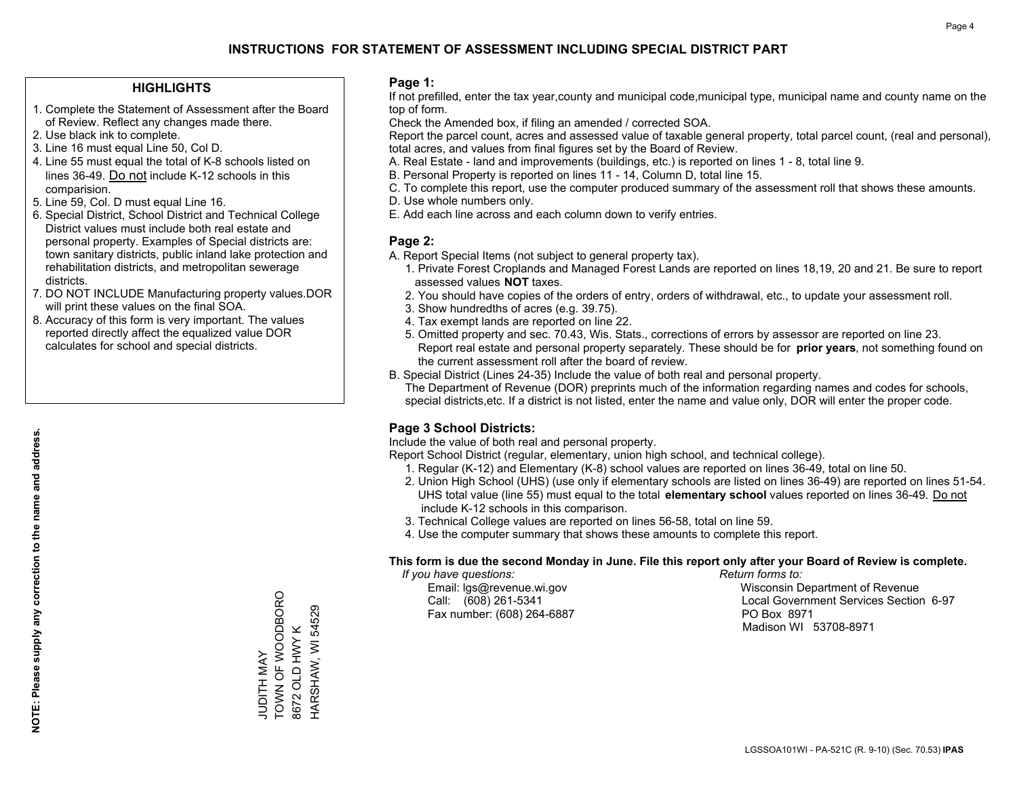## **INSTRUCTIONS FOR STATEMENT OF ASSESSMENT INCLUDING SPECIAL DISTRICT PART**

#### **HIGHLIGHTS**

- 1. Complete the Statement of Assessment after the Board of Review. Reflect any changes made there.
- 2. Use black ink to complete.
- 3. Line 16 must equal Line 50, Col D.
- 4. Line 55 must equal the total of K-8 schools listed on lines 36-49. Do not include K-12 schools in this comparision.
- 5. Line 59, Col. D must equal Line 16.
- 6. Special District, School District and Technical College District values must include both real estate and personal property. Examples of Special districts are: town sanitary districts, public inland lake protection and rehabilitation districts, and metropolitan sewerage districts.
- 7. DO NOT INCLUDE Manufacturing property values.DOR will print these values on the final SOA.
- 8. Accuracy of this form is very important. The values reported directly affect the equalized value DOR calculates for school and special districts.

#### **Page 1:**

 If not prefilled, enter the tax year,county and municipal code,municipal type, municipal name and county name on the top of form.

Check the Amended box, if filing an amended / corrected SOA.

 Report the parcel count, acres and assessed value of taxable general property, total parcel count, (real and personal), total acres, and values from final figures set by the Board of Review.

- A. Real Estate land and improvements (buildings, etc.) is reported on lines 1 8, total line 9.
- B. Personal Property is reported on lines 11 14, Column D, total line 15.
- C. To complete this report, use the computer produced summary of the assessment roll that shows these amounts.
- D. Use whole numbers only.
- E. Add each line across and each column down to verify entries.

#### **Page 2:**

- A. Report Special Items (not subject to general property tax).
- 1. Private Forest Croplands and Managed Forest Lands are reported on lines 18,19, 20 and 21. Be sure to report assessed values **NOT** taxes.
- 2. You should have copies of the orders of entry, orders of withdrawal, etc., to update your assessment roll.
	- 3. Show hundredths of acres (e.g. 39.75).
- 4. Tax exempt lands are reported on line 22.
- 5. Omitted property and sec. 70.43, Wis. Stats., corrections of errors by assessor are reported on line 23. Report real estate and personal property separately. These should be for **prior years**, not something found on the current assessment roll after the board of review.
- B. Special District (Lines 24-35) Include the value of both real and personal property.

 The Department of Revenue (DOR) preprints much of the information regarding names and codes for schools, special districts,etc. If a district is not listed, enter the name and value only, DOR will enter the proper code.

### **Page 3 School Districts:**

Include the value of both real and personal property.

Report School District (regular, elementary, union high school, and technical college).

- 1. Regular (K-12) and Elementary (K-8) school values are reported on lines 36-49, total on line 50.
- 2. Union High School (UHS) (use only if elementary schools are listed on lines 36-49) are reported on lines 51-54. UHS total value (line 55) must equal to the total **elementary school** values reported on lines 36-49. Do notinclude K-12 schools in this comparison.
- 3. Technical College values are reported on lines 56-58, total on line 59.
- 4. Use the computer summary that shows these amounts to complete this report.

#### **This form is due the second Monday in June. File this report only after your Board of Review is complete.**

 *If you have questions: Return forms to:*

Fax number: (608) 264-6887 PO Box 8971

 Email: lgs@revenue.wi.gov Wisconsin Department of Revenue Call: (608) 261-5341 Local Government Services Section 6-97Madison WI 53708-8971

**NOTE: Please supply any correction to the name and address.**

NOTE: Please supply any correction to the name and address.

TOWN OF WOODBORO TOWN OF WOODBORO 8672 OLD HWY K<br>HARSHAW, WI 54529 HARSHAW, WI 54529 8672 OLD HWY K **JUDITH MAY** JUDITH MAY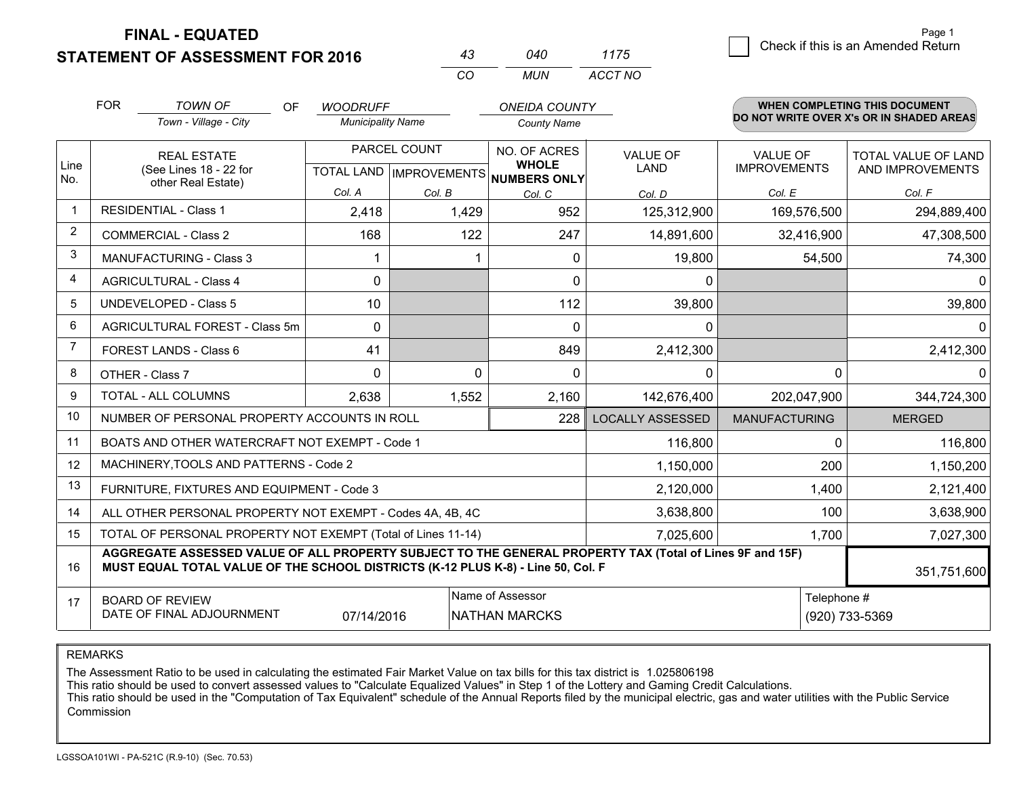**FINAL - EQUATED**

**STATEMENT OF ASSESSMENT FOR 2016** 

| 43 | 040 | 11/5    |
|----|-----|---------|
| CО | MUN | ACCT NO |

|             | <b>FOR</b><br><b>TOWN OF</b><br><b>OF</b><br>Town - Village - City                                                                                                                           | <b>WOODRUFF</b><br><b>Municipality Name</b> |              | <b>ONEIDA COUNTY</b><br><b>County Name</b>                          |                                |                                        | <b>WHEN COMPLETING THIS DOCUMENT</b><br>DO NOT WRITE OVER X's OR IN SHADED AREAS |
|-------------|----------------------------------------------------------------------------------------------------------------------------------------------------------------------------------------------|---------------------------------------------|--------------|---------------------------------------------------------------------|--------------------------------|----------------------------------------|----------------------------------------------------------------------------------|
| Line<br>No. | <b>REAL ESTATE</b><br>(See Lines 18 - 22 for                                                                                                                                                 |                                             | PARCEL COUNT | NO. OF ACRES<br><b>WHOLE</b><br>TOTAL LAND MPROVEMENTS NUMBERS ONLY | <b>VALUE OF</b><br><b>LAND</b> | <b>VALUE OF</b><br><b>IMPROVEMENTS</b> | <b>TOTAL VALUE OF LAND</b><br>AND IMPROVEMENTS                                   |
|             | other Real Estate)                                                                                                                                                                           | Col. A                                      | Col. B       | Col. C                                                              | Col. D                         | Col. E                                 | Col. F                                                                           |
| $\mathbf 1$ | <b>RESIDENTIAL - Class 1</b>                                                                                                                                                                 | 2,418                                       | 1,429        | 952                                                                 | 125,312,900                    | 169,576,500                            | 294,889,400                                                                      |
| 2           | <b>COMMERCIAL - Class 2</b>                                                                                                                                                                  | 168                                         | 122          | 247                                                                 | 14,891,600                     | 32,416,900                             | 47,308,500                                                                       |
| 3           | <b>MANUFACTURING - Class 3</b>                                                                                                                                                               |                                             |              | $\mathbf{0}$                                                        | 19,800                         | 54,500                                 | 74,300                                                                           |
| 4           | <b>AGRICULTURAL - Class 4</b>                                                                                                                                                                | $\mathbf{0}$                                |              | $\mathbf{0}$                                                        | 0                              |                                        | $\Omega$                                                                         |
| 5           | <b>UNDEVELOPED - Class 5</b>                                                                                                                                                                 | 10                                          |              | 112                                                                 | 39,800                         |                                        | 39,800                                                                           |
| 6           | AGRICULTURAL FOREST - Class 5m                                                                                                                                                               | $\Omega$                                    |              | $\Omega$                                                            | $\mathbf{0}$                   |                                        | $\Omega$                                                                         |
| 7           | FOREST LANDS - Class 6                                                                                                                                                                       | 41                                          |              | 849                                                                 | 2,412,300                      |                                        | 2,412,300                                                                        |
| 8           | OTHER - Class 7                                                                                                                                                                              | $\Omega$                                    | $\Omega$     | $\Omega$                                                            | 0                              | $\Omega$                               | $\Omega$                                                                         |
| 9           | TOTAL - ALL COLUMNS                                                                                                                                                                          | 2,638                                       | 1,552        | 2,160                                                               | 142,676,400                    | 202,047,900                            | 344,724,300                                                                      |
| 10          | NUMBER OF PERSONAL PROPERTY ACCOUNTS IN ROLL                                                                                                                                                 |                                             |              | 228                                                                 | <b>LOCALLY ASSESSED</b>        | <b>MANUFACTURING</b>                   | <b>MERGED</b>                                                                    |
| 11          | BOATS AND OTHER WATERCRAFT NOT EXEMPT - Code 1                                                                                                                                               |                                             |              |                                                                     | 116,800                        | $\Omega$                               | 116,800                                                                          |
| 12          | MACHINERY, TOOLS AND PATTERNS - Code 2                                                                                                                                                       |                                             |              |                                                                     | 1,150,000                      | 200                                    | 1,150,200                                                                        |
| 13          | FURNITURE, FIXTURES AND EQUIPMENT - Code 3                                                                                                                                                   |                                             |              |                                                                     | 2,120,000                      | 1,400                                  | 2,121,400                                                                        |
| 14          | ALL OTHER PERSONAL PROPERTY NOT EXEMPT - Codes 4A, 4B, 4C                                                                                                                                    |                                             |              |                                                                     | 3,638,800                      | 100                                    | 3,638,900                                                                        |
| 15          | TOTAL OF PERSONAL PROPERTY NOT EXEMPT (Total of Lines 11-14)                                                                                                                                 | 1,700                                       | 7,027,300    |                                                                     |                                |                                        |                                                                                  |
| 16          | AGGREGATE ASSESSED VALUE OF ALL PROPERTY SUBJECT TO THE GENERAL PROPERTY TAX (Total of Lines 9F and 15F)<br>MUST EQUAL TOTAL VALUE OF THE SCHOOL DISTRICTS (K-12 PLUS K-8) - Line 50, Col. F |                                             |              |                                                                     |                                |                                        | 351,751,600                                                                      |
| 17          | Name of Assessor<br>Telephone #<br><b>BOARD OF REVIEW</b><br>DATE OF FINAL ADJOURNMENT<br>(920) 733-5369<br>07/14/2016<br><b>NATHAN MARCKS</b>                                               |                                             |              |                                                                     |                                |                                        |                                                                                  |

REMARKS

The Assessment Ratio to be used in calculating the estimated Fair Market Value on tax bills for this tax district is 1.025806198

This ratio should be used to convert assessed values to "Calculate Equalized Values" in Step 1 of the Lottery and Gaming Credit Calculations.<br>This ratio should be used in the "Computation of Tax Equivalent" schedule of the Commission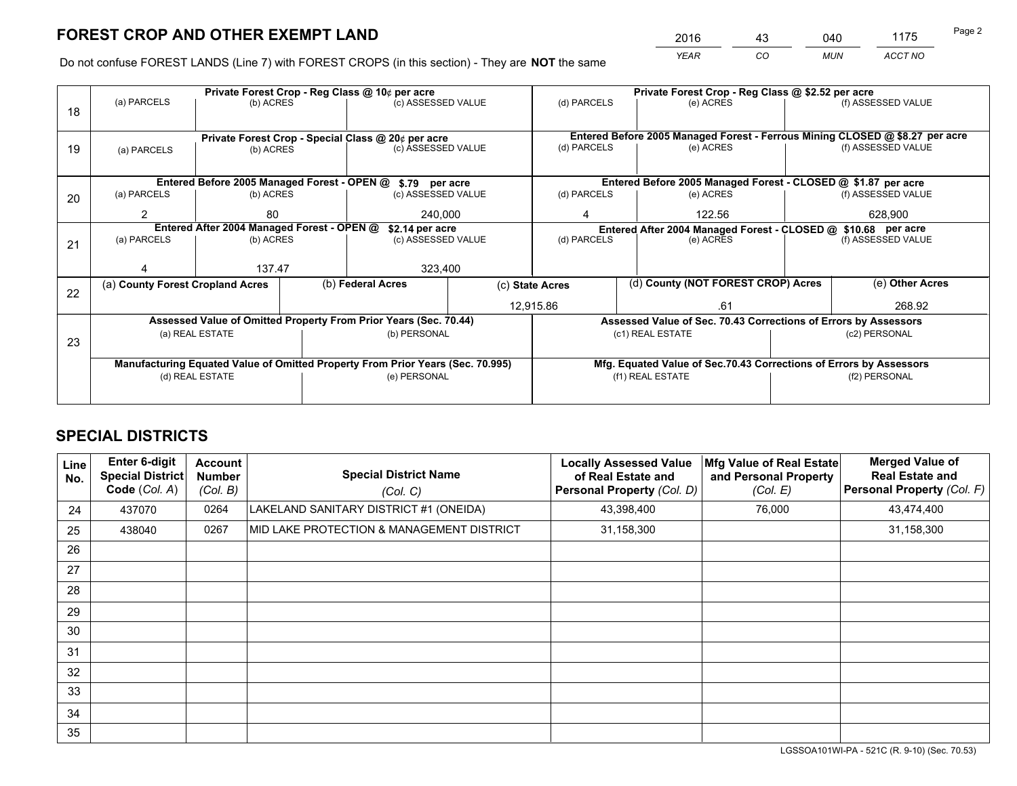# **FOREST CROP AND OTHER EXEMPT LAND**

 *YEAR CO MUN ACCT NO* <sup>2016</sup> <sup>43</sup> <sup>040</sup> <sup>1175</sup>

Do not confuse FOREST LANDS (Line 7) with FOREST CROPS (in this section) - They are **NOT** the same

|                                                                                |             |                                                                        |                                                            |                                                                                                                   | Private Forest Crop - Reg Class @ \$2.52 per acre                                                                                                                                                                                                                                                                    |                              |                            |                         |                                                                                                                                                                                                                                                                                                                              |
|--------------------------------------------------------------------------------|-------------|------------------------------------------------------------------------|------------------------------------------------------------|-------------------------------------------------------------------------------------------------------------------|----------------------------------------------------------------------------------------------------------------------------------------------------------------------------------------------------------------------------------------------------------------------------------------------------------------------|------------------------------|----------------------------|-------------------------|------------------------------------------------------------------------------------------------------------------------------------------------------------------------------------------------------------------------------------------------------------------------------------------------------------------------------|
|                                                                                |             |                                                                        |                                                            |                                                                                                                   |                                                                                                                                                                                                                                                                                                                      |                              | (e) ACRES                  |                         | (f) ASSESSED VALUE                                                                                                                                                                                                                                                                                                           |
|                                                                                |             |                                                                        |                                                            |                                                                                                                   |                                                                                                                                                                                                                                                                                                                      |                              |                            |                         |                                                                                                                                                                                                                                                                                                                              |
|                                                                                |             |                                                                        |                                                            |                                                                                                                   |                                                                                                                                                                                                                                                                                                                      |                              |                            |                         |                                                                                                                                                                                                                                                                                                                              |
| (a) PARCELS                                                                    |             |                                                                        |                                                            |                                                                                                                   |                                                                                                                                                                                                                                                                                                                      |                              | (e) ACRES                  |                         | (f) ASSESSED VALUE                                                                                                                                                                                                                                                                                                           |
|                                                                                |             |                                                                        |                                                            |                                                                                                                   |                                                                                                                                                                                                                                                                                                                      |                              |                            |                         |                                                                                                                                                                                                                                                                                                                              |
|                                                                                |             |                                                                        |                                                            |                                                                                                                   |                                                                                                                                                                                                                                                                                                                      |                              |                            |                         |                                                                                                                                                                                                                                                                                                                              |
| (a) PARCELS                                                                    |             |                                                                        |                                                            |                                                                                                                   | (d) PARCELS                                                                                                                                                                                                                                                                                                          |                              | (e) ACRES                  |                         | (f) ASSESSED VALUE                                                                                                                                                                                                                                                                                                           |
| 2                                                                              | 80          |                                                                        |                                                            |                                                                                                                   | 4                                                                                                                                                                                                                                                                                                                    |                              | 122.56                     |                         | 628,900                                                                                                                                                                                                                                                                                                                      |
|                                                                                |             |                                                                        |                                                            |                                                                                                                   | Entered After 2004 Managed Forest - CLOSED @ \$10.68 per acre                                                                                                                                                                                                                                                        |                              |                            |                         |                                                                                                                                                                                                                                                                                                                              |
| (a) PARCELS                                                                    |             |                                                                        | (c) ASSESSED VALUE                                         |                                                                                                                   | (d) PARCELS<br>(e) ACRES                                                                                                                                                                                                                                                                                             |                              | (f) ASSESSED VALUE         |                         |                                                                                                                                                                                                                                                                                                                              |
|                                                                                |             |                                                                        |                                                            |                                                                                                                   |                                                                                                                                                                                                                                                                                                                      |                              |                            |                         |                                                                                                                                                                                                                                                                                                                              |
|                                                                                |             |                                                                        | 323,400                                                    |                                                                                                                   |                                                                                                                                                                                                                                                                                                                      |                              |                            |                         |                                                                                                                                                                                                                                                                                                                              |
|                                                                                |             |                                                                        |                                                            |                                                                                                                   |                                                                                                                                                                                                                                                                                                                      |                              |                            |                         | (e) Other Acres                                                                                                                                                                                                                                                                                                              |
|                                                                                |             |                                                                        |                                                            |                                                                                                                   |                                                                                                                                                                                                                                                                                                                      |                              |                            | 268.92                  |                                                                                                                                                                                                                                                                                                                              |
|                                                                                |             |                                                                        |                                                            |                                                                                                                   |                                                                                                                                                                                                                                                                                                                      |                              |                            |                         |                                                                                                                                                                                                                                                                                                                              |
|                                                                                |             |                                                                        |                                                            |                                                                                                                   |                                                                                                                                                                                                                                                                                                                      |                              |                            |                         | (c2) PERSONAL                                                                                                                                                                                                                                                                                                                |
| 23                                                                             |             |                                                                        |                                                            |                                                                                                                   |                                                                                                                                                                                                                                                                                                                      |                              |                            |                         |                                                                                                                                                                                                                                                                                                                              |
| Manufacturing Equated Value of Omitted Property From Prior Years (Sec. 70.995) |             |                                                                        |                                                            |                                                                                                                   |                                                                                                                                                                                                                                                                                                                      |                              |                            |                         |                                                                                                                                                                                                                                                                                                                              |
|                                                                                |             |                                                                        |                                                            |                                                                                                                   | (f1) REAL ESTATE                                                                                                                                                                                                                                                                                                     |                              | (f2) PERSONAL              |                         |                                                                                                                                                                                                                                                                                                                              |
|                                                                                |             |                                                                        |                                                            |                                                                                                                   |                                                                                                                                                                                                                                                                                                                      |                              |                            |                         |                                                                                                                                                                                                                                                                                                                              |
|                                                                                | (a) PARCELS | (a) County Forest Cropland Acres<br>(a) REAL ESTATE<br>(d) REAL ESTATE | (b) ACRES<br>(b) ACRES<br>(b) ACRES<br>(b) ACRES<br>137.47 | Private Forest Crop - Reg Class @ 10¢ per acre<br>Entered After 2004 Managed Forest - OPEN @<br>(b) Federal Acres | (c) ASSESSED VALUE<br>Private Forest Crop - Special Class @ 20¢ per acre<br>(c) ASSESSED VALUE<br>Entered Before 2005 Managed Forest - OPEN @ \$.79 per acre<br>(c) ASSESSED VALUE<br>240,000<br>\$2.14 per acre<br>Assessed Value of Omitted Property From Prior Years (Sec. 70.44)<br>(b) PERSONAL<br>(e) PERSONAL | (c) State Acres<br>12,915.86 | (d) PARCELS<br>(d) PARCELS | .61<br>(c1) REAL ESTATE | Entered Before 2005 Managed Forest - Ferrous Mining CLOSED @ \$8.27 per acre<br>Entered Before 2005 Managed Forest - CLOSED @ \$1.87 per acre<br>(d) County (NOT FOREST CROP) Acres<br>Assessed Value of Sec. 70.43 Corrections of Errors by Assessors<br>Mfg. Equated Value of Sec.70.43 Corrections of Errors by Assessors |

## **SPECIAL DISTRICTS**

| <b>Line</b><br>No. | <b>Enter 6-digit</b><br><b>Special District</b><br>Code (Col. A) | <b>Account</b><br><b>Number</b><br>(Col. B) | <b>Special District Name</b><br>(Col. C)  | <b>Locally Assessed Value</b><br>of Real Estate and<br>Personal Property (Col. D) | Mfg Value of Real Estate<br>and Personal Property<br>(Col. E) | <b>Merged Value of</b><br><b>Real Estate and</b><br>Personal Property (Col. F) |
|--------------------|------------------------------------------------------------------|---------------------------------------------|-------------------------------------------|-----------------------------------------------------------------------------------|---------------------------------------------------------------|--------------------------------------------------------------------------------|
| 24                 | 437070                                                           | 0264                                        | LAKELAND SANITARY DISTRICT #1 (ONEIDA)    | 43,398,400                                                                        | 76,000                                                        | 43,474,400                                                                     |
| 25                 | 438040                                                           | 0267                                        | MID LAKE PROTECTION & MANAGEMENT DISTRICT | 31,158,300                                                                        |                                                               | 31,158,300                                                                     |
| 26                 |                                                                  |                                             |                                           |                                                                                   |                                                               |                                                                                |
| 27                 |                                                                  |                                             |                                           |                                                                                   |                                                               |                                                                                |
| 28                 |                                                                  |                                             |                                           |                                                                                   |                                                               |                                                                                |
| 29                 |                                                                  |                                             |                                           |                                                                                   |                                                               |                                                                                |
| 30                 |                                                                  |                                             |                                           |                                                                                   |                                                               |                                                                                |
| 31                 |                                                                  |                                             |                                           |                                                                                   |                                                               |                                                                                |
| 32                 |                                                                  |                                             |                                           |                                                                                   |                                                               |                                                                                |
| 33                 |                                                                  |                                             |                                           |                                                                                   |                                                               |                                                                                |
| 34                 |                                                                  |                                             |                                           |                                                                                   |                                                               |                                                                                |
| 35                 |                                                                  |                                             |                                           |                                                                                   |                                                               |                                                                                |

LGSSOA101WI-PA - 521C (R. 9-10) (Sec. 70.53)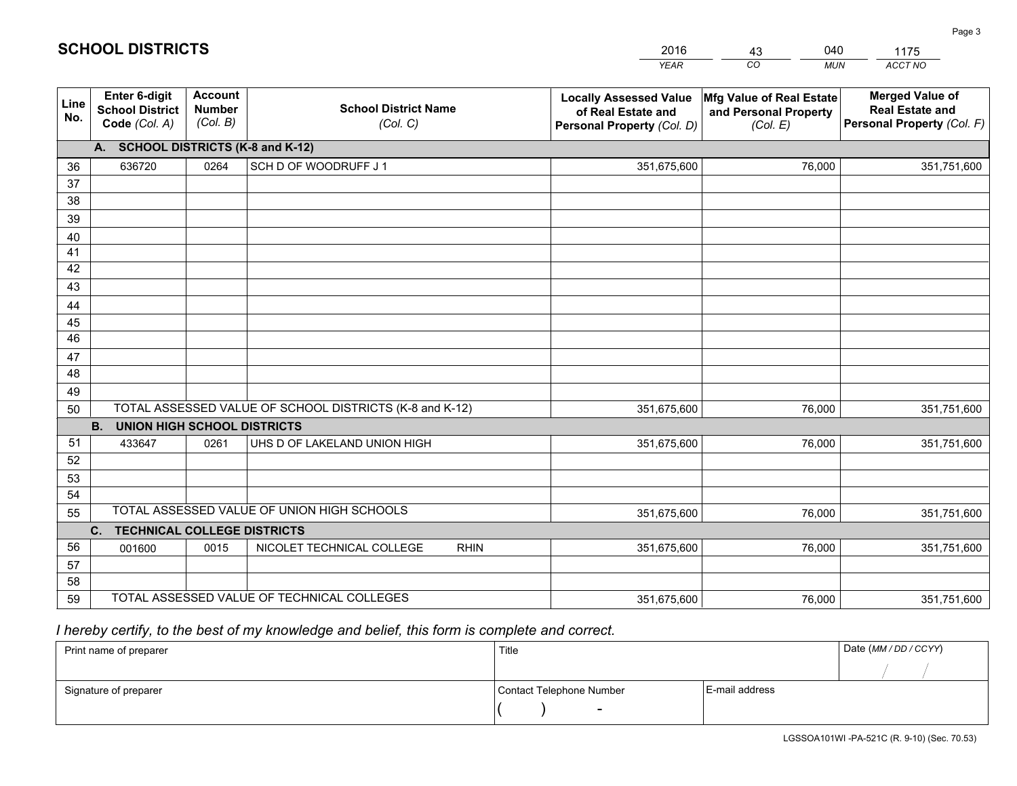|             |                                                                 |                                             |                                                         | <b>YEAR</b>                                                                       | CO<br><b>MUN</b>                                              | ACCT NO                                                                        |
|-------------|-----------------------------------------------------------------|---------------------------------------------|---------------------------------------------------------|-----------------------------------------------------------------------------------|---------------------------------------------------------------|--------------------------------------------------------------------------------|
| Line<br>No. | <b>Enter 6-digit</b><br><b>School District</b><br>Code (Col. A) | <b>Account</b><br><b>Number</b><br>(Col. B) | <b>School District Name</b><br>(Col. C)                 | <b>Locally Assessed Value</b><br>of Real Estate and<br>Personal Property (Col. D) | Mfg Value of Real Estate<br>and Personal Property<br>(Col. E) | <b>Merged Value of</b><br><b>Real Estate and</b><br>Personal Property (Col. F) |
|             | A. SCHOOL DISTRICTS (K-8 and K-12)                              |                                             |                                                         |                                                                                   |                                                               |                                                                                |
| 36          | 636720                                                          | 0264                                        | SCH D OF WOODRUFF J 1                                   | 351,675,600                                                                       | 76,000                                                        | 351,751,600                                                                    |
| 37          |                                                                 |                                             |                                                         |                                                                                   |                                                               |                                                                                |
| 38          |                                                                 |                                             |                                                         |                                                                                   |                                                               |                                                                                |
| 39          |                                                                 |                                             |                                                         |                                                                                   |                                                               |                                                                                |
| 40          |                                                                 |                                             |                                                         |                                                                                   |                                                               |                                                                                |
| 41<br>42    |                                                                 |                                             |                                                         |                                                                                   |                                                               |                                                                                |
| 43          |                                                                 |                                             |                                                         |                                                                                   |                                                               |                                                                                |
| 44          |                                                                 |                                             |                                                         |                                                                                   |                                                               |                                                                                |
| 45          |                                                                 |                                             |                                                         |                                                                                   |                                                               |                                                                                |
| 46          |                                                                 |                                             |                                                         |                                                                                   |                                                               |                                                                                |
| 47          |                                                                 |                                             |                                                         |                                                                                   |                                                               |                                                                                |
| 48          |                                                                 |                                             |                                                         |                                                                                   |                                                               |                                                                                |
| 49          |                                                                 |                                             |                                                         |                                                                                   |                                                               |                                                                                |
| 50          |                                                                 |                                             | TOTAL ASSESSED VALUE OF SCHOOL DISTRICTS (K-8 and K-12) | 351,675,600                                                                       | 76,000                                                        | 351,751,600                                                                    |
|             | <b>UNION HIGH SCHOOL DISTRICTS</b><br><b>B.</b>                 |                                             |                                                         |                                                                                   |                                                               |                                                                                |
| 51          | 433647                                                          | 0261                                        | UHS D OF LAKELAND UNION HIGH                            | 351,675,600                                                                       | 76,000                                                        | 351,751,600                                                                    |
| 52          |                                                                 |                                             |                                                         |                                                                                   |                                                               |                                                                                |
| 53          |                                                                 |                                             |                                                         |                                                                                   |                                                               |                                                                                |
| 54          |                                                                 |                                             |                                                         |                                                                                   |                                                               |                                                                                |
| 55          |                                                                 |                                             | TOTAL ASSESSED VALUE OF UNION HIGH SCHOOLS              | 351,675,600                                                                       | 76,000                                                        | 351,751,600                                                                    |
|             | C.<br><b>TECHNICAL COLLEGE DISTRICTS</b>                        |                                             |                                                         |                                                                                   |                                                               |                                                                                |
| 56          | 001600                                                          | 0015                                        | NICOLET TECHNICAL COLLEGE<br><b>RHIN</b>                | 351,675,600                                                                       | 76,000                                                        | 351,751,600                                                                    |
| 57<br>58    |                                                                 |                                             |                                                         |                                                                                   |                                                               |                                                                                |
| 59          |                                                                 |                                             | TOTAL ASSESSED VALUE OF TECHNICAL COLLEGES              | 351,675,600                                                                       | 76,000                                                        | 351,751,600                                                                    |
|             |                                                                 |                                             |                                                         |                                                                                   |                                                               |                                                                                |

2016

43

040

 *I hereby certify, to the best of my knowledge and belief, this form is complete and correct.*

**SCHOOL DISTRICTS**

| Print name of preparer | Title                    | Date (MM / DD / CCYY) |  |
|------------------------|--------------------------|-----------------------|--|
|                        |                          |                       |  |
| Signature of preparer  | Contact Telephone Number | E-mail address        |  |
|                        | $\overline{\phantom{0}}$ |                       |  |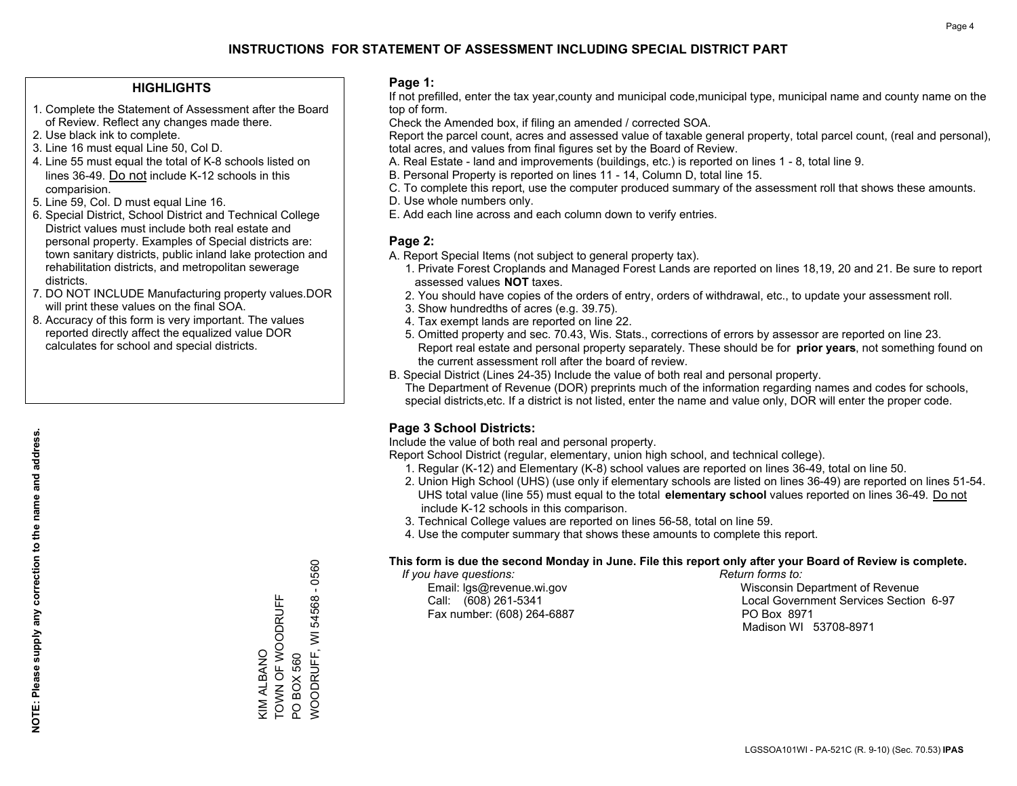## **INSTRUCTIONS FOR STATEMENT OF ASSESSMENT INCLUDING SPECIAL DISTRICT PART**

#### **HIGHLIGHTS**

- 1. Complete the Statement of Assessment after the Board of Review. Reflect any changes made there.
- 2. Use black ink to complete.
- 3. Line 16 must equal Line 50, Col D.
- 4. Line 55 must equal the total of K-8 schools listed on lines 36-49. Do not include K-12 schools in this comparision.
- 5. Line 59, Col. D must equal Line 16.
- 6. Special District, School District and Technical College District values must include both real estate and personal property. Examples of Special districts are: town sanitary districts, public inland lake protection and rehabilitation districts, and metropolitan sewerage districts.
- 7. DO NOT INCLUDE Manufacturing property values.DOR will print these values on the final SOA.
- 8. Accuracy of this form is very important. The values reported directly affect the equalized value DOR calculates for school and special districts.

#### **Page 1:**

 If not prefilled, enter the tax year,county and municipal code,municipal type, municipal name and county name on the top of form.

Check the Amended box, if filing an amended / corrected SOA.

 Report the parcel count, acres and assessed value of taxable general property, total parcel count, (real and personal), total acres, and values from final figures set by the Board of Review.

- A. Real Estate land and improvements (buildings, etc.) is reported on lines 1 8, total line 9.
- B. Personal Property is reported on lines 11 14, Column D, total line 15.
- C. To complete this report, use the computer produced summary of the assessment roll that shows these amounts.
- D. Use whole numbers only.
- E. Add each line across and each column down to verify entries.

#### **Page 2:**

- A. Report Special Items (not subject to general property tax).
- 1. Private Forest Croplands and Managed Forest Lands are reported on lines 18,19, 20 and 21. Be sure to report assessed values **NOT** taxes.
- 2. You should have copies of the orders of entry, orders of withdrawal, etc., to update your assessment roll.
	- 3. Show hundredths of acres (e.g. 39.75).
- 4. Tax exempt lands are reported on line 22.
- 5. Omitted property and sec. 70.43, Wis. Stats., corrections of errors by assessor are reported on line 23. Report real estate and personal property separately. These should be for **prior years**, not something found on the current assessment roll after the board of review.
- B. Special District (Lines 24-35) Include the value of both real and personal property.

 The Department of Revenue (DOR) preprints much of the information regarding names and codes for schools, special districts,etc. If a district is not listed, enter the name and value only, DOR will enter the proper code.

### **Page 3 School Districts:**

Include the value of both real and personal property.

Report School District (regular, elementary, union high school, and technical college).

- 1. Regular (K-12) and Elementary (K-8) school values are reported on lines 36-49, total on line 50.
- 2. Union High School (UHS) (use only if elementary schools are listed on lines 36-49) are reported on lines 51-54. UHS total value (line 55) must equal to the total **elementary school** values reported on lines 36-49. Do notinclude K-12 schools in this comparison.
- 3. Technical College values are reported on lines 56-58, total on line 59.
- 4. Use the computer summary that shows these amounts to complete this report.

#### **This form is due the second Monday in June. File this report only after your Board of Review is complete.**

 *If you have questions: Return forms to:*

Fax number: (608) 264-6887 PO Box 8971

 Email: lgs@revenue.wi.gov Wisconsin Department of Revenue Call: (608) 261-5341 Local Government Services Section 6-97Madison WI 53708-8971

WOODRUFF, WI 54568 - 0560  $\mathbf{I}$ TOWN OF WOODRUFF KIM ALBANO<br>TOWN OF WOODRUFF **NOODRUFF, WI 54568** KIM ALBANO **PO BOX 560** PO BOX 560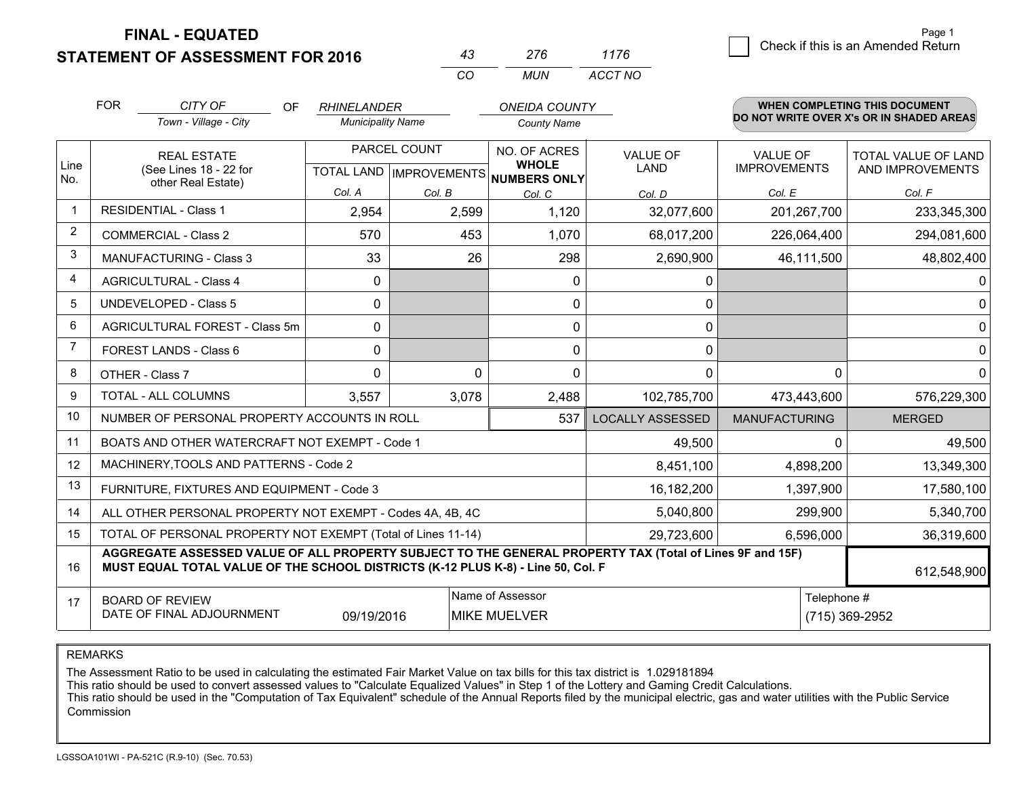**FINAL - EQUATED**

**STATEMENT OF ASSESSMENT FOR 2016** 

| 43 | 276 | 1176    |
|----|-----|---------|
| (  | MUN | ACCT NO |

|                | <b>FOR</b>                                                                                                                                                                                                  | CITY OF<br><b>OF</b><br>Town - Village - City | <b>RHINELANDER</b><br><b>Municipality Name</b>      |          | <b>ONEIDA COUNTY</b><br><b>County Name</b> |                         |                                        | WHEN COMPLETING THIS DOCUMENT<br>DO NOT WRITE OVER X's OR IN SHADED AREAS |
|----------------|-------------------------------------------------------------------------------------------------------------------------------------------------------------------------------------------------------------|-----------------------------------------------|-----------------------------------------------------|----------|--------------------------------------------|-------------------------|----------------------------------------|---------------------------------------------------------------------------|
| Line<br>No.    | <b>REAL ESTATE</b><br>(See Lines 18 - 22 for                                                                                                                                                                |                                               | PARCEL COUNT<br>TOTAL LAND MPROVEMENTS NUMBERS ONLY |          | NO. OF ACRES<br><b>WHOLE</b>               | <b>VALUE OF</b><br>LAND | <b>VALUE OF</b><br><b>IMPROVEMENTS</b> | TOTAL VALUE OF LAND<br>AND IMPROVEMENTS                                   |
|                |                                                                                                                                                                                                             | other Real Estate)                            | Col. A                                              | Col. B   | Col. C                                     | Col. D                  | Col. E                                 | Col. F                                                                    |
| $\mathbf 1$    |                                                                                                                                                                                                             | <b>RESIDENTIAL - Class 1</b>                  | 2,954                                               | 2,599    | 1,120                                      | 32,077,600              | 201, 267, 700                          | 233,345,300                                                               |
| $\overline{2}$ |                                                                                                                                                                                                             | <b>COMMERCIAL - Class 2</b>                   | 570                                                 | 453      | 1,070                                      | 68,017,200              | 226,064,400                            | 294,081,600                                                               |
| 3              |                                                                                                                                                                                                             | <b>MANUFACTURING - Class 3</b>                | 33                                                  | 26       | 298                                        | 2,690,900               | 46,111,500                             | 48,802,400                                                                |
| 4              |                                                                                                                                                                                                             | <b>AGRICULTURAL - Class 4</b>                 | $\mathbf{0}$                                        |          | $\mathbf{0}$                               | 0                       |                                        | $\overline{0}$                                                            |
| 5              |                                                                                                                                                                                                             | <b>UNDEVELOPED - Class 5</b>                  | 0                                                   |          | $\mathbf{0}$                               | 0                       |                                        | $\overline{0}$                                                            |
| 6              |                                                                                                                                                                                                             | AGRICULTURAL FOREST - Class 5m                | 0                                                   |          | $\Omega$                                   | 0                       |                                        | $\overline{0}$                                                            |
| 7              | FOREST LANDS - Class 6                                                                                                                                                                                      |                                               | 0                                                   |          | $\Omega$                                   | 0                       |                                        | $\overline{0}$                                                            |
| 8              | OTHER - Class 7                                                                                                                                                                                             |                                               | $\Omega$                                            | $\Omega$ | $\Omega$                                   | 0                       | $\Omega$                               | $\overline{0}$                                                            |
| 9              | TOTAL - ALL COLUMNS                                                                                                                                                                                         |                                               | 3,557                                               | 3,078    | 2,488                                      | 102,785,700             | 473,443,600                            | 576,229,300                                                               |
| 10             |                                                                                                                                                                                                             | NUMBER OF PERSONAL PROPERTY ACCOUNTS IN ROLL  |                                                     |          | <b>LOCALLY ASSESSED</b>                    | <b>MANUFACTURING</b>    | <b>MERGED</b>                          |                                                                           |
| 11             | BOATS AND OTHER WATERCRAFT NOT EXEMPT - Code 1<br>49,500                                                                                                                                                    |                                               |                                                     |          |                                            |                         | 0                                      | 49,500                                                                    |
| 12             |                                                                                                                                                                                                             | MACHINERY, TOOLS AND PATTERNS - Code 2        |                                                     |          |                                            | 8,451,100               | 4,898,200                              | 13,349,300                                                                |
| 13             | FURNITURE, FIXTURES AND EQUIPMENT - Code 3<br>16,182,200                                                                                                                                                    |                                               |                                                     |          |                                            |                         | 1,397,900                              | 17,580,100                                                                |
| 14             | 5,040,800<br>299,900<br>ALL OTHER PERSONAL PROPERTY NOT EXEMPT - Codes 4A, 4B, 4C                                                                                                                           |                                               |                                                     |          |                                            |                         |                                        | 5,340,700                                                                 |
| 15             | TOTAL OF PERSONAL PROPERTY NOT EXEMPT (Total of Lines 11-14)<br>29,723,600<br>6,596,000                                                                                                                     |                                               |                                                     |          |                                            |                         | 36,319,600                             |                                                                           |
| 16             | AGGREGATE ASSESSED VALUE OF ALL PROPERTY SUBJECT TO THE GENERAL PROPERTY TAX (Total of Lines 9F and 15F)<br>MUST EQUAL TOTAL VALUE OF THE SCHOOL DISTRICTS (K-12 PLUS K-8) - Line 50, Col. F<br>612,548,900 |                                               |                                                     |          |                                            |                         |                                        |                                                                           |
| 17             | Name of Assessor<br>Telephone #<br><b>BOARD OF REVIEW</b><br>DATE OF FINAL ADJOURNMENT<br>09/19/2016<br><b>MIKE MUELVER</b>                                                                                 |                                               |                                                     |          | (715) 369-2952                             |                         |                                        |                                                                           |

REMARKS

The Assessment Ratio to be used in calculating the estimated Fair Market Value on tax bills for this tax district is 1.029181894

This ratio should be used to convert assessed values to "Calculate Equalized Values" in Step 1 of the Lottery and Gaming Credit Calculations.<br>This ratio should be used in the "Computation of Tax Equivalent" schedule of the Commission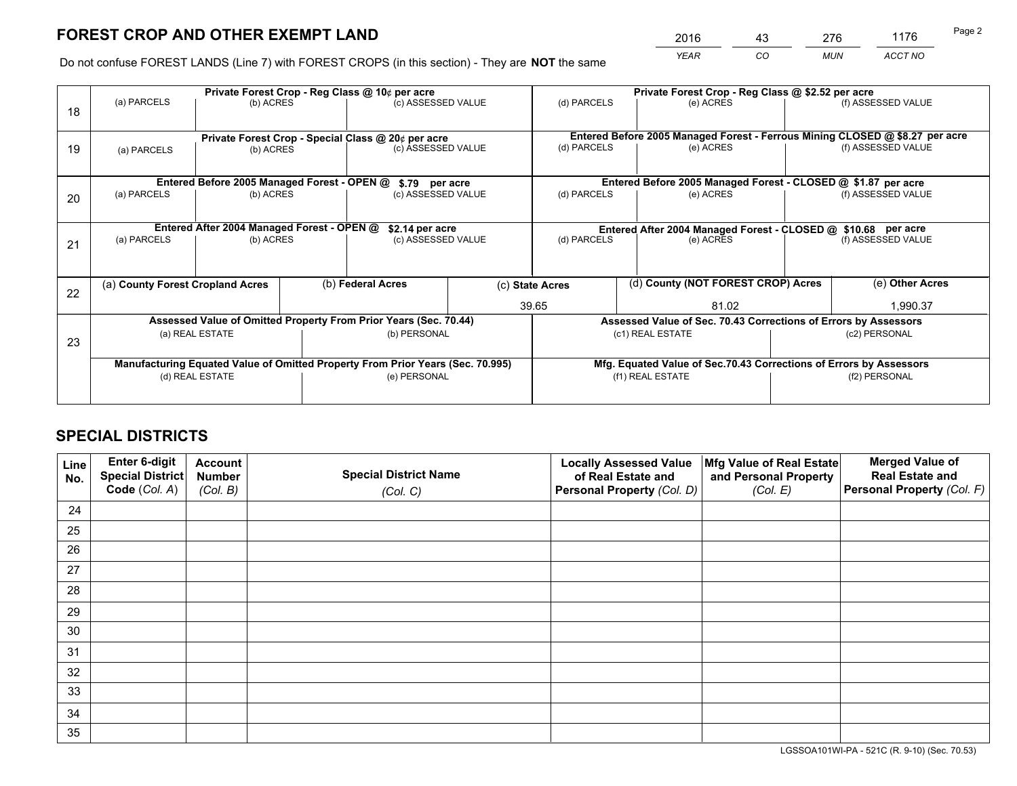# **FOREST CROP AND OTHER EXEMPT LAND**

 *YEAR CO MUN ACCT NO* <sup>2016</sup> <sup>43</sup> <sup>276</sup> <sup>1176</sup>

Do not confuse FOREST LANDS (Line 7) with FOREST CROPS (in this section) - They are **NOT** the same

|                                                                  |                                                                                                                                                      |                                             |  | Private Forest Crop - Reg Class @ 10¢ per acre     |  | Private Forest Crop - Reg Class @ \$2.52 per acre |                                                                              |                                                               |                    |  |
|------------------------------------------------------------------|------------------------------------------------------------------------------------------------------------------------------------------------------|---------------------------------------------|--|----------------------------------------------------|--|---------------------------------------------------|------------------------------------------------------------------------------|---------------------------------------------------------------|--------------------|--|
| 18                                                               | (a) PARCELS<br>(b) ACRES                                                                                                                             |                                             |  | (c) ASSESSED VALUE                                 |  | (d) PARCELS                                       | (e) ACRES                                                                    |                                                               | (f) ASSESSED VALUE |  |
|                                                                  |                                                                                                                                                      |                                             |  |                                                    |  |                                                   |                                                                              |                                                               |                    |  |
|                                                                  |                                                                                                                                                      |                                             |  | Private Forest Crop - Special Class @ 20¢ per acre |  |                                                   | Entered Before 2005 Managed Forest - Ferrous Mining CLOSED @ \$8.27 per acre |                                                               |                    |  |
| 19                                                               | (a) PARCELS                                                                                                                                          | (b) ACRES                                   |  | (c) ASSESSED VALUE                                 |  | (d) PARCELS                                       | (e) ACRES                                                                    |                                                               | (f) ASSESSED VALUE |  |
|                                                                  |                                                                                                                                                      |                                             |  |                                                    |  |                                                   |                                                                              |                                                               |                    |  |
|                                                                  |                                                                                                                                                      | Entered Before 2005 Managed Forest - OPEN @ |  | \$.79 per acre                                     |  |                                                   | Entered Before 2005 Managed Forest - CLOSED @ \$1.87 per acre                |                                                               |                    |  |
| 20                                                               | (a) PARCELS                                                                                                                                          | (b) ACRES                                   |  | (c) ASSESSED VALUE                                 |  | (d) PARCELS                                       | (e) ACRES                                                                    |                                                               |                    |  |
|                                                                  |                                                                                                                                                      |                                             |  |                                                    |  |                                                   |                                                                              |                                                               |                    |  |
|                                                                  |                                                                                                                                                      | Entered After 2004 Managed Forest - OPEN @  |  | \$2.14 per acre                                    |  |                                                   |                                                                              | Entered After 2004 Managed Forest - CLOSED @ \$10.68 per acre |                    |  |
| 21                                                               | (a) PARCELS                                                                                                                                          | (b) ACRES                                   |  | (c) ASSESSED VALUE                                 |  | (d) PARCELS                                       | (e) ACRES                                                                    | (f) ASSESSED VALUE                                            |                    |  |
|                                                                  |                                                                                                                                                      |                                             |  |                                                    |  |                                                   |                                                                              |                                                               |                    |  |
|                                                                  |                                                                                                                                                      |                                             |  |                                                    |  |                                                   |                                                                              |                                                               |                    |  |
| 22                                                               | (a) County Forest Cropland Acres                                                                                                                     |                                             |  | (b) Federal Acres                                  |  | (c) State Acres                                   | (d) County (NOT FOREST CROP) Acres                                           |                                                               | (e) Other Acres    |  |
|                                                                  |                                                                                                                                                      |                                             |  |                                                    |  | 39.65<br>81.02                                    |                                                                              | 1,990.37                                                      |                    |  |
| Assessed Value of Omitted Property From Prior Years (Sec. 70.44) |                                                                                                                                                      |                                             |  |                                                    |  |                                                   | Assessed Value of Sec. 70.43 Corrections of Errors by Assessors              |                                                               |                    |  |
| 23                                                               | (a) REAL ESTATE                                                                                                                                      |                                             |  | (b) PERSONAL                                       |  | (c1) REAL ESTATE                                  |                                                                              | (c2) PERSONAL                                                 |                    |  |
|                                                                  |                                                                                                                                                      |                                             |  |                                                    |  |                                                   |                                                                              |                                                               |                    |  |
|                                                                  | Manufacturing Equated Value of Omitted Property From Prior Years (Sec. 70.995)<br>Mfg. Equated Value of Sec.70.43 Corrections of Errors by Assessors |                                             |  |                                                    |  |                                                   |                                                                              |                                                               |                    |  |
|                                                                  | (d) REAL ESTATE                                                                                                                                      |                                             |  | (e) PERSONAL                                       |  | (f1) REAL ESTATE                                  |                                                                              | (f2) PERSONAL                                                 |                    |  |
|                                                                  |                                                                                                                                                      |                                             |  |                                                    |  |                                                   |                                                                              |                                                               |                    |  |

## **SPECIAL DISTRICTS**

| Line<br>No. | Enter 6-digit<br>Special District<br>Code (Col. A) | <b>Account</b><br><b>Number</b> | <b>Special District Name</b> | <b>Locally Assessed Value</b><br>of Real Estate and | Mfg Value of Real Estate<br>and Personal Property | <b>Merged Value of</b><br><b>Real Estate and</b><br>Personal Property (Col. F) |
|-------------|----------------------------------------------------|---------------------------------|------------------------------|-----------------------------------------------------|---------------------------------------------------|--------------------------------------------------------------------------------|
|             |                                                    | (Col. B)                        | (Col. C)                     | Personal Property (Col. D)                          | (Col. E)                                          |                                                                                |
| 24          |                                                    |                                 |                              |                                                     |                                                   |                                                                                |
| 25          |                                                    |                                 |                              |                                                     |                                                   |                                                                                |
| 26          |                                                    |                                 |                              |                                                     |                                                   |                                                                                |
| 27          |                                                    |                                 |                              |                                                     |                                                   |                                                                                |
| 28          |                                                    |                                 |                              |                                                     |                                                   |                                                                                |
| 29          |                                                    |                                 |                              |                                                     |                                                   |                                                                                |
| 30          |                                                    |                                 |                              |                                                     |                                                   |                                                                                |
| 31          |                                                    |                                 |                              |                                                     |                                                   |                                                                                |
| 32          |                                                    |                                 |                              |                                                     |                                                   |                                                                                |
| 33          |                                                    |                                 |                              |                                                     |                                                   |                                                                                |
| 34          |                                                    |                                 |                              |                                                     |                                                   |                                                                                |
| 35          |                                                    |                                 |                              |                                                     |                                                   |                                                                                |

LGSSOA101WI-PA - 521C (R. 9-10) (Sec. 70.53)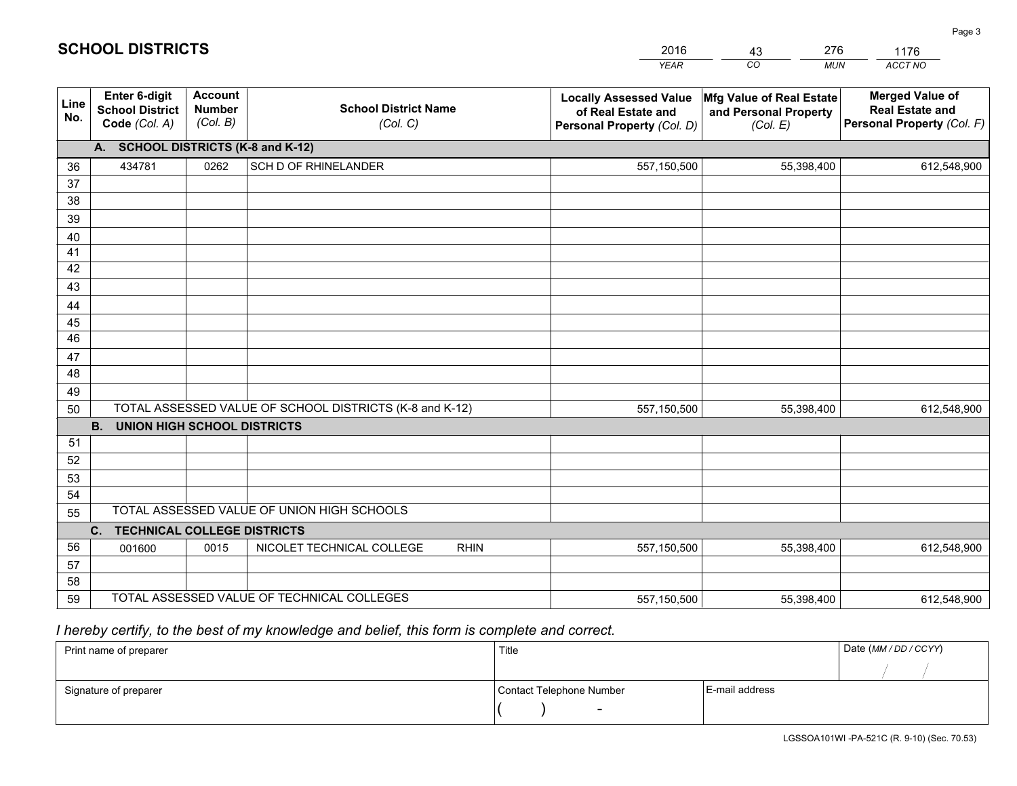|             |                                                                 |                                             |                                                         | <b>YEAR</b>                                                                       | CO<br><b>MUN</b>                                              | ACCT NO                                                                        |  |  |  |  |
|-------------|-----------------------------------------------------------------|---------------------------------------------|---------------------------------------------------------|-----------------------------------------------------------------------------------|---------------------------------------------------------------|--------------------------------------------------------------------------------|--|--|--|--|
| Line<br>No. | <b>Enter 6-digit</b><br><b>School District</b><br>Code (Col. A) | <b>Account</b><br><b>Number</b><br>(Col. B) | <b>School District Name</b><br>(Col. C)                 | <b>Locally Assessed Value</b><br>of Real Estate and<br>Personal Property (Col. D) | Mfg Value of Real Estate<br>and Personal Property<br>(Col. E) | <b>Merged Value of</b><br><b>Real Estate and</b><br>Personal Property (Col. F) |  |  |  |  |
|             | A. SCHOOL DISTRICTS (K-8 and K-12)                              |                                             |                                                         |                                                                                   |                                                               |                                                                                |  |  |  |  |
| 36          | 434781                                                          | 0262                                        | SCH D OF RHINELANDER                                    | 557,150,500                                                                       | 55,398,400                                                    | 612,548,900                                                                    |  |  |  |  |
| 37          |                                                                 |                                             |                                                         |                                                                                   |                                                               |                                                                                |  |  |  |  |
| 38          |                                                                 |                                             |                                                         |                                                                                   |                                                               |                                                                                |  |  |  |  |
| 39          |                                                                 |                                             |                                                         |                                                                                   |                                                               |                                                                                |  |  |  |  |
| 40          |                                                                 |                                             |                                                         |                                                                                   |                                                               |                                                                                |  |  |  |  |
| 41<br>42    |                                                                 |                                             |                                                         |                                                                                   |                                                               |                                                                                |  |  |  |  |
| 43          |                                                                 |                                             |                                                         |                                                                                   |                                                               |                                                                                |  |  |  |  |
| 44          |                                                                 |                                             |                                                         |                                                                                   |                                                               |                                                                                |  |  |  |  |
| 45          |                                                                 |                                             |                                                         |                                                                                   |                                                               |                                                                                |  |  |  |  |
| 46          |                                                                 |                                             |                                                         |                                                                                   |                                                               |                                                                                |  |  |  |  |
| 47          |                                                                 |                                             |                                                         |                                                                                   |                                                               |                                                                                |  |  |  |  |
| 48          |                                                                 |                                             |                                                         |                                                                                   |                                                               |                                                                                |  |  |  |  |
| 49          |                                                                 |                                             |                                                         |                                                                                   |                                                               |                                                                                |  |  |  |  |
| 50          |                                                                 |                                             | TOTAL ASSESSED VALUE OF SCHOOL DISTRICTS (K-8 and K-12) | 557,150,500                                                                       | 55,398,400                                                    | 612,548,900                                                                    |  |  |  |  |
|             | <b>B.</b><br><b>UNION HIGH SCHOOL DISTRICTS</b>                 |                                             |                                                         |                                                                                   |                                                               |                                                                                |  |  |  |  |
| 51          |                                                                 |                                             |                                                         |                                                                                   |                                                               |                                                                                |  |  |  |  |
| 52          |                                                                 |                                             |                                                         |                                                                                   |                                                               |                                                                                |  |  |  |  |
| 53          |                                                                 |                                             |                                                         |                                                                                   |                                                               |                                                                                |  |  |  |  |
| 54          |                                                                 |                                             |                                                         |                                                                                   |                                                               |                                                                                |  |  |  |  |
|             | TOTAL ASSESSED VALUE OF UNION HIGH SCHOOLS<br>55                |                                             |                                                         |                                                                                   |                                                               |                                                                                |  |  |  |  |
|             | C.<br><b>TECHNICAL COLLEGE DISTRICTS</b>                        |                                             |                                                         |                                                                                   |                                                               |                                                                                |  |  |  |  |
| 56          | 001600                                                          | 0015                                        | NICOLET TECHNICAL COLLEGE<br><b>RHIN</b>                | 557,150,500                                                                       | 55,398,400                                                    | 612,548,900                                                                    |  |  |  |  |
| 57<br>58    |                                                                 |                                             |                                                         |                                                                                   |                                                               |                                                                                |  |  |  |  |
| 59          |                                                                 |                                             | TOTAL ASSESSED VALUE OF TECHNICAL COLLEGES              | 557,150,500                                                                       | 55,398,400                                                    | 612,548,900                                                                    |  |  |  |  |
|             |                                                                 |                                             |                                                         |                                                                                   |                                                               |                                                                                |  |  |  |  |

2016

43

276

 *I hereby certify, to the best of my knowledge and belief, this form is complete and correct.*

**SCHOOL DISTRICTS**

| Print name of preparer | Title                    |                | Date (MM / DD / CCYY) |
|------------------------|--------------------------|----------------|-----------------------|
|                        |                          |                |                       |
| Signature of preparer  | Contact Telephone Number | E-mail address |                       |
|                        |                          |                |                       |